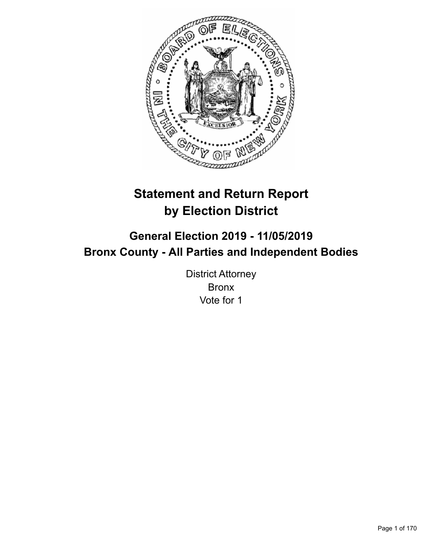

# **Statement and Return Report by Election District**

# **General Election 2019 - 11/05/2019 Bronx County - All Parties and Independent Bodies**

District Attorney Bronx Vote for 1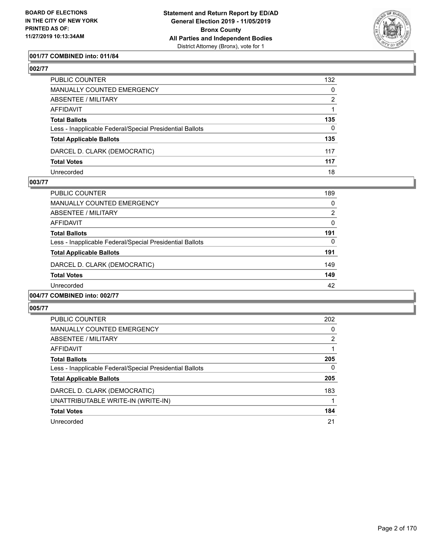

# **001/77 COMBINED into: 011/84**

**002/77** 

| PUBLIC COUNTER                                           | 132          |
|----------------------------------------------------------|--------------|
| MANUALLY COUNTED EMERGENCY                               | $\mathbf{0}$ |
| ABSENTEE / MILITARY                                      | 2            |
| AFFIDAVIT                                                |              |
| Total Ballots                                            | 135          |
| Less - Inapplicable Federal/Special Presidential Ballots | $\Omega$     |
| <b>Total Applicable Ballots</b>                          | 135          |
| DARCEL D. CLARK (DEMOCRATIC)                             | 117          |
| <b>Total Votes</b>                                       | 117          |
| Unrecorded                                               | 18           |

### **003/77**

| 004/77 COMBINED into: 002/77                             |                |
|----------------------------------------------------------|----------------|
| Unrecorded                                               | 42             |
| <b>Total Votes</b>                                       | 149            |
| DARCEL D. CLARK (DEMOCRATIC)                             | 149            |
| <b>Total Applicable Ballots</b>                          | 191            |
| Less - Inapplicable Federal/Special Presidential Ballots | $\Omega$       |
| <b>Total Ballots</b>                                     | 191            |
| AFFIDAVIT                                                | $\Omega$       |
| ABSENTEE / MILITARY                                      | $\overline{2}$ |
| <b>MANUALLY COUNTED EMERGENCY</b>                        | $\Omega$       |
| <b>PUBLIC COUNTER</b>                                    | 189            |

| <b>PUBLIC COUNTER</b>                                    | 202 |
|----------------------------------------------------------|-----|
| MANUALLY COUNTED EMERGENCY                               | 0   |
| ABSENTEE / MILITARY                                      | 2   |
| AFFIDAVIT                                                |     |
| <b>Total Ballots</b>                                     | 205 |
| Less - Inapplicable Federal/Special Presidential Ballots | 0   |
| <b>Total Applicable Ballots</b>                          | 205 |
| DARCEL D. CLARK (DEMOCRATIC)                             | 183 |
| UNATTRIBUTABLE WRITE-IN (WRITE-IN)                       |     |
| <b>Total Votes</b>                                       | 184 |
| Unrecorded                                               | 21  |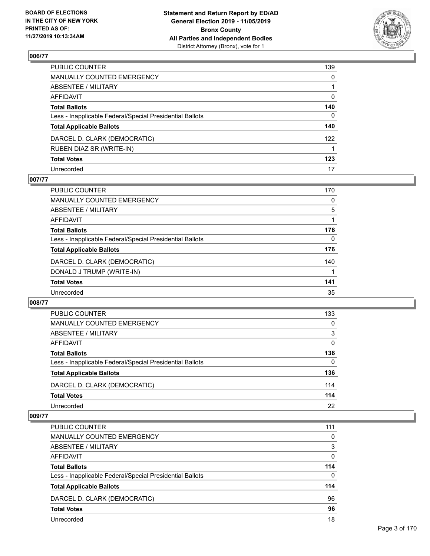

| PUBLIC COUNTER                                           | 139 |
|----------------------------------------------------------|-----|
| MANUALLY COUNTED EMERGENCY                               | 0   |
| ABSENTEE / MILITARY                                      |     |
| AFFIDAVIT                                                | 0   |
| <b>Total Ballots</b>                                     | 140 |
| Less - Inapplicable Federal/Special Presidential Ballots | 0   |
| <b>Total Applicable Ballots</b>                          | 140 |
| DARCEL D. CLARK (DEMOCRATIC)                             | 122 |
| RUBEN DIAZ SR (WRITE-IN)                                 |     |
| <b>Total Votes</b>                                       | 123 |
| Unrecorded                                               | 17  |

# **007/77**

| <b>PUBLIC COUNTER</b>                                    | 170      |
|----------------------------------------------------------|----------|
| MANUALLY COUNTED EMERGENCY                               | 0        |
| ABSENTEE / MILITARY                                      | 5        |
| AFFIDAVIT                                                |          |
| <b>Total Ballots</b>                                     | 176      |
| Less - Inapplicable Federal/Special Presidential Ballots | $\Omega$ |
| <b>Total Applicable Ballots</b>                          | 176      |
| DARCEL D. CLARK (DEMOCRATIC)                             | 140      |
| DONALD J TRUMP (WRITE-IN)                                |          |
| <b>Total Votes</b>                                       | 141      |
| Unrecorded                                               | 35       |

### **008/77**

| PUBLIC COUNTER                                           | 133      |
|----------------------------------------------------------|----------|
| MANUALLY COUNTED EMERGENCY                               | 0        |
| ABSENTEE / MILITARY                                      | 3        |
| AFFIDAVIT                                                | $\Omega$ |
| <b>Total Ballots</b>                                     | 136      |
| Less - Inapplicable Federal/Special Presidential Ballots | 0        |
| <b>Total Applicable Ballots</b>                          | 136      |
| DARCEL D. CLARK (DEMOCRATIC)                             | 114      |
| <b>Total Votes</b>                                       | 114      |
| Unrecorded                                               | 22       |
|                                                          |          |

| <b>PUBLIC COUNTER</b>                                    | 111      |
|----------------------------------------------------------|----------|
| MANUALLY COUNTED EMERGENCY                               | $\Omega$ |
| ABSENTEE / MILITARY                                      | 3        |
| AFFIDAVIT                                                | $\Omega$ |
| <b>Total Ballots</b>                                     | 114      |
| Less - Inapplicable Federal/Special Presidential Ballots | $\Omega$ |
| <b>Total Applicable Ballots</b>                          | 114      |
| DARCEL D. CLARK (DEMOCRATIC)                             | 96       |
| <b>Total Votes</b>                                       | 96       |
| Unrecorded                                               | 18       |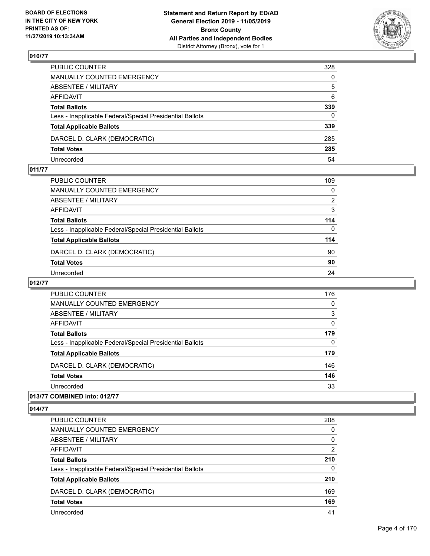

| PUBLIC COUNTER                                           | 328          |
|----------------------------------------------------------|--------------|
| MANUALLY COUNTED EMERGENCY                               | $\mathbf{0}$ |
| ABSENTEE / MILITARY                                      | 5            |
| AFFIDAVIT                                                | 6            |
| <b>Total Ballots</b>                                     | 339          |
| Less - Inapplicable Federal/Special Presidential Ballots | 0            |
| <b>Total Applicable Ballots</b>                          | 339          |
| DARCEL D. CLARK (DEMOCRATIC)                             | 285          |
| <b>Total Votes</b>                                       | 285          |
| Unrecorded                                               | 54           |

### **011/77**

| PUBLIC COUNTER                                           | 109      |
|----------------------------------------------------------|----------|
| <b>MANUALLY COUNTED EMERGENCY</b>                        | 0        |
| <b>ABSENTEE / MILITARY</b>                               | 2        |
| <b>AFFIDAVIT</b>                                         | 3        |
| <b>Total Ballots</b>                                     | 114      |
| Less - Inapplicable Federal/Special Presidential Ballots | $\Omega$ |
| <b>Total Applicable Ballots</b>                          | 114      |
| DARCEL D. CLARK (DEMOCRATIC)                             | 90       |
| <b>Total Votes</b>                                       | 90       |
| Unrecorded                                               | 24       |

# **012/77**

| <b>PUBLIC COUNTER</b>                                    | 176      |
|----------------------------------------------------------|----------|
| <b>MANUALLY COUNTED EMERGENCY</b>                        | $\Omega$ |
| ABSENTEE / MILITARY                                      | 3        |
| <b>AFFIDAVIT</b>                                         | 0        |
| <b>Total Ballots</b>                                     | 179      |
| Less - Inapplicable Federal/Special Presidential Ballots | $\Omega$ |
| <b>Total Applicable Ballots</b>                          | 179      |
| DARCEL D. CLARK (DEMOCRATIC)                             | 146      |
| <b>Total Votes</b>                                       | 146      |
| Unrecorded                                               | 33       |
|                                                          |          |

# **013/77 COMBINED into: 012/77**

| <b>PUBLIC COUNTER</b>                                    | 208            |
|----------------------------------------------------------|----------------|
| <b>MANUALLY COUNTED EMERGENCY</b>                        | $\Omega$       |
| ABSENTEE / MILITARY                                      | $\Omega$       |
| AFFIDAVIT                                                | $\overline{2}$ |
| <b>Total Ballots</b>                                     | 210            |
| Less - Inapplicable Federal/Special Presidential Ballots | 0              |
| <b>Total Applicable Ballots</b>                          | 210            |
| DARCEL D. CLARK (DEMOCRATIC)                             | 169            |
| <b>Total Votes</b>                                       | 169            |
| Unrecorded                                               | 41             |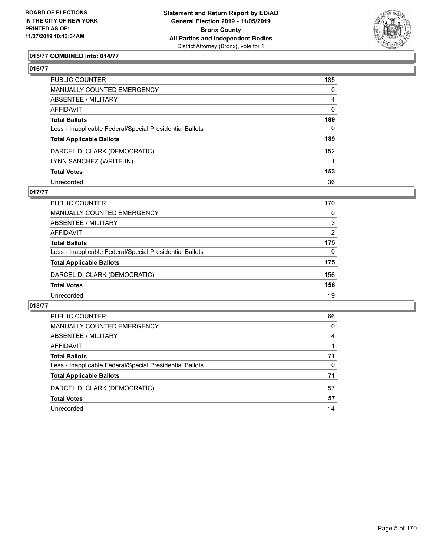

# **015/77 COMBINED into: 014/77**

### **016/77**

| PUBLIC COUNTER                                           | 185            |
|----------------------------------------------------------|----------------|
| <b>MANUALLY COUNTED EMERGENCY</b>                        | $\mathbf 0$    |
| ABSENTEE / MILITARY                                      | $\overline{4}$ |
| AFFIDAVIT                                                | 0              |
| Total Ballots                                            | 189            |
| Less - Inapplicable Federal/Special Presidential Ballots | $\mathbf{0}$   |
| <b>Total Applicable Ballots</b>                          | 189            |
| DARCEL D. CLARK (DEMOCRATIC)                             | 152            |
| LYNN SANCHEZ (WRITE-IN)                                  |                |
| <b>Total Votes</b>                                       | 153            |
| Unrecorded                                               | 36             |

### **017/77**

| PUBLIC COUNTER                                           | 170      |
|----------------------------------------------------------|----------|
| <b>MANUALLY COUNTED EMERGENCY</b>                        | $\Omega$ |
| ABSENTEE / MILITARY                                      | 3        |
| AFFIDAVIT                                                | 2        |
| <b>Total Ballots</b>                                     | 175      |
| Less - Inapplicable Federal/Special Presidential Ballots | $\Omega$ |
| <b>Total Applicable Ballots</b>                          | 175      |
| DARCEL D. CLARK (DEMOCRATIC)                             | 156      |
| <b>Total Votes</b>                                       | 156      |
| Unrecorded                                               | 19       |

| PUBLIC COUNTER                                           | 66       |
|----------------------------------------------------------|----------|
| MANUALLY COUNTED EMERGENCY                               | $\Omega$ |
| ABSENTEE / MILITARY                                      | 4        |
| AFFIDAVIT                                                |          |
| <b>Total Ballots</b>                                     | 71       |
| Less - Inapplicable Federal/Special Presidential Ballots | $\Omega$ |
| <b>Total Applicable Ballots</b>                          | 71       |
| DARCEL D. CLARK (DEMOCRATIC)                             | 57       |
| <b>Total Votes</b>                                       | 57       |
| Unrecorded                                               | 14       |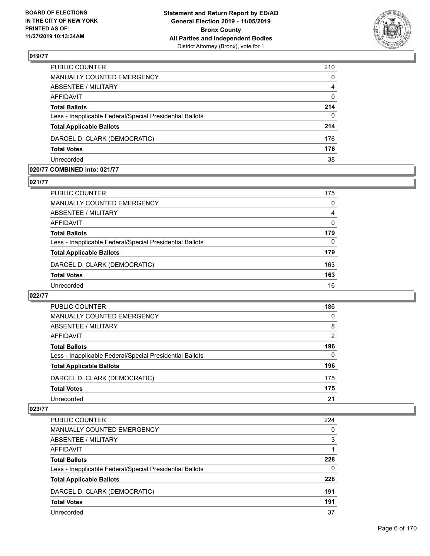

| PUBLIC COUNTER                                           | 210          |
|----------------------------------------------------------|--------------|
| <b>MANUALLY COUNTED EMERGENCY</b>                        | $\mathbf{0}$ |
| <b>ABSENTEE / MILITARY</b>                               | 4            |
| <b>AFFIDAVIT</b>                                         | $\mathbf{0}$ |
| <b>Total Ballots</b>                                     | 214          |
| Less - Inapplicable Federal/Special Presidential Ballots | $\mathbf{0}$ |
| <b>Total Applicable Ballots</b>                          | 214          |
| DARCEL D. CLARK (DEMOCRATIC)                             | 176          |
| <b>Total Votes</b>                                       | 176          |
| Unrecorded                                               | 38           |

### **020/77 COMBINED into: 021/77**

### **021/77**

| PUBLIC COUNTER                                           | 175 |
|----------------------------------------------------------|-----|
| MANUALLY COUNTED EMERGENCY                               | 0   |
| ABSENTEE / MILITARY                                      | 4   |
| AFFIDAVIT                                                | 0   |
| <b>Total Ballots</b>                                     | 179 |
| Less - Inapplicable Federal/Special Presidential Ballots | 0   |
| <b>Total Applicable Ballots</b>                          | 179 |
| DARCEL D. CLARK (DEMOCRATIC)                             | 163 |
| <b>Total Votes</b>                                       | 163 |
| Unrecorded                                               | 16  |
|                                                          |     |

# **022/77**

| <b>PUBLIC COUNTER</b>                                    | 186           |
|----------------------------------------------------------|---------------|
| MANUALLY COUNTED EMERGENCY                               | 0             |
| ABSENTEE / MILITARY                                      | 8             |
| AFFIDAVIT                                                | $\mathcal{P}$ |
| <b>Total Ballots</b>                                     | 196           |
| Less - Inapplicable Federal/Special Presidential Ballots | 0             |
| <b>Total Applicable Ballots</b>                          | 196           |
| DARCEL D. CLARK (DEMOCRATIC)                             | 175           |
| <b>Total Votes</b>                                       | 175           |
| Unrecorded                                               | 21            |

| <b>PUBLIC COUNTER</b>                                    | 224 |
|----------------------------------------------------------|-----|
| MANUALLY COUNTED EMERGENCY                               | 0   |
| ABSENTEE / MILITARY                                      | 3   |
| AFFIDAVIT                                                |     |
| <b>Total Ballots</b>                                     | 228 |
| Less - Inapplicable Federal/Special Presidential Ballots | 0   |
| <b>Total Applicable Ballots</b>                          | 228 |
| DARCEL D. CLARK (DEMOCRATIC)                             | 191 |
| <b>Total Votes</b>                                       | 191 |
| Unrecorded                                               | 37  |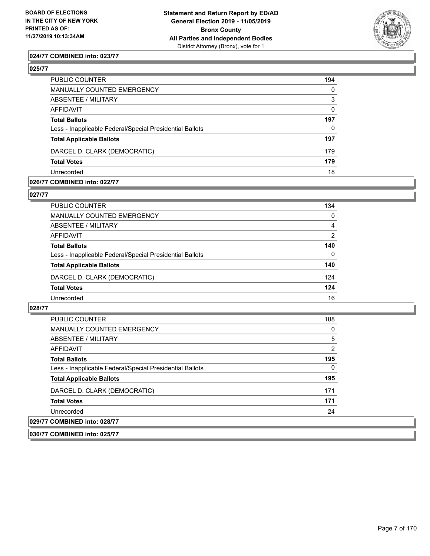

### **024/77 COMBINED into: 023/77**

## **025/77**

| PUBLIC COUNTER                                           | 194          |
|----------------------------------------------------------|--------------|
| MANUALLY COUNTED EMERGENCY                               | $\mathbf{0}$ |
| <b>ABSENTEE / MILITARY</b>                               | 3            |
| <b>AFFIDAVIT</b>                                         | $\Omega$     |
| <b>Total Ballots</b>                                     | 197          |
| Less - Inapplicable Federal/Special Presidential Ballots | $\Omega$     |
| <b>Total Applicable Ballots</b>                          | 197          |
| DARCEL D. CLARK (DEMOCRATIC)                             | 179          |
| <b>Total Votes</b>                                       | 179          |
| Unrecorded                                               | 18           |

### **026/77 COMBINED into: 022/77**

### **027/77**

| PUBLIC COUNTER                                           | 134           |
|----------------------------------------------------------|---------------|
| MANUALLY COUNTED EMERGENCY                               | $\Omega$      |
| <b>ABSENTEE / MILITARY</b>                               | 4             |
| AFFIDAVIT                                                | $\mathcal{P}$ |
| <b>Total Ballots</b>                                     | 140           |
| Less - Inapplicable Federal/Special Presidential Ballots | 0             |
| <b>Total Applicable Ballots</b>                          | 140           |
| DARCEL D. CLARK (DEMOCRATIC)                             | 124           |
| <b>Total Votes</b>                                       | 124           |
| Unrecorded                                               | 16            |

### **028/77**

| <b>PUBLIC COUNTER</b>                                    | 188            |
|----------------------------------------------------------|----------------|
| <b>MANUALLY COUNTED EMERGENCY</b>                        | 0              |
| ABSENTEE / MILITARY                                      | 5              |
| AFFIDAVIT                                                | $\overline{2}$ |
| <b>Total Ballots</b>                                     | 195            |
| Less - Inapplicable Federal/Special Presidential Ballots | $\Omega$       |
| <b>Total Applicable Ballots</b>                          | 195            |
| DARCEL D. CLARK (DEMOCRATIC)                             | 171            |
| <b>Total Votes</b>                                       | 171            |
| Unrecorded                                               | 24             |
| 029/77 COMBINED into: 028/77                             |                |

**030/77 COMBINED into: 025/77**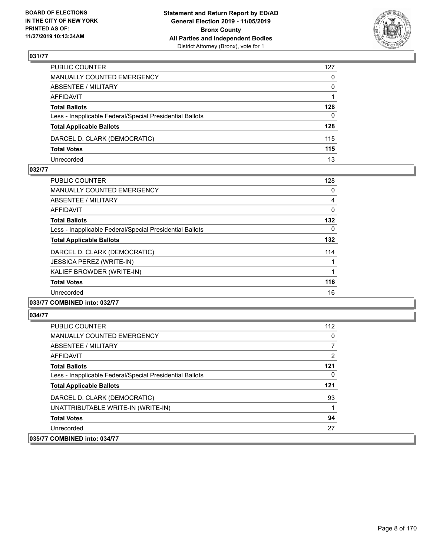

| PUBLIC COUNTER                                           | 127          |
|----------------------------------------------------------|--------------|
| MANUALLY COUNTED EMERGENCY                               | $\mathbf{0}$ |
| ABSENTEE / MILITARY                                      | $\Omega$     |
| AFFIDAVIT                                                |              |
| <b>Total Ballots</b>                                     | 128          |
| Less - Inapplicable Federal/Special Presidential Ballots | 0            |
| <b>Total Applicable Ballots</b>                          | 128          |
| DARCEL D. CLARK (DEMOCRATIC)                             | 115          |
| <b>Total Votes</b>                                       | 115          |
| Unrecorded                                               | 13           |

### **032/77**

| <b>PUBLIC COUNTER</b>                                    | 128      |
|----------------------------------------------------------|----------|
| MANUALLY COUNTED EMERGENCY                               | 0        |
| ABSENTEE / MILITARY                                      | 4        |
| AFFIDAVIT                                                | 0        |
| <b>Total Ballots</b>                                     | 132      |
| Less - Inapplicable Federal/Special Presidential Ballots | $\Omega$ |
| <b>Total Applicable Ballots</b>                          | 132      |
| DARCEL D. CLARK (DEMOCRATIC)                             | 114      |
| JESSICA PEREZ (WRITE-IN)                                 | 1        |
| KALIEF BROWDER (WRITE-IN)                                |          |
| <b>Total Votes</b>                                       | 116      |
| Unrecorded                                               | 16       |
|                                                          |          |

### **033/77 COMBINED into: 032/77**

| <b>PUBLIC COUNTER</b>                                    | 112 |
|----------------------------------------------------------|-----|
| <b>MANUALLY COUNTED EMERGENCY</b>                        | 0   |
| ABSENTEE / MILITARY                                      |     |
| <b>AFFIDAVIT</b>                                         | 2   |
| <b>Total Ballots</b>                                     | 121 |
| Less - Inapplicable Federal/Special Presidential Ballots | 0   |
| <b>Total Applicable Ballots</b>                          | 121 |
| DARCEL D. CLARK (DEMOCRATIC)                             | 93  |
| UNATTRIBUTABLE WRITE-IN (WRITE-IN)                       |     |
| <b>Total Votes</b>                                       | 94  |
| Unrecorded                                               | 27  |
| 035/77 COMBINED into: 034/77                             |     |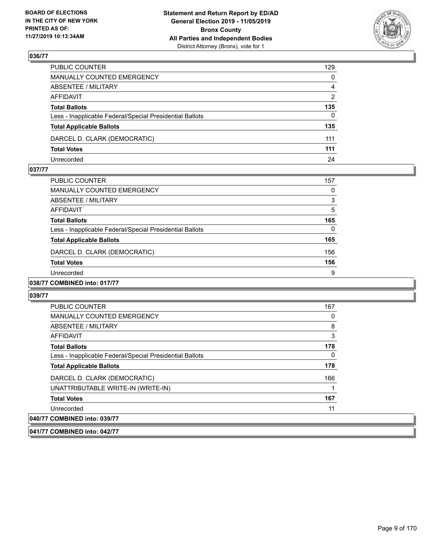

| PUBLIC COUNTER                                           | 129            |
|----------------------------------------------------------|----------------|
| MANUALLY COUNTED EMERGENCY                               | $\mathbf{0}$   |
| ABSENTEE / MILITARY                                      | $\overline{4}$ |
| AFFIDAVIT                                                | 2              |
| <b>Total Ballots</b>                                     | 135            |
| Less - Inapplicable Federal/Special Presidential Ballots | $\Omega$       |
| <b>Total Applicable Ballots</b>                          | 135            |
| DARCEL D. CLARK (DEMOCRATIC)                             | 111            |
| <b>Total Votes</b>                                       | 111            |
| Unrecorded                                               | 24             |

### **037/77**

| PUBLIC COUNTER                                           | 157 |
|----------------------------------------------------------|-----|
| <b>MANUALLY COUNTED EMERGENCY</b>                        | 0   |
| ABSENTEE / MILITARY                                      | 3   |
| AFFIDAVIT                                                | 5   |
| <b>Total Ballots</b>                                     | 165 |
| Less - Inapplicable Federal/Special Presidential Ballots | 0   |
| <b>Total Applicable Ballots</b>                          | 165 |
| DARCEL D. CLARK (DEMOCRATIC)                             | 156 |
| <b>Total Votes</b>                                       | 156 |
| Unrecorded                                               | 9   |
| A                                                        |     |

# **038/77 COMBINED into: 017/77**

#### **039/77**

| <b>PUBLIC COUNTER</b>                                    | 167 |
|----------------------------------------------------------|-----|
| <b>MANUALLY COUNTED EMERGENCY</b>                        | 0   |
| ABSENTEE / MILITARY                                      | 8   |
| AFFIDAVIT                                                | 3   |
| <b>Total Ballots</b>                                     | 178 |
| Less - Inapplicable Federal/Special Presidential Ballots | 0   |
| <b>Total Applicable Ballots</b>                          | 178 |
| DARCEL D. CLARK (DEMOCRATIC)                             | 166 |
| UNATTRIBUTABLE WRITE-IN (WRITE-IN)                       |     |
| <b>Total Votes</b>                                       | 167 |
| Unrecorded                                               | 11  |
| 040/77 COMBINED into: 039/77                             |     |

### **041/77 COMBINED into: 042/77**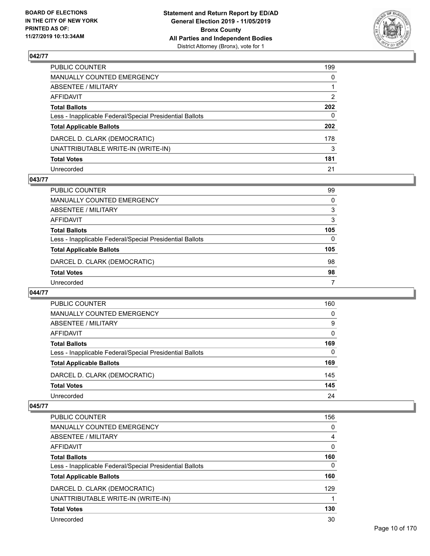

| PUBLIC COUNTER                                           | 199 |
|----------------------------------------------------------|-----|
| MANUALLY COUNTED EMERGENCY                               | 0   |
| ABSENTEE / MILITARY                                      |     |
| AFFIDAVIT                                                | 2   |
| <b>Total Ballots</b>                                     | 202 |
| Less - Inapplicable Federal/Special Presidential Ballots | 0   |
| <b>Total Applicable Ballots</b>                          | 202 |
| DARCEL D. CLARK (DEMOCRATIC)                             | 178 |
| UNATTRIBUTABLE WRITE-IN (WRITE-IN)                       | 3   |
| <b>Total Votes</b>                                       | 181 |
| Unrecorded                                               | 21  |

### **043/77**

| <b>PUBLIC COUNTER</b>                                    | 99       |
|----------------------------------------------------------|----------|
| <b>MANUALLY COUNTED EMERGENCY</b>                        | $\Omega$ |
| ABSENTEE / MILITARY                                      | 3        |
| AFFIDAVIT                                                | 3        |
| <b>Total Ballots</b>                                     | 105      |
| Less - Inapplicable Federal/Special Presidential Ballots | 0        |
| <b>Total Applicable Ballots</b>                          | 105      |
| DARCEL D. CLARK (DEMOCRATIC)                             | 98       |
| <b>Total Votes</b>                                       | 98       |
| Unrecorded                                               |          |

### **044/77**

| PUBLIC COUNTER                                           | 160      |
|----------------------------------------------------------|----------|
| <b>MANUALLY COUNTED EMERGENCY</b>                        | 0        |
| ABSENTEE / MILITARY                                      | 9        |
| AFFIDAVIT                                                | $\Omega$ |
| <b>Total Ballots</b>                                     | 169      |
| Less - Inapplicable Federal/Special Presidential Ballots | $\Omega$ |
| <b>Total Applicable Ballots</b>                          | 169      |
| DARCEL D. CLARK (DEMOCRATIC)                             | 145      |
| <b>Total Votes</b>                                       | 145      |
| Unrecorded                                               | 24       |

| <b>PUBLIC COUNTER</b>                                    | 156      |
|----------------------------------------------------------|----------|
| <b>MANUALLY COUNTED EMERGENCY</b>                        | $\Omega$ |
| ABSENTEE / MILITARY                                      | 4        |
| AFFIDAVIT                                                | $\Omega$ |
| <b>Total Ballots</b>                                     | 160      |
| Less - Inapplicable Federal/Special Presidential Ballots | 0        |
| <b>Total Applicable Ballots</b>                          | 160      |
| DARCEL D. CLARK (DEMOCRATIC)                             | 129      |
| UNATTRIBUTABLE WRITE-IN (WRITE-IN)                       |          |
| <b>Total Votes</b>                                       | 130      |
| Unrecorded                                               | 30       |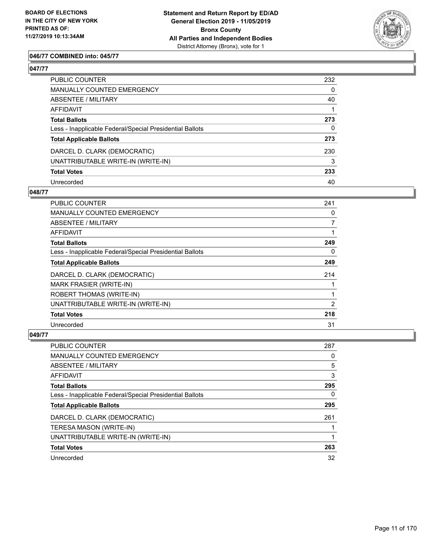

# **046/77 COMBINED into: 045/77**

# **047/77**

| PUBLIC COUNTER                                           | 232          |
|----------------------------------------------------------|--------------|
| <b>MANUALLY COUNTED EMERGENCY</b>                        | $\mathbf{0}$ |
| ABSENTEE / MILITARY                                      | 40           |
| <b>AFFIDAVIT</b>                                         |              |
| <b>Total Ballots</b>                                     | 273          |
| Less - Inapplicable Federal/Special Presidential Ballots | $\mathbf{0}$ |
| <b>Total Applicable Ballots</b>                          | 273          |
| DARCEL D. CLARK (DEMOCRATIC)                             | 230          |
| UNATTRIBUTABLE WRITE-IN (WRITE-IN)                       | 3            |
| <b>Total Votes</b>                                       | 233          |
| Unrecorded                                               | 40           |

### **048/77**

| PUBLIC COUNTER                                           | 241            |
|----------------------------------------------------------|----------------|
| MANUALLY COUNTED EMERGENCY                               | 0              |
| ABSENTEE / MILITARY                                      | $\overline{7}$ |
| AFFIDAVIT                                                |                |
| <b>Total Ballots</b>                                     | 249            |
| Less - Inapplicable Federal/Special Presidential Ballots | 0              |
| <b>Total Applicable Ballots</b>                          | 249            |
| DARCEL D. CLARK (DEMOCRATIC)                             | 214            |
| <b>MARK FRASIER (WRITE-IN)</b>                           |                |
| ROBERT THOMAS (WRITE-IN)                                 |                |
| UNATTRIBUTABLE WRITE-IN (WRITE-IN)                       | 2              |
| <b>Total Votes</b>                                       | 218            |
| Unrecorded                                               | 31             |

| <b>PUBLIC COUNTER</b>                                    | 287 |
|----------------------------------------------------------|-----|
| <b>MANUALLY COUNTED EMERGENCY</b>                        | 0   |
| ABSENTEE / MILITARY                                      | 5   |
| AFFIDAVIT                                                | 3   |
| <b>Total Ballots</b>                                     | 295 |
| Less - Inapplicable Federal/Special Presidential Ballots | 0   |
| <b>Total Applicable Ballots</b>                          | 295 |
| DARCEL D. CLARK (DEMOCRATIC)                             | 261 |
| TERESA MASON (WRITE-IN)                                  |     |
| UNATTRIBUTABLE WRITE-IN (WRITE-IN)                       |     |
| <b>Total Votes</b>                                       | 263 |
| Unrecorded                                               | 32  |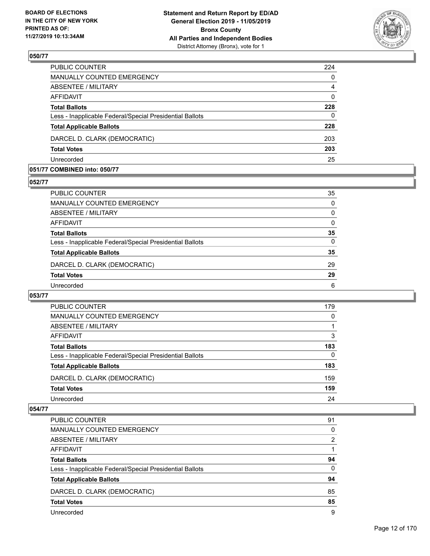

| PUBLIC COUNTER                                           | 224            |
|----------------------------------------------------------|----------------|
| <b>MANUALLY COUNTED EMERGENCY</b>                        | 0              |
| <b>ABSENTEE / MILITARY</b>                               | $\overline{4}$ |
| <b>AFFIDAVIT</b>                                         | $\Omega$       |
| <b>Total Ballots</b>                                     | 228            |
| Less - Inapplicable Federal/Special Presidential Ballots | $\Omega$       |
| <b>Total Applicable Ballots</b>                          | 228            |
| DARCEL D. CLARK (DEMOCRATIC)                             | 203            |
| <b>Total Votes</b>                                       | 203            |
| Unrecorded                                               | 25             |

### **051/77 COMBINED into: 050/77**

#### **052/77**

| PUBLIC COUNTER                                           | 35       |
|----------------------------------------------------------|----------|
| <b>MANUALLY COUNTED EMERGENCY</b>                        | $\Omega$ |
| ABSENTEE / MILITARY                                      | 0        |
| AFFIDAVIT                                                | $\Omega$ |
| <b>Total Ballots</b>                                     | 35       |
| Less - Inapplicable Federal/Special Presidential Ballots | 0        |
| <b>Total Applicable Ballots</b>                          | 35       |
| DARCEL D. CLARK (DEMOCRATIC)                             | 29       |
| <b>Total Votes</b>                                       | 29       |
| Unrecorded                                               | 6        |
|                                                          |          |

# **053/77**

| <b>PUBLIC COUNTER</b>                                    | 179 |
|----------------------------------------------------------|-----|
| MANUALLY COUNTED EMERGENCY                               | 0   |
| ABSENTEE / MILITARY                                      |     |
| AFFIDAVIT                                                | 3   |
| <b>Total Ballots</b>                                     | 183 |
| Less - Inapplicable Federal/Special Presidential Ballots | 0   |
| <b>Total Applicable Ballots</b>                          | 183 |
| DARCEL D. CLARK (DEMOCRATIC)                             | 159 |
| <b>Total Votes</b>                                       | 159 |
| Unrecorded                                               | 24  |

| <b>PUBLIC COUNTER</b>                                    | 91       |
|----------------------------------------------------------|----------|
| <b>MANUALLY COUNTED EMERGENCY</b>                        | 0        |
| ABSENTEE / MILITARY                                      | 2        |
| AFFIDAVIT                                                |          |
| <b>Total Ballots</b>                                     | 94       |
| Less - Inapplicable Federal/Special Presidential Ballots | $\Omega$ |
| <b>Total Applicable Ballots</b>                          | 94       |
| DARCEL D. CLARK (DEMOCRATIC)                             | 85       |
| <b>Total Votes</b>                                       | 85       |
| Unrecorded                                               | 9        |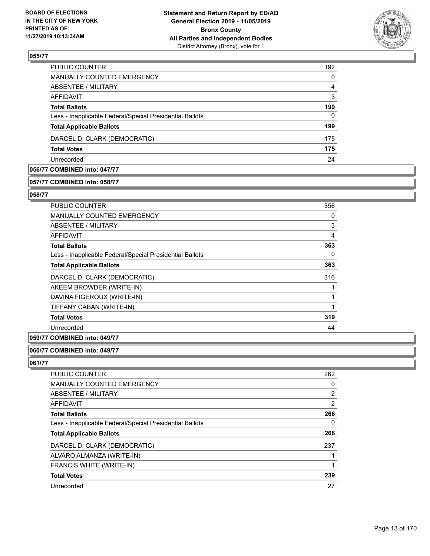

| <b>PUBLIC COUNTER</b>                                    | 192      |
|----------------------------------------------------------|----------|
| <b>MANUALLY COUNTED EMERGENCY</b>                        | $\Omega$ |
| ABSENTEE / MILITARY                                      | 4        |
| AFFIDAVIT                                                | 3        |
| <b>Total Ballots</b>                                     | 199      |
| Less - Inapplicable Federal/Special Presidential Ballots | 0        |
| <b>Total Applicable Ballots</b>                          | 199      |
| DARCEL D. CLARK (DEMOCRATIC)                             | 175      |
| <b>Total Votes</b>                                       | 175      |
| Unrecorded                                               | 24       |

# **056/77 COMBINED into: 047/77**

### **057/77 COMBINED into: 058/77**

### **058/77**

| PUBLIC COUNTER                                           | 356 |
|----------------------------------------------------------|-----|
| <b>MANUALLY COUNTED EMERGENCY</b>                        | 0   |
| <b>ABSENTEE / MILITARY</b>                               | 3   |
| AFFIDAVIT                                                | 4   |
| <b>Total Ballots</b>                                     | 363 |
| Less - Inapplicable Federal/Special Presidential Ballots | 0   |
| <b>Total Applicable Ballots</b>                          | 363 |
| DARCEL D. CLARK (DEMOCRATIC)                             | 316 |
| AKEEM BROWDER (WRITE-IN)                                 |     |
| DAVINA FIGEROUX (WRITE-IN)                               |     |
| TIFFANY CABAN (WRITE-IN)                                 |     |
| <b>Total Votes</b>                                       | 319 |
| Unrecorded                                               | 44  |
|                                                          |     |

# **059/77 COMBINED into: 049/77**

### **060/77 COMBINED into: 049/77**

| <b>PUBLIC COUNTER</b>                                    | 262            |
|----------------------------------------------------------|----------------|
| <b>MANUALLY COUNTED EMERGENCY</b>                        | 0              |
| ABSENTEE / MILITARY                                      | 2              |
| <b>AFFIDAVIT</b>                                         | $\overline{2}$ |
| <b>Total Ballots</b>                                     | 266            |
| Less - Inapplicable Federal/Special Presidential Ballots | 0              |
| <b>Total Applicable Ballots</b>                          | 266            |
| DARCEL D. CLARK (DEMOCRATIC)                             | 237            |
| ALVARO ALMANZA (WRITE-IN)                                |                |
| FRANCIS WHITE (WRITE-IN)                                 |                |
| <b>Total Votes</b>                                       | 239            |
| Unrecorded                                               | 27             |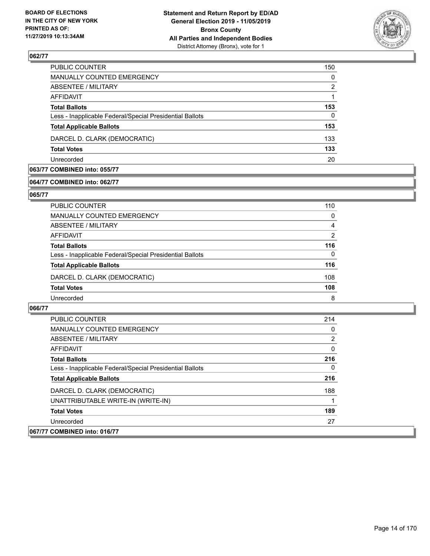

| PUBLIC COUNTER                                           | 150      |
|----------------------------------------------------------|----------|
| MANUALLY COUNTED EMERGENCY                               | $\Omega$ |
| ABSENTEE / MILITARY                                      | 2        |
| AFFIDAVIT                                                |          |
| <b>Total Ballots</b>                                     | 153      |
| Less - Inapplicable Federal/Special Presidential Ballots | 0        |
| <b>Total Applicable Ballots</b>                          | 153      |
| DARCEL D. CLARK (DEMOCRATIC)                             | 133      |
| <b>Total Votes</b>                                       | 133      |
| Unrecorded                                               | 20       |

# **063/77 COMBINED into: 055/77**

### **064/77 COMBINED into: 062/77**

### **065/77**

| PUBLIC COUNTER                                           | 110           |
|----------------------------------------------------------|---------------|
| <b>MANUALLY COUNTED EMERGENCY</b>                        | 0             |
| ABSENTEE / MILITARY                                      | 4             |
| <b>AFFIDAVIT</b>                                         | $\mathcal{P}$ |
| <b>Total Ballots</b>                                     | 116           |
| Less - Inapplicable Federal/Special Presidential Ballots | $\Omega$      |
| <b>Total Applicable Ballots</b>                          | 116           |
| DARCEL D. CLARK (DEMOCRATIC)                             | 108           |
| <b>Total Votes</b>                                       | 108           |
| Unrecorded                                               | 8             |
|                                                          |               |

| <b>PUBLIC COUNTER</b>                                    | 214 |
|----------------------------------------------------------|-----|
| <b>MANUALLY COUNTED EMERGENCY</b>                        | 0   |
| ABSENTEE / MILITARY                                      | 2   |
| AFFIDAVIT                                                | 0   |
| <b>Total Ballots</b>                                     | 216 |
| Less - Inapplicable Federal/Special Presidential Ballots | 0   |
| <b>Total Applicable Ballots</b>                          | 216 |
| DARCEL D. CLARK (DEMOCRATIC)                             | 188 |
| UNATTRIBUTABLE WRITE-IN (WRITE-IN)                       |     |
| <b>Total Votes</b>                                       | 189 |
| Unrecorded                                               | 27  |
| 067/77 COMBINED into: 016/77                             |     |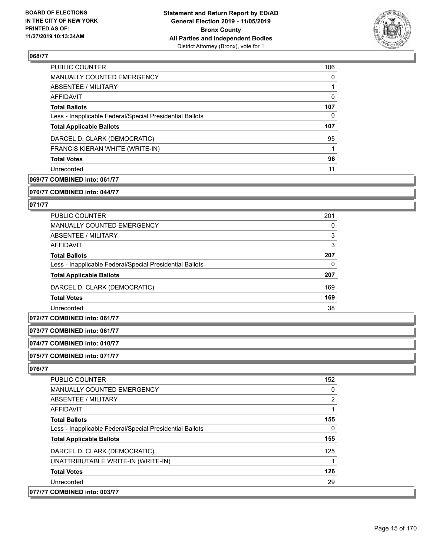

| <b>PUBLIC COUNTER</b>                                    | 106      |
|----------------------------------------------------------|----------|
| <b>MANUALLY COUNTED EMERGENCY</b>                        | $\Omega$ |
| ABSENTEE / MILITARY                                      |          |
| AFFIDAVIT                                                | $\Omega$ |
| <b>Total Ballots</b>                                     | 107      |
| Less - Inapplicable Federal/Special Presidential Ballots | 0        |
| <b>Total Applicable Ballots</b>                          | 107      |
| DARCEL D. CLARK (DEMOCRATIC)                             | 95       |
| FRANCIS KIERAN WHITE (WRITE-IN)                          |          |
| <b>Total Votes</b>                                       | 96       |
| Unrecorded                                               | 11       |

# **069/77 COMBINED into: 061/77**

**070/77 COMBINED into: 044/77**

### **071/77**

| <b>PUBLIC COUNTER</b>                                    | 201 |
|----------------------------------------------------------|-----|
| <b>MANUALLY COUNTED EMERGENCY</b>                        | 0   |
| ABSENTEE / MILITARY                                      | 3   |
| AFFIDAVIT                                                | 3   |
| <b>Total Ballots</b>                                     | 207 |
| Less - Inapplicable Federal/Special Presidential Ballots | 0   |
| <b>Total Applicable Ballots</b>                          | 207 |
| DARCEL D. CLARK (DEMOCRATIC)                             | 169 |
| <b>Total Votes</b>                                       | 169 |
| Unrecorded                                               | 38  |

# **072/77 COMBINED into: 061/77**

### **073/77 COMBINED into: 061/77**

# **074/77 COMBINED into: 010/77**

### **075/77 COMBINED into: 071/77**

| <b>PUBLIC COUNTER</b>                                    | 152 |
|----------------------------------------------------------|-----|
| <b>MANUALLY COUNTED EMERGENCY</b>                        | 0   |
| <b>ABSENTEE / MILITARY</b>                               | 2   |
| AFFIDAVIT                                                |     |
| <b>Total Ballots</b>                                     | 155 |
| Less - Inapplicable Federal/Special Presidential Ballots | 0   |
| <b>Total Applicable Ballots</b>                          | 155 |
| DARCEL D. CLARK (DEMOCRATIC)                             | 125 |
| UNATTRIBUTABLE WRITE-IN (WRITE-IN)                       |     |
| <b>Total Votes</b>                                       | 126 |
| Unrecorded                                               | 29  |
| 077/77 COMBINED into: 003/77                             |     |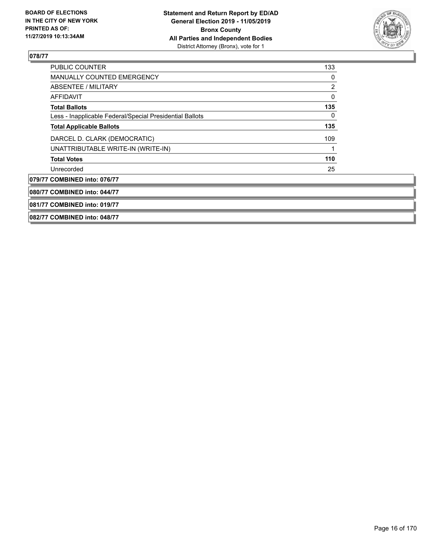

| <b>PUBLIC COUNTER</b>                                    | 133 |
|----------------------------------------------------------|-----|
| <b>MANUALLY COUNTED EMERGENCY</b>                        | 0   |
| ABSENTEE / MILITARY                                      | 2   |
| AFFIDAVIT                                                | 0   |
| <b>Total Ballots</b>                                     | 135 |
| Less - Inapplicable Federal/Special Presidential Ballots | 0   |
| <b>Total Applicable Ballots</b>                          | 135 |
| DARCEL D. CLARK (DEMOCRATIC)                             | 109 |
| UNATTRIBUTABLE WRITE-IN (WRITE-IN)                       |     |
| <b>Total Votes</b>                                       | 110 |
| Unrecorded                                               | 25  |
| 079/77 COMBINED into: 076/77                             |     |
| 080/77 COMBINED into: 044/77                             |     |
| 081/77 COMBINED into: 019/77                             |     |
| 082/77 COMBINED into: 048/77                             |     |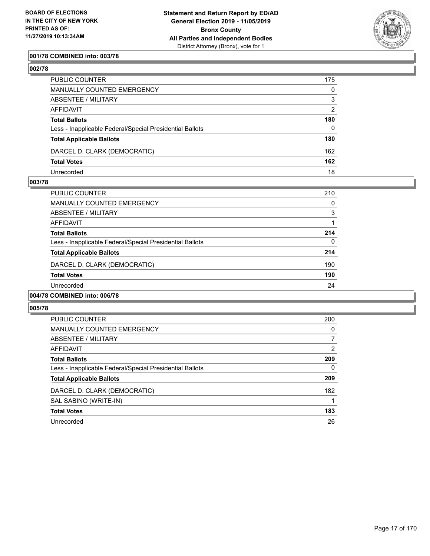

## **001/78 COMBINED into: 003/78**

# **002/78**

| PUBLIC COUNTER                                           | 175      |
|----------------------------------------------------------|----------|
| MANUALLY COUNTED EMERGENCY                               | $\Omega$ |
| ABSENTEE / MILITARY                                      | 3        |
| AFFIDAVIT                                                | 2        |
| Total Ballots                                            | 180      |
| Less - Inapplicable Federal/Special Presidential Ballots | $\Omega$ |
| <b>Total Applicable Ballots</b>                          | 180      |
| DARCEL D. CLARK (DEMOCRATIC)                             | 162      |
| <b>Total Votes</b>                                       | 162      |
| Unrecorded                                               | 18       |

## **003/78**

| <b>PUBLIC COUNTER</b>                                    | 210      |
|----------------------------------------------------------|----------|
| <b>MANUALLY COUNTED EMERGENCY</b>                        | $\Omega$ |
| ABSENTEE / MILITARY                                      | 3        |
| AFFIDAVIT                                                |          |
| <b>Total Ballots</b>                                     | 214      |
| Less - Inapplicable Federal/Special Presidential Ballots | $\Omega$ |
| <b>Total Applicable Ballots</b>                          | 214      |
| DARCEL D. CLARK (DEMOCRATIC)                             | 190      |
| <b>Total Votes</b>                                       | 190      |
| Unrecorded                                               | 24       |
| 004/78 COMBINED into: 006/78                             |          |

| <b>PUBLIC COUNTER</b>                                    | 200      |
|----------------------------------------------------------|----------|
| MANUALLY COUNTED EMERGENCY                               | $\Omega$ |
| ABSENTEE / MILITARY                                      |          |
| AFFIDAVIT                                                | 2        |
| <b>Total Ballots</b>                                     | 209      |
| Less - Inapplicable Federal/Special Presidential Ballots | 0        |
| <b>Total Applicable Ballots</b>                          | 209      |
| DARCEL D. CLARK (DEMOCRATIC)                             | 182      |
| SAL SABINO (WRITE-IN)                                    |          |
| <b>Total Votes</b>                                       | 183      |
| Unrecorded                                               | 26       |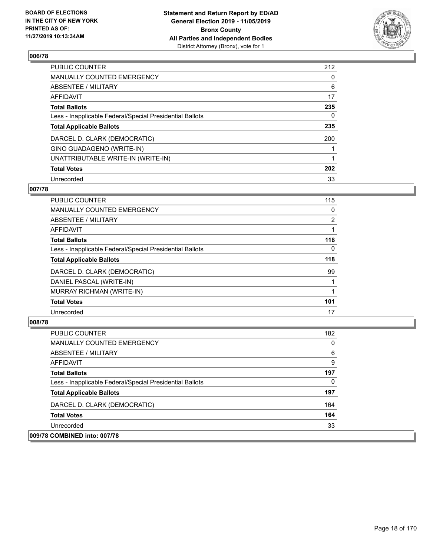

| <b>PUBLIC COUNTER</b>                                    | 212 |
|----------------------------------------------------------|-----|
| <b>MANUALLY COUNTED EMERGENCY</b>                        | 0   |
| ABSENTEE / MILITARY                                      | 6   |
| <b>AFFIDAVIT</b>                                         | 17  |
| <b>Total Ballots</b>                                     | 235 |
| Less - Inapplicable Federal/Special Presidential Ballots | 0   |
| <b>Total Applicable Ballots</b>                          | 235 |
| DARCEL D. CLARK (DEMOCRATIC)                             | 200 |
| GINO GUADAGENO (WRITE-IN)                                |     |
| UNATTRIBUTABLE WRITE-IN (WRITE-IN)                       |     |
| <b>Total Votes</b>                                       | 202 |
| Unrecorded                                               | 33  |

### **007/78**

| <b>PUBLIC COUNTER</b>                                    | 115            |
|----------------------------------------------------------|----------------|
| <b>MANUALLY COUNTED EMERGENCY</b>                        | 0              |
| ABSENTEE / MILITARY                                      | $\overline{2}$ |
| <b>AFFIDAVIT</b>                                         |                |
| <b>Total Ballots</b>                                     | 118            |
| Less - Inapplicable Federal/Special Presidential Ballots | $\Omega$       |
| <b>Total Applicable Ballots</b>                          | 118            |
| DARCEL D. CLARK (DEMOCRATIC)                             | 99             |
| DANIEL PASCAL (WRITE-IN)                                 |                |
| MURRAY RICHMAN (WRITE-IN)                                |                |
| <b>Total Votes</b>                                       | 101            |
| Unrecorded                                               | 17             |

| <b>PUBLIC COUNTER</b>                                    | 182      |
|----------------------------------------------------------|----------|
| <b>MANUALLY COUNTED EMERGENCY</b>                        | $\Omega$ |
| ABSENTEE / MILITARY                                      | 6        |
| AFFIDAVIT                                                | 9        |
| <b>Total Ballots</b>                                     | 197      |
| Less - Inapplicable Federal/Special Presidential Ballots | 0        |
| <b>Total Applicable Ballots</b>                          | 197      |
| DARCEL D. CLARK (DEMOCRATIC)                             | 164      |
| <b>Total Votes</b>                                       | 164      |
| Unrecorded                                               | 33       |
| 009/78 COMBINED into: 007/78                             |          |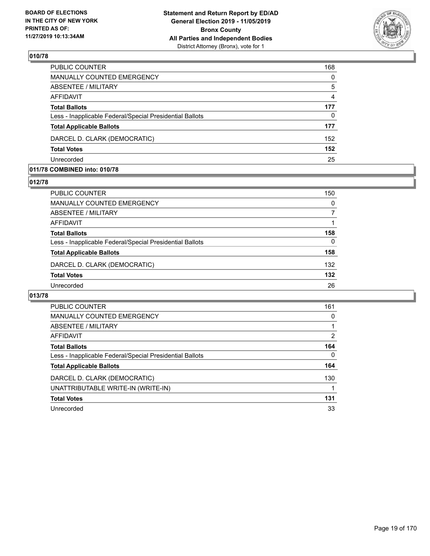

| PUBLIC COUNTER                                           | 168      |
|----------------------------------------------------------|----------|
| <b>MANUALLY COUNTED EMERGENCY</b>                        | $\Omega$ |
| <b>ABSENTEE / MILITARY</b>                               | 5        |
| AFFIDAVIT                                                | 4        |
| <b>Total Ballots</b>                                     | 177      |
| Less - Inapplicable Federal/Special Presidential Ballots | $\Omega$ |
| <b>Total Applicable Ballots</b>                          | 177      |
| DARCEL D. CLARK (DEMOCRATIC)                             | 152      |
| <b>Total Votes</b>                                       | 152      |
| Unrecorded                                               | 25       |

### **011/78 COMBINED into: 010/78**

## **012/78**

| PUBLIC COUNTER                                           | 150 |
|----------------------------------------------------------|-----|
| MANUALLY COUNTED EMERGENCY                               | 0   |
| ABSENTEE / MILITARY                                      |     |
| AFFIDAVIT                                                |     |
| <b>Total Ballots</b>                                     | 158 |
| Less - Inapplicable Federal/Special Presidential Ballots | 0   |
| <b>Total Applicable Ballots</b>                          | 158 |
| DARCEL D. CLARK (DEMOCRATIC)                             | 132 |
| <b>Total Votes</b>                                       | 132 |
| Unrecorded                                               | 26  |
|                                                          |     |

| <b>PUBLIC COUNTER</b>                                    | 161      |
|----------------------------------------------------------|----------|
| MANUALLY COUNTED EMERGENCY                               | 0        |
| ABSENTEE / MILITARY                                      |          |
| <b>AFFIDAVIT</b>                                         | 2        |
| <b>Total Ballots</b>                                     | 164      |
| Less - Inapplicable Federal/Special Presidential Ballots | $\Omega$ |
| <b>Total Applicable Ballots</b>                          | 164      |
| DARCEL D. CLARK (DEMOCRATIC)                             | 130      |
| UNATTRIBUTABLE WRITE-IN (WRITE-IN)                       |          |
| <b>Total Votes</b>                                       | 131      |
| Unrecorded                                               | 33       |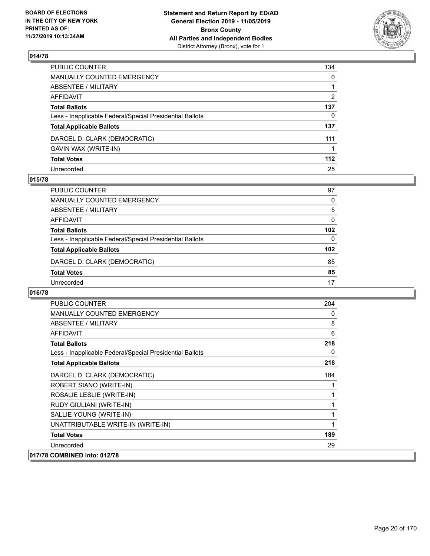

| PUBLIC COUNTER                                           | 134 |
|----------------------------------------------------------|-----|
| MANUALLY COUNTED EMERGENCY                               | 0   |
| ABSENTEE / MILITARY                                      |     |
| AFFIDAVIT                                                | 2   |
| Total Ballots                                            | 137 |
| Less - Inapplicable Federal/Special Presidential Ballots | 0   |
| <b>Total Applicable Ballots</b>                          | 137 |
| DARCEL D. CLARK (DEMOCRATIC)                             | 111 |
| GAVIN WAX (WRITE-IN)                                     |     |
| <b>Total Votes</b>                                       | 112 |
| Unrecorded                                               | 25  |

### **015/78**

| PUBLIC COUNTER                                           | 97               |
|----------------------------------------------------------|------------------|
| MANUALLY COUNTED EMERGENCY                               | 0                |
| ABSENTEE / MILITARY                                      | 5                |
| AFFIDAVIT                                                | 0                |
| <b>Total Ballots</b>                                     | 102              |
| Less - Inapplicable Federal/Special Presidential Ballots | $\Omega$         |
| <b>Total Applicable Ballots</b>                          | 102 <sub>2</sub> |
| DARCEL D. CLARK (DEMOCRATIC)                             | 85               |
| <b>Total Votes</b>                                       | 85               |
| Unrecorded                                               | 17               |

| <b>PUBLIC COUNTER</b>                                    | 204 |
|----------------------------------------------------------|-----|
| <b>MANUALLY COUNTED EMERGENCY</b>                        | 0   |
| ABSENTEE / MILITARY                                      | 8   |
| <b>AFFIDAVIT</b>                                         | 6   |
| <b>Total Ballots</b>                                     | 218 |
| Less - Inapplicable Federal/Special Presidential Ballots | 0   |
| <b>Total Applicable Ballots</b>                          | 218 |
| DARCEL D. CLARK (DEMOCRATIC)                             | 184 |
| ROBERT SIANO (WRITE-IN)                                  |     |
| ROSALIE LESLIE (WRITE-IN)                                |     |
| RUDY GIULIANI (WRITE-IN)                                 |     |
| SALLIE YOUNG (WRITE-IN)                                  |     |
| UNATTRIBUTABLE WRITE-IN (WRITE-IN)                       |     |
| <b>Total Votes</b>                                       | 189 |
| Unrecorded                                               | 29  |
| 017/78 COMBINED into: 012/78                             |     |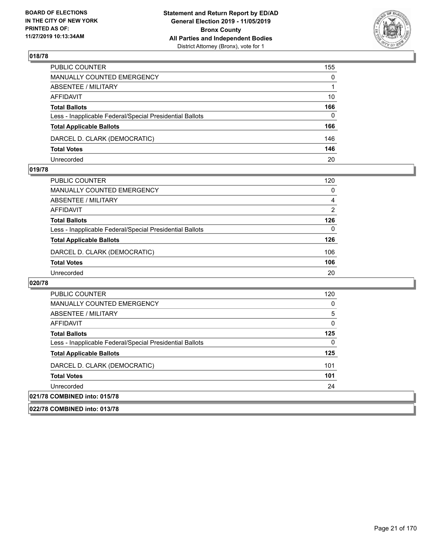

| PUBLIC COUNTER                                           | 155          |
|----------------------------------------------------------|--------------|
| MANUALLY COUNTED EMERGENCY                               | $\mathbf{0}$ |
| ABSENTEE / MILITARY                                      |              |
| AFFIDAVIT                                                | 10           |
| <b>Total Ballots</b>                                     | 166          |
| Less - Inapplicable Federal/Special Presidential Ballots | $\Omega$     |
| <b>Total Applicable Ballots</b>                          | 166          |
| DARCEL D. CLARK (DEMOCRATIC)                             | 146          |
| <b>Total Votes</b>                                       | 146          |
| Unrecorded                                               | 20           |

### **019/78**

| <b>PUBLIC COUNTER</b>                                    | 120           |
|----------------------------------------------------------|---------------|
| MANUALLY COUNTED EMERGENCY                               | 0             |
| ABSENTEE / MILITARY                                      | 4             |
| AFFIDAVIT                                                | $\mathcal{P}$ |
| <b>Total Ballots</b>                                     | 126           |
| Less - Inapplicable Federal/Special Presidential Ballots | 0             |
| <b>Total Applicable Ballots</b>                          | 126           |
| DARCEL D. CLARK (DEMOCRATIC)                             | 106           |
| <b>Total Votes</b>                                       | 106           |
| Unrecorded                                               | 20            |

| <b>PUBLIC COUNTER</b>                                    | 120 |
|----------------------------------------------------------|-----|
| MANUALLY COUNTED EMERGENCY                               | 0   |
| ABSENTEE / MILITARY                                      | 5   |
| AFFIDAVIT                                                | 0   |
| <b>Total Ballots</b>                                     | 125 |
| Less - Inapplicable Federal/Special Presidential Ballots | 0   |
| <b>Total Applicable Ballots</b>                          | 125 |
| DARCEL D. CLARK (DEMOCRATIC)                             | 101 |
| <b>Total Votes</b>                                       | 101 |
| Unrecorded                                               | 24  |
| 021/78 COMBINED into: 015/78                             |     |
| 022/78 COMBINED into: 013/78                             |     |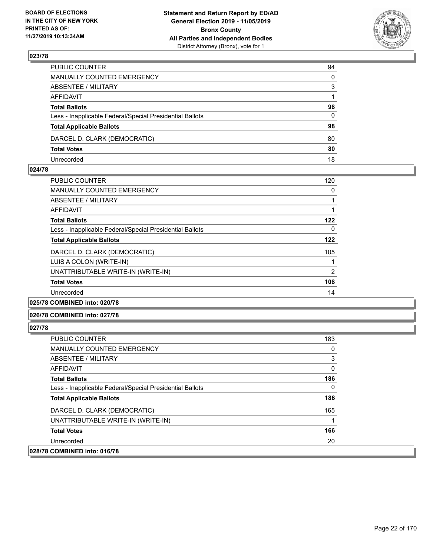

| PUBLIC COUNTER                                           | 94           |
|----------------------------------------------------------|--------------|
| MANUALLY COUNTED EMERGENCY                               | $\mathbf{0}$ |
| ABSENTEE / MILITARY                                      | 3            |
| AFFIDAVIT                                                |              |
| <b>Total Ballots</b>                                     | 98           |
| Less - Inapplicable Federal/Special Presidential Ballots | $\mathbf{0}$ |
| <b>Total Applicable Ballots</b>                          | 98           |
| DARCEL D. CLARK (DEMOCRATIC)                             | 80           |
| <b>Total Votes</b>                                       | 80           |
| Unrecorded                                               | 18           |

### **024/78**

| <b>PUBLIC COUNTER</b>                                    | 120 |
|----------------------------------------------------------|-----|
| <b>MANUALLY COUNTED EMERGENCY</b>                        | 0   |
| ABSENTEE / MILITARY                                      |     |
| AFFIDAVIT                                                |     |
| <b>Total Ballots</b>                                     | 122 |
| Less - Inapplicable Federal/Special Presidential Ballots | 0   |
| <b>Total Applicable Ballots</b>                          | 122 |
| DARCEL D. CLARK (DEMOCRATIC)                             | 105 |
| LUIS A COLON (WRITE-IN)                                  |     |
| UNATTRIBUTABLE WRITE-IN (WRITE-IN)                       | 2   |
| <b>Total Votes</b>                                       | 108 |
| Unrecorded                                               | 14  |
|                                                          |     |

# **025/78 COMBINED into: 020/78**

### **026/78 COMBINED into: 027/78**

| <b>PUBLIC COUNTER</b>                                    | 183 |
|----------------------------------------------------------|-----|
| <b>MANUALLY COUNTED EMERGENCY</b>                        | 0   |
| ABSENTEE / MILITARY                                      | 3   |
| AFFIDAVIT                                                | 0   |
| <b>Total Ballots</b>                                     | 186 |
| Less - Inapplicable Federal/Special Presidential Ballots | 0   |
| <b>Total Applicable Ballots</b>                          | 186 |
| DARCEL D. CLARK (DEMOCRATIC)                             | 165 |
| UNATTRIBUTABLE WRITE-IN (WRITE-IN)                       |     |
| <b>Total Votes</b>                                       | 166 |
| Unrecorded                                               | 20  |
| 028/78 COMBINED into: 016/78                             |     |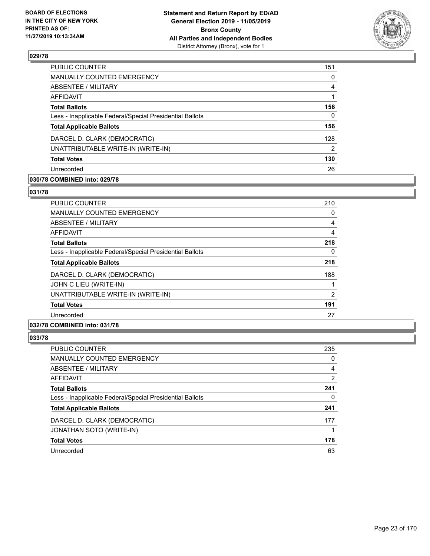

| <b>PUBLIC COUNTER</b>                                    | 151 |
|----------------------------------------------------------|-----|
| MANUALLY COUNTED EMERGENCY                               | 0   |
| <b>ABSENTEE / MILITARY</b>                               | 4   |
| AFFIDAVIT                                                |     |
| <b>Total Ballots</b>                                     | 156 |
| Less - Inapplicable Federal/Special Presidential Ballots | 0   |
| <b>Total Applicable Ballots</b>                          | 156 |
| DARCEL D. CLARK (DEMOCRATIC)                             | 128 |
| UNATTRIBUTABLE WRITE-IN (WRITE-IN)                       | 2   |
| <b>Total Votes</b>                                       | 130 |
| Unrecorded                                               | 26  |

# **030/78 COMBINED into: 029/78**

### **031/78**

| <b>PUBLIC COUNTER</b>                                    | 210            |
|----------------------------------------------------------|----------------|
| <b>MANUALLY COUNTED EMERGENCY</b>                        | 0              |
| ABSENTEE / MILITARY                                      | 4              |
| AFFIDAVIT                                                | 4              |
| <b>Total Ballots</b>                                     | 218            |
| Less - Inapplicable Federal/Special Presidential Ballots | 0              |
| <b>Total Applicable Ballots</b>                          | 218            |
| DARCEL D. CLARK (DEMOCRATIC)                             | 188            |
| JOHN C LIEU (WRITE-IN)                                   |                |
| UNATTRIBUTABLE WRITE-IN (WRITE-IN)                       | $\overline{2}$ |
| <b>Total Votes</b>                                       | 191            |
| Unrecorded                                               | 27             |
|                                                          |                |

# **032/78 COMBINED into: 031/78**

| PUBLIC COUNTER                                           | 235 |
|----------------------------------------------------------|-----|
| MANUALLY COUNTED EMERGENCY                               | 0   |
| ABSENTEE / MILITARY                                      | 4   |
| AFFIDAVIT                                                | 2   |
| <b>Total Ballots</b>                                     | 241 |
| Less - Inapplicable Federal/Special Presidential Ballots | 0   |
| <b>Total Applicable Ballots</b>                          | 241 |
| DARCEL D. CLARK (DEMOCRATIC)                             | 177 |
| JONATHAN SOTO (WRITE-IN)                                 |     |
| <b>Total Votes</b>                                       | 178 |
| Unrecorded                                               | 63  |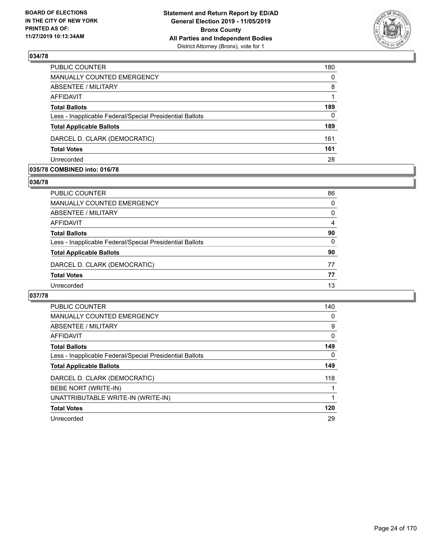

| PUBLIC COUNTER                                           | 180      |
|----------------------------------------------------------|----------|
| <b>MANUALLY COUNTED EMERGENCY</b>                        | $\Omega$ |
| <b>ABSENTEE / MILITARY</b>                               | 8        |
| <b>AFFIDAVIT</b>                                         |          |
| <b>Total Ballots</b>                                     | 189      |
| Less - Inapplicable Federal/Special Presidential Ballots | $\Omega$ |
| <b>Total Applicable Ballots</b>                          | 189      |
| DARCEL D. CLARK (DEMOCRATIC)                             | 161      |
| <b>Total Votes</b>                                       | 161      |
| Unrecorded                                               | 28       |
|                                                          |          |

### **035/78 COMBINED into: 016/78**

## **036/78**

| PUBLIC COUNTER                                           | 86       |
|----------------------------------------------------------|----------|
| <b>MANUALLY COUNTED EMERGENCY</b>                        | 0        |
| ABSENTEE / MILITARY                                      | 0        |
| AFFIDAVIT                                                | 4        |
| <b>Total Ballots</b>                                     | 90       |
| Less - Inapplicable Federal/Special Presidential Ballots | $\Omega$ |
| <b>Total Applicable Ballots</b>                          | 90       |
| DARCEL D. CLARK (DEMOCRATIC)                             | 77       |
| <b>Total Votes</b>                                       | 77       |
| Unrecorded                                               | 13       |

| <b>PUBLIC COUNTER</b>                                    | 140      |
|----------------------------------------------------------|----------|
| <b>MANUALLY COUNTED EMERGENCY</b>                        | 0        |
| ABSENTEE / MILITARY                                      | 9        |
| <b>AFFIDAVIT</b>                                         | $\Omega$ |
| <b>Total Ballots</b>                                     | 149      |
| Less - Inapplicable Federal/Special Presidential Ballots | 0        |
| <b>Total Applicable Ballots</b>                          | 149      |
| DARCEL D. CLARK (DEMOCRATIC)                             | 118      |
| BEBE NORT (WRITE-IN)                                     |          |
| UNATTRIBUTABLE WRITE-IN (WRITE-IN)                       |          |
| <b>Total Votes</b>                                       | 120      |
| Unrecorded                                               | 29       |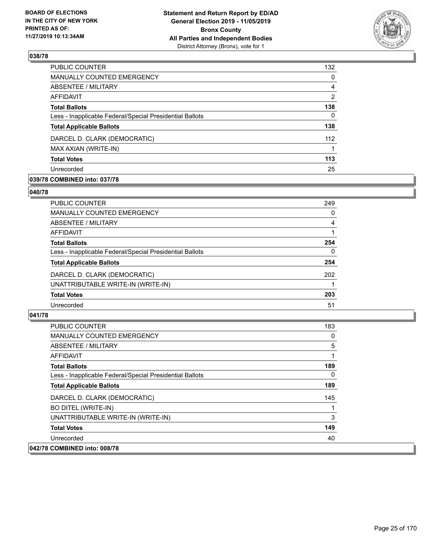

| 132            |
|----------------|
| 0              |
| 4              |
| $\overline{2}$ |
| 138            |
| 0              |
| 138            |
| 112            |
|                |
| 113            |
| 25             |
|                |

# **039/78 COMBINED into: 037/78**

### **040/78**

| PUBLIC COUNTER                                           | 249      |
|----------------------------------------------------------|----------|
| <b>MANUALLY COUNTED EMERGENCY</b>                        | 0        |
| ABSENTEE / MILITARY                                      | 4        |
| <b>AFFIDAVIT</b>                                         |          |
| <b>Total Ballots</b>                                     | 254      |
| Less - Inapplicable Federal/Special Presidential Ballots | $\Omega$ |
| <b>Total Applicable Ballots</b>                          | 254      |
| DARCEL D. CLARK (DEMOCRATIC)                             | 202      |
| UNATTRIBUTABLE WRITE-IN (WRITE-IN)                       |          |
| <b>Total Votes</b>                                       | 203      |
| Unrecorded                                               | 51       |
|                                                          |          |

| <b>PUBLIC COUNTER</b>                                    | 183          |
|----------------------------------------------------------|--------------|
| <b>MANUALLY COUNTED EMERGENCY</b>                        | 0            |
| ABSENTEE / MILITARY                                      | 5            |
| <b>AFFIDAVIT</b>                                         |              |
| <b>Total Ballots</b>                                     | 189          |
| Less - Inapplicable Federal/Special Presidential Ballots | $\mathbf{0}$ |
| <b>Total Applicable Ballots</b>                          | 189          |
| DARCEL D. CLARK (DEMOCRATIC)                             | 145          |
| <b>BO DITEL (WRITE-IN)</b>                               |              |
| UNATTRIBUTABLE WRITE-IN (WRITE-IN)                       | 3            |
| <b>Total Votes</b>                                       | 149          |
| Unrecorded                                               | 40           |
| 042/78 COMBINED into: 008/78                             |              |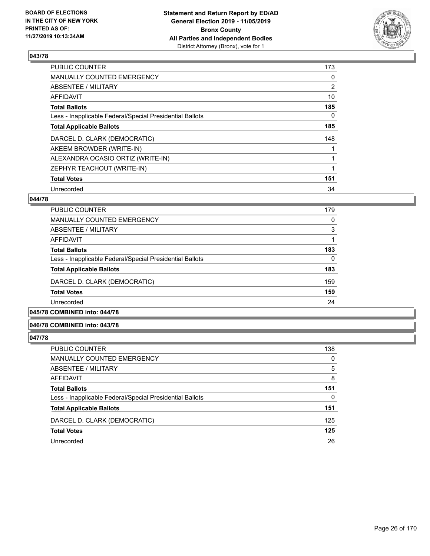

| <b>PUBLIC COUNTER</b>                                    | 173 |
|----------------------------------------------------------|-----|
| MANUALLY COUNTED EMERGENCY                               | 0   |
| ABSENTEE / MILITARY                                      | 2   |
| <b>AFFIDAVIT</b>                                         | 10  |
| <b>Total Ballots</b>                                     | 185 |
| Less - Inapplicable Federal/Special Presidential Ballots | 0   |
| <b>Total Applicable Ballots</b>                          | 185 |
| DARCEL D. CLARK (DEMOCRATIC)                             | 148 |
| AKEEM BROWDER (WRITE-IN)                                 |     |
| ALEXANDRA OCASIO ORTIZ (WRITE-IN)                        |     |
| ZEPHYR TEACHOUT (WRITE-IN)                               | 1   |
| <b>Total Votes</b>                                       | 151 |
| Unrecorded                                               | 34  |

# **044/78**

| PUBLIC COUNTER                                           | 179 |
|----------------------------------------------------------|-----|
| <b>MANUALLY COUNTED EMERGENCY</b>                        | 0   |
| ABSENTEE / MILITARY                                      | 3   |
| AFFIDAVIT                                                |     |
| <b>Total Ballots</b>                                     | 183 |
| Less - Inapplicable Federal/Special Presidential Ballots | 0   |
| <b>Total Applicable Ballots</b>                          | 183 |
| DARCEL D. CLARK (DEMOCRATIC)                             | 159 |
| <b>Total Votes</b>                                       | 159 |
| Unrecorded                                               | 24  |
|                                                          |     |

# **045/78 COMBINED into: 044/78**

### **046/78 COMBINED into: 043/78**

| PUBLIC COUNTER                                           | 138      |
|----------------------------------------------------------|----------|
| MANUALLY COUNTED EMERGENCY                               | $\Omega$ |
| ABSENTEE / MILITARY                                      | 5        |
| AFFIDAVIT                                                | 8        |
| <b>Total Ballots</b>                                     | 151      |
| Less - Inapplicable Federal/Special Presidential Ballots | 0        |
| <b>Total Applicable Ballots</b>                          | 151      |
| DARCEL D. CLARK (DEMOCRATIC)                             | 125      |
| <b>Total Votes</b>                                       | 125      |
| Unrecorded                                               | 26       |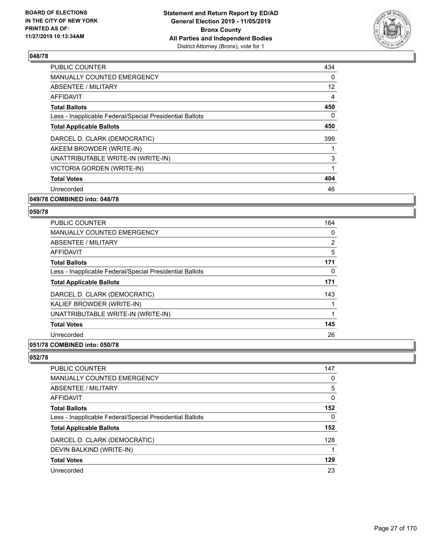

| <b>PUBLIC COUNTER</b>                                    | 434 |
|----------------------------------------------------------|-----|
| <b>MANUALLY COUNTED EMERGENCY</b>                        | 0   |
| ABSENTEE / MILITARY                                      | 12  |
| AFFIDAVIT                                                | 4   |
| <b>Total Ballots</b>                                     | 450 |
| Less - Inapplicable Federal/Special Presidential Ballots | 0   |
| <b>Total Applicable Ballots</b>                          | 450 |
| DARCEL D. CLARK (DEMOCRATIC)                             | 399 |
| AKEEM BROWDER (WRITE-IN)                                 |     |
| UNATTRIBUTABLE WRITE-IN (WRITE-IN)                       | 3   |
| VICTORIA GORDEN (WRITE-IN)                               | 1   |
| <b>Total Votes</b>                                       | 404 |
| Unrecorded                                               | 46  |
|                                                          |     |

# **049/78 COMBINED into: 048/78**

### **050/78**

| <b>PUBLIC COUNTER</b>                                    | 164 |
|----------------------------------------------------------|-----|
| <b>MANUALLY COUNTED EMERGENCY</b>                        | 0   |
| ABSENTEE / MILITARY                                      | 2   |
| AFFIDAVIT                                                | 5   |
| <b>Total Ballots</b>                                     | 171 |
| Less - Inapplicable Federal/Special Presidential Ballots | 0   |
| <b>Total Applicable Ballots</b>                          | 171 |
| DARCEL D. CLARK (DEMOCRATIC)                             | 143 |
| KALIEF BROWDER (WRITE-IN)                                |     |
| UNATTRIBUTABLE WRITE-IN (WRITE-IN)                       |     |
| <b>Total Votes</b>                                       | 145 |
| Unrecorded                                               | 26  |
|                                                          |     |

# **051/78 COMBINED into: 050/78**

| PUBLIC COUNTER                                           | 147      |
|----------------------------------------------------------|----------|
| <b>MANUALLY COUNTED EMERGENCY</b>                        | 0        |
| <b>ABSENTEE / MILITARY</b>                               | 5        |
| AFFIDAVIT                                                | $\Omega$ |
| <b>Total Ballots</b>                                     | 152      |
| Less - Inapplicable Federal/Special Presidential Ballots | $\Omega$ |
| <b>Total Applicable Ballots</b>                          | 152      |
| DARCEL D. CLARK (DEMOCRATIC)                             | 128      |
| DEVIN BALKIND (WRITE-IN)                                 |          |
| <b>Total Votes</b>                                       | 129      |
| Unrecorded                                               | 23       |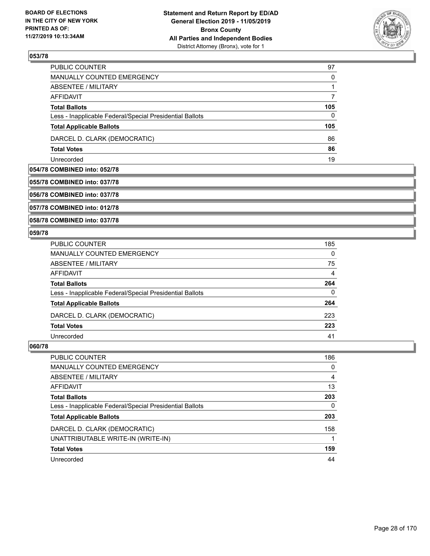

| PUBLIC COUNTER                                           | 97  |
|----------------------------------------------------------|-----|
| MANUALLY COUNTED EMERGENCY                               | 0   |
| ABSENTEE / MILITARY                                      |     |
| AFFIDAVIT                                                |     |
| <b>Total Ballots</b>                                     | 105 |
| Less - Inapplicable Federal/Special Presidential Ballots | 0   |
| <b>Total Applicable Ballots</b>                          | 105 |
| DARCEL D. CLARK (DEMOCRATIC)                             | 86  |
| <b>Total Votes</b>                                       | 86  |
| Unrecorded                                               | 19  |

### **054/78 COMBINED into: 052/78**

### **055/78 COMBINED into: 037/78**

**056/78 COMBINED into: 037/78**

**057/78 COMBINED into: 012/78**

**058/78 COMBINED into: 037/78**

### **059/78**

| PUBLIC COUNTER                                           | 185      |
|----------------------------------------------------------|----------|
| MANUALLY COUNTED EMERGENCY                               | $\Omega$ |
| ABSENTEE / MILITARY                                      | 75       |
| AFFIDAVIT                                                | 4        |
| <b>Total Ballots</b>                                     | 264      |
| Less - Inapplicable Federal/Special Presidential Ballots | $\Omega$ |
| <b>Total Applicable Ballots</b>                          | 264      |
| DARCEL D. CLARK (DEMOCRATIC)                             | 223      |
| <b>Total Votes</b>                                       | 223      |
| Unrecorded                                               | 41       |

| PUBLIC COUNTER                                           | 186      |
|----------------------------------------------------------|----------|
| <b>MANUALLY COUNTED EMERGENCY</b>                        | $\Omega$ |
| ABSENTEE / MILITARY                                      | 4        |
| AFFIDAVIT                                                | 13       |
| <b>Total Ballots</b>                                     | 203      |
| Less - Inapplicable Federal/Special Presidential Ballots | 0        |
| <b>Total Applicable Ballots</b>                          | 203      |
| DARCEL D. CLARK (DEMOCRATIC)                             | 158      |
| UNATTRIBUTABLE WRITE-IN (WRITE-IN)                       |          |
| <b>Total Votes</b>                                       | 159      |
| Unrecorded                                               | 44       |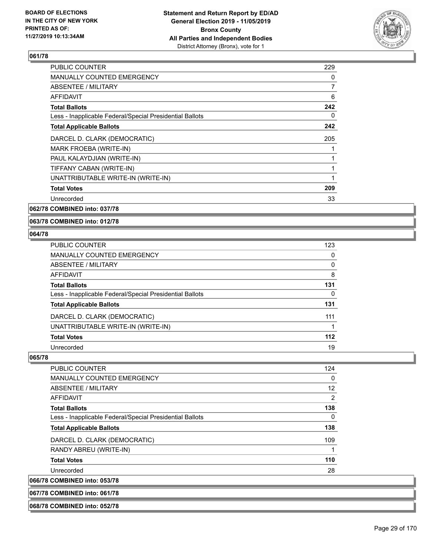

| <b>PUBLIC COUNTER</b>                                    | 229 |
|----------------------------------------------------------|-----|
| MANUALLY COUNTED EMERGENCY                               | 0   |
| ABSENTEE / MILITARY                                      | 7   |
| AFFIDAVIT                                                | 6   |
| <b>Total Ballots</b>                                     | 242 |
| Less - Inapplicable Federal/Special Presidential Ballots | 0   |
| <b>Total Applicable Ballots</b>                          | 242 |
| DARCEL D. CLARK (DEMOCRATIC)                             | 205 |
| MARK FROEBA (WRITE-IN)                                   |     |
| PAUL KALAYDJIAN (WRITE-IN)                               |     |
| TIFFANY CABAN (WRITE-IN)                                 |     |
| UNATTRIBUTABLE WRITE-IN (WRITE-IN)                       |     |
| <b>Total Votes</b>                                       | 209 |
| Unrecorded                                               | 33  |
|                                                          |     |

**062/78 COMBINED into: 037/78**

**063/78 COMBINED into: 012/78**

### **064/78**

| PUBLIC COUNTER                                           | 123 |
|----------------------------------------------------------|-----|
| MANUALLY COUNTED EMERGENCY                               | 0   |
| <b>ABSENTEE / MILITARY</b>                               | 0   |
| AFFIDAVIT                                                | 8   |
| <b>Total Ballots</b>                                     | 131 |
| Less - Inapplicable Federal/Special Presidential Ballots | 0   |
| <b>Total Applicable Ballots</b>                          | 131 |
| DARCEL D. CLARK (DEMOCRATIC)                             | 111 |
| UNATTRIBUTABLE WRITE-IN (WRITE-IN)                       |     |
| <b>Total Votes</b>                                       | 112 |
| Unrecorded                                               | 19  |

# **065/78**

066/78

| <b>PUBLIC COUNTER</b>                                    | 124            |
|----------------------------------------------------------|----------------|
| MANUALLY COUNTED EMERGENCY                               | 0              |
| ABSENTEE / MILITARY                                      | 12             |
| AFFIDAVIT                                                | $\overline{2}$ |
| <b>Total Ballots</b>                                     | 138            |
| Less - Inapplicable Federal/Special Presidential Ballots | 0              |
| <b>Total Applicable Ballots</b>                          | 138            |
| DARCEL D. CLARK (DEMOCRATIC)                             | 109            |
| RANDY ABREU (WRITE-IN)                                   | 1              |
| <b>Total Votes</b>                                       | 110            |
| Unrecorded                                               | 28             |
| <b>COMBINED into: 053/78</b>                             |                |

**067/78 COMBINED into: 061/78**

#### **068/78 COMBINED into: 052/78**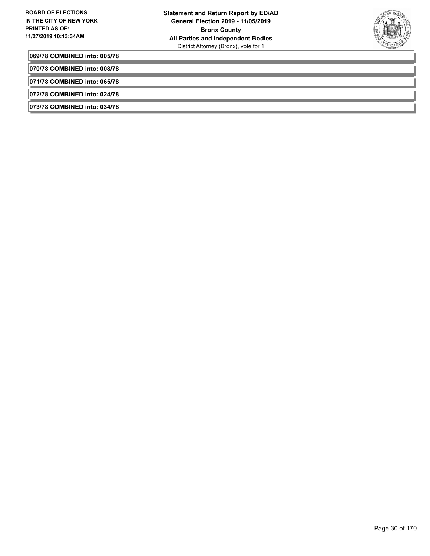

**069/78 COMBINED into: 005/78**

**070/78 COMBINED into: 008/78**

**071/78 COMBINED into: 065/78**

**072/78 COMBINED into: 024/78**

**073/78 COMBINED into: 034/78**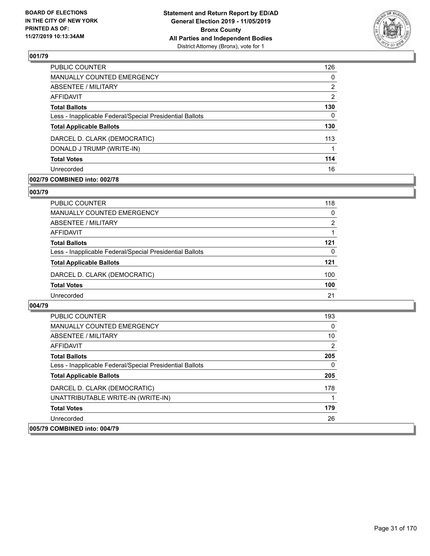

| PUBLIC COUNTER                                           | 126           |
|----------------------------------------------------------|---------------|
| MANUALLY COUNTED EMERGENCY                               | $\Omega$      |
| ABSENTEE / MILITARY                                      | 2             |
| AFFIDAVIT                                                | $\mathcal{P}$ |
| <b>Total Ballots</b>                                     | 130           |
| Less - Inapplicable Federal/Special Presidential Ballots | 0             |
| <b>Total Applicable Ballots</b>                          | 130           |
| DARCEL D. CLARK (DEMOCRATIC)                             | 113           |
| DONALD J TRUMP (WRITE-IN)                                |               |
| <b>Total Votes</b>                                       | 114           |
| Unrecorded                                               | 16            |

# **002/79 COMBINED into: 002/78**

### **003/79**

| PUBLIC COUNTER                                           | 118          |
|----------------------------------------------------------|--------------|
| <b>MANUALLY COUNTED EMERGENCY</b>                        | $\mathbf{0}$ |
| <b>ABSENTEE / MILITARY</b>                               | 2            |
| <b>AFFIDAVIT</b>                                         |              |
| <b>Total Ballots</b>                                     | 121          |
| Less - Inapplicable Federal/Special Presidential Ballots | $\Omega$     |
| <b>Total Applicable Ballots</b>                          | 121          |
| DARCEL D. CLARK (DEMOCRATIC)                             | 100          |
| <b>Total Votes</b>                                       | 100          |
| Unrecorded                                               | 21           |

| <b>PUBLIC COUNTER</b>                                    | 193            |
|----------------------------------------------------------|----------------|
| <b>MANUALLY COUNTED EMERGENCY</b>                        | 0              |
| ABSENTEE / MILITARY                                      | 10             |
| AFFIDAVIT                                                | $\overline{2}$ |
| <b>Total Ballots</b>                                     | 205            |
| Less - Inapplicable Federal/Special Presidential Ballots | $\Omega$       |
| <b>Total Applicable Ballots</b>                          | 205            |
| DARCEL D. CLARK (DEMOCRATIC)                             | 178            |
| UNATTRIBUTABLE WRITE-IN (WRITE-IN)                       |                |
| <b>Total Votes</b>                                       | 179            |
| Unrecorded                                               | 26             |
| 005/79 COMBINED into: 004/79                             |                |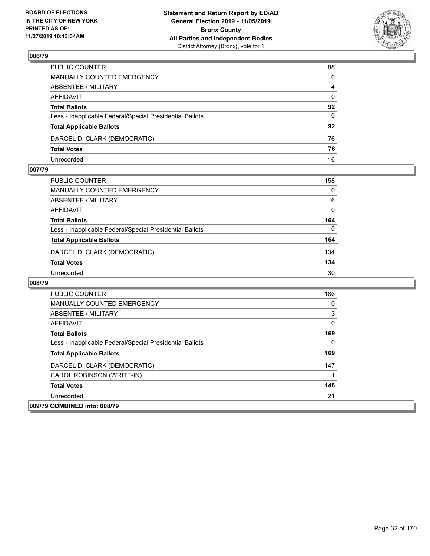

| PUBLIC COUNTER                                           | 88             |
|----------------------------------------------------------|----------------|
| MANUALLY COUNTED EMERGENCY                               | $\mathbf{0}$   |
| ABSENTEE / MILITARY                                      | $\overline{4}$ |
| AFFIDAVIT                                                | $\mathbf{0}$   |
| <b>Total Ballots</b>                                     | 92             |
| Less - Inapplicable Federal/Special Presidential Ballots | $\mathbf{0}$   |
| <b>Total Applicable Ballots</b>                          | 92             |
| DARCEL D. CLARK (DEMOCRATIC)                             | 76             |
| <b>Total Votes</b>                                       | 76             |
| Unrecorded                                               | 16             |

## **007/79**

| PUBLIC COUNTER                                           | 158      |
|----------------------------------------------------------|----------|
| <b>MANUALLY COUNTED EMERGENCY</b>                        | $\Omega$ |
| ABSENTEE / MILITARY                                      | 6        |
| <b>AFFIDAVIT</b>                                         | 0        |
| <b>Total Ballots</b>                                     | 164      |
| Less - Inapplicable Federal/Special Presidential Ballots | $\Omega$ |
| <b>Total Applicable Ballots</b>                          | 164      |
| DARCEL D. CLARK (DEMOCRATIC)                             | 134      |
| <b>Total Votes</b>                                       | 134      |
| Unrecorded                                               | 30       |

| <b>PUBLIC COUNTER</b>                                    | 166 |
|----------------------------------------------------------|-----|
| <b>MANUALLY COUNTED EMERGENCY</b>                        | 0   |
| ABSENTEE / MILITARY                                      | 3   |
| AFFIDAVIT                                                | 0   |
| <b>Total Ballots</b>                                     | 169 |
| Less - Inapplicable Federal/Special Presidential Ballots | 0   |
| <b>Total Applicable Ballots</b>                          | 169 |
| DARCEL D. CLARK (DEMOCRATIC)                             | 147 |
| CAROL ROBINSON (WRITE-IN)                                |     |
| <b>Total Votes</b>                                       | 148 |
| Unrecorded                                               | 21  |
| 009/79 COMBINED into: 008/79                             |     |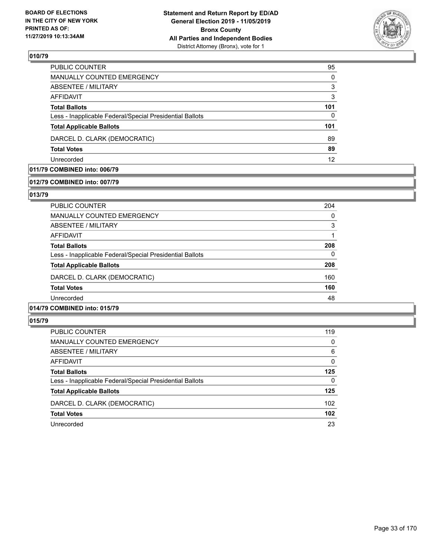

| <b>PUBLIC COUNTER</b>                                    | 95       |
|----------------------------------------------------------|----------|
| MANUALLY COUNTED EMERGENCY                               | $\Omega$ |
| ABSENTEE / MILITARY                                      | 3        |
| AFFIDAVIT                                                | 3        |
| <b>Total Ballots</b>                                     | 101      |
| Less - Inapplicable Federal/Special Presidential Ballots | $\Omega$ |
| <b>Total Applicable Ballots</b>                          | 101      |
| DARCEL D. CLARK (DEMOCRATIC)                             | 89       |
| <b>Total Votes</b>                                       | 89       |
| Unrecorded                                               | 12       |

# **011/79 COMBINED into: 006/79**

### **012/79 COMBINED into: 007/79**

### **013/79**

| PUBLIC COUNTER                                           | 204 |
|----------------------------------------------------------|-----|
| <b>MANUALLY COUNTED EMERGENCY</b>                        | 0   |
| ABSENTEE / MILITARY                                      | 3   |
| AFFIDAVIT                                                |     |
| <b>Total Ballots</b>                                     | 208 |
| Less - Inapplicable Federal/Special Presidential Ballots | 0   |
| <b>Total Applicable Ballots</b>                          | 208 |
| DARCEL D. CLARK (DEMOCRATIC)                             | 160 |
| <b>Total Votes</b>                                       | 160 |
| Unrecorded                                               | 48  |
|                                                          |     |

# **014/79 COMBINED into: 015/79**

| <b>PUBLIC COUNTER</b>                                    | 119      |
|----------------------------------------------------------|----------|
| MANUALLY COUNTED EMERGENCY                               | $\Omega$ |
| ABSENTEE / MILITARY                                      | 6        |
| AFFIDAVIT                                                | $\Omega$ |
| <b>Total Ballots</b>                                     | 125      |
| Less - Inapplicable Federal/Special Presidential Ballots | 0        |
| <b>Total Applicable Ballots</b>                          | 125      |
| DARCEL D. CLARK (DEMOCRATIC)                             | 102      |
| <b>Total Votes</b>                                       | 102      |
| Unrecorded                                               | 23       |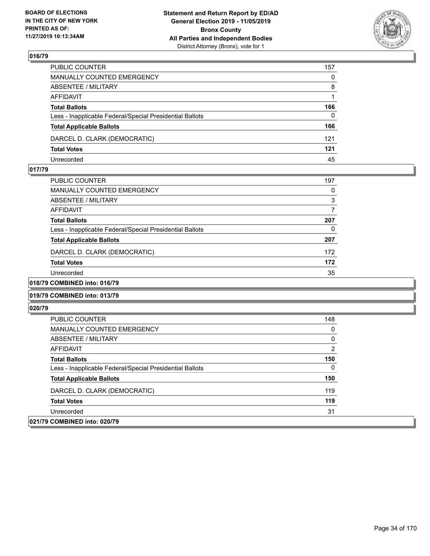

| PUBLIC COUNTER                                           | 157          |
|----------------------------------------------------------|--------------|
| MANUALLY COUNTED EMERGENCY                               | $\mathbf{0}$ |
| ABSENTEE / MILITARY                                      | 8            |
| AFFIDAVIT                                                |              |
| <b>Total Ballots</b>                                     | 166          |
| Less - Inapplicable Federal/Special Presidential Ballots | $\Omega$     |
| <b>Total Applicable Ballots</b>                          | 166          |
| DARCEL D. CLARK (DEMOCRATIC)                             | 121          |
| <b>Total Votes</b>                                       | 121          |
| Unrecorded                                               | 45           |

### **017/79**

| PUBLIC COUNTER                                           | 197      |
|----------------------------------------------------------|----------|
| <b>MANUALLY COUNTED EMERGENCY</b>                        | O        |
| ABSENTEE / MILITARY                                      | 3        |
| AFFIDAVIT                                                |          |
| <b>Total Ballots</b>                                     | 207      |
| Less - Inapplicable Federal/Special Presidential Ballots | $\Omega$ |
| <b>Total Applicable Ballots</b>                          | 207      |
| DARCEL D. CLARK (DEMOCRATIC)                             | 172      |
| <b>Total Votes</b>                                       | 172      |
| Unrecorded                                               | 35       |
| 0.0110110001070                                          |          |

# **018/79 COMBINED into: 016/79**

### **019/79 COMBINED into: 013/79**

| <b>PUBLIC COUNTER</b>                                    | 148           |
|----------------------------------------------------------|---------------|
| <b>MANUALLY COUNTED EMERGENCY</b>                        | 0             |
| ABSENTEE / MILITARY                                      | $\mathbf{0}$  |
| AFFIDAVIT                                                | $\mathcal{P}$ |
| <b>Total Ballots</b>                                     | 150           |
| Less - Inapplicable Federal/Special Presidential Ballots | 0             |
| <b>Total Applicable Ballots</b>                          | 150           |
| DARCEL D. CLARK (DEMOCRATIC)                             | 119           |
| <b>Total Votes</b>                                       | 119           |
| Unrecorded                                               | 31            |
| 021/79 COMBINED into: 020/79                             |               |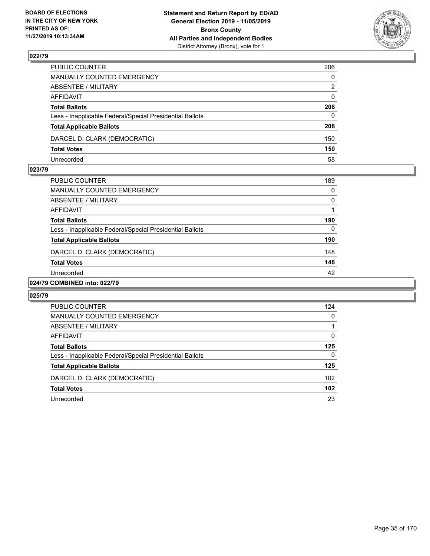

| PUBLIC COUNTER                                           | 206          |
|----------------------------------------------------------|--------------|
| MANUALLY COUNTED EMERGENCY                               | $\mathbf{0}$ |
| ABSENTEE / MILITARY                                      | 2            |
| AFFIDAVIT                                                | $\mathbf{0}$ |
| <b>Total Ballots</b>                                     | 208          |
| Less - Inapplicable Federal/Special Presidential Ballots | $\Omega$     |
| <b>Total Applicable Ballots</b>                          | 208          |
| DARCEL D. CLARK (DEMOCRATIC)                             | 150          |
| <b>Total Votes</b>                                       | 150          |
| Unrecorded                                               | 58           |

### **023/79**

| PUBLIC COUNTER                                           | 189 |
|----------------------------------------------------------|-----|
| MANUALLY COUNTED EMERGENCY                               | 0   |
| ABSENTEE / MILITARY                                      | 0   |
| AFFIDAVIT                                                |     |
| <b>Total Ballots</b>                                     | 190 |
| Less - Inapplicable Federal/Special Presidential Ballots | 0   |
| <b>Total Applicable Ballots</b>                          | 190 |
| DARCEL D. CLARK (DEMOCRATIC)                             | 148 |
| <b>Total Votes</b>                                       | 148 |
| Unrecorded                                               | 42  |
|                                                          |     |

# **024/79 COMBINED into: 022/79**

| PUBLIC COUNTER                                           | 124              |
|----------------------------------------------------------|------------------|
| MANUALLY COUNTED EMERGENCY                               | $\Omega$         |
| ABSENTEE / MILITARY                                      |                  |
| AFFIDAVIT                                                | $\Omega$         |
| <b>Total Ballots</b>                                     | 125              |
| Less - Inapplicable Federal/Special Presidential Ballots | $\Omega$         |
| <b>Total Applicable Ballots</b>                          | 125              |
| DARCEL D. CLARK (DEMOCRATIC)                             | 102 <sub>1</sub> |
| <b>Total Votes</b>                                       | 102              |
| Unrecorded                                               | 23               |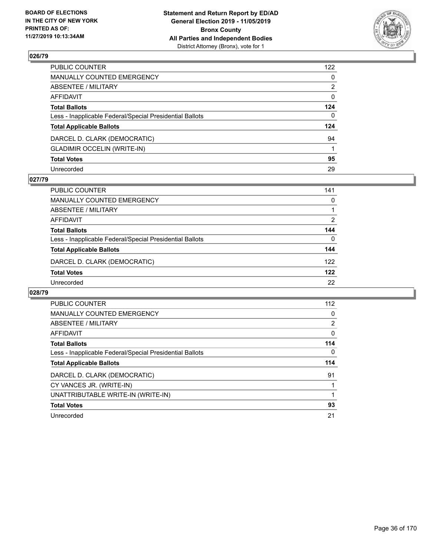

| PUBLIC COUNTER                                           | 122      |
|----------------------------------------------------------|----------|
| MANUALLY COUNTED EMERGENCY                               | 0        |
| ABSENTEE / MILITARY                                      | 2        |
| AFFIDAVIT                                                | 0        |
| Total Ballots                                            | 124      |
| Less - Inapplicable Federal/Special Presidential Ballots | $\Omega$ |
| <b>Total Applicable Ballots</b>                          | 124      |
| DARCEL D. CLARK (DEMOCRATIC)                             | 94       |
| <b>GLADIMIR OCCELIN (WRITE-IN)</b>                       |          |
| <b>Total Votes</b>                                       | 95       |
| Unrecorded                                               | 29       |

### **027/79**

| <b>PUBLIC COUNTER</b>                                    | 141      |
|----------------------------------------------------------|----------|
| <b>MANUALLY COUNTED EMERGENCY</b>                        | $\Omega$ |
| ABSENTEE / MILITARY                                      |          |
| AFFIDAVIT                                                | 2        |
| <b>Total Ballots</b>                                     | 144      |
| Less - Inapplicable Federal/Special Presidential Ballots | 0        |
| <b>Total Applicable Ballots</b>                          | 144      |
| DARCEL D. CLARK (DEMOCRATIC)                             | 122      |
| <b>Total Votes</b>                                       | 122      |
| Unrecorded                                               | 22       |

| <b>PUBLIC COUNTER</b>                                    | 112            |
|----------------------------------------------------------|----------------|
| <b>MANUALLY COUNTED EMERGENCY</b>                        | 0              |
| ABSENTEE / MILITARY                                      | $\overline{2}$ |
| AFFIDAVIT                                                | 0              |
| <b>Total Ballots</b>                                     | 114            |
| Less - Inapplicable Federal/Special Presidential Ballots | 0              |
| <b>Total Applicable Ballots</b>                          | 114            |
| DARCEL D. CLARK (DEMOCRATIC)                             | 91             |
| CY VANCES JR. (WRITE-IN)                                 |                |
| UNATTRIBUTABLE WRITE-IN (WRITE-IN)                       |                |
| <b>Total Votes</b>                                       | 93             |
| Unrecorded                                               | 21             |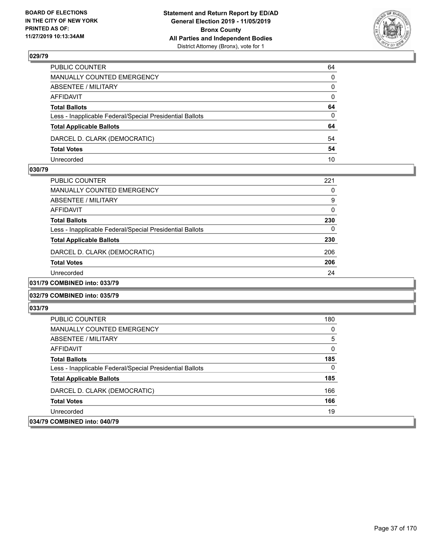

| PUBLIC COUNTER                                           | 64           |
|----------------------------------------------------------|--------------|
| MANUALLY COUNTED EMERGENCY                               | $\mathbf{0}$ |
| ABSENTEE / MILITARY                                      | $\Omega$     |
| AFFIDAVIT                                                | $\mathbf{0}$ |
| <b>Total Ballots</b>                                     | 64           |
| Less - Inapplicable Federal/Special Presidential Ballots | $\Omega$     |
| <b>Total Applicable Ballots</b>                          | 64           |
| DARCEL D. CLARK (DEMOCRATIC)                             | 54           |
| <b>Total Votes</b>                                       | 54           |
| Unrecorded                                               | 10           |

#### **030/79**

| PUBLIC COUNTER                                              | 221      |
|-------------------------------------------------------------|----------|
| MANUALLY COUNTED EMERGENCY                                  | 0        |
| ABSENTEE / MILITARY                                         | 9        |
| AFFIDAVIT                                                   | $\Omega$ |
| <b>Total Ballots</b>                                        | 230      |
| Less - Inapplicable Federal/Special Presidential Ballots    | 0        |
| <b>Total Applicable Ballots</b>                             | 230      |
| DARCEL D. CLARK (DEMOCRATIC)                                | 206      |
| <b>Total Votes</b>                                          | 206      |
| Unrecorded                                                  | 24       |
| $A$ $A$ $B$ $B$ $B$ $B$ $A$ $B$ $A$ $A$ $A$ $B$ $A$ $B$ $A$ |          |

### **031/79 COMBINED into: 033/79**

#### **032/79 COMBINED into: 035/79**

| <b>PUBLIC COUNTER</b>                                    | 180      |
|----------------------------------------------------------|----------|
| <b>MANUALLY COUNTED EMERGENCY</b>                        | 0        |
| ABSENTEE / MILITARY                                      | 5        |
| AFFIDAVIT                                                | $\Omega$ |
| <b>Total Ballots</b>                                     | 185      |
| Less - Inapplicable Federal/Special Presidential Ballots | 0        |
| <b>Total Applicable Ballots</b>                          | 185      |
| DARCEL D. CLARK (DEMOCRATIC)                             | 166      |
| <b>Total Votes</b>                                       | 166      |
| Unrecorded                                               | 19       |
| 034/79 COMBINED into: 040/79                             |          |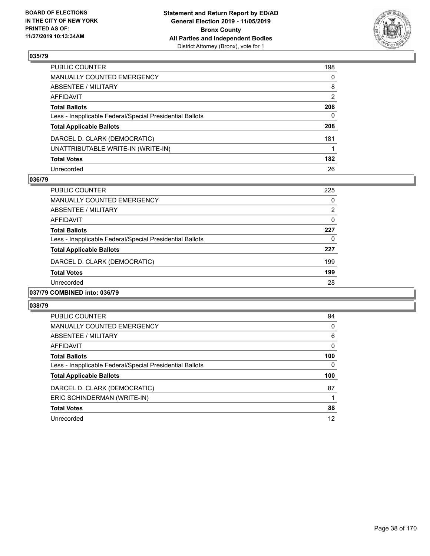

| PUBLIC COUNTER                                           | 198            |
|----------------------------------------------------------|----------------|
| MANUALLY COUNTED EMERGENCY                               | $\mathbf{0}$   |
| ABSENTEE / MILITARY                                      | 8              |
| AFFIDAVIT                                                | $\overline{2}$ |
| Total Ballots                                            | 208            |
| Less - Inapplicable Federal/Special Presidential Ballots | $\mathbf{0}$   |
| <b>Total Applicable Ballots</b>                          | 208            |
| DARCEL D. CLARK (DEMOCRATIC)                             | 181            |
| UNATTRIBUTABLE WRITE-IN (WRITE-IN)                       |                |
| <b>Total Votes</b>                                       | 182            |
| Unrecorded                                               | 26             |

#### **036/79**

| <b>PUBLIC COUNTER</b>                                    | 225      |
|----------------------------------------------------------|----------|
| <b>MANUALLY COUNTED EMERGENCY</b>                        | 0        |
| ABSENTEE / MILITARY                                      | 2        |
| AFFIDAVIT                                                | $\Omega$ |
| <b>Total Ballots</b>                                     | 227      |
| Less - Inapplicable Federal/Special Presidential Ballots | 0        |
| <b>Total Applicable Ballots</b>                          | 227      |
| DARCEL D. CLARK (DEMOCRATIC)                             | 199      |
| <b>Total Votes</b>                                       | 199      |
| Unrecorded                                               | 28       |
| 037/79 COMBINED into: 036/79                             |          |

| <b>PUBLIC COUNTER</b>                                    | 94  |
|----------------------------------------------------------|-----|
| MANUALLY COUNTED EMERGENCY                               | 0   |
| ABSENTEE / MILITARY                                      | 6   |
| AFFIDAVIT                                                | 0   |
| <b>Total Ballots</b>                                     | 100 |
| Less - Inapplicable Federal/Special Presidential Ballots | 0   |
| <b>Total Applicable Ballots</b>                          | 100 |
| DARCEL D. CLARK (DEMOCRATIC)                             | 87  |
| ERIC SCHINDERMAN (WRITE-IN)                              |     |
| <b>Total Votes</b>                                       | 88  |
| Unrecorded                                               | 12  |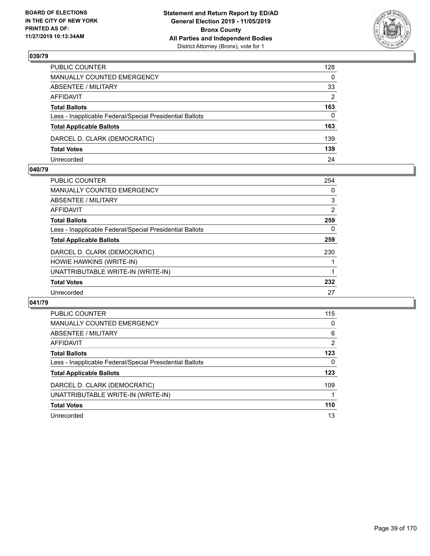

| PUBLIC COUNTER                                           | 128          |
|----------------------------------------------------------|--------------|
| MANUALLY COUNTED EMERGENCY                               | $\mathbf{0}$ |
| ABSENTEE / MILITARY                                      | 33           |
| AFFIDAVIT                                                | 2            |
| <b>Total Ballots</b>                                     | 163          |
| Less - Inapplicable Federal/Special Presidential Ballots | $\Omega$     |
| <b>Total Applicable Ballots</b>                          | 163          |
| DARCEL D. CLARK (DEMOCRATIC)                             | 139          |
| <b>Total Votes</b>                                       | 139          |
| Unrecorded                                               | 24           |

#### **040/79**

| 254 |
|-----|
| 0   |
| 3   |
| 2   |
| 259 |
| 0   |
| 259 |
| 230 |
|     |
|     |
| 232 |
| 27  |
|     |

| <b>PUBLIC COUNTER</b>                                    | 115 |
|----------------------------------------------------------|-----|
| <b>MANUALLY COUNTED EMERGENCY</b>                        | 0   |
| ABSENTEE / MILITARY                                      | 6   |
| <b>AFFIDAVIT</b>                                         | 2   |
| <b>Total Ballots</b>                                     | 123 |
| Less - Inapplicable Federal/Special Presidential Ballots | 0   |
| <b>Total Applicable Ballots</b>                          | 123 |
| DARCEL D. CLARK (DEMOCRATIC)                             | 109 |
| UNATTRIBUTABLE WRITE-IN (WRITE-IN)                       |     |
| <b>Total Votes</b>                                       | 110 |
| Unrecorded                                               | 13  |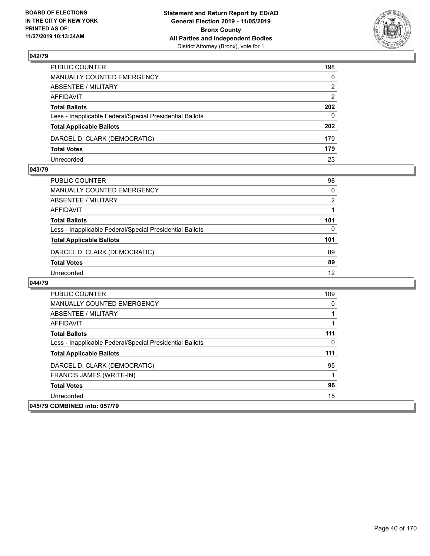

| PUBLIC COUNTER                                           | 198          |
|----------------------------------------------------------|--------------|
| MANUALLY COUNTED EMERGENCY                               | $\mathbf{0}$ |
| ABSENTEE / MILITARY                                      | 2            |
| AFFIDAVIT                                                | 2            |
| <b>Total Ballots</b>                                     | 202          |
| Less - Inapplicable Federal/Special Presidential Ballots | $\mathbf{0}$ |
| <b>Total Applicable Ballots</b>                          | 202          |
| DARCEL D. CLARK (DEMOCRATIC)                             | 179          |
| <b>Total Votes</b>                                       | 179          |
| Unrecorded                                               | 23           |

#### **043/79**

| PUBLIC COUNTER                                           | 98            |
|----------------------------------------------------------|---------------|
| <b>MANUALLY COUNTED EMERGENCY</b>                        | $\Omega$      |
| <b>ABSENTEE / MILITARY</b>                               | $\mathcal{P}$ |
| <b>AFFIDAVIT</b>                                         |               |
| <b>Total Ballots</b>                                     | 101           |
| Less - Inapplicable Federal/Special Presidential Ballots | 0             |
| <b>Total Applicable Ballots</b>                          | 101           |
| DARCEL D. CLARK (DEMOCRATIC)                             | 89            |
| <b>Total Votes</b>                                       | 89            |
| Unrecorded                                               | 12            |

| <b>PUBLIC COUNTER</b>                                    | 109      |
|----------------------------------------------------------|----------|
| <b>MANUALLY COUNTED EMERGENCY</b>                        | $\Omega$ |
| ABSENTEE / MILITARY                                      |          |
| AFFIDAVIT                                                |          |
| <b>Total Ballots</b>                                     | 111      |
| Less - Inapplicable Federal/Special Presidential Ballots | 0        |
| <b>Total Applicable Ballots</b>                          | 111      |
| DARCEL D. CLARK (DEMOCRATIC)                             | 95       |
| FRANCIS JAMES (WRITE-IN)                                 |          |
| <b>Total Votes</b>                                       | 96       |
| Unrecorded                                               | 15       |
| 045/79 COMBINED into: 057/79                             |          |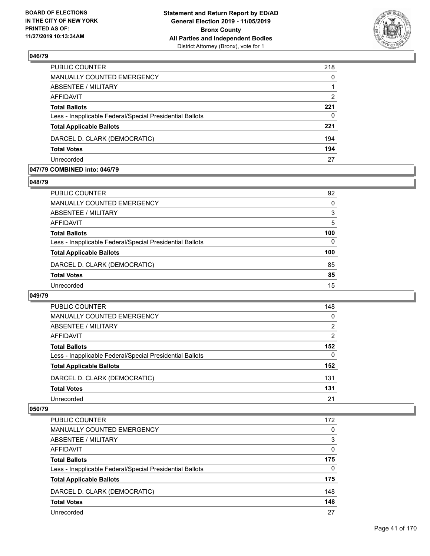

| 218           |
|---------------|
| $\Omega$      |
|               |
| $\mathcal{P}$ |
| 221           |
| 0             |
| 221           |
| 194           |
| 194           |
| 27            |
|               |

#### **047/79 COMBINED into: 046/79**

#### **048/79**

| PUBLIC COUNTER                                           | 92       |
|----------------------------------------------------------|----------|
| <b>MANUALLY COUNTED EMERGENCY</b>                        | $\Omega$ |
| ABSENTEE / MILITARY                                      | 3        |
| AFFIDAVIT                                                | 5        |
| <b>Total Ballots</b>                                     | 100      |
| Less - Inapplicable Federal/Special Presidential Ballots | 0        |
| <b>Total Applicable Ballots</b>                          | 100      |
| DARCEL D. CLARK (DEMOCRATIC)                             | 85       |
| <b>Total Votes</b>                                       | 85       |
| Unrecorded                                               | 15       |
|                                                          |          |

#### **049/79**

| PUBLIC COUNTER                                           | 148           |
|----------------------------------------------------------|---------------|
| <b>MANUALLY COUNTED EMERGENCY</b>                        | 0             |
| ABSENTEE / MILITARY                                      | 2             |
| AFFIDAVIT                                                | $\mathcal{P}$ |
| <b>Total Ballots</b>                                     | 152           |
| Less - Inapplicable Federal/Special Presidential Ballots | 0             |
| <b>Total Applicable Ballots</b>                          | 152           |
| DARCEL D. CLARK (DEMOCRATIC)                             | 131           |
| <b>Total Votes</b>                                       | 131           |
| Unrecorded                                               | 21            |

| <b>PUBLIC COUNTER</b>                                    | 172      |
|----------------------------------------------------------|----------|
| <b>MANUALLY COUNTED EMERGENCY</b>                        | $\Omega$ |
| ABSENTEE / MILITARY                                      | 3        |
| AFFIDAVIT                                                | $\Omega$ |
| <b>Total Ballots</b>                                     | 175      |
| Less - Inapplicable Federal/Special Presidential Ballots | $\Omega$ |
| <b>Total Applicable Ballots</b>                          | 175      |
| DARCEL D. CLARK (DEMOCRATIC)                             | 148      |
| <b>Total Votes</b>                                       | 148      |
| Unrecorded                                               | 27       |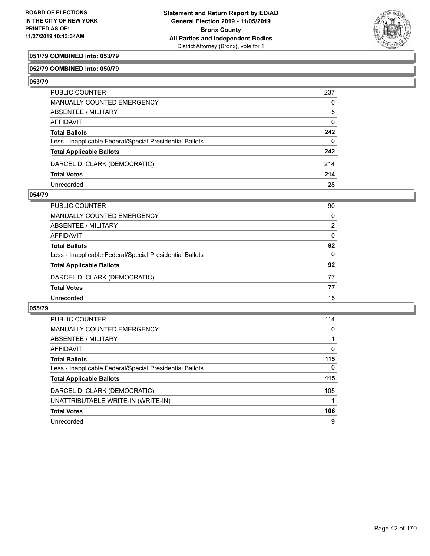

## **051/79 COMBINED into: 053/79**

#### **052/79 COMBINED into: 050/79**

**053/79** 

| PUBLIC COUNTER                                           | 237          |
|----------------------------------------------------------|--------------|
| MANUALLY COUNTED EMERGENCY                               | 0            |
| ABSENTEE / MILITARY                                      | 5            |
| AFFIDAVIT                                                | 0            |
| <b>Total Ballots</b>                                     | 242          |
| Less - Inapplicable Federal/Special Presidential Ballots | $\mathbf{0}$ |
| <b>Total Applicable Ballots</b>                          | 242          |
| DARCEL D. CLARK (DEMOCRATIC)                             | 214          |
| <b>Total Votes</b>                                       | 214          |
| Unrecorded                                               | 28           |

#### **054/79**

| PUBLIC COUNTER                                           | 90       |
|----------------------------------------------------------|----------|
| MANUALLY COUNTED EMERGENCY                               | $\Omega$ |
| <b>ABSENTEE / MILITARY</b>                               | 2        |
| <b>AFFIDAVIT</b>                                         | $\Omega$ |
| <b>Total Ballots</b>                                     | 92       |
| Less - Inapplicable Federal/Special Presidential Ballots | $\Omega$ |
| <b>Total Applicable Ballots</b>                          | 92       |
| DARCEL D. CLARK (DEMOCRATIC)                             | 77       |
| <b>Total Votes</b>                                       | 77       |
| Unrecorded                                               | 15       |
|                                                          |          |

| <b>PUBLIC COUNTER</b>                                    | 114      |
|----------------------------------------------------------|----------|
| <b>MANUALLY COUNTED EMERGENCY</b>                        | 0        |
| ABSENTEE / MILITARY                                      |          |
| AFFIDAVIT                                                | 0        |
| <b>Total Ballots</b>                                     | 115      |
| Less - Inapplicable Federal/Special Presidential Ballots | $\Omega$ |
| <b>Total Applicable Ballots</b>                          | 115      |
| DARCEL D. CLARK (DEMOCRATIC)                             | 105      |
| UNATTRIBUTABLE WRITE-IN (WRITE-IN)                       |          |
| <b>Total Votes</b>                                       | 106      |
| Unrecorded                                               | 9        |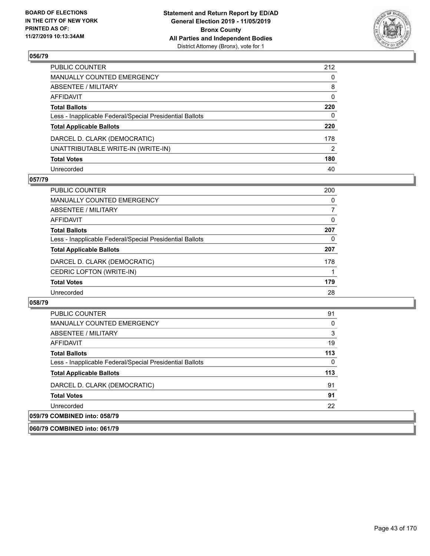

| PUBLIC COUNTER                                           | 212 |
|----------------------------------------------------------|-----|
| MANUALLY COUNTED EMERGENCY                               | 0   |
| ABSENTEE / MILITARY                                      | 8   |
| AFFIDAVIT                                                | 0   |
| Total Ballots                                            | 220 |
| Less - Inapplicable Federal/Special Presidential Ballots | 0   |
| <b>Total Applicable Ballots</b>                          | 220 |
| DARCEL D. CLARK (DEMOCRATIC)                             | 178 |
| UNATTRIBUTABLE WRITE-IN (WRITE-IN)                       | 2   |
| <b>Total Votes</b>                                       | 180 |
| Unrecorded                                               | 40  |

#### **057/79**

| <b>PUBLIC COUNTER</b>                                    | 200      |
|----------------------------------------------------------|----------|
| <b>MANUALLY COUNTED EMERGENCY</b>                        | $\Omega$ |
| ABSENTEE / MILITARY                                      | 7        |
| AFFIDAVIT                                                | 0        |
| <b>Total Ballots</b>                                     | 207      |
| Less - Inapplicable Federal/Special Presidential Ballots | 0        |
| <b>Total Applicable Ballots</b>                          | 207      |
| DARCEL D. CLARK (DEMOCRATIC)                             | 178      |
| CEDRIC LOFTON (WRITE-IN)                                 |          |
| <b>Total Votes</b>                                       | 179      |
| Unrecorded                                               | 28       |

| <b>PUBLIC COUNTER</b>                                    | 91  |
|----------------------------------------------------------|-----|
| <b>MANUALLY COUNTED EMERGENCY</b>                        | 0   |
| ABSENTEE / MILITARY                                      | 3   |
| AFFIDAVIT                                                | 19  |
| <b>Total Ballots</b>                                     | 113 |
| Less - Inapplicable Federal/Special Presidential Ballots | 0   |
| <b>Total Applicable Ballots</b>                          | 113 |
| DARCEL D. CLARK (DEMOCRATIC)                             | 91  |
| <b>Total Votes</b>                                       | 91  |
| Unrecorded                                               | 22  |
| 059/79 COMBINED into: 058/79                             |     |
| 060/79 COMBINED into: 061/79                             |     |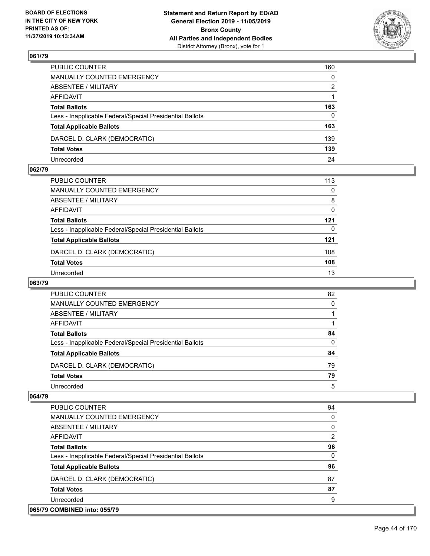

| PUBLIC COUNTER                                           | 160          |
|----------------------------------------------------------|--------------|
| MANUALLY COUNTED EMERGENCY                               | $\mathbf{0}$ |
| ABSENTEE / MILITARY                                      | 2            |
| AFFIDAVIT                                                |              |
| <b>Total Ballots</b>                                     | 163          |
| Less - Inapplicable Federal/Special Presidential Ballots | 0            |
| <b>Total Applicable Ballots</b>                          | 163          |
| DARCEL D. CLARK (DEMOCRATIC)                             | 139          |
| <b>Total Votes</b>                                       | 139          |
| Unrecorded                                               | 24           |

#### **062/79**

| PUBLIC COUNTER                                           | 113 |
|----------------------------------------------------------|-----|
| <b>MANUALLY COUNTED EMERGENCY</b>                        | 0   |
| <b>ABSENTEE / MILITARY</b>                               | 8   |
| AFFIDAVIT                                                | 0   |
| <b>Total Ballots</b>                                     | 121 |
| Less - Inapplicable Federal/Special Presidential Ballots | 0   |
| <b>Total Applicable Ballots</b>                          | 121 |
| DARCEL D. CLARK (DEMOCRATIC)                             | 108 |
| <b>Total Votes</b>                                       | 108 |
| Unrecorded                                               | 13  |
|                                                          |     |

## **063/79**

| PUBLIC COUNTER                                           | 82 |
|----------------------------------------------------------|----|
| MANUALLY COUNTED EMERGENCY                               | 0  |
| ABSENTEE / MILITARY                                      |    |
| AFFIDAVIT                                                |    |
| <b>Total Ballots</b>                                     | 84 |
| Less - Inapplicable Federal/Special Presidential Ballots | 0  |
| <b>Total Applicable Ballots</b>                          | 84 |
| DARCEL D. CLARK (DEMOCRATIC)                             | 79 |
| <b>Total Votes</b>                                       | 79 |
| Unrecorded                                               | 5  |

| <b>PUBLIC COUNTER</b>                                    | 94       |
|----------------------------------------------------------|----------|
| <b>MANUALLY COUNTED EMERGENCY</b>                        | $\Omega$ |
| ABSENTEE / MILITARY                                      | 0        |
| <b>AFFIDAVIT</b>                                         | 2        |
| <b>Total Ballots</b>                                     | 96       |
| Less - Inapplicable Federal/Special Presidential Ballots | $\Omega$ |
| <b>Total Applicable Ballots</b>                          | 96       |
| DARCEL D. CLARK (DEMOCRATIC)                             | 87       |
| <b>Total Votes</b>                                       | 87       |
| Unrecorded                                               | 9        |
| 065/79 COMBINED into: 055/79                             |          |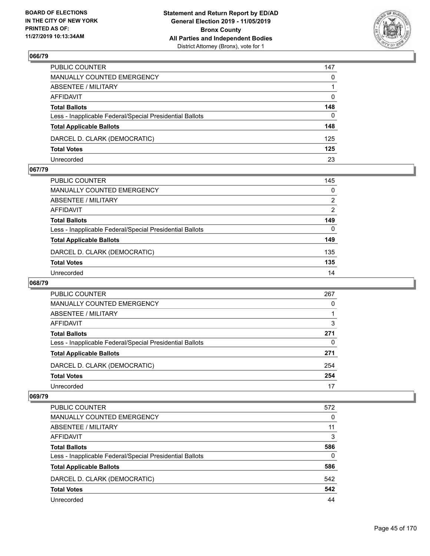

| PUBLIC COUNTER                                           | 147          |
|----------------------------------------------------------|--------------|
| MANUALLY COUNTED EMERGENCY                               | $\mathbf{0}$ |
| ABSENTEE / MILITARY                                      |              |
| AFFIDAVIT                                                | $\mathbf{0}$ |
| <b>Total Ballots</b>                                     | 148          |
| Less - Inapplicable Federal/Special Presidential Ballots | 0            |
| <b>Total Applicable Ballots</b>                          | 148          |
| DARCEL D. CLARK (DEMOCRATIC)                             | 125          |
| <b>Total Votes</b>                                       | 125          |
| Unrecorded                                               | 23           |

#### **067/79**

| PUBLIC COUNTER                                           | 145            |
|----------------------------------------------------------|----------------|
| <b>MANUALLY COUNTED EMERGENCY</b>                        | $\Omega$       |
| <b>ABSENTEE / MILITARY</b>                               | $\overline{2}$ |
| <b>AFFIDAVIT</b>                                         | $\overline{2}$ |
| <b>Total Ballots</b>                                     | 149            |
| Less - Inapplicable Federal/Special Presidential Ballots | $\Omega$       |
| <b>Total Applicable Ballots</b>                          | 149            |
| DARCEL D. CLARK (DEMOCRATIC)                             | 135            |
| <b>Total Votes</b>                                       | 135            |
| Unrecorded                                               | 14             |
|                                                          |                |

## **068/79**

| PUBLIC COUNTER                                           | 267      |
|----------------------------------------------------------|----------|
| <b>MANUALLY COUNTED EMERGENCY</b>                        | 0        |
| ABSENTEE / MILITARY                                      |          |
| AFFIDAVIT                                                | 3        |
| <b>Total Ballots</b>                                     | 271      |
| Less - Inapplicable Federal/Special Presidential Ballots | $\Omega$ |
| <b>Total Applicable Ballots</b>                          | 271      |
| DARCEL D. CLARK (DEMOCRATIC)                             | 254      |
| <b>Total Votes</b>                                       | 254      |
| Unrecorded                                               | 17       |

| PUBLIC COUNTER                                           | 572 |
|----------------------------------------------------------|-----|
| MANUALLY COUNTED EMERGENCY                               | 0   |
| ABSENTEE / MILITARY                                      | 11  |
| AFFIDAVIT                                                | 3   |
| <b>Total Ballots</b>                                     | 586 |
| Less - Inapplicable Federal/Special Presidential Ballots | 0   |
| <b>Total Applicable Ballots</b>                          | 586 |
| DARCEL D. CLARK (DEMOCRATIC)                             | 542 |
| <b>Total Votes</b>                                       | 542 |
| Unrecorded                                               | 44  |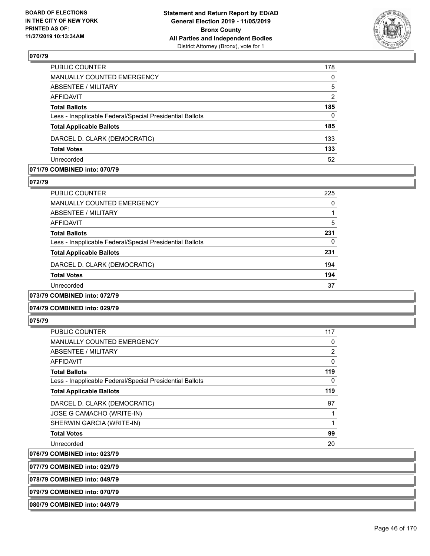

| PUBLIC COUNTER                                           | 178          |
|----------------------------------------------------------|--------------|
| <b>MANUALLY COUNTED EMERGENCY</b>                        | $\mathbf{0}$ |
| <b>ABSENTEE / MILITARY</b>                               | 5            |
| <b>AFFIDAVIT</b>                                         | 2            |
| <b>Total Ballots</b>                                     | 185          |
| Less - Inapplicable Federal/Special Presidential Ballots | $\mathbf{0}$ |
| <b>Total Applicable Ballots</b>                          | 185          |
| DARCEL D. CLARK (DEMOCRATIC)                             | 133          |
| <b>Total Votes</b>                                       | 133          |
| Unrecorded                                               | 52           |

#### **071/79 COMBINED into: 070/79**

#### **072/79**

| PUBLIC COUNTER                                           | 225 |
|----------------------------------------------------------|-----|
| <b>MANUALLY COUNTED EMERGENCY</b>                        | 0   |
| ABSENTEE / MILITARY                                      |     |
| AFFIDAVIT                                                | 5   |
| <b>Total Ballots</b>                                     | 231 |
| Less - Inapplicable Federal/Special Presidential Ballots | 0   |
| <b>Total Applicable Ballots</b>                          | 231 |
| DARCEL D. CLARK (DEMOCRATIC)                             | 194 |
| <b>Total Votes</b>                                       | 194 |
| Unrecorded                                               | 37  |
| 073/79 COMBINED into: 072/79                             |     |

#### **074/79 COMBINED into: 029/79**

#### **075/79**

| <b>PUBLIC COUNTER</b>                                    | 117 |
|----------------------------------------------------------|-----|
| <b>MANUALLY COUNTED EMERGENCY</b>                        | 0   |
| ABSENTEE / MILITARY                                      | 2   |
| <b>AFFIDAVIT</b>                                         | 0   |
| <b>Total Ballots</b>                                     | 119 |
| Less - Inapplicable Federal/Special Presidential Ballots | 0   |
| <b>Total Applicable Ballots</b>                          | 119 |
| DARCEL D. CLARK (DEMOCRATIC)                             | 97  |
| JOSE G CAMACHO (WRITE-IN)                                |     |
| SHERWIN GARCIA (WRITE-IN)                                |     |
| <b>Total Votes</b>                                       | 99  |
| Unrecorded                                               | 20  |
|                                                          |     |

#### **076/79 COMBINED into: 023/79**

**077/79 COMBINED into: 029/79**

**078/79 COMBINED into: 049/79**

## **079/79 COMBINED into: 070/79**

#### **080/79 COMBINED into: 049/79**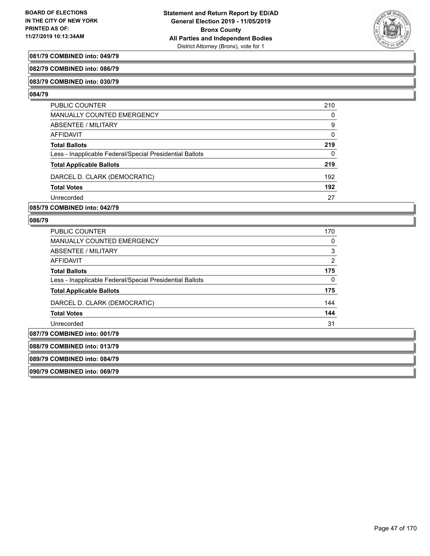

### **081/79 COMBINED into: 049/79**

#### **082/79 COMBINED into: 086/79**

#### **083/79 COMBINED into: 030/79**

#### **084/79**

| PUBLIC COUNTER                                           | 210      |
|----------------------------------------------------------|----------|
| <b>MANUALLY COUNTED EMERGENCY</b>                        | $\Omega$ |
| ABSENTEE / MILITARY                                      | 9        |
| AFFIDAVIT                                                | $\Omega$ |
| <b>Total Ballots</b>                                     | 219      |
| Less - Inapplicable Federal/Special Presidential Ballots | 0        |
| <b>Total Applicable Ballots</b>                          | 219      |
| DARCEL D. CLARK (DEMOCRATIC)                             | 192      |
| <b>Total Votes</b>                                       | 192      |
| Unrecorded                                               | 27       |

**085/79 COMBINED into: 042/79**

#### **086/79**

| <b>PUBLIC COUNTER</b>                                    | 170            |
|----------------------------------------------------------|----------------|
| <b>MANUALLY COUNTED EMERGENCY</b>                        | 0              |
| ABSENTEE / MILITARY                                      | 3              |
| <b>AFFIDAVIT</b>                                         | $\overline{2}$ |
| <b>Total Ballots</b>                                     | 175            |
| Less - Inapplicable Federal/Special Presidential Ballots | 0              |
| <b>Total Applicable Ballots</b>                          | 175            |
| DARCEL D. CLARK (DEMOCRATIC)                             | 144            |
| <b>Total Votes</b>                                       | 144            |
| Unrecorded                                               | 31             |
| <b>COMBINED into: 001/79</b>                             |                |

**087/79 COMBINED into: 001/79 088/79 COMBINED into: 013/79 089/79 COMBINED into: 084/79 090/79 COMBINED into: 069/79**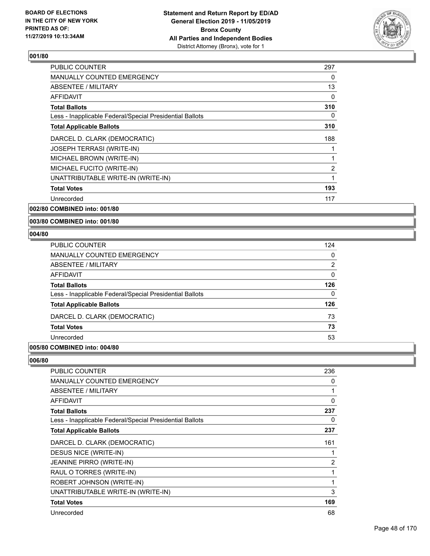

| <b>PUBLIC COUNTER</b>                                    | 297            |
|----------------------------------------------------------|----------------|
| <b>MANUALLY COUNTED EMERGENCY</b>                        | 0              |
| <b>ABSENTEE / MILITARY</b>                               | 13             |
| <b>AFFIDAVIT</b>                                         | 0              |
| <b>Total Ballots</b>                                     | 310            |
| Less - Inapplicable Federal/Special Presidential Ballots | 0              |
| <b>Total Applicable Ballots</b>                          | 310            |
| DARCEL D. CLARK (DEMOCRATIC)                             | 188            |
| <b>JOSEPH TERRASI (WRITE-IN)</b>                         | 1              |
| MICHAEL BROWN (WRITE-IN)                                 | 1              |
| MICHAEL FUCITO (WRITE-IN)                                | $\overline{2}$ |
| UNATTRIBUTABLE WRITE-IN (WRITE-IN)                       | 1              |
| <b>Total Votes</b>                                       | 193            |
| Unrecorded                                               | 117            |
|                                                          |                |

**002/80 COMBINED into: 001/80**

**003/80 COMBINED into: 001/80**

#### **004/80**

| PUBLIC COUNTER                                           | 124            |
|----------------------------------------------------------|----------------|
| <b>MANUALLY COUNTED EMERGENCY</b>                        | 0              |
| <b>ABSENTEE / MILITARY</b>                               | $\overline{2}$ |
| <b>AFFIDAVIT</b>                                         | $\Omega$       |
| <b>Total Ballots</b>                                     | 126            |
| Less - Inapplicable Federal/Special Presidential Ballots | 0              |
| <b>Total Applicable Ballots</b>                          | 126            |
| DARCEL D. CLARK (DEMOCRATIC)                             | 73             |
| <b>Total Votes</b>                                       | 73             |
| Unrecorded                                               | 53             |
|                                                          |                |

## **005/80 COMBINED into: 004/80**

| PUBLIC COUNTER                                           | 236 |
|----------------------------------------------------------|-----|
| <b>MANUALLY COUNTED EMERGENCY</b>                        | 0   |
| ABSENTEE / MILITARY                                      | 1   |
| <b>AFFIDAVIT</b>                                         | 0   |
| <b>Total Ballots</b>                                     | 237 |
| Less - Inapplicable Federal/Special Presidential Ballots | 0   |
| <b>Total Applicable Ballots</b>                          | 237 |
| DARCEL D. CLARK (DEMOCRATIC)                             | 161 |
| DESUS NICE (WRITE-IN)                                    | 1   |
| <b>JEANINE PIRRO (WRITE-IN)</b>                          | 2   |
| RAUL O TORRES (WRITE-IN)                                 | 1   |
| ROBERT JOHNSON (WRITE-IN)                                | 1   |
| UNATTRIBUTABLE WRITE-IN (WRITE-IN)                       | 3   |
| <b>Total Votes</b>                                       | 169 |
| Unrecorded                                               | 68  |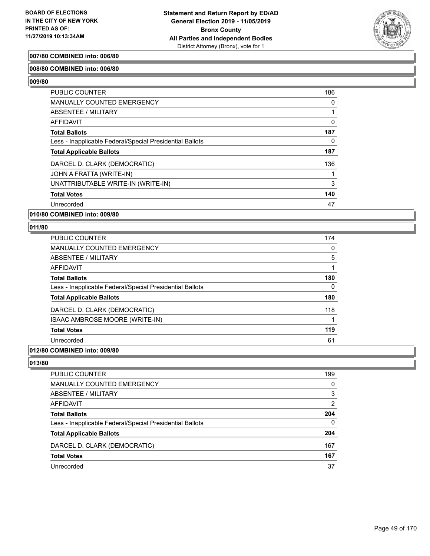

#### **007/80 COMBINED into: 006/80**

#### **008/80 COMBINED into: 006/80**

**009/80** 

| PUBLIC COUNTER                                           | 186 |
|----------------------------------------------------------|-----|
| <b>MANUALLY COUNTED EMERGENCY</b>                        | 0   |
| ABSENTEE / MILITARY                                      |     |
| AFFIDAVIT                                                | 0   |
| <b>Total Ballots</b>                                     | 187 |
| Less - Inapplicable Federal/Special Presidential Ballots | 0   |
| <b>Total Applicable Ballots</b>                          | 187 |
| DARCEL D. CLARK (DEMOCRATIC)                             | 136 |
| JOHN A FRATTA (WRITE-IN)                                 |     |
| UNATTRIBUTABLE WRITE-IN (WRITE-IN)                       | 3   |
| <b>Total Votes</b>                                       | 140 |
| Unrecorded                                               | 47  |

**010/80 COMBINED into: 009/80**

#### **011/80**

| <b>PUBLIC COUNTER</b>                                    | 174 |
|----------------------------------------------------------|-----|
| <b>MANUALLY COUNTED EMERGENCY</b>                        | 0   |
| ABSENTEE / MILITARY                                      | 5   |
| AFFIDAVIT                                                |     |
| <b>Total Ballots</b>                                     | 180 |
| Less - Inapplicable Federal/Special Presidential Ballots | 0   |
| <b>Total Applicable Ballots</b>                          | 180 |
| DARCEL D. CLARK (DEMOCRATIC)                             | 118 |
| ISAAC AMBROSE MOORE (WRITE-IN)                           |     |
| <b>Total Votes</b>                                       | 119 |
| Unrecorded                                               | 61  |

#### **012/80 COMBINED into: 009/80**

| PUBLIC COUNTER                                           | 199            |
|----------------------------------------------------------|----------------|
| MANUALLY COUNTED EMERGENCY                               | 0              |
| ABSENTEE / MILITARY                                      | 3              |
| AFFIDAVIT                                                | $\overline{2}$ |
| <b>Total Ballots</b>                                     | 204            |
| Less - Inapplicable Federal/Special Presidential Ballots | 0              |
| <b>Total Applicable Ballots</b>                          | 204            |
| DARCEL D. CLARK (DEMOCRATIC)                             | 167            |
| <b>Total Votes</b>                                       | 167            |
| Unrecorded                                               | 37             |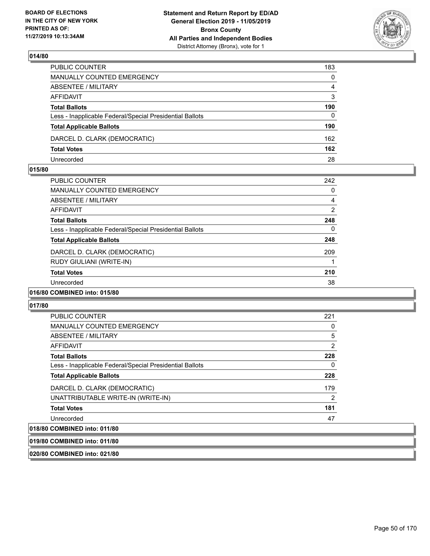

| PUBLIC COUNTER                                           | 183            |
|----------------------------------------------------------|----------------|
| MANUALLY COUNTED EMERGENCY                               | $\mathbf{0}$   |
| ABSENTEE / MILITARY                                      | $\overline{4}$ |
| AFFIDAVIT                                                | 3              |
| <b>Total Ballots</b>                                     | 190            |
| Less - Inapplicable Federal/Special Presidential Ballots | $\Omega$       |
| <b>Total Applicable Ballots</b>                          | 190            |
| DARCEL D. CLARK (DEMOCRATIC)                             | 162            |
| <b>Total Votes</b>                                       | 162            |
| Unrecorded                                               | 28             |

#### **015/80**

| <b>PUBLIC COUNTER</b>                                    | 242 |
|----------------------------------------------------------|-----|
| <b>MANUALLY COUNTED EMERGENCY</b>                        | 0   |
| ABSENTEE / MILITARY                                      | 4   |
| AFFIDAVIT                                                | 2   |
| <b>Total Ballots</b>                                     | 248 |
| Less - Inapplicable Federal/Special Presidential Ballots | 0   |
| <b>Total Applicable Ballots</b>                          | 248 |
| DARCEL D. CLARK (DEMOCRATIC)                             | 209 |
| RUDY GIULIANI (WRITE-IN)                                 |     |
| <b>Total Votes</b>                                       | 210 |
| Unrecorded                                               | 38  |
| 016/80 COMBINED into: 015/80                             |     |

#### **017/80**

| <b>PUBLIC COUNTER</b>                                    | 221            |
|----------------------------------------------------------|----------------|
| <b>MANUALLY COUNTED EMERGENCY</b>                        | 0              |
| ABSENTEE / MILITARY                                      | 5              |
| AFFIDAVIT                                                | $\overline{2}$ |
| <b>Total Ballots</b>                                     | 228            |
| Less - Inapplicable Federal/Special Presidential Ballots | 0              |
| <b>Total Applicable Ballots</b>                          | 228            |
| DARCEL D. CLARK (DEMOCRATIC)                             | 179            |
| UNATTRIBUTABLE WRITE-IN (WRITE-IN)                       | $\overline{2}$ |
| <b>Total Votes</b>                                       | 181            |
| Unrecorded                                               | 47             |
| 018/80 COMBINED into: 011/80                             |                |

**019/80 COMBINED into: 011/80**

**020/80 COMBINED into: 021/80**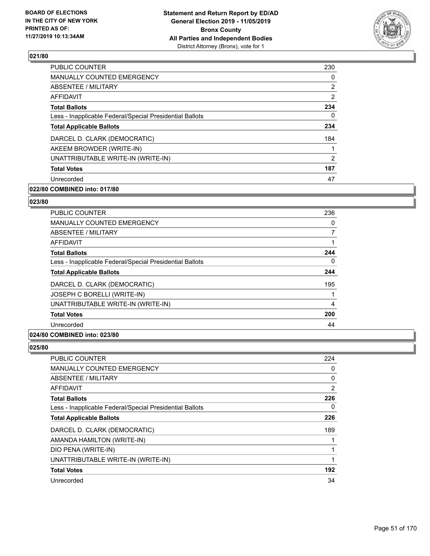

| <b>PUBLIC COUNTER</b>                                    | 230           |
|----------------------------------------------------------|---------------|
| MANUALLY COUNTED EMERGENCY                               | 0             |
| ABSENTEE / MILITARY                                      | 2             |
| <b>AFFIDAVIT</b>                                         | 2             |
| <b>Total Ballots</b>                                     | 234           |
| Less - Inapplicable Federal/Special Presidential Ballots | 0             |
| <b>Total Applicable Ballots</b>                          | 234           |
| DARCEL D. CLARK (DEMOCRATIC)                             | 184           |
| AKEEM BROWDER (WRITE-IN)                                 | 1             |
| UNATTRIBUTABLE WRITE-IN (WRITE-IN)                       | $\mathcal{P}$ |
| <b>Total Votes</b>                                       | 187           |
| Unrecorded                                               | 47            |

## **022/80 COMBINED into: 017/80**

#### **023/80**

| <b>PUBLIC COUNTER</b>                                    | 236            |
|----------------------------------------------------------|----------------|
| <b>MANUALLY COUNTED EMERGENCY</b>                        | 0              |
| ABSENTEE / MILITARY                                      |                |
| AFFIDAVIT                                                | 1              |
| <b>Total Ballots</b>                                     | 244            |
| Less - Inapplicable Federal/Special Presidential Ballots | 0              |
| <b>Total Applicable Ballots</b>                          | 244            |
| DARCEL D. CLARK (DEMOCRATIC)                             | 195            |
| JOSEPH C BORELLI (WRITE-IN)                              | 1              |
| UNATTRIBUTABLE WRITE-IN (WRITE-IN)                       | $\overline{4}$ |
| <b>Total Votes</b>                                       | 200            |
| Unrecorded                                               | 44             |
|                                                          |                |

#### **024/80 COMBINED into: 023/80**

| <b>PUBLIC COUNTER</b>                                    | 224 |
|----------------------------------------------------------|-----|
| <b>MANUALLY COUNTED EMERGENCY</b>                        | 0   |
| ABSENTEE / MILITARY                                      | 0   |
| AFFIDAVIT                                                | 2   |
| <b>Total Ballots</b>                                     | 226 |
| Less - Inapplicable Federal/Special Presidential Ballots | 0   |
| <b>Total Applicable Ballots</b>                          | 226 |
| DARCEL D. CLARK (DEMOCRATIC)                             | 189 |
| AMANDA HAMILTON (WRITE-IN)                               |     |
| DIO PENA (WRITE-IN)                                      |     |
| UNATTRIBUTABLE WRITE-IN (WRITE-IN)                       | 1   |
| <b>Total Votes</b>                                       | 192 |
| Unrecorded                                               | 34  |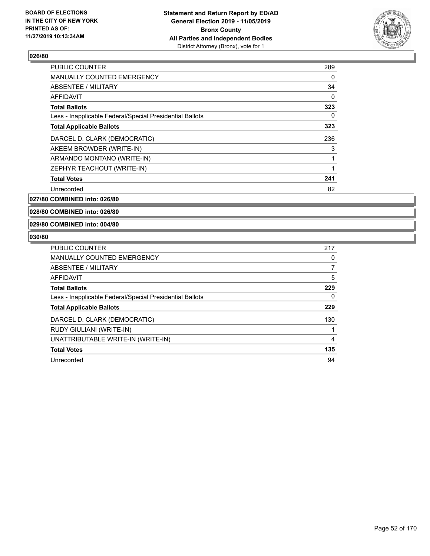

| <b>PUBLIC COUNTER</b>                                    | 289      |
|----------------------------------------------------------|----------|
| <b>MANUALLY COUNTED EMERGENCY</b>                        | 0        |
| ABSENTEE / MILITARY                                      | 34       |
| AFFIDAVIT                                                | $\Omega$ |
| <b>Total Ballots</b>                                     | 323      |
| Less - Inapplicable Federal/Special Presidential Ballots | 0        |
| <b>Total Applicable Ballots</b>                          | 323      |
| DARCEL D. CLARK (DEMOCRATIC)                             | 236      |
| AKEEM BROWDER (WRITE-IN)                                 | 3        |
| ARMANDO MONTANO (WRITE-IN)                               | 1        |
| ZEPHYR TEACHOUT (WRITE-IN)                               | 1        |
| <b>Total Votes</b>                                       | 241      |
| Unrecorded                                               | 82       |
|                                                          |          |

**027/80 COMBINED into: 026/80**

**028/80 COMBINED into: 026/80**

**029/80 COMBINED into: 004/80**

| <b>PUBLIC COUNTER</b>                                    | 217            |
|----------------------------------------------------------|----------------|
| <b>MANUALLY COUNTED EMERGENCY</b>                        | 0              |
| <b>ABSENTEE / MILITARY</b>                               |                |
| AFFIDAVIT                                                | 5              |
| <b>Total Ballots</b>                                     | 229            |
| Less - Inapplicable Federal/Special Presidential Ballots | 0              |
| <b>Total Applicable Ballots</b>                          | 229            |
| DARCEL D. CLARK (DEMOCRATIC)                             | 130            |
| RUDY GIULIANI (WRITE-IN)                                 |                |
| UNATTRIBUTABLE WRITE-IN (WRITE-IN)                       | $\overline{4}$ |
| <b>Total Votes</b>                                       | 135            |
| Unrecorded                                               | 94             |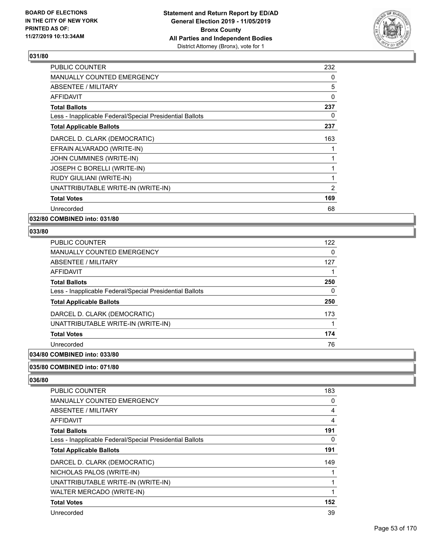

| 232 |
|-----|
| 0   |
| 5   |
| 0   |
| 237 |
| 0   |
| 237 |
| 163 |
| 1   |
| 1   |
| 1   |
| 1   |
| 2   |
| 169 |
| 68  |
|     |

**032/80 COMBINED into: 031/80**

#### **033/80**

| <b>PUBLIC COUNTER</b>                                    | 122 |
|----------------------------------------------------------|-----|
| <b>MANUALLY COUNTED EMERGENCY</b>                        | 0   |
| <b>ABSENTEE / MILITARY</b>                               | 127 |
| <b>AFFIDAVIT</b>                                         |     |
| <b>Total Ballots</b>                                     | 250 |
| Less - Inapplicable Federal/Special Presidential Ballots | 0   |
| <b>Total Applicable Ballots</b>                          | 250 |
| DARCEL D. CLARK (DEMOCRATIC)                             | 173 |
| UNATTRIBUTABLE WRITE-IN (WRITE-IN)                       |     |
| <b>Total Votes</b>                                       | 174 |
| Unrecorded                                               | 76  |
| A                                                        |     |

## **034/80 COMBINED into: 033/80**

#### **035/80 COMBINED into: 071/80**

| <b>PUBLIC COUNTER</b>                                    | 183 |
|----------------------------------------------------------|-----|
| <b>MANUALLY COUNTED EMERGENCY</b>                        | 0   |
| ABSENTEE / MILITARY                                      | 4   |
| <b>AFFIDAVIT</b>                                         | 4   |
| <b>Total Ballots</b>                                     | 191 |
| Less - Inapplicable Federal/Special Presidential Ballots | 0   |
| <b>Total Applicable Ballots</b>                          | 191 |
| DARCEL D. CLARK (DEMOCRATIC)                             | 149 |
| NICHOLAS PALOS (WRITE-IN)                                |     |
| UNATTRIBUTABLE WRITE-IN (WRITE-IN)                       |     |
| WALTER MERCADO (WRITE-IN)                                |     |
| <b>Total Votes</b>                                       | 152 |
| Unrecorded                                               | 39  |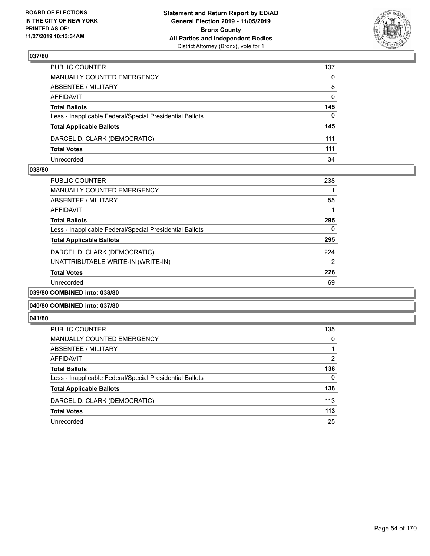

| PUBLIC COUNTER                                           | 137          |
|----------------------------------------------------------|--------------|
| MANUALLY COUNTED EMERGENCY                               | 0            |
| ABSENTEE / MILITARY                                      | 8            |
| AFFIDAVIT                                                | $\mathbf{0}$ |
| <b>Total Ballots</b>                                     | 145          |
| Less - Inapplicable Federal/Special Presidential Ballots | $\Omega$     |
| <b>Total Applicable Ballots</b>                          | 145          |
| DARCEL D. CLARK (DEMOCRATIC)                             | 111          |
| <b>Total Votes</b>                                       | 111          |
| Unrecorded                                               | 34           |

#### **038/80**

| <b>PUBLIC COUNTER</b>                                    | 238            |
|----------------------------------------------------------|----------------|
| <b>MANUALLY COUNTED EMERGENCY</b>                        |                |
| ABSENTEE / MILITARY                                      | 55             |
| AFFIDAVIT                                                |                |
| <b>Total Ballots</b>                                     | 295            |
| Less - Inapplicable Federal/Special Presidential Ballots | $\mathbf{0}$   |
| <b>Total Applicable Ballots</b>                          | 295            |
| DARCEL D. CLARK (DEMOCRATIC)                             | 224            |
| UNATTRIBUTABLE WRITE-IN (WRITE-IN)                       | $\overline{2}$ |
| <b>Total Votes</b>                                       | 226            |
| Unrecorded                                               | 69             |
| 039/80 COMBINED into: 038/80                             |                |

#### **040/80 COMBINED into: 037/80**

| <b>PUBLIC COUNTER</b>                                    | 135 |
|----------------------------------------------------------|-----|
| <b>MANUALLY COUNTED EMERGENCY</b>                        | 0   |
| ABSENTEE / MILITARY                                      |     |
| AFFIDAVIT                                                | 2   |
| <b>Total Ballots</b>                                     | 138 |
| Less - Inapplicable Federal/Special Presidential Ballots | 0   |
| <b>Total Applicable Ballots</b>                          | 138 |
| DARCEL D. CLARK (DEMOCRATIC)                             | 113 |
| <b>Total Votes</b>                                       | 113 |
| Unrecorded                                               | 25  |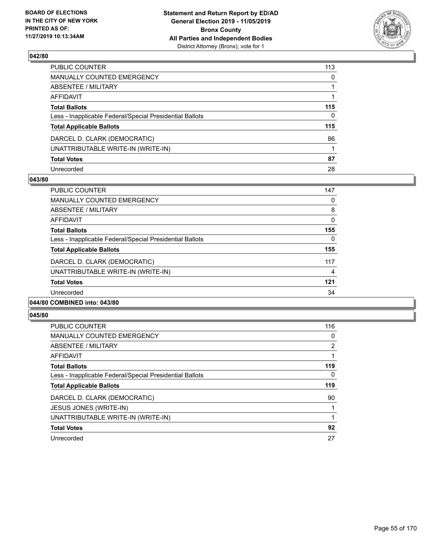

| PUBLIC COUNTER                                           | 113 |
|----------------------------------------------------------|-----|
| MANUALLY COUNTED EMERGENCY                               | 0   |
| ABSENTEE / MILITARY                                      |     |
| AFFIDAVIT                                                |     |
| Total Ballots                                            | 115 |
| Less - Inapplicable Federal/Special Presidential Ballots | 0   |
| <b>Total Applicable Ballots</b>                          | 115 |
| DARCEL D. CLARK (DEMOCRATIC)                             | 86  |
| UNATTRIBUTABLE WRITE-IN (WRITE-IN)                       |     |
| <b>Total Votes</b>                                       | 87  |
| Unrecorded                                               | 28  |

#### **043/80**

| <b>PUBLIC COUNTER</b>                                    | 147      |
|----------------------------------------------------------|----------|
| <b>MANUALLY COUNTED EMERGENCY</b>                        | 0        |
| ABSENTEE / MILITARY                                      | 8        |
| AFFIDAVIT                                                | $\Omega$ |
| <b>Total Ballots</b>                                     | 155      |
| Less - Inapplicable Federal/Special Presidential Ballots | $\Omega$ |
| <b>Total Applicable Ballots</b>                          | 155      |
| DARCEL D. CLARK (DEMOCRATIC)                             | 117      |
| UNATTRIBUTABLE WRITE-IN (WRITE-IN)                       | 4        |
| <b>Total Votes</b>                                       | 121      |
| Unrecorded                                               | 34       |
|                                                          |          |

#### **044/80 COMBINED into: 043/80**

| <b>PUBLIC COUNTER</b>                                    | 116            |
|----------------------------------------------------------|----------------|
| <b>MANUALLY COUNTED EMERGENCY</b>                        | 0              |
| ABSENTEE / MILITARY                                      | $\overline{2}$ |
| <b>AFFIDAVIT</b>                                         |                |
| <b>Total Ballots</b>                                     | 119            |
| Less - Inapplicable Federal/Special Presidential Ballots | 0              |
| <b>Total Applicable Ballots</b>                          | 119            |
| DARCEL D. CLARK (DEMOCRATIC)                             | 90             |
| JESUS JONES (WRITE-IN)                                   |                |
| UNATTRIBUTABLE WRITE-IN (WRITE-IN)                       |                |
| <b>Total Votes</b>                                       | 92             |
| Unrecorded                                               | 27             |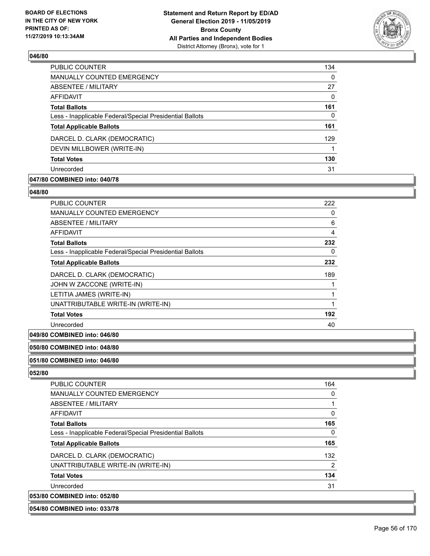

| <b>PUBLIC COUNTER</b>                                    | 134 |
|----------------------------------------------------------|-----|
| MANUALLY COUNTED EMERGENCY                               | 0   |
| ABSENTEE / MILITARY                                      | 27  |
| AFFIDAVIT                                                | 0   |
| <b>Total Ballots</b>                                     | 161 |
| Less - Inapplicable Federal/Special Presidential Ballots | 0   |
| <b>Total Applicable Ballots</b>                          | 161 |
| DARCEL D. CLARK (DEMOCRATIC)                             | 129 |
| DEVIN MILLBOWER (WRITE-IN)                               |     |
| <b>Total Votes</b>                                       | 130 |
| Unrecorded                                               | 31  |

## **047/80 COMBINED into: 040/78**

#### **048/80**

| PUBLIC COUNTER                                           | 222 |
|----------------------------------------------------------|-----|
| <b>MANUALLY COUNTED EMERGENCY</b>                        | 0   |
| ABSENTEE / MILITARY                                      | 6   |
| AFFIDAVIT                                                | 4   |
| <b>Total Ballots</b>                                     | 232 |
| Less - Inapplicable Federal/Special Presidential Ballots | 0   |
| <b>Total Applicable Ballots</b>                          | 232 |
| DARCEL D. CLARK (DEMOCRATIC)                             | 189 |
| JOHN W ZACCONE (WRITE-IN)                                |     |
| LETITIA JAMES (WRITE-IN)                                 |     |
| UNATTRIBUTABLE WRITE-IN (WRITE-IN)                       |     |
| <b>Total Votes</b>                                       | 192 |
| Unrecorded                                               | 40  |

## **049/80 COMBINED into: 046/80**

## **050/80 COMBINED into: 048/80**

#### **051/80 COMBINED into: 046/80**

#### **052/80**

| <b>PUBLIC COUNTER</b>                                    | 164      |
|----------------------------------------------------------|----------|
| MANUALLY COUNTED EMERGENCY                               | 0        |
| ABSENTEE / MILITARY                                      |          |
| AFFIDAVIT                                                | $\Omega$ |
| <b>Total Ballots</b>                                     | 165      |
| Less - Inapplicable Federal/Special Presidential Ballots | 0        |
| <b>Total Applicable Ballots</b>                          | 165      |
| DARCEL D. CLARK (DEMOCRATIC)                             | 132      |
| UNATTRIBUTABLE WRITE-IN (WRITE-IN)                       | 2        |
| <b>Total Votes</b>                                       | 134      |
| Unrecorded                                               | 31       |
| 053/80 COMBINED into: 052/80                             |          |
|                                                          |          |

**054/80 COMBINED into: 033/78**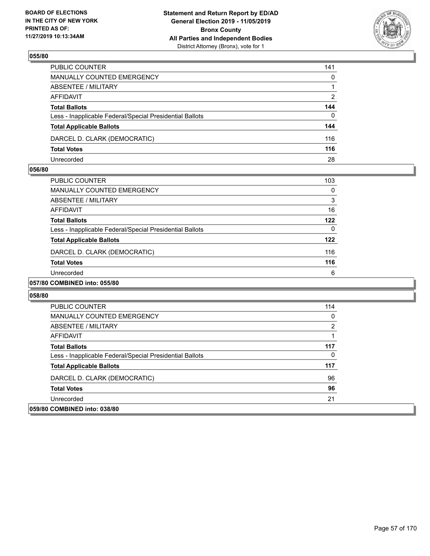

| PUBLIC COUNTER                                           | 141          |
|----------------------------------------------------------|--------------|
| <b>MANUALLY COUNTED EMERGENCY</b>                        | 0            |
| <b>ABSENTEE / MILITARY</b>                               |              |
| AFFIDAVIT                                                | 2            |
| <b>Total Ballots</b>                                     | 144          |
| Less - Inapplicable Federal/Special Presidential Ballots | $\mathbf{0}$ |
| <b>Total Applicable Ballots</b>                          | 144          |
| DARCEL D. CLARK (DEMOCRATIC)                             | 116          |
| <b>Total Votes</b>                                       | 116          |
| Unrecorded                                               | 28           |

#### **056/80**

| <b>PUBLIC COUNTER</b>                                    | 103 |
|----------------------------------------------------------|-----|
| <b>MANUALLY COUNTED EMERGENCY</b>                        | 0   |
| ABSENTEE / MILITARY                                      | 3   |
| AFFIDAVIT                                                | 16  |
| <b>Total Ballots</b>                                     | 122 |
| Less - Inapplicable Federal/Special Presidential Ballots | 0   |
| <b>Total Applicable Ballots</b>                          | 122 |
| DARCEL D. CLARK (DEMOCRATIC)                             | 116 |
| <b>Total Votes</b>                                       | 116 |
| Unrecorded                                               | 6   |
|                                                          |     |

## **057/80 COMBINED into: 055/80**

| PUBLIC COUNTER                                           | 114 |
|----------------------------------------------------------|-----|
| MANUALLY COUNTED EMERGENCY                               | 0   |
| ABSENTEE / MILITARY                                      | 2   |
| AFFIDAVIT                                                |     |
| <b>Total Ballots</b>                                     | 117 |
| Less - Inapplicable Federal/Special Presidential Ballots | 0   |
| <b>Total Applicable Ballots</b>                          | 117 |
| DARCEL D. CLARK (DEMOCRATIC)                             | 96  |
| <b>Total Votes</b>                                       | 96  |
| Unrecorded                                               | 21  |
| 059/80 COMBINED into: 038/80                             |     |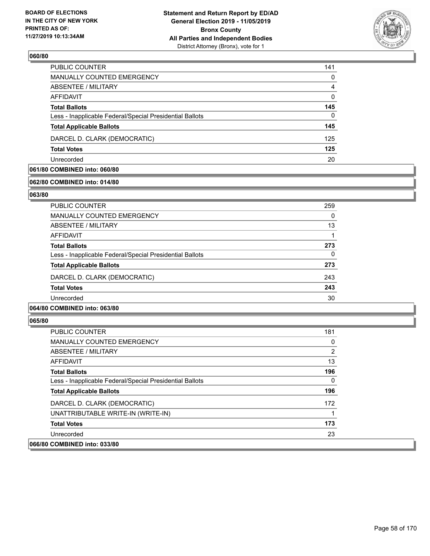

| PUBLIC COUNTER                                           | 141 |
|----------------------------------------------------------|-----|
| <b>MANUALLY COUNTED EMERGENCY</b>                        | 0   |
| ABSENTEE / MILITARY                                      | 4   |
| AFFIDAVIT                                                | 0   |
| <b>Total Ballots</b>                                     | 145 |
| Less - Inapplicable Federal/Special Presidential Ballots | 0   |
| <b>Total Applicable Ballots</b>                          | 145 |
| DARCEL D. CLARK (DEMOCRATIC)                             | 125 |
| <b>Total Votes</b>                                       | 125 |
| Unrecorded                                               | 20  |

## **061/80 COMBINED into: 060/80**

#### **062/80 COMBINED into: 014/80**

#### **063/80**

| PUBLIC COUNTER                                           | 259 |
|----------------------------------------------------------|-----|
| <b>MANUALLY COUNTED EMERGENCY</b>                        | 0   |
| ABSENTEE / MILITARY                                      | 13  |
| AFFIDAVIT                                                | 1   |
| <b>Total Ballots</b>                                     | 273 |
| Less - Inapplicable Federal/Special Presidential Ballots | 0   |
| <b>Total Applicable Ballots</b>                          | 273 |
| DARCEL D. CLARK (DEMOCRATIC)                             | 243 |
| <b>Total Votes</b>                                       | 243 |
| Unrecorded                                               | 30  |
|                                                          |     |

#### **064/80 COMBINED into: 063/80**

| <b>PUBLIC COUNTER</b>                                    | 181 |
|----------------------------------------------------------|-----|
| <b>MANUALLY COUNTED EMERGENCY</b>                        | 0   |
| ABSENTEE / MILITARY                                      | 2   |
| AFFIDAVIT                                                | 13  |
| <b>Total Ballots</b>                                     | 196 |
| Less - Inapplicable Federal/Special Presidential Ballots | 0   |
| <b>Total Applicable Ballots</b>                          | 196 |
| DARCEL D. CLARK (DEMOCRATIC)                             | 172 |
| UNATTRIBUTABLE WRITE-IN (WRITE-IN)                       |     |
| <b>Total Votes</b>                                       | 173 |
| Unrecorded                                               | 23  |
| 066/80 COMBINED into: 033/80                             |     |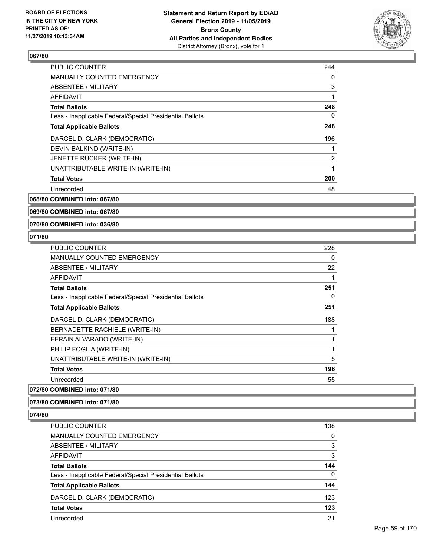

| <b>PUBLIC COUNTER</b>                                    | 244 |
|----------------------------------------------------------|-----|
| <b>MANUALLY COUNTED EMERGENCY</b>                        | 0   |
| ABSENTEE / MILITARY                                      | 3   |
| AFFIDAVIT                                                | 1   |
| <b>Total Ballots</b>                                     | 248 |
| Less - Inapplicable Federal/Special Presidential Ballots | 0   |
| <b>Total Applicable Ballots</b>                          | 248 |
| DARCEL D. CLARK (DEMOCRATIC)                             | 196 |
| DEVIN BALKIND (WRITE-IN)                                 | 1   |
| JENETTE RUCKER (WRITE-IN)                                | 2   |
| UNATTRIBUTABLE WRITE-IN (WRITE-IN)                       | 1   |
| <b>Total Votes</b>                                       | 200 |
| Unrecorded                                               | 48  |
|                                                          |     |

**068/80 COMBINED into: 067/80**

**069/80 COMBINED into: 067/80**

**070/80 COMBINED into: 036/80**

#### **071/80**

| <b>PUBLIC COUNTER</b>                                    | 228 |
|----------------------------------------------------------|-----|
| MANUALLY COUNTED EMERGENCY                               | 0   |
| ABSENTEE / MILITARY                                      | 22  |
| AFFIDAVIT                                                |     |
| <b>Total Ballots</b>                                     | 251 |
| Less - Inapplicable Federal/Special Presidential Ballots | 0   |
| <b>Total Applicable Ballots</b>                          | 251 |
| DARCEL D. CLARK (DEMOCRATIC)                             | 188 |
| BERNADETTE RACHIELE (WRITE-IN)                           |     |
| EFRAIN ALVARADO (WRITE-IN)                               |     |
| PHILIP FOGLIA (WRITE-IN)                                 | 1   |
| UNATTRIBUTABLE WRITE-IN (WRITE-IN)                       | 5   |
| <b>Total Votes</b>                                       | 196 |
| Unrecorded                                               | 55  |
|                                                          |     |

## **072/80 COMBINED into: 071/80**

**073/80 COMBINED into: 071/80**

| PUBLIC COUNTER                                           | 138 |
|----------------------------------------------------------|-----|
| <b>MANUALLY COUNTED EMERGENCY</b>                        | 0   |
| ABSENTEE / MILITARY                                      | 3   |
| AFFIDAVIT                                                | 3   |
| <b>Total Ballots</b>                                     | 144 |
| Less - Inapplicable Federal/Special Presidential Ballots | 0   |
| <b>Total Applicable Ballots</b>                          | 144 |
| DARCEL D. CLARK (DEMOCRATIC)                             | 123 |
| <b>Total Votes</b>                                       | 123 |
| Unrecorded                                               | 21  |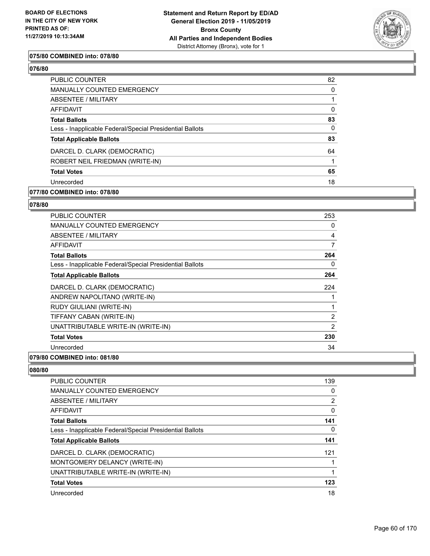

#### **075/80 COMBINED into: 078/80**

#### **076/80**

| PUBLIC COUNTER                                           | 82       |
|----------------------------------------------------------|----------|
| <b>MANUALLY COUNTED EMERGENCY</b>                        | 0        |
| ABSENTEE / MILITARY                                      |          |
| AFFIDAVIT                                                | $\Omega$ |
| <b>Total Ballots</b>                                     | 83       |
| Less - Inapplicable Federal/Special Presidential Ballots | $\Omega$ |
| <b>Total Applicable Ballots</b>                          | 83       |
| DARCEL D. CLARK (DEMOCRATIC)                             | 64       |
| ROBERT NEIL FRIEDMAN (WRITE-IN)                          |          |
| <b>Total Votes</b>                                       | 65       |
| Unrecorded                                               | 18       |
|                                                          |          |

#### **077/80 COMBINED into: 078/80**

#### **078/80**

| <b>PUBLIC COUNTER</b>                                    | 253            |
|----------------------------------------------------------|----------------|
| <b>MANUALLY COUNTED EMERGENCY</b>                        | 0              |
| <b>ABSENTEE / MILITARY</b>                               | 4              |
| <b>AFFIDAVIT</b>                                         | 7              |
| <b>Total Ballots</b>                                     | 264            |
| Less - Inapplicable Federal/Special Presidential Ballots | 0              |
| <b>Total Applicable Ballots</b>                          | 264            |
| DARCEL D. CLARK (DEMOCRATIC)                             | 224            |
| ANDREW NAPOLITANO (WRITE-IN)                             |                |
| RUDY GIULIANI (WRITE-IN)                                 |                |
| TIFFANY CABAN (WRITE-IN)                                 | $\overline{2}$ |
| UNATTRIBUTABLE WRITE-IN (WRITE-IN)                       | $\overline{2}$ |
| <b>Total Votes</b>                                       | 230            |
| Unrecorded                                               | 34             |
|                                                          |                |

#### **079/80 COMBINED into: 081/80**

| <b>PUBLIC COUNTER</b>                                    | 139            |
|----------------------------------------------------------|----------------|
| <b>MANUALLY COUNTED EMERGENCY</b>                        | 0              |
| <b>ABSENTEE / MILITARY</b>                               | $\overline{2}$ |
| <b>AFFIDAVIT</b>                                         | $\Omega$       |
| <b>Total Ballots</b>                                     | 141            |
| Less - Inapplicable Federal/Special Presidential Ballots | 0              |
| <b>Total Applicable Ballots</b>                          | 141            |
| DARCEL D. CLARK (DEMOCRATIC)                             | 121            |
| MONTGOMERY DELANCY (WRITE-IN)                            |                |
| UNATTRIBUTABLE WRITE-IN (WRITE-IN)                       |                |
| <b>Total Votes</b>                                       | 123            |
| Unrecorded                                               | 18             |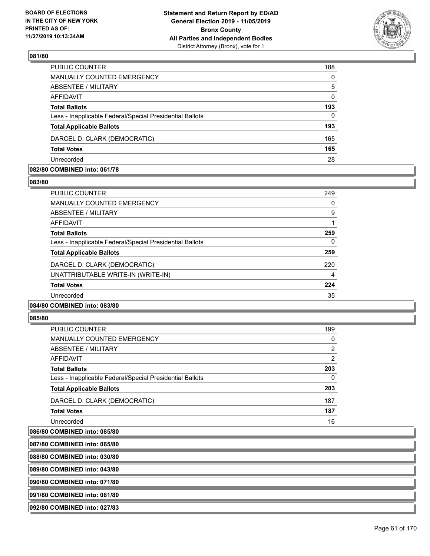

| MANUALLY COUNTED EMERGENCY                               | $\Omega$ |
|----------------------------------------------------------|----------|
| <b>ABSENTEE / MILITARY</b>                               | 5        |
| <b>AFFIDAVIT</b>                                         | $\Omega$ |
| <b>Total Ballots</b>                                     | 193      |
| Less - Inapplicable Federal/Special Presidential Ballots | $\Omega$ |
| <b>Total Applicable Ballots</b>                          | 193      |
| DARCEL D. CLARK (DEMOCRATIC)                             | 165      |
| <b>Total Votes</b>                                       | 165      |
| Unrecorded                                               | 28       |

#### **082/80 COMBINED into: 061/78**

#### **083/80**

| <b>PUBLIC COUNTER</b>                                    | 249 |
|----------------------------------------------------------|-----|
| <b>MANUALLY COUNTED EMERGENCY</b>                        | 0   |
| ABSENTEE / MILITARY                                      | 9   |
| AFFIDAVIT                                                |     |
| <b>Total Ballots</b>                                     | 259 |
| Less - Inapplicable Federal/Special Presidential Ballots | 0   |
| <b>Total Applicable Ballots</b>                          | 259 |
| DARCEL D. CLARK (DEMOCRATIC)                             | 220 |
| UNATTRIBUTABLE WRITE-IN (WRITE-IN)                       | 4   |
| <b>Total Votes</b>                                       | 224 |
| Unrecorded                                               | 35  |
|                                                          |     |

## **084/80 COMBINED into: 083/80**

#### **085/80**

| PUBLIC COUNTER                                           | 199 |
|----------------------------------------------------------|-----|
| <b>MANUALLY COUNTED EMERGENCY</b>                        | 0   |
| ABSENTEE / MILITARY                                      | 2   |
| AFFIDAVIT                                                | 2   |
| <b>Total Ballots</b>                                     | 203 |
| Less - Inapplicable Federal/Special Presidential Ballots | 0   |
| <b>Total Applicable Ballots</b>                          | 203 |
| DARCEL D. CLARK (DEMOCRATIC)                             | 187 |
| <b>Total Votes</b>                                       | 187 |
| Unrecorded                                               | 16  |

#### **086/80 COMBINED into: 085/80**

**087/80 COMBINED into: 065/80**

**088/80 COMBINED into: 030/80**

**089/80 COMBINED into: 043/80**

**090/80 COMBINED into: 071/80**

**091/80 COMBINED into: 081/80**

**092/80 COMBINED into: 027/83**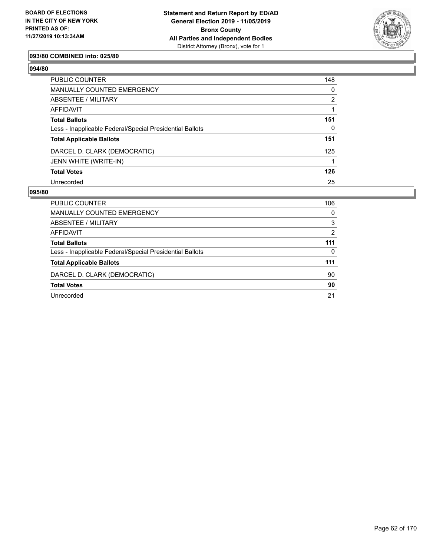

#### **093/80 COMBINED into: 025/80**

## **094/80**

| PUBLIC COUNTER                                           | 148            |
|----------------------------------------------------------|----------------|
| <b>MANUALLY COUNTED EMERGENCY</b>                        | 0              |
| ABSENTEE / MILITARY                                      | $\overline{2}$ |
| AFFIDAVIT                                                |                |
| <b>Total Ballots</b>                                     | 151            |
| Less - Inapplicable Federal/Special Presidential Ballots | $\Omega$       |
| <b>Total Applicable Ballots</b>                          | 151            |
| DARCEL D. CLARK (DEMOCRATIC)                             | 125            |
| JENN WHITE (WRITE-IN)                                    |                |
| <b>Total Votes</b>                                       | 126            |
| Unrecorded                                               | 25             |

| <b>PUBLIC COUNTER</b>                                    | 106 |
|----------------------------------------------------------|-----|
| <b>MANUALLY COUNTED EMERGENCY</b>                        | 0   |
| ABSENTEE / MILITARY                                      | 3   |
| AFFIDAVIT                                                | 2   |
| <b>Total Ballots</b>                                     | 111 |
| Less - Inapplicable Federal/Special Presidential Ballots | 0   |
| <b>Total Applicable Ballots</b>                          | 111 |
| DARCEL D. CLARK (DEMOCRATIC)                             | 90  |
| <b>Total Votes</b>                                       | 90  |
| Unrecorded                                               | 21  |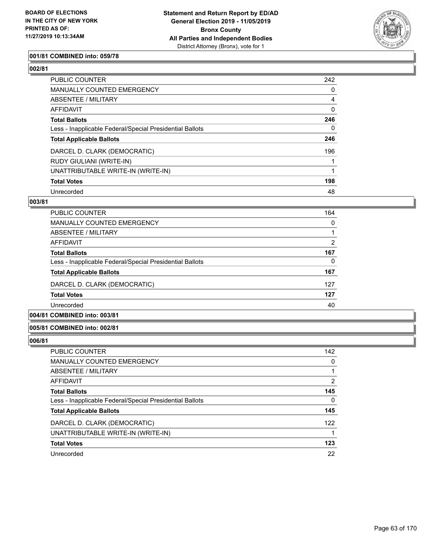

#### **001/81 COMBINED into: 059/78**

## **002/81**

| PUBLIC COUNTER                                           | 242 |
|----------------------------------------------------------|-----|
| <b>MANUALLY COUNTED EMERGENCY</b>                        | 0   |
| ABSENTEE / MILITARY                                      | 4   |
| AFFIDAVIT                                                | 0   |
| <b>Total Ballots</b>                                     | 246 |
| Less - Inapplicable Federal/Special Presidential Ballots | 0   |
| <b>Total Applicable Ballots</b>                          | 246 |
| DARCEL D. CLARK (DEMOCRATIC)                             | 196 |
| RUDY GIULIANI (WRITE-IN)                                 |     |
| UNATTRIBUTABLE WRITE-IN (WRITE-IN)                       |     |
| <b>Total Votes</b>                                       | 198 |
| Unrecorded                                               | 48  |

#### **003/81**

| PUBLIC COUNTER                                           | 164      |
|----------------------------------------------------------|----------|
| <b>MANUALLY COUNTED EMERGENCY</b>                        | $\Omega$ |
| ABSENTEE / MILITARY                                      |          |
| AFFIDAVIT                                                | 2        |
| <b>Total Ballots</b>                                     | 167      |
| Less - Inapplicable Federal/Special Presidential Ballots | 0        |
| <b>Total Applicable Ballots</b>                          | 167      |
| DARCEL D. CLARK (DEMOCRATIC)                             | 127      |
| <b>Total Votes</b>                                       | 127      |
| Unrecorded                                               | 40       |

## **004/81 COMBINED into: 003/81**

#### **005/81 COMBINED into: 002/81**

| <b>PUBLIC COUNTER</b>                                    | 142 |
|----------------------------------------------------------|-----|
| MANUALLY COUNTED EMERGENCY                               | 0   |
| ABSENTEE / MILITARY                                      |     |
| AFFIDAVIT                                                | 2   |
| <b>Total Ballots</b>                                     | 145 |
| Less - Inapplicable Federal/Special Presidential Ballots | 0   |
| <b>Total Applicable Ballots</b>                          | 145 |
| DARCEL D. CLARK (DEMOCRATIC)                             | 122 |
| UNATTRIBUTABLE WRITE-IN (WRITE-IN)                       |     |
| <b>Total Votes</b>                                       | 123 |
| Unrecorded                                               | 22  |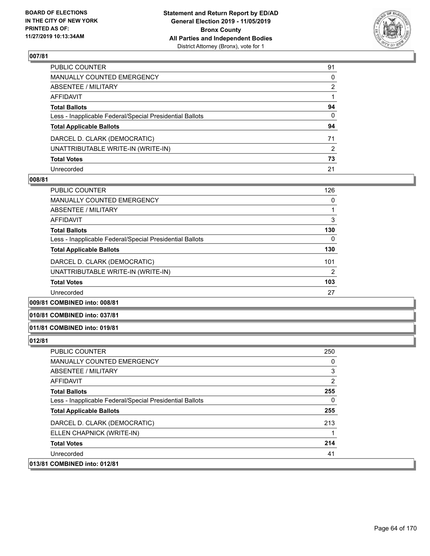

| PUBLIC COUNTER                                           | 91           |
|----------------------------------------------------------|--------------|
| MANUALLY COUNTED EMERGENCY                               | $\mathbf{0}$ |
| ABSENTEE / MILITARY                                      | 2            |
| AFFIDAVIT                                                |              |
| <b>Total Ballots</b>                                     | 94           |
| Less - Inapplicable Federal/Special Presidential Ballots | $\mathbf{0}$ |
| <b>Total Applicable Ballots</b>                          | 94           |
| DARCEL D. CLARK (DEMOCRATIC)                             | 71           |
| UNATTRIBUTABLE WRITE-IN (WRITE-IN)                       | 2            |
| <b>Total Votes</b>                                       | 73           |
| Unrecorded                                               | 21           |

#### **008/81**

| PUBLIC COUNTER                                           | 126 |
|----------------------------------------------------------|-----|
| <b>MANUALLY COUNTED EMERGENCY</b>                        | 0   |
| ABSENTEE / MILITARY                                      |     |
| <b>AFFIDAVIT</b>                                         | 3   |
| <b>Total Ballots</b>                                     | 130 |
| Less - Inapplicable Federal/Special Presidential Ballots | 0   |
| <b>Total Applicable Ballots</b>                          | 130 |
| DARCEL D. CLARK (DEMOCRATIC)                             | 101 |
| UNATTRIBUTABLE WRITE-IN (WRITE-IN)                       | 2   |
| <b>Total Votes</b>                                       | 103 |
| Unrecorded                                               | 27  |
|                                                          |     |

**009/81 COMBINED into: 008/81**

#### **010/81 COMBINED into: 037/81**

#### **011/81 COMBINED into: 019/81**

| <b>PUBLIC COUNTER</b>                                    | 250 |
|----------------------------------------------------------|-----|
| <b>MANUALLY COUNTED EMERGENCY</b>                        | 0   |
| ABSENTEE / MILITARY                                      | 3   |
| AFFIDAVIT                                                | 2   |
| <b>Total Ballots</b>                                     | 255 |
| Less - Inapplicable Federal/Special Presidential Ballots | 0   |
| <b>Total Applicable Ballots</b>                          | 255 |
| DARCEL D. CLARK (DEMOCRATIC)                             | 213 |
| ELLEN CHAPNICK (WRITE-IN)                                |     |
| <b>Total Votes</b>                                       | 214 |
| Unrecorded                                               | 41  |
| 013/81 COMBINED into: 012/81                             |     |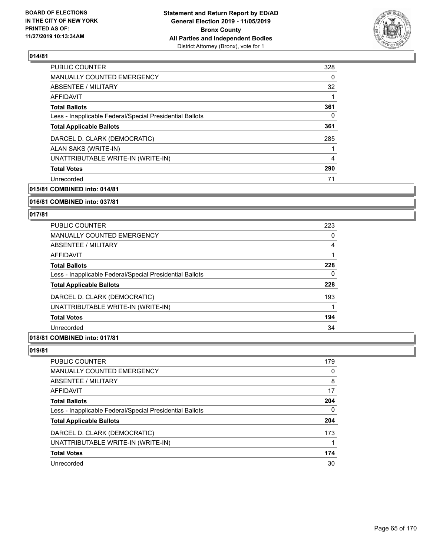

| <b>PUBLIC COUNTER</b>                                    | 328 |
|----------------------------------------------------------|-----|
| MANUALLY COUNTED EMERGENCY                               | 0   |
| ABSENTEE / MILITARY                                      | 32  |
| AFFIDAVIT                                                |     |
| <b>Total Ballots</b>                                     | 361 |
| Less - Inapplicable Federal/Special Presidential Ballots | 0   |
| <b>Total Applicable Ballots</b>                          | 361 |
| DARCEL D. CLARK (DEMOCRATIC)                             | 285 |
| ALAN SAKS (WRITE-IN)                                     |     |
| UNATTRIBUTABLE WRITE-IN (WRITE-IN)                       | 4   |
| <b>Total Votes</b>                                       | 290 |
| Unrecorded                                               | 71  |
|                                                          |     |

**015/81 COMBINED into: 014/81**

**016/81 COMBINED into: 037/81**

#### **017/81**

| PUBLIC COUNTER                                           | 223 |
|----------------------------------------------------------|-----|
| <b>MANUALLY COUNTED EMERGENCY</b>                        | 0   |
| ABSENTEE / MILITARY                                      | 4   |
| <b>AFFIDAVIT</b>                                         |     |
| <b>Total Ballots</b>                                     | 228 |
| Less - Inapplicable Federal/Special Presidential Ballots | 0   |
| <b>Total Applicable Ballots</b>                          | 228 |
| DARCEL D. CLARK (DEMOCRATIC)                             | 193 |
| UNATTRIBUTABLE WRITE-IN (WRITE-IN)                       |     |
| <b>Total Votes</b>                                       | 194 |
| Unrecorded                                               | 34  |
|                                                          |     |

## **018/81 COMBINED into: 017/81**

| PUBLIC COUNTER                                           | 179 |
|----------------------------------------------------------|-----|
| <b>MANUALLY COUNTED EMERGENCY</b>                        | 0   |
| ABSENTEE / MILITARY                                      | 8   |
| AFFIDAVIT                                                | 17  |
| <b>Total Ballots</b>                                     | 204 |
| Less - Inapplicable Federal/Special Presidential Ballots | 0   |
| <b>Total Applicable Ballots</b>                          | 204 |
| DARCEL D. CLARK (DEMOCRATIC)                             | 173 |
| UNATTRIBUTABLE WRITE-IN (WRITE-IN)                       |     |
| <b>Total Votes</b>                                       | 174 |
| Unrecorded                                               | 30  |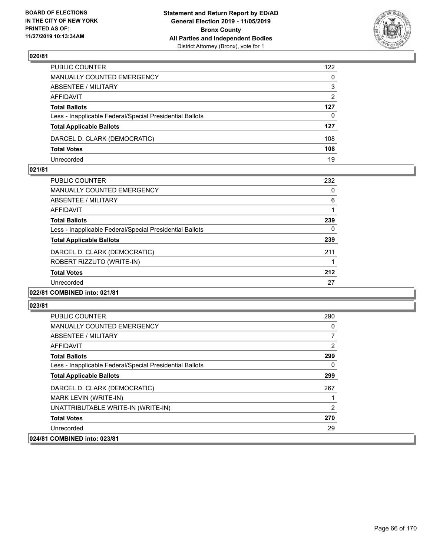

| PUBLIC COUNTER                                           | 122            |
|----------------------------------------------------------|----------------|
| MANUALLY COUNTED EMERGENCY                               | $\mathbf{0}$   |
| ABSENTEE / MILITARY                                      | 3              |
| AFFIDAVIT                                                | $\overline{2}$ |
| <b>Total Ballots</b>                                     | 127            |
| Less - Inapplicable Federal/Special Presidential Ballots | $\Omega$       |
| <b>Total Applicable Ballots</b>                          | 127            |
| DARCEL D. CLARK (DEMOCRATIC)                             | 108            |
| <b>Total Votes</b>                                       | 108            |
| Unrecorded                                               | 19             |

#### **021/81**

| PUBLIC COUNTER                                           | 232 |
|----------------------------------------------------------|-----|
| <b>MANUALLY COUNTED EMERGENCY</b>                        | 0   |
| ABSENTEE / MILITARY                                      | 6   |
| AFFIDAVIT                                                |     |
| <b>Total Ballots</b>                                     | 239 |
| Less - Inapplicable Federal/Special Presidential Ballots | 0   |
| <b>Total Applicable Ballots</b>                          | 239 |
| DARCEL D. CLARK (DEMOCRATIC)                             | 211 |
| ROBERT RIZZUTO (WRITE-IN)                                |     |
| <b>Total Votes</b>                                       | 212 |
| Unrecorded                                               | 27  |
| 022/81 COMBINED into: 021/81                             |     |

| <b>PUBLIC COUNTER</b>                                    | 290 |
|----------------------------------------------------------|-----|
| <b>MANUALLY COUNTED EMERGENCY</b>                        | 0   |
| ABSENTEE / MILITARY                                      | 7   |
| AFFIDAVIT                                                | 2   |
| <b>Total Ballots</b>                                     | 299 |
| Less - Inapplicable Federal/Special Presidential Ballots | 0   |
| <b>Total Applicable Ballots</b>                          | 299 |
| DARCEL D. CLARK (DEMOCRATIC)                             | 267 |
| MARK LEVIN (WRITE-IN)                                    |     |
| UNATTRIBUTABLE WRITE-IN (WRITE-IN)                       | 2   |
| <b>Total Votes</b>                                       | 270 |
| Unrecorded                                               | 29  |
| 024/81 COMBINED into: 023/81                             |     |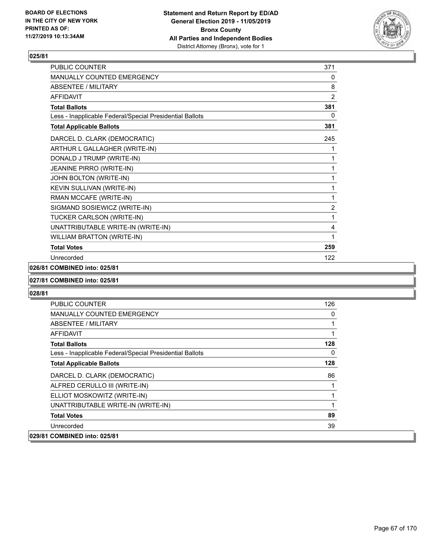

| PUBLIC COUNTER                                           | 371            |
|----------------------------------------------------------|----------------|
| <b>MANUALLY COUNTED EMERGENCY</b>                        | 0              |
| <b>ABSENTEE / MILITARY</b>                               | 8              |
| <b>AFFIDAVIT</b>                                         | 2              |
| <b>Total Ballots</b>                                     | 381            |
| Less - Inapplicable Federal/Special Presidential Ballots | 0              |
| <b>Total Applicable Ballots</b>                          | 381            |
| DARCEL D. CLARK (DEMOCRATIC)                             | 245            |
| ARTHUR L GALLAGHER (WRITE-IN)                            | 1              |
| DONALD J TRUMP (WRITE-IN)                                | 1              |
| JEANINE PIRRO (WRITE-IN)                                 | 1              |
| JOHN BOLTON (WRITE-IN)                                   | 1              |
| KEVIN SULLIVAN (WRITE-IN)                                | 1              |
| RMAN MCCAFE (WRITE-IN)                                   | 1              |
| SIGMAND SOSIEWICZ (WRITE-IN)                             | $\overline{2}$ |
| TUCKER CARLSON (WRITE-IN)                                | 1              |
| UNATTRIBUTABLE WRITE-IN (WRITE-IN)                       | 4              |
| <b>WILLIAM BRATTON (WRITE-IN)</b>                        | 1              |
| <b>Total Votes</b>                                       | 259            |
| Unrecorded                                               | 122            |

#### **026/81 COMBINED into: 025/81**

#### **027/81 COMBINED into: 025/81**

| PUBLIC COUNTER                                           | 126 |
|----------------------------------------------------------|-----|
| MANUALLY COUNTED EMERGENCY                               | 0   |
| ABSENTEE / MILITARY                                      |     |
| AFFIDAVIT                                                | 1   |
| <b>Total Ballots</b>                                     | 128 |
| Less - Inapplicable Federal/Special Presidential Ballots | 0   |
| <b>Total Applicable Ballots</b>                          | 128 |
| DARCEL D. CLARK (DEMOCRATIC)                             | 86  |
| ALFRED CERULLO III (WRITE-IN)                            |     |
| ELLIOT MOSKOWITZ (WRITE-IN)                              |     |
| UNATTRIBUTABLE WRITE-IN (WRITE-IN)                       |     |
| <b>Total Votes</b>                                       | 89  |
| Unrecorded                                               | 39  |
| 029/81 COMBINED into: 025/81                             |     |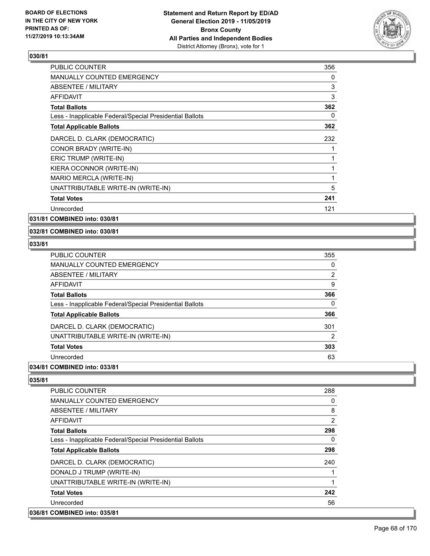

| <b>PUBLIC COUNTER</b>                                    | 356 |
|----------------------------------------------------------|-----|
| <b>MANUALLY COUNTED EMERGENCY</b>                        | 0   |
| ABSENTEE / MILITARY                                      | 3   |
| <b>AFFIDAVIT</b>                                         | 3   |
| <b>Total Ballots</b>                                     | 362 |
| Less - Inapplicable Federal/Special Presidential Ballots | 0   |
| <b>Total Applicable Ballots</b>                          | 362 |
| DARCEL D. CLARK (DEMOCRATIC)                             | 232 |
| CONOR BRADY (WRITE-IN)                                   | 1   |
| ERIC TRUMP (WRITE-IN)                                    | 1   |
| KIERA OCONNOR (WRITE-IN)                                 | 1   |
| MARIO MERCLA (WRITE-IN)                                  | 1   |
| UNATTRIBUTABLE WRITE-IN (WRITE-IN)                       | 5   |
| <b>Total Votes</b>                                       | 241 |
| Unrecorded                                               | 121 |

**031/81 COMBINED into: 030/81**

#### **032/81 COMBINED into: 030/81**

#### **033/81**

| PUBLIC COUNTER                                           | 355            |
|----------------------------------------------------------|----------------|
| <b>MANUALLY COUNTED EMERGENCY</b>                        | 0              |
| ABSENTEE / MILITARY                                      | $\overline{2}$ |
| AFFIDAVIT                                                | 9              |
| <b>Total Ballots</b>                                     | 366            |
| Less - Inapplicable Federal/Special Presidential Ballots | 0              |
| <b>Total Applicable Ballots</b>                          | 366            |
| DARCEL D. CLARK (DEMOCRATIC)                             | 301            |
| UNATTRIBUTABLE WRITE-IN (WRITE-IN)                       | 2              |
| <b>Total Votes</b>                                       | 303            |
| Unrecorded                                               | 63             |

## **034/81 COMBINED into: 033/81**

| <b>PUBLIC COUNTER</b>                                    | 288 |
|----------------------------------------------------------|-----|
| <b>MANUALLY COUNTED EMERGENCY</b>                        | 0   |
| ABSENTEE / MILITARY                                      | 8   |
| AFFIDAVIT                                                | 2   |
| <b>Total Ballots</b>                                     | 298 |
| Less - Inapplicable Federal/Special Presidential Ballots | 0   |
| <b>Total Applicable Ballots</b>                          | 298 |
| DARCEL D. CLARK (DEMOCRATIC)                             | 240 |
| DONALD J TRUMP (WRITE-IN)                                |     |
| UNATTRIBUTABLE WRITE-IN (WRITE-IN)                       |     |
| <b>Total Votes</b>                                       | 242 |
| Unrecorded                                               | 56  |
| 036/81 COMBINED into: 035/81                             |     |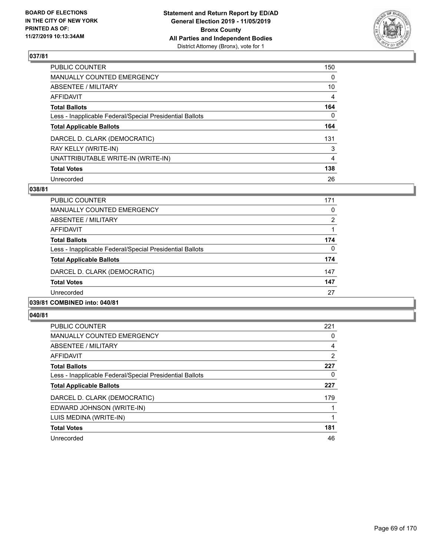

| PUBLIC COUNTER                                           | 150 |
|----------------------------------------------------------|-----|
| <b>MANUALLY COUNTED EMERGENCY</b>                        | 0   |
| <b>ABSENTEE / MILITARY</b>                               | 10  |
| AFFIDAVIT                                                | 4   |
| <b>Total Ballots</b>                                     | 164 |
| Less - Inapplicable Federal/Special Presidential Ballots | 0   |
| <b>Total Applicable Ballots</b>                          | 164 |
| DARCEL D. CLARK (DEMOCRATIC)                             | 131 |
| RAY KELLY (WRITE-IN)                                     | 3   |
| UNATTRIBUTABLE WRITE-IN (WRITE-IN)                       | 4   |
| <b>Total Votes</b>                                       | 138 |
| Unrecorded                                               | 26  |

#### **038/81**

| <b>PUBLIC COUNTER</b>                                    | 171      |
|----------------------------------------------------------|----------|
| <b>MANUALLY COUNTED EMERGENCY</b>                        | $\Omega$ |
| ABSENTEE / MILITARY                                      | 2        |
| AFFIDAVIT                                                |          |
| <b>Total Ballots</b>                                     | 174      |
| Less - Inapplicable Federal/Special Presidential Ballots | $\Omega$ |
| <b>Total Applicable Ballots</b>                          | 174      |
| DARCEL D. CLARK (DEMOCRATIC)                             | 147      |
| <b>Total Votes</b>                                       | 147      |
| Unrecorded                                               | 27       |
| 0.011011000111101011                                     |          |

#### **039/81 COMBINED into: 040/81**

| <b>PUBLIC COUNTER</b>                                    | 221            |
|----------------------------------------------------------|----------------|
| <b>MANUALLY COUNTED EMERGENCY</b>                        | 0              |
| ABSENTEE / MILITARY                                      | 4              |
| <b>AFFIDAVIT</b>                                         | $\overline{2}$ |
| <b>Total Ballots</b>                                     | 227            |
| Less - Inapplicable Federal/Special Presidential Ballots | 0              |
| <b>Total Applicable Ballots</b>                          | 227            |
| DARCEL D. CLARK (DEMOCRATIC)                             | 179            |
| EDWARD JOHNSON (WRITE-IN)                                |                |
| LUIS MEDINA (WRITE-IN)                                   |                |
| <b>Total Votes</b>                                       | 181            |
| Unrecorded                                               | 46             |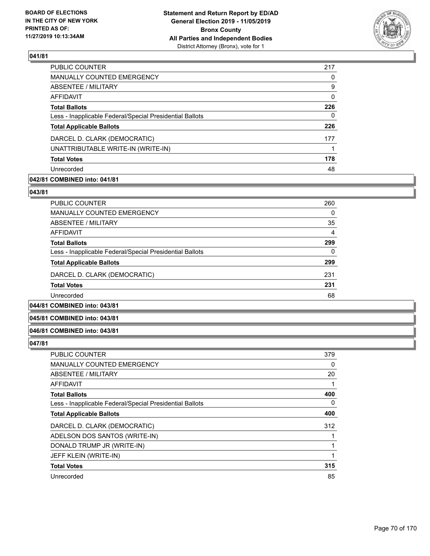

| <b>PUBLIC COUNTER</b>                                    | 217      |
|----------------------------------------------------------|----------|
| <b>MANUALLY COUNTED EMERGENCY</b>                        | 0        |
| ABSENTEE / MILITARY                                      | 9        |
| AFFIDAVIT                                                | $\Omega$ |
| <b>Total Ballots</b>                                     | 226      |
| Less - Inapplicable Federal/Special Presidential Ballots | 0        |
| <b>Total Applicable Ballots</b>                          | 226      |
| DARCEL D. CLARK (DEMOCRATIC)                             | 177      |
| UNATTRIBUTABLE WRITE-IN (WRITE-IN)                       |          |
| <b>Total Votes</b>                                       | 178      |
| Unrecorded                                               | 48       |

### **042/81 COMBINED into: 041/81**

#### **043/81**

| <b>PUBLIC COUNTER</b>                                    | 260 |
|----------------------------------------------------------|-----|
| <b>MANUALLY COUNTED EMERGENCY</b>                        | 0   |
| ABSENTEE / MILITARY                                      | 35  |
| AFFIDAVIT                                                | 4   |
| <b>Total Ballots</b>                                     | 299 |
| Less - Inapplicable Federal/Special Presidential Ballots | 0   |
| <b>Total Applicable Ballots</b>                          | 299 |
| DARCEL D. CLARK (DEMOCRATIC)                             | 231 |
| <b>Total Votes</b>                                       | 231 |
| Unrecorded                                               | 68  |
|                                                          |     |

# **044/81 COMBINED into: 043/81**

## **045/81 COMBINED into: 043/81**

## **046/81 COMBINED into: 043/81**

| <b>PUBLIC COUNTER</b>                                    | 379 |
|----------------------------------------------------------|-----|
| MANUALLY COUNTED EMERGENCY                               | 0   |
| ABSENTEE / MILITARY                                      | 20  |
| AFFIDAVIT                                                |     |
| <b>Total Ballots</b>                                     | 400 |
| Less - Inapplicable Federal/Special Presidential Ballots | 0   |
| <b>Total Applicable Ballots</b>                          | 400 |
| DARCEL D. CLARK (DEMOCRATIC)                             | 312 |
| ADELSON DOS SANTOS (WRITE-IN)                            |     |
| DONALD TRUMP JR (WRITE-IN)                               |     |
| JEFF KLEIN (WRITE-IN)                                    | 1   |
| <b>Total Votes</b>                                       | 315 |
| Unrecorded                                               | 85  |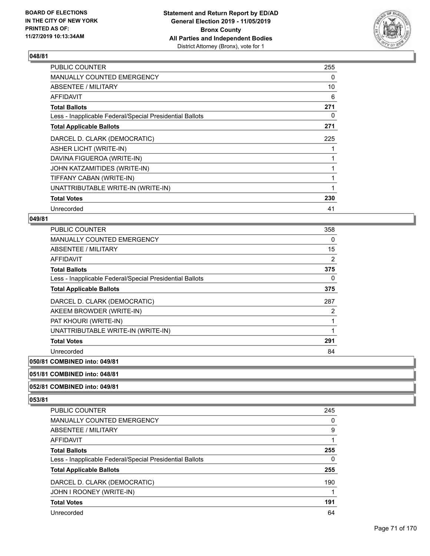

| <b>PUBLIC COUNTER</b>                                    | 255          |
|----------------------------------------------------------|--------------|
| <b>MANUALLY COUNTED EMERGENCY</b>                        | 0            |
| <b>ABSENTEE / MILITARY</b>                               | 10           |
| AFFIDAVIT                                                | 6            |
| <b>Total Ballots</b>                                     | 271          |
| Less - Inapplicable Federal/Special Presidential Ballots | 0            |
| <b>Total Applicable Ballots</b>                          | 271          |
| DARCEL D. CLARK (DEMOCRATIC)                             | 225          |
| <b>ASHER LICHT (WRITE-IN)</b>                            |              |
| DAVINA FIGUEROA (WRITE-IN)                               |              |
| JOHN KATZAMITIDES (WRITE-IN)                             |              |
| TIFFANY CABAN (WRITE-IN)                                 |              |
| UNATTRIBUTABLE WRITE-IN (WRITE-IN)                       | $\mathbf{1}$ |
| <b>Total Votes</b>                                       | 230          |
| Unrecorded                                               | 41           |

#### **049/81**

| <b>PUBLIC COUNTER</b>                                    | 358            |
|----------------------------------------------------------|----------------|
| <b>MANUALLY COUNTED EMERGENCY</b>                        | 0              |
| <b>ABSENTEE / MILITARY</b>                               | 15             |
| <b>AFFIDAVIT</b>                                         | $\overline{2}$ |
| <b>Total Ballots</b>                                     | 375            |
| Less - Inapplicable Federal/Special Presidential Ballots | 0              |
| <b>Total Applicable Ballots</b>                          | 375            |
| DARCEL D. CLARK (DEMOCRATIC)                             | 287            |
| AKEEM BROWDER (WRITE-IN)                                 | 2              |
| PAT KHOURI (WRITE-IN)                                    | 1              |
| UNATTRIBUTABLE WRITE-IN (WRITE-IN)                       | 1              |
| <b>Total Votes</b>                                       | 291            |
| Unrecorded                                               | 84             |
|                                                          |                |

#### **050/81 COMBINED into: 049/81**

#### **051/81 COMBINED into: 048/81**

#### **052/81 COMBINED into: 049/81**

| <b>PUBLIC COUNTER</b>                                    | 245      |
|----------------------------------------------------------|----------|
| <b>MANUALLY COUNTED EMERGENCY</b>                        | $\Omega$ |
| ABSENTEE / MILITARY                                      | 9        |
| AFFIDAVIT                                                |          |
| <b>Total Ballots</b>                                     | 255      |
| Less - Inapplicable Federal/Special Presidential Ballots | 0        |
| <b>Total Applicable Ballots</b>                          | 255      |
| DARCEL D. CLARK (DEMOCRATIC)                             | 190      |
| JOHN I ROONEY (WRITE-IN)                                 |          |
| <b>Total Votes</b>                                       | 191      |
| Unrecorded                                               | 64       |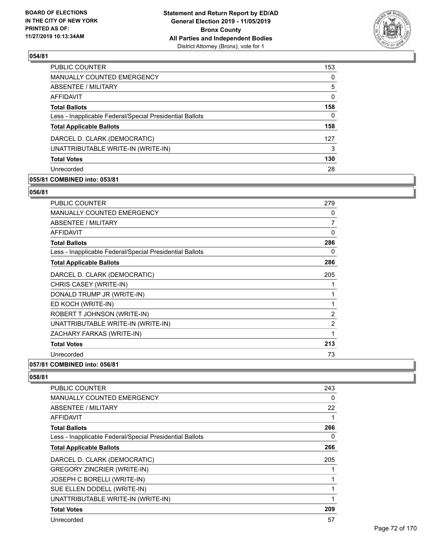

| <b>PUBLIC COUNTER</b>                                    | 153      |
|----------------------------------------------------------|----------|
| <b>MANUALLY COUNTED EMERGENCY</b>                        | 0        |
| ABSENTEE / MILITARY                                      | 5        |
| AFFIDAVIT                                                | $\Omega$ |
| <b>Total Ballots</b>                                     | 158      |
| Less - Inapplicable Federal/Special Presidential Ballots | 0        |
| <b>Total Applicable Ballots</b>                          | 158      |
| DARCEL D. CLARK (DEMOCRATIC)                             | 127      |
| UNATTRIBUTABLE WRITE-IN (WRITE-IN)                       | 3        |
| <b>Total Votes</b>                                       | 130      |
| Unrecorded                                               | 28       |

## **055/81 COMBINED into: 053/81**

#### **056/81**

| <b>PUBLIC COUNTER</b>                                    | 279            |
|----------------------------------------------------------|----------------|
| <b>MANUALLY COUNTED EMERGENCY</b>                        | 0              |
| ABSENTEE / MILITARY                                      | 7              |
| <b>AFFIDAVIT</b>                                         | $\Omega$       |
| <b>Total Ballots</b>                                     | 286            |
| Less - Inapplicable Federal/Special Presidential Ballots | 0              |
| <b>Total Applicable Ballots</b>                          | 286            |
| DARCEL D. CLARK (DEMOCRATIC)                             | 205            |
| CHRIS CASEY (WRITE-IN)                                   |                |
| DONALD TRUMP JR (WRITE-IN)                               |                |
| ED KOCH (WRITE-IN)                                       | 1              |
| ROBERT T JOHNSON (WRITE-IN)                              | 2              |
| UNATTRIBUTABLE WRITE-IN (WRITE-IN)                       | $\overline{2}$ |
| ZACHARY FARKAS (WRITE-IN)                                | 1              |
| <b>Total Votes</b>                                       | 213            |
| Unrecorded                                               | 73             |

# **057/81 COMBINED into: 056/81**

| <b>PUBLIC COUNTER</b>                                    | 243 |
|----------------------------------------------------------|-----|
| <b>MANUALLY COUNTED EMERGENCY</b>                        | 0   |
| ABSENTEE / MILITARY                                      | 22  |
| AFFIDAVIT                                                |     |
| <b>Total Ballots</b>                                     | 266 |
| Less - Inapplicable Federal/Special Presidential Ballots | 0   |
| <b>Total Applicable Ballots</b>                          | 266 |
| DARCEL D. CLARK (DEMOCRATIC)                             | 205 |
| <b>GREGORY ZINCRIER (WRITE-IN)</b>                       |     |
| JOSEPH C BORELLI (WRITE-IN)                              |     |
| SUE ELLEN DODELL (WRITE-IN)                              |     |
| UNATTRIBUTABLE WRITE-IN (WRITE-IN)                       |     |
| <b>Total Votes</b>                                       | 209 |
| Unrecorded                                               | 57  |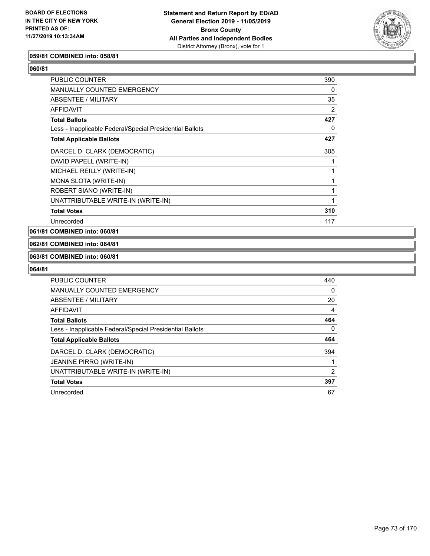

#### **059/81 COMBINED into: 058/81**

**060/81** 

| PUBLIC COUNTER                                           | 390 |
|----------------------------------------------------------|-----|
| <b>MANUALLY COUNTED EMERGENCY</b>                        | 0   |
| ABSENTEE / MILITARY                                      | 35  |
| AFFIDAVIT                                                | 2   |
| <b>Total Ballots</b>                                     | 427 |
| Less - Inapplicable Federal/Special Presidential Ballots | 0   |
| <b>Total Applicable Ballots</b>                          | 427 |
| DARCEL D. CLARK (DEMOCRATIC)                             | 305 |
| DAVID PAPELL (WRITE-IN)                                  |     |
| MICHAEL REILLY (WRITE-IN)                                |     |
| MONA SLOTA (WRITE-IN)                                    |     |
| ROBERT SIANO (WRITE-IN)                                  |     |
| UNATTRIBUTABLE WRITE-IN (WRITE-IN)                       |     |
| <b>Total Votes</b>                                       | 310 |
| Unrecorded                                               | 117 |

**061/81 COMBINED into: 060/81**

**062/81 COMBINED into: 064/81**

#### **063/81 COMBINED into: 060/81**

| <b>PUBLIC COUNTER</b>                                    | 440 |
|----------------------------------------------------------|-----|
| <b>MANUALLY COUNTED EMERGENCY</b>                        | 0   |
| ABSENTEE / MILITARY                                      | 20  |
| AFFIDAVIT                                                | 4   |
| <b>Total Ballots</b>                                     | 464 |
| Less - Inapplicable Federal/Special Presidential Ballots | 0   |
| <b>Total Applicable Ballots</b>                          | 464 |
| DARCEL D. CLARK (DEMOCRATIC)                             | 394 |
| <b>JEANINE PIRRO (WRITE-IN)</b>                          |     |
| UNATTRIBUTABLE WRITE-IN (WRITE-IN)                       | 2   |
| <b>Total Votes</b>                                       | 397 |
| Unrecorded                                               | 67  |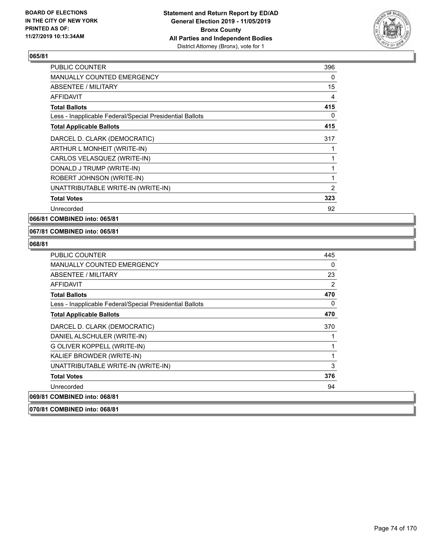

| <b>PUBLIC COUNTER</b>                                    | 396 |
|----------------------------------------------------------|-----|
| <b>MANUALLY COUNTED EMERGENCY</b>                        | 0   |
| <b>ABSENTEE / MILITARY</b>                               | 15  |
| <b>AFFIDAVIT</b>                                         | 4   |
| <b>Total Ballots</b>                                     | 415 |
| Less - Inapplicable Federal/Special Presidential Ballots | 0   |
| <b>Total Applicable Ballots</b>                          | 415 |
| DARCEL D. CLARK (DEMOCRATIC)                             | 317 |
| ARTHUR L MONHEIT (WRITE-IN)                              | 1   |
| CARLOS VELASQUEZ (WRITE-IN)                              | 1   |
| DONALD J TRUMP (WRITE-IN)                                | 1   |
| ROBERT JOHNSON (WRITE-IN)                                | 1   |
| UNATTRIBUTABLE WRITE-IN (WRITE-IN)                       | 2   |
| <b>Total Votes</b>                                       | 323 |
| Unrecorded                                               | 92  |

**066/81 COMBINED into: 065/81**

#### **067/81 COMBINED into: 065/81**

| <b>PUBLIC COUNTER</b>                                    | 445 |
|----------------------------------------------------------|-----|
| <b>MANUALLY COUNTED EMERGENCY</b>                        | 0   |
| ABSENTEE / MILITARY                                      | 23  |
| <b>AFFIDAVIT</b>                                         | 2   |
| <b>Total Ballots</b>                                     | 470 |
| Less - Inapplicable Federal/Special Presidential Ballots | 0   |
| <b>Total Applicable Ballots</b>                          | 470 |
| DARCEL D. CLARK (DEMOCRATIC)                             | 370 |
| DANIEL ALSCHULER (WRITE-IN)                              |     |
| G OLIVER KOPPELL (WRITE-IN)                              |     |
| KALIEF BROWDER (WRITE-IN)                                | 1   |
| UNATTRIBUTABLE WRITE-IN (WRITE-IN)                       | 3   |
| <b>Total Votes</b>                                       | 376 |
| Unrecorded                                               | 94  |
| 069/81 COMBINED into: 068/81                             |     |
| 070/81 COMBINED into: 068/81                             |     |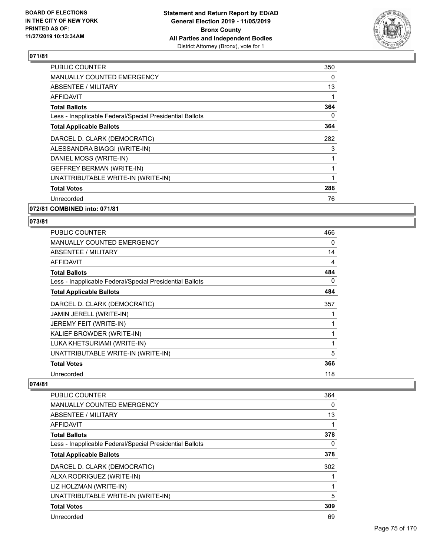

| <b>PUBLIC COUNTER</b>                                    | 350 |
|----------------------------------------------------------|-----|
| <b>MANUALLY COUNTED EMERGENCY</b>                        | 0   |
| ABSENTEE / MILITARY                                      | 13  |
| <b>AFFIDAVIT</b>                                         | 1   |
| <b>Total Ballots</b>                                     | 364 |
| Less - Inapplicable Federal/Special Presidential Ballots | 0   |
| <b>Total Applicable Ballots</b>                          | 364 |
| DARCEL D. CLARK (DEMOCRATIC)                             | 282 |
| ALESSANDRA BIAGGI (WRITE-IN)                             | 3   |
| DANIEL MOSS (WRITE-IN)                                   | 1   |
| <b>GEFFREY BERMAN (WRITE-IN)</b>                         |     |
| UNATTRIBUTABLE WRITE-IN (WRITE-IN)                       |     |
| <b>Total Votes</b>                                       | 288 |
| Unrecorded                                               | 76  |
| 072/81 COMBINED into: 071/81                             |     |

## **073/81**

| PUBLIC COUNTER                                           | 466 |
|----------------------------------------------------------|-----|
| MANUALLY COUNTED EMERGENCY                               | 0   |
| <b>ABSENTEE / MILITARY</b>                               | 14  |
| <b>AFFIDAVIT</b>                                         | 4   |
| <b>Total Ballots</b>                                     | 484 |
| Less - Inapplicable Federal/Special Presidential Ballots | 0   |
| <b>Total Applicable Ballots</b>                          | 484 |
| DARCEL D. CLARK (DEMOCRATIC)                             | 357 |
| JAMIN JERELL (WRITE-IN)                                  |     |
| JEREMY FEIT (WRITE-IN)                                   | 1   |
| KALIEF BROWDER (WRITE-IN)                                | 1   |
| LUKA KHETSURIAMI (WRITE-IN)                              | 1   |
| UNATTRIBUTABLE WRITE-IN (WRITE-IN)                       | 5   |
| <b>Total Votes</b>                                       | 366 |
| Unrecorded                                               | 118 |
|                                                          |     |

| <b>PUBLIC COUNTER</b>                                    | 364      |
|----------------------------------------------------------|----------|
| <b>MANUALLY COUNTED EMERGENCY</b>                        | 0        |
| ABSENTEE / MILITARY                                      | 13       |
| AFFIDAVIT                                                | 1        |
| <b>Total Ballots</b>                                     | 378      |
| Less - Inapplicable Federal/Special Presidential Ballots | $\Omega$ |
| <b>Total Applicable Ballots</b>                          | 378      |
| DARCEL D. CLARK (DEMOCRATIC)                             | 302      |
| ALXA RODRIGUEZ (WRITE-IN)                                |          |
| LIZ HOLZMAN (WRITE-IN)                                   | 1        |
| UNATTRIBUTABLE WRITE-IN (WRITE-IN)                       | 5        |
| <b>Total Votes</b>                                       | 309      |
| Unrecorded                                               | 69       |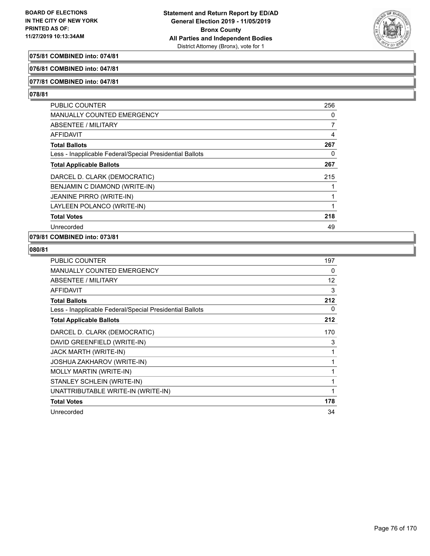

## **075/81 COMBINED into: 074/81**

#### **076/81 COMBINED into: 047/81**

### **077/81 COMBINED into: 047/81**

### **078/81**

| <b>PUBLIC COUNTER</b>                                    | 256 |
|----------------------------------------------------------|-----|
| <b>MANUALLY COUNTED EMERGENCY</b>                        | 0   |
| ABSENTEE / MILITARY                                      | 7   |
| AFFIDAVIT                                                | 4   |
| <b>Total Ballots</b>                                     | 267 |
| Less - Inapplicable Federal/Special Presidential Ballots | 0   |
| <b>Total Applicable Ballots</b>                          | 267 |
| DARCEL D. CLARK (DEMOCRATIC)                             | 215 |
| BENJAMIN C DIAMOND (WRITE-IN)                            |     |
| <b>JEANINE PIRRO (WRITE-IN)</b>                          |     |
| LAYLEEN POLANCO (WRITE-IN)                               |     |
| <b>Total Votes</b>                                       | 218 |
| Unrecorded                                               | 49  |

## **079/81 COMBINED into: 073/81**

| <b>PUBLIC COUNTER</b>                                    | 197 |
|----------------------------------------------------------|-----|
| <b>MANUALLY COUNTED EMERGENCY</b>                        | 0   |
| ABSENTEE / MILITARY                                      | 12  |
| <b>AFFIDAVIT</b>                                         | 3   |
| <b>Total Ballots</b>                                     | 212 |
| Less - Inapplicable Federal/Special Presidential Ballots | 0   |
| <b>Total Applicable Ballots</b>                          | 212 |
| DARCEL D. CLARK (DEMOCRATIC)                             | 170 |
| DAVID GREENFIELD (WRITE-IN)                              | 3   |
| JACK MARTH (WRITE-IN)                                    |     |
| JOSHUA ZAKHAROV (WRITE-IN)                               |     |
| <b>MOLLY MARTIN (WRITE-IN)</b>                           | 1   |
| STANLEY SCHLEIN (WRITE-IN)                               |     |
| UNATTRIBUTABLE WRITE-IN (WRITE-IN)                       |     |
| <b>Total Votes</b>                                       | 178 |
| Unrecorded                                               | 34  |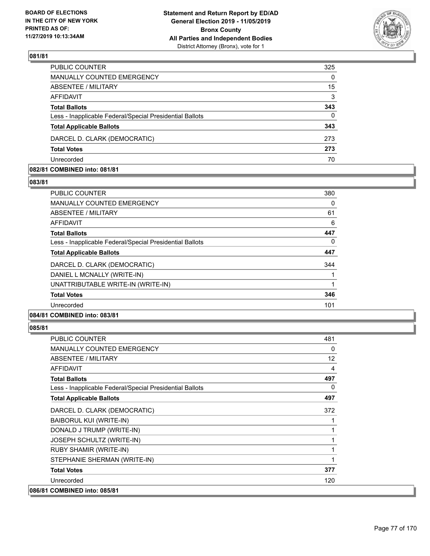

| PUBLIC COUNTER                                           | 325      |
|----------------------------------------------------------|----------|
| <b>MANUALLY COUNTED EMERGENCY</b>                        | $\Omega$ |
| ABSENTEE / MILITARY                                      | 15       |
| AFFIDAVIT                                                | 3        |
| <b>Total Ballots</b>                                     | 343      |
| Less - Inapplicable Federal/Special Presidential Ballots | $\Omega$ |
| <b>Total Applicable Ballots</b>                          | 343      |
| DARCEL D. CLARK (DEMOCRATIC)                             | 273      |
| <b>Total Votes</b>                                       | 273      |
| Unrecorded                                               | 70       |

#### **082/81 COMBINED into: 081/81**

#### **083/81**

| <b>PUBLIC COUNTER</b>                                    | 380 |
|----------------------------------------------------------|-----|
| <b>MANUALLY COUNTED EMERGENCY</b>                        | 0   |
| ABSENTEE / MILITARY                                      | 61  |
| AFFIDAVIT                                                | 6   |
| <b>Total Ballots</b>                                     | 447 |
| Less - Inapplicable Federal/Special Presidential Ballots | 0   |
| <b>Total Applicable Ballots</b>                          | 447 |
| DARCEL D. CLARK (DEMOCRATIC)                             | 344 |
| DANIEL L MCNALLY (WRITE-IN)                              |     |
| UNATTRIBUTABLE WRITE-IN (WRITE-IN)                       |     |
| <b>Total Votes</b>                                       | 346 |
| Unrecorded                                               | 101 |
| A                                                        |     |

## **084/81 COMBINED into: 083/81**

| <b>PUBLIC COUNTER</b>                                    | 481 |
|----------------------------------------------------------|-----|
| <b>MANUALLY COUNTED EMERGENCY</b>                        | 0   |
| ABSENTEE / MILITARY                                      | 12  |
| <b>AFFIDAVIT</b>                                         | 4   |
| <b>Total Ballots</b>                                     | 497 |
| Less - Inapplicable Federal/Special Presidential Ballots | 0   |
| <b>Total Applicable Ballots</b>                          | 497 |
| DARCEL D. CLARK (DEMOCRATIC)                             | 372 |
| <b>BAIBORUL KUI (WRITE-IN)</b>                           |     |
| DONALD J TRUMP (WRITE-IN)                                | 1   |
| JOSEPH SCHULTZ (WRITE-IN)                                | 1   |
| RUBY SHAMIR (WRITE-IN)                                   | 1   |
| STEPHANIE SHERMAN (WRITE-IN)                             |     |
| <b>Total Votes</b>                                       | 377 |
| Unrecorded                                               | 120 |
| 086/81 COMBINED into: 085/81                             |     |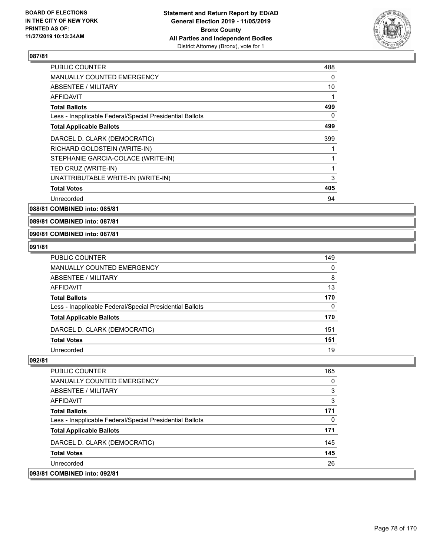

| <b>PUBLIC COUNTER</b>                                    | 488 |
|----------------------------------------------------------|-----|
| <b>MANUALLY COUNTED EMERGENCY</b>                        | 0   |
| <b>ABSENTEE / MILITARY</b>                               | 10  |
| AFFIDAVIT                                                |     |
| <b>Total Ballots</b>                                     | 499 |
| Less - Inapplicable Federal/Special Presidential Ballots | 0   |
| <b>Total Applicable Ballots</b>                          | 499 |
| DARCEL D. CLARK (DEMOCRATIC)                             | 399 |
| RICHARD GOLDSTEIN (WRITE-IN)                             |     |
| STEPHANIE GARCIA-COLACE (WRITE-IN)                       | 1   |
| TED CRUZ (WRITE-IN)                                      | 1   |
| UNATTRIBUTABLE WRITE-IN (WRITE-IN)                       | 3   |
| <b>Total Votes</b>                                       | 405 |
| Unrecorded                                               | 94  |

**088/81 COMBINED into: 085/81**

**089/81 COMBINED into: 087/81**

#### **090/81 COMBINED into: 087/81**

#### **091/81**

| PUBLIC COUNTER                                           | 149      |
|----------------------------------------------------------|----------|
| MANUALLY COUNTED EMERGENCY                               | 0        |
| ABSENTEE / MILITARY                                      | 8        |
| AFFIDAVIT                                                | 13       |
| Total Ballots                                            | 170      |
| Less - Inapplicable Federal/Special Presidential Ballots | $\Omega$ |
| <b>Total Applicable Ballots</b>                          | 170      |
| DARCEL D. CLARK (DEMOCRATIC)                             | 151      |
| <b>Total Votes</b>                                       | 151      |
| Unrecorded                                               | 19       |

| 093/81 COMBINED into: 092/81                             |     |
|----------------------------------------------------------|-----|
| Unrecorded                                               | 26  |
| <b>Total Votes</b>                                       | 145 |
| DARCEL D. CLARK (DEMOCRATIC)                             | 145 |
| <b>Total Applicable Ballots</b>                          | 171 |
| Less - Inapplicable Federal/Special Presidential Ballots | 0   |
| <b>Total Ballots</b>                                     | 171 |
| AFFIDAVIT                                                | 3   |
| ABSENTEE / MILITARY                                      | 3   |
| <b>MANUALLY COUNTED EMERGENCY</b>                        | 0   |
| <b>PUBLIC COUNTER</b>                                    | 165 |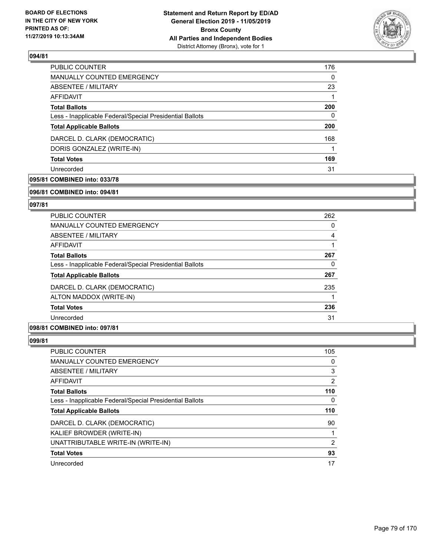

| PUBLIC COUNTER                                           | 176 |
|----------------------------------------------------------|-----|
| <b>MANUALLY COUNTED EMERGENCY</b>                        | 0   |
| ABSENTEE / MILITARY                                      | 23  |
| AFFIDAVIT                                                |     |
| <b>Total Ballots</b>                                     | 200 |
| Less - Inapplicable Federal/Special Presidential Ballots | 0   |
| <b>Total Applicable Ballots</b>                          | 200 |
| DARCEL D. CLARK (DEMOCRATIC)                             | 168 |
| DORIS GONZALEZ (WRITE-IN)                                |     |
| <b>Total Votes</b>                                       | 169 |
| Unrecorded                                               | 31  |
|                                                          |     |

## **095/81 COMBINED into: 033/78**

#### **096/81 COMBINED into: 094/81**

## **097/81**

| <b>PUBLIC COUNTER</b>                                    | 262 |
|----------------------------------------------------------|-----|
| <b>MANUALLY COUNTED EMERGENCY</b>                        | 0   |
| ABSENTEE / MILITARY                                      | 4   |
| AFFIDAVIT                                                |     |
| <b>Total Ballots</b>                                     | 267 |
| Less - Inapplicable Federal/Special Presidential Ballots | 0   |
| <b>Total Applicable Ballots</b>                          | 267 |
| DARCEL D. CLARK (DEMOCRATIC)                             | 235 |
| ALTON MADDOX (WRITE-IN)                                  |     |
| <b>Total Votes</b>                                       | 236 |
| Unrecorded                                               | 31  |
|                                                          |     |

## **098/81 COMBINED into: 097/81**

| <b>PUBLIC COUNTER</b>                                    | 105 |
|----------------------------------------------------------|-----|
| <b>MANUALLY COUNTED EMERGENCY</b>                        | 0   |
| <b>ABSENTEE / MILITARY</b>                               | 3   |
| AFFIDAVIT                                                | 2   |
| <b>Total Ballots</b>                                     | 110 |
| Less - Inapplicable Federal/Special Presidential Ballots | 0   |
| <b>Total Applicable Ballots</b>                          | 110 |
|                                                          |     |
| DARCEL D. CLARK (DEMOCRATIC)                             | 90  |
| KALIEF BROWDER (WRITE-IN)                                |     |
| UNATTRIBUTABLE WRITE-IN (WRITE-IN)                       | 2   |
| <b>Total Votes</b>                                       | 93  |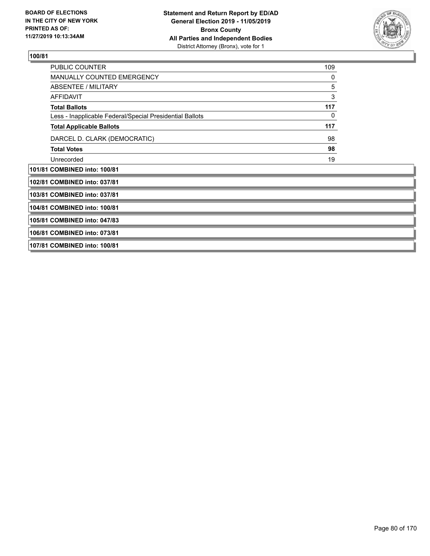

| PUBLIC COUNTER                                           | 109 |
|----------------------------------------------------------|-----|
| <b>MANUALLY COUNTED EMERGENCY</b>                        | 0   |
| ABSENTEE / MILITARY                                      | 5   |
| <b>AFFIDAVIT</b>                                         | 3   |
| <b>Total Ballots</b>                                     | 117 |
| Less - Inapplicable Federal/Special Presidential Ballots | 0   |
| <b>Total Applicable Ballots</b>                          | 117 |
| DARCEL D. CLARK (DEMOCRATIC)                             | 98  |
| <b>Total Votes</b>                                       | 98  |
| Unrecorded                                               | 19  |
| 101/81 COMBINED into: 100/81                             |     |
| 102/81 COMBINED into: 037/81                             |     |
| 103/81 COMBINED into: 037/81                             |     |
| 104/81 COMBINED into: 100/81                             |     |
| 105/81 COMBINED into: 047/83                             |     |
| 106/81 COMBINED into: 073/81                             |     |
| 107/81 COMBINED into: 100/81                             |     |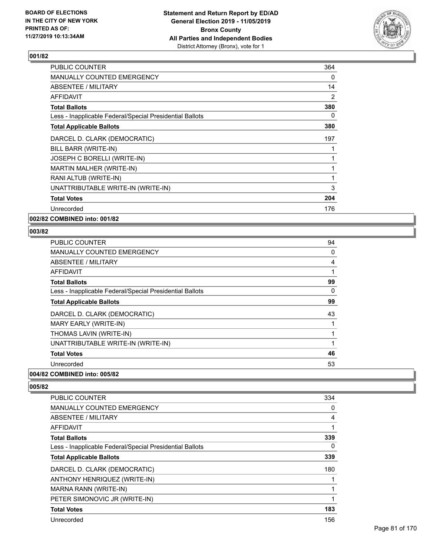

| 364 |
|-----|
| 0   |
| 14  |
| 2   |
| 380 |
| 0   |
| 380 |
| 197 |
|     |
|     |
|     |
| 1   |
| 3   |
| 204 |
| 176 |
|     |

**002/82 COMBINED into: 001/82**

## **003/82**

| <b>PUBLIC COUNTER</b>                                    | 94 |
|----------------------------------------------------------|----|
| <b>MANUALLY COUNTED EMERGENCY</b>                        | 0  |
| ABSENTEE / MILITARY                                      | 4  |
| AFFIDAVIT                                                | 1  |
| <b>Total Ballots</b>                                     | 99 |
| Less - Inapplicable Federal/Special Presidential Ballots | 0  |
| <b>Total Applicable Ballots</b>                          | 99 |
| DARCEL D. CLARK (DEMOCRATIC)                             | 43 |
| MARY EARLY (WRITE-IN)                                    |    |
| THOMAS LAVIN (WRITE-IN)                                  |    |
| UNATTRIBUTABLE WRITE-IN (WRITE-IN)                       | 1  |
| <b>Total Votes</b>                                       | 46 |
| Unrecorded                                               | 53 |
| 004/82 COMBINED into: 005/82                             |    |

| <b>PUBLIC COUNTER</b>                                    | 334 |
|----------------------------------------------------------|-----|
| <b>MANUALLY COUNTED EMERGENCY</b>                        | 0   |
| ABSENTEE / MILITARY                                      | 4   |
| <b>AFFIDAVIT</b>                                         |     |
| <b>Total Ballots</b>                                     | 339 |
| Less - Inapplicable Federal/Special Presidential Ballots | 0   |
| <b>Total Applicable Ballots</b>                          | 339 |
| DARCEL D. CLARK (DEMOCRATIC)                             | 180 |
| ANTHONY HENRIQUEZ (WRITE-IN)                             |     |
| MARNA RANN (WRITE-IN)                                    |     |
| PETER SIMONOVIC JR (WRITE-IN)                            |     |
| <b>Total Votes</b>                                       | 183 |
| Unrecorded                                               | 156 |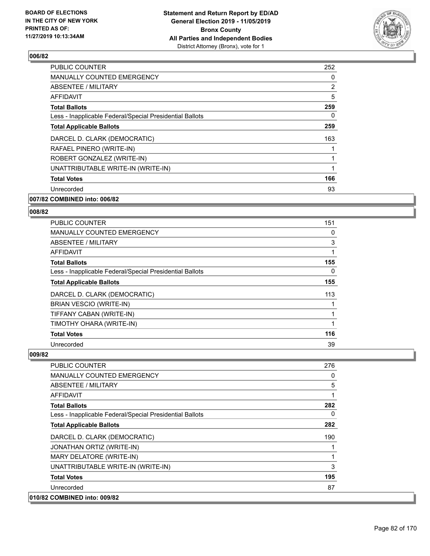

| <b>PUBLIC COUNTER</b>                                    | 252      |
|----------------------------------------------------------|----------|
| <b>MANUALLY COUNTED EMERGENCY</b>                        | $\Omega$ |
| ABSENTEE / MILITARY                                      | 2        |
| AFFIDAVIT                                                | 5        |
| <b>Total Ballots</b>                                     | 259      |
| Less - Inapplicable Federal/Special Presidential Ballots | $\Omega$ |
| <b>Total Applicable Ballots</b>                          | 259      |
| DARCEL D. CLARK (DEMOCRATIC)                             | 163      |
| RAFAEL PINERO (WRITE-IN)                                 |          |
| ROBERT GONZALEZ (WRITE-IN)                               |          |
| UNATTRIBUTABLE WRITE-IN (WRITE-IN)                       |          |
| <b>Total Votes</b>                                       | 166      |
| Unrecorded                                               | 93       |
| 007/82 COMBINED into: 006/82                             |          |

## **008/82**

| <b>PUBLIC COUNTER</b>                                    | 151      |
|----------------------------------------------------------|----------|
| <b>MANUALLY COUNTED EMERGENCY</b>                        | 0        |
| ABSENTEE / MILITARY                                      | 3        |
| AFFIDAVIT                                                |          |
| <b>Total Ballots</b>                                     | 155      |
| Less - Inapplicable Federal/Special Presidential Ballots | $\Omega$ |
| <b>Total Applicable Ballots</b>                          | 155      |
| DARCEL D. CLARK (DEMOCRATIC)                             | 113      |
| <b>BRIAN VESCIO (WRITE-IN)</b>                           |          |
| TIFFANY CABAN (WRITE-IN)                                 |          |
| TIMOTHY OHARA (WRITE-IN)                                 |          |
| <b>Total Votes</b>                                       | 116      |
| Unrecorded                                               | 39       |

| PUBLIC COUNTER                                           | 276      |
|----------------------------------------------------------|----------|
| <b>MANUALLY COUNTED EMERGENCY</b>                        | $\Omega$ |
| ABSENTEE / MILITARY                                      | 5        |
| <b>AFFIDAVIT</b>                                         | 1        |
| <b>Total Ballots</b>                                     | 282      |
| Less - Inapplicable Federal/Special Presidential Ballots | $\Omega$ |
| <b>Total Applicable Ballots</b>                          | 282      |
| DARCEL D. CLARK (DEMOCRATIC)                             | 190      |
| JONATHAN ORTIZ (WRITE-IN)                                |          |
| MARY DELATORE (WRITE-IN)                                 |          |
| UNATTRIBUTABLE WRITE-IN (WRITE-IN)                       | 3        |
| <b>Total Votes</b>                                       | 195      |
| Unrecorded                                               | 87       |
| 010/82 COMBINED into: 009/82                             |          |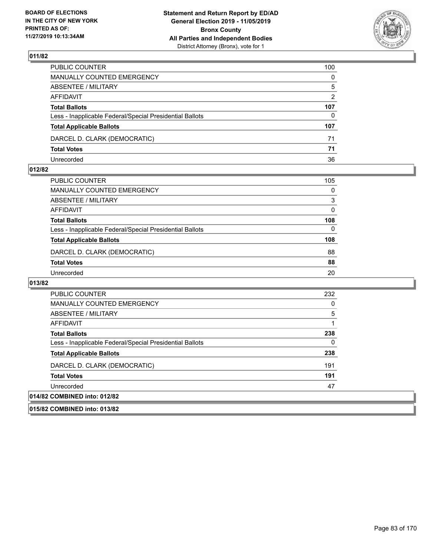

| PUBLIC COUNTER                                           | 100           |
|----------------------------------------------------------|---------------|
| MANUALLY COUNTED EMERGENCY                               | $\mathbf{0}$  |
| ABSENTEE / MILITARY                                      | 5             |
| AFFIDAVIT                                                | $\mathcal{P}$ |
| <b>Total Ballots</b>                                     | 107           |
| Less - Inapplicable Federal/Special Presidential Ballots | 0             |
| <b>Total Applicable Ballots</b>                          | 107           |
| DARCEL D. CLARK (DEMOCRATIC)                             | 71            |
| <b>Total Votes</b>                                       | 71            |
| Unrecorded                                               | 36            |

#### **012/82**

| PUBLIC COUNTER                                           | 105      |
|----------------------------------------------------------|----------|
| <b>MANUALLY COUNTED EMERGENCY</b>                        | $\Omega$ |
| ABSENTEE / MILITARY                                      | 3        |
| AFFIDAVIT                                                | $\Omega$ |
| <b>Total Ballots</b>                                     | 108      |
| Less - Inapplicable Federal/Special Presidential Ballots | 0        |
| <b>Total Applicable Ballots</b>                          | 108      |
| DARCEL D. CLARK (DEMOCRATIC)                             | 88       |
| <b>Total Votes</b>                                       | 88       |
| Unrecorded                                               | 20       |

| PUBLIC COUNTER                                           | 232 |
|----------------------------------------------------------|-----|
| <b>MANUALLY COUNTED EMERGENCY</b>                        | 0   |
| ABSENTEE / MILITARY                                      | 5   |
| AFFIDAVIT                                                |     |
| <b>Total Ballots</b>                                     | 238 |
| Less - Inapplicable Federal/Special Presidential Ballots | 0   |
| <b>Total Applicable Ballots</b>                          | 238 |
| DARCEL D. CLARK (DEMOCRATIC)                             | 191 |
| <b>Total Votes</b>                                       | 191 |
| Unrecorded                                               | 47  |
| 014/82 COMBINED into: 012/82                             |     |
| 015/82 COMBINED into: 013/82                             |     |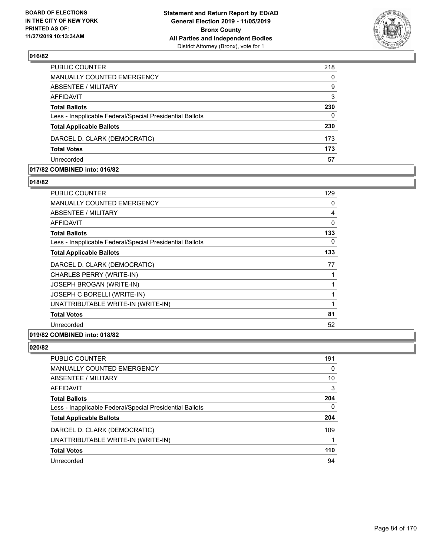

| PUBLIC COUNTER                                           | 218      |
|----------------------------------------------------------|----------|
| MANUALLY COUNTED EMERGENCY                               | $\Omega$ |
| <b>ABSENTEE / MILITARY</b>                               | 9        |
| AFFIDAVIT                                                | 3        |
| <b>Total Ballots</b>                                     | 230      |
| Less - Inapplicable Federal/Special Presidential Ballots | $\Omega$ |
| <b>Total Applicable Ballots</b>                          | 230      |
| DARCEL D. CLARK (DEMOCRATIC)                             | 173      |
| <b>Total Votes</b>                                       | 173      |
| Unrecorded                                               | 57       |

#### **017/82 COMBINED into: 016/82**

#### **018/82**

| PUBLIC COUNTER                                           | 129 |
|----------------------------------------------------------|-----|
| <b>MANUALLY COUNTED EMERGENCY</b>                        | 0   |
| ABSENTEE / MILITARY                                      | 4   |
| <b>AFFIDAVIT</b>                                         | 0   |
| <b>Total Ballots</b>                                     | 133 |
| Less - Inapplicable Federal/Special Presidential Ballots | 0   |
| <b>Total Applicable Ballots</b>                          | 133 |
| DARCEL D. CLARK (DEMOCRATIC)                             | 77  |
| CHARLES PERRY (WRITE-IN)                                 | 1   |
| <b>JOSEPH BROGAN (WRITE-IN)</b>                          | 1   |
| JOSEPH C BORELLI (WRITE-IN)                              | 1   |
| UNATTRIBUTABLE WRITE-IN (WRITE-IN)                       | 1   |
| <b>Total Votes</b>                                       | 81  |
| Unrecorded                                               | 52  |
|                                                          |     |

## **019/82 COMBINED into: 018/82**

| PUBLIC COUNTER                                           | 191 |
|----------------------------------------------------------|-----|
| <b>MANUALLY COUNTED EMERGENCY</b>                        | 0   |
| ABSENTEE / MILITARY                                      | 10  |
| AFFIDAVIT                                                | 3   |
| <b>Total Ballots</b>                                     | 204 |
| Less - Inapplicable Federal/Special Presidential Ballots | 0   |
| <b>Total Applicable Ballots</b>                          | 204 |
| DARCEL D. CLARK (DEMOCRATIC)                             | 109 |
| UNATTRIBUTABLE WRITE-IN (WRITE-IN)                       |     |
| <b>Total Votes</b>                                       | 110 |
| Unrecorded                                               | 94  |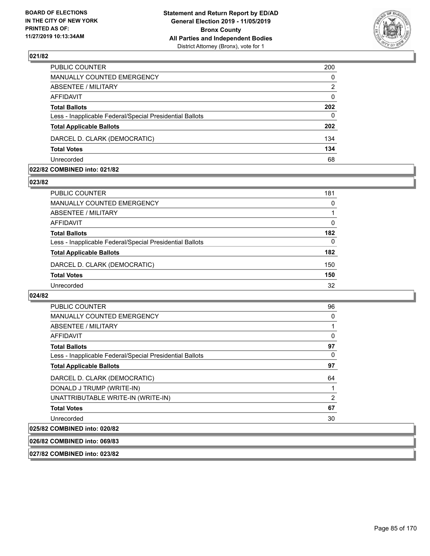

| PUBLIC COUNTER                                           | 200      |
|----------------------------------------------------------|----------|
| MANUALLY COUNTED EMERGENCY                               | $\Omega$ |
| <b>ABSENTEE / MILITARY</b>                               | 2        |
| AFFIDAVIT                                                | $\Omega$ |
| <b>Total Ballots</b>                                     | 202      |
| Less - Inapplicable Federal/Special Presidential Ballots | $\Omega$ |
| <b>Total Applicable Ballots</b>                          | 202      |
| DARCEL D. CLARK (DEMOCRATIC)                             | 134      |
| <b>Total Votes</b>                                       | 134      |
| Unrecorded                                               | 68       |

#### **022/82 COMBINED into: 021/82**

#### **023/82**

| PUBLIC COUNTER                                           | 181 |
|----------------------------------------------------------|-----|
| MANUALLY COUNTED EMERGENCY                               | 0   |
| ABSENTEE / MILITARY                                      |     |
| AFFIDAVIT                                                | 0   |
| <b>Total Ballots</b>                                     | 182 |
| Less - Inapplicable Federal/Special Presidential Ballots | 0   |
| <b>Total Applicable Ballots</b>                          | 182 |
| DARCEL D. CLARK (DEMOCRATIC)                             | 150 |
| <b>Total Votes</b>                                       | 150 |
| Unrecorded                                               | 32  |

## **024/82**

| <b>PUBLIC COUNTER</b>                                    | 96 |
|----------------------------------------------------------|----|
| <b>MANUALLY COUNTED EMERGENCY</b>                        | 0  |
| ABSENTEE / MILITARY                                      |    |
| <b>AFFIDAVIT</b>                                         | 0  |
| <b>Total Ballots</b>                                     | 97 |
| Less - Inapplicable Federal/Special Presidential Ballots | 0  |
| <b>Total Applicable Ballots</b>                          | 97 |
| DARCEL D. CLARK (DEMOCRATIC)                             | 64 |
| DONALD J TRUMP (WRITE-IN)                                |    |
| UNATTRIBUTABLE WRITE-IN (WRITE-IN)                       | 2  |
| <b>Total Votes</b>                                       | 67 |
| Unrecorded                                               | 30 |
| $A$ $A$                                                  |    |

## **025/82 COMBINED into: 020/82**

**026/82 COMBINED into: 069/83**

**027/82 COMBINED into: 023/82**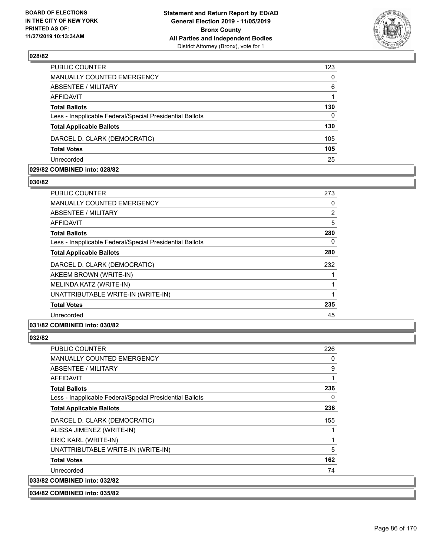

| PUBLIC COUNTER                                           | 123      |
|----------------------------------------------------------|----------|
| MANUALLY COUNTED EMERGENCY                               | $\Omega$ |
| <b>ABSENTEE / MILITARY</b>                               | 6        |
| <b>AFFIDAVIT</b>                                         |          |
| <b>Total Ballots</b>                                     | 130      |
| Less - Inapplicable Federal/Special Presidential Ballots | $\Omega$ |
| <b>Total Applicable Ballots</b>                          | 130      |
| DARCEL D. CLARK (DEMOCRATIC)                             | 105      |
| <b>Total Votes</b>                                       | 105      |
| Unrecorded                                               | 25       |

#### **029/82 COMBINED into: 028/82**

#### **030/82**

| <b>PUBLIC COUNTER</b>                                    | 273 |
|----------------------------------------------------------|-----|
| <b>MANUALLY COUNTED EMERGENCY</b>                        | 0   |
| ABSENTEE / MILITARY                                      | 2   |
| AFFIDAVIT                                                | 5   |
| <b>Total Ballots</b>                                     | 280 |
| Less - Inapplicable Federal/Special Presidential Ballots | 0   |
| <b>Total Applicable Ballots</b>                          | 280 |
| DARCEL D. CLARK (DEMOCRATIC)                             | 232 |
| AKEEM BROWN (WRITE-IN)                                   |     |
| MELINDA KATZ (WRITE-IN)                                  |     |
| UNATTRIBUTABLE WRITE-IN (WRITE-IN)                       | 1   |
| <b>Total Votes</b>                                       | 235 |
| Unrecorded                                               | 45  |
| 031/82 COMBINED into: 030/82                             |     |

| <b>PUBLIC COUNTER</b>                                    | 226 |
|----------------------------------------------------------|-----|
| MANUALLY COUNTED EMERGENCY                               | 0   |
| ABSENTEE / MILITARY                                      | 9   |
| <b>AFFIDAVIT</b>                                         | 1   |
| <b>Total Ballots</b>                                     | 236 |
| Less - Inapplicable Federal/Special Presidential Ballots | 0   |
| <b>Total Applicable Ballots</b>                          | 236 |
| DARCEL D. CLARK (DEMOCRATIC)                             | 155 |
| ALISSA JIMENEZ (WRITE-IN)                                | 1   |
| ERIC KARL (WRITE-IN)                                     | 1   |
| UNATTRIBUTABLE WRITE-IN (WRITE-IN)                       | 5   |
| <b>Total Votes</b>                                       | 162 |
| Unrecorded                                               | 74  |
| 033/82 COMBINED into: 032/82                             |     |
| 034/82 COMBINED into: 035/82                             |     |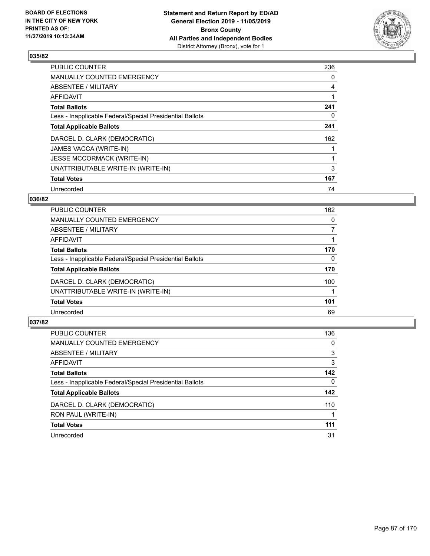

| PUBLIC COUNTER                                           | 236 |
|----------------------------------------------------------|-----|
| <b>MANUALLY COUNTED EMERGENCY</b>                        | 0   |
| ABSENTEE / MILITARY                                      | 4   |
| AFFIDAVIT                                                |     |
| <b>Total Ballots</b>                                     | 241 |
| Less - Inapplicable Federal/Special Presidential Ballots | 0   |
| <b>Total Applicable Ballots</b>                          | 241 |
| DARCEL D. CLARK (DEMOCRATIC)                             | 162 |
| JAMES VACCA (WRITE-IN)                                   |     |
| <b>JESSE MCCORMACK (WRITE-IN)</b>                        |     |
| UNATTRIBUTABLE WRITE-IN (WRITE-IN)                       | 3   |
| <b>Total Votes</b>                                       | 167 |
| Unrecorded                                               | 74  |

#### **036/82**

| <b>PUBLIC COUNTER</b>                                    | 162 |
|----------------------------------------------------------|-----|
| <b>MANUALLY COUNTED EMERGENCY</b>                        | 0   |
| ABSENTEE / MILITARY                                      | 7   |
| AFFIDAVIT                                                |     |
| <b>Total Ballots</b>                                     | 170 |
| Less - Inapplicable Federal/Special Presidential Ballots | 0   |
| <b>Total Applicable Ballots</b>                          | 170 |
| DARCEL D. CLARK (DEMOCRATIC)                             | 100 |
| UNATTRIBUTABLE WRITE-IN (WRITE-IN)                       |     |
| <b>Total Votes</b>                                       | 101 |
| Unrecorded                                               | 69  |
|                                                          |     |

| <b>PUBLIC COUNTER</b>                                    | 136      |
|----------------------------------------------------------|----------|
| <b>MANUALLY COUNTED EMERGENCY</b>                        | 0        |
| ABSENTEE / MILITARY                                      | 3        |
| AFFIDAVIT                                                | 3        |
| <b>Total Ballots</b>                                     | 142      |
| Less - Inapplicable Federal/Special Presidential Ballots | $\Omega$ |
| <b>Total Applicable Ballots</b>                          | 142      |
| DARCEL D. CLARK (DEMOCRATIC)                             | 110      |
| RON PAUL (WRITE-IN)                                      |          |
| <b>Total Votes</b>                                       | 111      |
| Unrecorded                                               | 31       |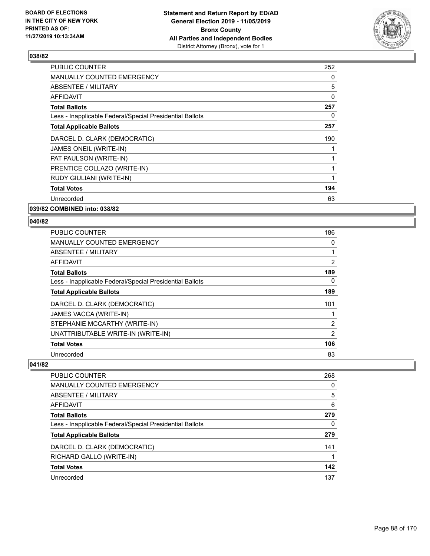

| <b>PUBLIC COUNTER</b>                                    | 252 |
|----------------------------------------------------------|-----|
| <b>MANUALLY COUNTED EMERGENCY</b>                        | 0   |
| ABSENTEE / MILITARY                                      | 5   |
| <b>AFFIDAVIT</b>                                         | 0   |
| <b>Total Ballots</b>                                     | 257 |
| Less - Inapplicable Federal/Special Presidential Ballots | 0   |
| <b>Total Applicable Ballots</b>                          | 257 |
| DARCEL D. CLARK (DEMOCRATIC)                             | 190 |
| JAMES ONEIL (WRITE-IN)                                   |     |
| PAT PAULSON (WRITE-IN)                                   |     |
| PRENTICE COLLAZO (WRITE-IN)                              |     |
| RUDY GIULIANI (WRITE-IN)                                 | 1   |
| <b>Total Votes</b>                                       | 194 |
| Unrecorded                                               | 63  |
|                                                          |     |

**039/82 COMBINED into: 038/82**

#### **040/82**

| <b>PUBLIC COUNTER</b>                                    | 186            |
|----------------------------------------------------------|----------------|
| <b>MANUALLY COUNTED EMERGENCY</b>                        | 0              |
| ABSENTEE / MILITARY                                      | 1              |
| <b>AFFIDAVIT</b>                                         | $\overline{2}$ |
| <b>Total Ballots</b>                                     | 189            |
| Less - Inapplicable Federal/Special Presidential Ballots | 0              |
| <b>Total Applicable Ballots</b>                          | 189            |
| DARCEL D. CLARK (DEMOCRATIC)                             | 101            |
| JAMES VACCA (WRITE-IN)                                   |                |
| STEPHANIE MCCARTHY (WRITE-IN)                            | 2              |
| UNATTRIBUTABLE WRITE-IN (WRITE-IN)                       | 2              |
| <b>Total Votes</b>                                       | 106            |
| Unrecorded                                               | 83             |

| PUBLIC COUNTER                                           | 268 |
|----------------------------------------------------------|-----|
| MANUALLY COUNTED EMERGENCY                               | 0   |
| ABSENTEE / MILITARY                                      | 5   |
| AFFIDAVIT                                                | 6   |
| <b>Total Ballots</b>                                     | 279 |
| Less - Inapplicable Federal/Special Presidential Ballots | 0   |
| <b>Total Applicable Ballots</b>                          | 279 |
| DARCEL D. CLARK (DEMOCRATIC)                             | 141 |
| RICHARD GALLO (WRITE-IN)                                 |     |
| <b>Total Votes</b>                                       | 142 |
| Unrecorded                                               | 137 |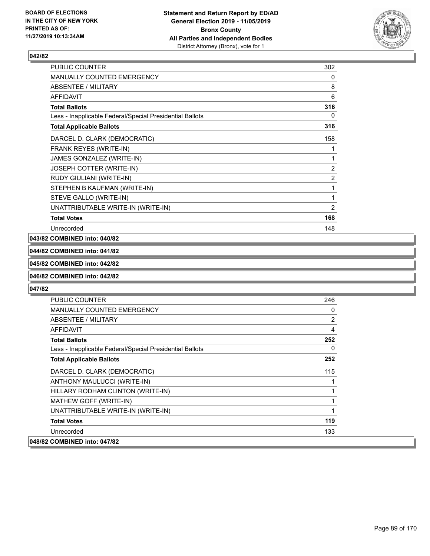

| <b>PUBLIC COUNTER</b>                                    | 302            |
|----------------------------------------------------------|----------------|
| <b>MANUALLY COUNTED EMERGENCY</b>                        | 0              |
| ABSENTEE / MILITARY                                      | 8              |
| <b>AFFIDAVIT</b>                                         | 6              |
| <b>Total Ballots</b>                                     | 316            |
| Less - Inapplicable Federal/Special Presidential Ballots | 0              |
| <b>Total Applicable Ballots</b>                          | 316            |
| DARCEL D. CLARK (DEMOCRATIC)                             | 158            |
| FRANK REYES (WRITE-IN)                                   | 1              |
| JAMES GONZALEZ (WRITE-IN)                                | 1              |
| JOSEPH COTTER (WRITE-IN)                                 | $\overline{2}$ |
| RUDY GIULIANI (WRITE-IN)                                 | 2              |
| STEPHEN B KAUFMAN (WRITE-IN)                             | 1              |
| STEVE GALLO (WRITE-IN)                                   | 1              |
| UNATTRIBUTABLE WRITE-IN (WRITE-IN)                       | 2              |
| <b>Total Votes</b>                                       | 168            |
| Unrecorded                                               | 148            |

#### **043/82 COMBINED into: 040/82**

## **044/82 COMBINED into: 041/82**

#### **045/82 COMBINED into: 042/82**

#### **046/82 COMBINED into: 042/82**

| PUBLIC COUNTER                                           | 246 |
|----------------------------------------------------------|-----|
| <b>MANUALLY COUNTED EMERGENCY</b>                        | 0   |
| ABSENTEE / MILITARY                                      | 2   |
| AFFIDAVIT                                                | 4   |
| <b>Total Ballots</b>                                     | 252 |
| Less - Inapplicable Federal/Special Presidential Ballots | 0   |
| <b>Total Applicable Ballots</b>                          | 252 |
| DARCEL D. CLARK (DEMOCRATIC)                             | 115 |
| ANTHONY MAULUCCI (WRITE-IN)                              |     |
| HILLARY RODHAM CLINTON (WRITE-IN)                        | 1   |
| MATHEW GOFF (WRITE-IN)                                   | 1   |
| UNATTRIBUTABLE WRITE-IN (WRITE-IN)                       | 1   |
| <b>Total Votes</b>                                       | 119 |
| Unrecorded                                               | 133 |
| 048/82 COMBINED into: 047/82                             |     |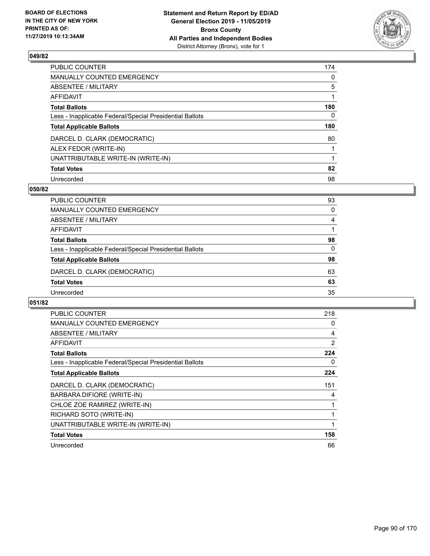

| PUBLIC COUNTER                                           | 174      |
|----------------------------------------------------------|----------|
| <b>MANUALLY COUNTED EMERGENCY</b>                        | $\Omega$ |
| <b>ABSENTEE / MILITARY</b>                               | 5        |
| <b>AFFIDAVIT</b>                                         |          |
| <b>Total Ballots</b>                                     | 180      |
| Less - Inapplicable Federal/Special Presidential Ballots | 0        |
| <b>Total Applicable Ballots</b>                          | 180      |
| DARCEL D. CLARK (DEMOCRATIC)                             | 80       |
| ALEX FEDOR (WRITE-IN)                                    |          |
| UNATTRIBUTABLE WRITE-IN (WRITE-IN)                       |          |
| <b>Total Votes</b>                                       | 82       |
| Unrecorded                                               | 98       |

#### **050/82**

| PUBLIC COUNTER                                           | 93       |
|----------------------------------------------------------|----------|
| <b>MANUALLY COUNTED EMERGENCY</b>                        | $\Omega$ |
| ABSENTEE / MILITARY                                      | 4        |
| AFFIDAVIT                                                |          |
| <b>Total Ballots</b>                                     | 98       |
| Less - Inapplicable Federal/Special Presidential Ballots | 0        |
| <b>Total Applicable Ballots</b>                          | 98       |
| DARCEL D. CLARK (DEMOCRATIC)                             | 63       |
| <b>Total Votes</b>                                       | 63       |
| Unrecorded                                               | 35       |

| <b>PUBLIC COUNTER</b>                                    | 218 |
|----------------------------------------------------------|-----|
| <b>MANUALLY COUNTED EMERGENCY</b>                        | 0   |
| ABSENTEE / MILITARY                                      | 4   |
| AFFIDAVIT                                                | 2   |
| <b>Total Ballots</b>                                     | 224 |
| Less - Inapplicable Federal/Special Presidential Ballots | 0   |
| <b>Total Applicable Ballots</b>                          | 224 |
| DARCEL D. CLARK (DEMOCRATIC)                             | 151 |
| BARBARA DIFIORE (WRITE-IN)                               | 4   |
| CHLOE ZOE RAMIREZ (WRITE-IN)                             |     |
| RICHARD SOTO (WRITE-IN)                                  |     |
| UNATTRIBUTABLE WRITE-IN (WRITE-IN)                       |     |
| <b>Total Votes</b>                                       | 158 |
|                                                          |     |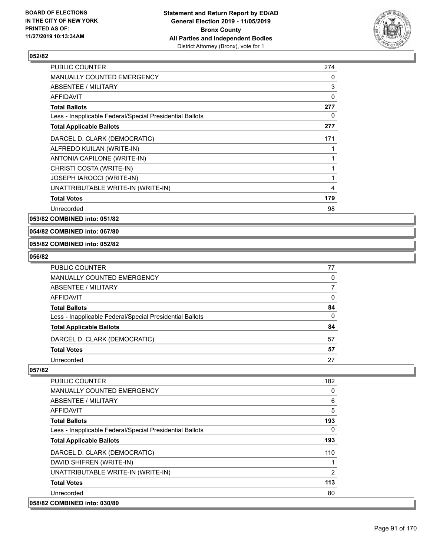

| <b>PUBLIC COUNTER</b>                                    | 274 |
|----------------------------------------------------------|-----|
| <b>MANUALLY COUNTED EMERGENCY</b>                        | 0   |
| ABSENTEE / MILITARY                                      | 3   |
| AFFIDAVIT                                                | 0   |
| <b>Total Ballots</b>                                     | 277 |
| Less - Inapplicable Federal/Special Presidential Ballots | 0   |
| <b>Total Applicable Ballots</b>                          | 277 |
| DARCEL D. CLARK (DEMOCRATIC)                             | 171 |
| ALFREDO KUILAN (WRITE-IN)                                |     |
| ANTONIA CAPILONE (WRITE-IN)                              | 1   |
| CHRISTI COSTA (WRITE-IN)                                 | 1   |
| JOSEPH IAROCCI (WRITE-IN)                                | 1   |
| UNATTRIBUTABLE WRITE-IN (WRITE-IN)                       | 4   |
| <b>Total Votes</b>                                       | 179 |
| Unrecorded                                               | 98  |

**053/82 COMBINED into: 051/82**

#### **054/82 COMBINED into: 067/80**

#### **055/82 COMBINED into: 052/82**

#### **056/82**

| PUBLIC COUNTER                                           | 77 |
|----------------------------------------------------------|----|
| <b>MANUALLY COUNTED EMERGENCY</b>                        | 0  |
| <b>ABSENTEE / MILITARY</b>                               |    |
| <b>AFFIDAVIT</b>                                         | 0  |
| <b>Total Ballots</b>                                     | 84 |
| Less - Inapplicable Federal/Special Presidential Ballots | 0  |
| <b>Total Applicable Ballots</b>                          | 84 |
| DARCEL D. CLARK (DEMOCRATIC)                             | 57 |
| <b>Total Votes</b>                                       | 57 |
| Unrecorded                                               | 27 |

| <b>PUBLIC COUNTER</b>                                    | 182 |
|----------------------------------------------------------|-----|
| <b>MANUALLY COUNTED EMERGENCY</b>                        | 0   |
| ABSENTEE / MILITARY                                      | 6   |
| AFFIDAVIT                                                | 5   |
| <b>Total Ballots</b>                                     | 193 |
| Less - Inapplicable Federal/Special Presidential Ballots | 0   |
| <b>Total Applicable Ballots</b>                          | 193 |
| DARCEL D. CLARK (DEMOCRATIC)                             | 110 |
| DAVID SHIFREN (WRITE-IN)                                 |     |
| UNATTRIBUTABLE WRITE-IN (WRITE-IN)                       | 2   |
| <b>Total Votes</b>                                       | 113 |
| Unrecorded                                               | 80  |
| 058/82 COMBINED into: 030/80                             |     |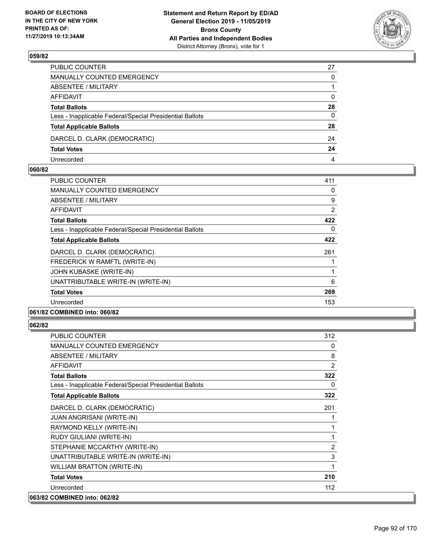

| PUBLIC COUNTER                                           | 27       |
|----------------------------------------------------------|----------|
| MANUALLY COUNTED EMERGENCY                               | 0        |
| ABSENTEE / MILITARY                                      |          |
| AFFIDAVIT                                                | 0        |
| <b>Total Ballots</b>                                     | 28       |
| Less - Inapplicable Federal/Special Presidential Ballots | $\Omega$ |
| <b>Total Applicable Ballots</b>                          | 28       |
| DARCEL D. CLARK (DEMOCRATIC)                             | 24       |
| <b>Total Votes</b>                                       | 24       |
| Unrecorded                                               | 4        |

#### **060/82**

| <b>PUBLIC COUNTER</b>                                    | 411      |
|----------------------------------------------------------|----------|
| <b>MANUALLY COUNTED EMERGENCY</b>                        | $\Omega$ |
| <b>ABSENTEE / MILITARY</b>                               | 9        |
| AFFIDAVIT                                                | 2        |
| <b>Total Ballots</b>                                     | 422      |
| Less - Inapplicable Federal/Special Presidential Ballots | $\Omega$ |
| <b>Total Applicable Ballots</b>                          | 422      |
| DARCEL D. CLARK (DEMOCRATIC)                             | 261      |
| FREDERICK W RAMFTL (WRITE-IN)                            |          |
| JOHN KUBASKE (WRITE-IN)                                  |          |
| UNATTRIBUTABLE WRITE-IN (WRITE-IN)                       | 6        |
| <b>Total Votes</b>                                       | 269      |
| Unrecorded                                               | 153      |
| 061/82 COMBINED into: 060/82                             |          |

| <b>PUBLIC COUNTER</b>                                    | 312 |
|----------------------------------------------------------|-----|
| <b>MANUALLY COUNTED EMERGENCY</b>                        | 0   |
| <b>ABSENTEE / MILITARY</b>                               | 8   |
| <b>AFFIDAVIT</b>                                         | 2   |
| <b>Total Ballots</b>                                     | 322 |
| Less - Inapplicable Federal/Special Presidential Ballots | 0   |
| <b>Total Applicable Ballots</b>                          | 322 |
| DARCEL D. CLARK (DEMOCRATIC)                             | 201 |
| <b>JUAN ANGRISANI (WRITE-IN)</b>                         | 1   |
| RAYMOND KELLY (WRITE-IN)                                 | 1   |
| RUDY GIULIANI (WRITE-IN)                                 | 1   |
| STEPHANIE MCCARTHY (WRITE-IN)                            | 2   |
| UNATTRIBUTABLE WRITE-IN (WRITE-IN)                       | 3   |
| <b>WILLIAM BRATTON (WRITE-IN)</b>                        | 1   |
| <b>Total Votes</b>                                       | 210 |
| Unrecorded                                               | 112 |
| 063/82 COMBINED into: 062/82                             |     |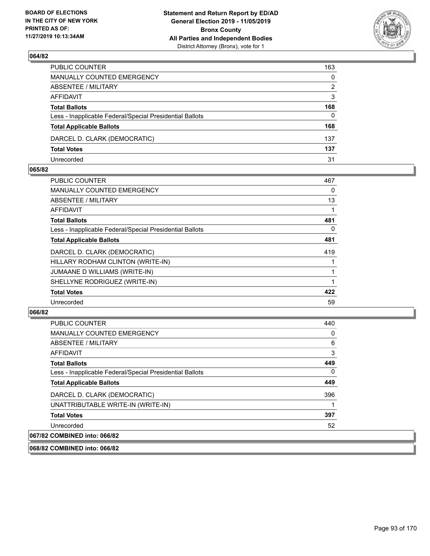

| PUBLIC COUNTER                                           | 163          |
|----------------------------------------------------------|--------------|
| MANUALLY COUNTED EMERGENCY                               | $\mathbf{0}$ |
| ABSENTEE / MILITARY                                      | 2            |
| AFFIDAVIT                                                | 3            |
| <b>Total Ballots</b>                                     | 168          |
| Less - Inapplicable Federal/Special Presidential Ballots | $\Omega$     |
| <b>Total Applicable Ballots</b>                          | 168          |
| DARCEL D. CLARK (DEMOCRATIC)                             | 137          |
| <b>Total Votes</b>                                       | 137          |
| Unrecorded                                               | 31           |

#### **065/82**

| <b>PUBLIC COUNTER</b>                                    | 467 |
|----------------------------------------------------------|-----|
| MANUALLY COUNTED EMERGENCY                               | 0   |
| ABSENTEE / MILITARY                                      | 13  |
| AFFIDAVIT                                                |     |
| <b>Total Ballots</b>                                     | 481 |
| Less - Inapplicable Federal/Special Presidential Ballots | 0   |
| <b>Total Applicable Ballots</b>                          | 481 |
| DARCEL D. CLARK (DEMOCRATIC)                             | 419 |
| HILLARY RODHAM CLINTON (WRITE-IN)                        |     |
| JUMAANE D WILLIAMS (WRITE-IN)                            |     |
| SHELLYNE RODRIGUEZ (WRITE-IN)                            |     |
| <b>Total Votes</b>                                       | 422 |
| Unrecorded                                               | 59  |
|                                                          |     |

## **066/82**

| <b>PUBLIC COUNTER</b>                                    | 440 |
|----------------------------------------------------------|-----|
| <b>MANUALLY COUNTED EMERGENCY</b>                        | 0   |
| ABSENTEE / MILITARY                                      | 6   |
| <b>AFFIDAVIT</b>                                         | 3   |
| <b>Total Ballots</b>                                     | 449 |
| Less - Inapplicable Federal/Special Presidential Ballots | 0   |
| <b>Total Applicable Ballots</b>                          | 449 |
| DARCEL D. CLARK (DEMOCRATIC)                             | 396 |
| UNATTRIBUTABLE WRITE-IN (WRITE-IN)                       | 1   |
| <b>Total Votes</b>                                       | 397 |
| Unrecorded                                               | 52  |
| 067/82 COMBINED into: 066/82                             |     |

#### **068/82 COMBINED into: 066/82**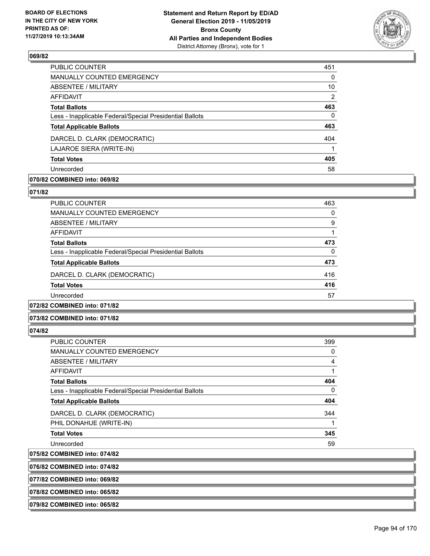

| <b>PUBLIC COUNTER</b>                                    | 451 |
|----------------------------------------------------------|-----|
| <b>MANUALLY COUNTED EMERGENCY</b>                        | 0   |
| ABSENTEE / MILITARY                                      | 10  |
| AFFIDAVIT                                                | 2   |
| <b>Total Ballots</b>                                     | 463 |
| Less - Inapplicable Federal/Special Presidential Ballots | 0   |
| <b>Total Applicable Ballots</b>                          | 463 |
| DARCEL D. CLARK (DEMOCRATIC)                             | 404 |
| LAJAROE SIERA (WRITE-IN)                                 |     |
| <b>Total Votes</b>                                       | 405 |
| Unrecorded                                               | 58  |

## **070/82 COMBINED into: 069/82**

#### **071/82**

| <b>PUBLIC COUNTER</b>                                    | 463 |
|----------------------------------------------------------|-----|
| <b>MANUALLY COUNTED EMERGENCY</b>                        | 0   |
| ABSENTEE / MILITARY                                      | 9   |
| AFFIDAVIT                                                |     |
| <b>Total Ballots</b>                                     | 473 |
| Less - Inapplicable Federal/Special Presidential Ballots | 0   |
| <b>Total Applicable Ballots</b>                          | 473 |
| DARCEL D. CLARK (DEMOCRATIC)                             | 416 |
| <b>Total Votes</b>                                       | 416 |
| Unrecorded                                               | 57  |
|                                                          |     |

## **072/82 COMBINED into: 071/82**

## **073/82 COMBINED into: 071/82**

#### **074/82**

| <b>PUBLIC COUNTER</b>                                    | 399 |
|----------------------------------------------------------|-----|
| <b>MANUALLY COUNTED EMERGENCY</b>                        | 0   |
| ABSENTEE / MILITARY                                      | 4   |
| AFFIDAVIT                                                |     |
| <b>Total Ballots</b>                                     | 404 |
| Less - Inapplicable Federal/Special Presidential Ballots | 0   |
| <b>Total Applicable Ballots</b>                          | 404 |
| DARCEL D. CLARK (DEMOCRATIC)                             | 344 |
| PHIL DONAHUE (WRITE-IN)                                  |     |
| <b>Total Votes</b>                                       | 345 |
| Unrecorded                                               | 59  |

## **075/82 COMBINED into: 074/82**

| 076/82 COMBINED into: 074/82 |  |
|------------------------------|--|
| 077/82 COMBINED into: 069/82 |  |
| 078/82 COMBINED into: 065/82 |  |
| 079/82 COMBINED into: 065/82 |  |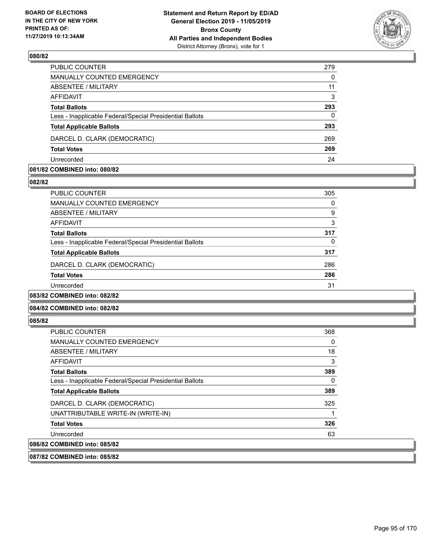

| PUBLIC COUNTER                                           | 279      |
|----------------------------------------------------------|----------|
| MANUALLY COUNTED EMERGENCY                               | $\Omega$ |
| ABSENTEE / MILITARY                                      | 11       |
| <b>AFFIDAVIT</b>                                         | 3        |
| <b>Total Ballots</b>                                     | 293      |
| Less - Inapplicable Federal/Special Presidential Ballots | 0        |
| <b>Total Applicable Ballots</b>                          | 293      |
| DARCEL D. CLARK (DEMOCRATIC)                             | 269      |
| <b>Total Votes</b>                                       | 269      |
| Unrecorded                                               | 24       |

#### **081/82 COMBINED into: 080/82**

#### **082/82**

| PUBLIC COUNTER                                           | 305 |
|----------------------------------------------------------|-----|
| <b>MANUALLY COUNTED EMERGENCY</b>                        | 0   |
| ABSENTEE / MILITARY                                      | 9   |
| AFFIDAVIT                                                | 3   |
| <b>Total Ballots</b>                                     | 317 |
| Less - Inapplicable Federal/Special Presidential Ballots | 0   |
| <b>Total Applicable Ballots</b>                          | 317 |
| DARCEL D. CLARK (DEMOCRATIC)                             | 286 |
| <b>Total Votes</b>                                       | 286 |
| Unrecorded                                               | 31  |
| 083/82 COMBINED into: 082/82                             |     |

## **084/82 COMBINED into: 082/82**

#### **085/82**

| PUBLIC COUNTER                                           | 368 |
|----------------------------------------------------------|-----|
| <b>MANUALLY COUNTED EMERGENCY</b>                        | 0   |
| ABSENTEE / MILITARY                                      | 18  |
| AFFIDAVIT                                                | 3   |
| <b>Total Ballots</b>                                     | 389 |
| Less - Inapplicable Federal/Special Presidential Ballots | 0   |
| <b>Total Applicable Ballots</b>                          | 389 |
| DARCEL D. CLARK (DEMOCRATIC)                             | 325 |
| UNATTRIBUTABLE WRITE-IN (WRITE-IN)                       |     |
| <b>Total Votes</b>                                       | 326 |
| Unrecorded                                               | 63  |
| 086/82 COMBINED into: 085/82                             |     |

**087/82 COMBINED into: 085/82**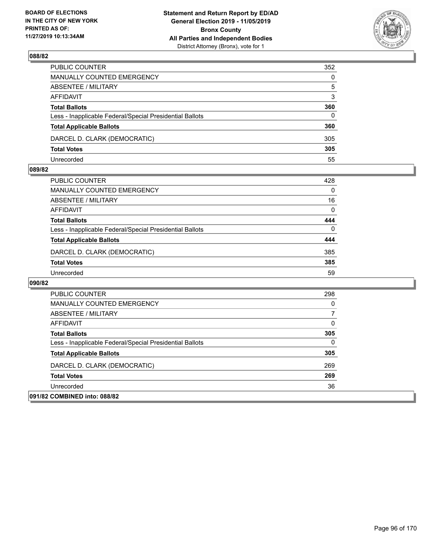

| PUBLIC COUNTER                                           | 352          |
|----------------------------------------------------------|--------------|
| MANUALLY COUNTED EMERGENCY                               | $\mathbf{0}$ |
| ABSENTEE / MILITARY                                      | 5            |
| AFFIDAVIT                                                | 3            |
| <b>Total Ballots</b>                                     | 360          |
| Less - Inapplicable Federal/Special Presidential Ballots | $\Omega$     |
| <b>Total Applicable Ballots</b>                          | 360          |
| DARCEL D. CLARK (DEMOCRATIC)                             | 305          |
| <b>Total Votes</b>                                       | 305          |
| Unrecorded                                               | 55           |

#### **089/82**

| PUBLIC COUNTER                                           | 428      |
|----------------------------------------------------------|----------|
| <b>MANUALLY COUNTED EMERGENCY</b>                        | $\Omega$ |
| ABSENTEE / MILITARY                                      | 16       |
| AFFIDAVIT                                                | 0        |
| <b>Total Ballots</b>                                     | 444      |
| Less - Inapplicable Federal/Special Presidential Ballots | $\Omega$ |
| <b>Total Applicable Ballots</b>                          | 444      |
| DARCEL D. CLARK (DEMOCRATIC)                             | 385      |
| <b>Total Votes</b>                                       | 385      |
| Unrecorded                                               | 59       |

| 091/82 COMBINED into: 088/82                             |     |
|----------------------------------------------------------|-----|
| Unrecorded                                               | 36  |
| <b>Total Votes</b>                                       | 269 |
| DARCEL D. CLARK (DEMOCRATIC)                             | 269 |
| <b>Total Applicable Ballots</b>                          | 305 |
| Less - Inapplicable Federal/Special Presidential Ballots | 0   |
| <b>Total Ballots</b>                                     | 305 |
| AFFIDAVIT                                                | 0   |
| ABSENTEE / MILITARY                                      |     |
| MANUALLY COUNTED EMERGENCY                               | 0   |
| PUBLIC COUNTER                                           | 298 |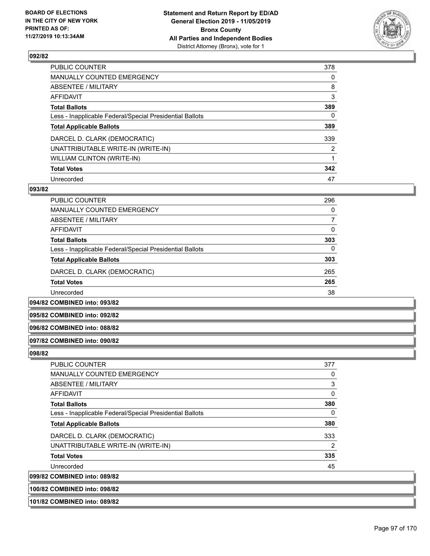

| <b>PUBLIC COUNTER</b>                                    | 378            |
|----------------------------------------------------------|----------------|
| <b>MANUALLY COUNTED EMERGENCY</b>                        | 0              |
| <b>ABSENTEE / MILITARY</b>                               | 8              |
| AFFIDAVIT                                                | 3              |
| <b>Total Ballots</b>                                     | 389            |
| Less - Inapplicable Federal/Special Presidential Ballots | 0              |
| <b>Total Applicable Ballots</b>                          | 389            |
| DARCEL D. CLARK (DEMOCRATIC)                             | 339            |
| UNATTRIBUTABLE WRITE-IN (WRITE-IN)                       | $\overline{2}$ |
| <b>WILLIAM CLINTON (WRITE-IN)</b>                        |                |
| <b>Total Votes</b>                                       | 342            |
| Unrecorded                                               | 47             |

#### **093/82**

| PUBLIC COUNTER                                           | 296      |
|----------------------------------------------------------|----------|
| <b>MANUALLY COUNTED EMERGENCY</b>                        | $\Omega$ |
| ABSENTEE / MILITARY                                      | 7        |
| AFFIDAVIT                                                | $\Omega$ |
| <b>Total Ballots</b>                                     | 303      |
| Less - Inapplicable Federal/Special Presidential Ballots | 0        |
| <b>Total Applicable Ballots</b>                          | 303      |
| DARCEL D. CLARK (DEMOCRATIC)                             | 265      |
| <b>Total Votes</b>                                       | 265      |
| Unrecorded                                               | 38       |

**094/82 COMBINED into: 093/82**

**095/82 COMBINED into: 092/82**

#### **096/82 COMBINED into: 088/82**

#### **097/82 COMBINED into: 090/82**

#### **098/82**

| PUBLIC COUNTER                                           | 377            |
|----------------------------------------------------------|----------------|
| <b>MANUALLY COUNTED EMERGENCY</b>                        | 0              |
| ABSENTEE / MILITARY                                      | 3              |
| AFFIDAVIT                                                | 0              |
| <b>Total Ballots</b>                                     | 380            |
| Less - Inapplicable Federal/Special Presidential Ballots | $\Omega$       |
| <b>Total Applicable Ballots</b>                          | 380            |
| DARCEL D. CLARK (DEMOCRATIC)                             | 333            |
| UNATTRIBUTABLE WRITE-IN (WRITE-IN)                       | $\overline{2}$ |
| <b>Total Votes</b>                                       | 335            |
| Unrecorded                                               | 45             |
| 099/82 COMBINED into: 089/82                             |                |

**100/82 COMBINED into: 098/82**

**101/82 COMBINED into: 089/82**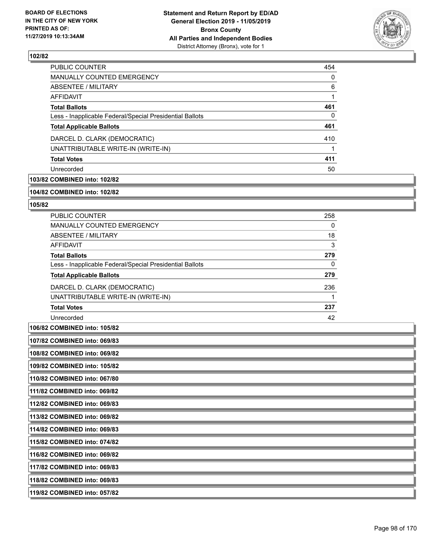

| PUBLIC COUNTER                                           | 454 |
|----------------------------------------------------------|-----|
| <b>MANUALLY COUNTED EMERGENCY</b>                        | 0   |
| ABSENTEE / MILITARY                                      | 6   |
| AFFIDAVIT                                                |     |
| <b>Total Ballots</b>                                     | 461 |
| Less - Inapplicable Federal/Special Presidential Ballots | 0   |
| <b>Total Applicable Ballots</b>                          | 461 |
| DARCEL D. CLARK (DEMOCRATIC)                             | 410 |
| UNATTRIBUTABLE WRITE-IN (WRITE-IN)                       |     |
| <b>Total Votes</b>                                       | 411 |
| Unrecorded                                               | 50  |

## **103/82 COMBINED into: 102/82**

#### **104/82 COMBINED into: 102/82**

#### **105/82**

| <b>PUBLIC COUNTER</b>                                    | 258      |
|----------------------------------------------------------|----------|
| <b>MANUALLY COUNTED EMERGENCY</b>                        | $\Omega$ |
| ABSENTEE / MILITARY                                      | 18       |
| AFFIDAVIT                                                | 3        |
| <b>Total Ballots</b>                                     | 279      |
| Less - Inapplicable Federal/Special Presidential Ballots | 0        |
| <b>Total Applicable Ballots</b>                          | 279      |
| DARCEL D. CLARK (DEMOCRATIC)                             | 236      |
| UNATTRIBUTABLE WRITE-IN (WRITE-IN)                       |          |
| <b>Total Votes</b>                                       | 237      |
| Unrecorded                                               | 42       |

## **106/82 COMBINED into: 105/82**

**108/82 COMBINED into: 069/82**

**109/82 COMBINED into: 105/82**

**110/82 COMBINED into: 067/80**

**111/82 COMBINED into: 069/82**

**112/82 COMBINED into: 069/83**

**113/82 COMBINED into: 069/82**

**114/82 COMBINED into: 069/83**

**115/82 COMBINED into: 074/82**

**116/82 COMBINED into: 069/82**

**117/82 COMBINED into: 069/83**

**118/82 COMBINED into: 069/83**

**119/82 COMBINED into: 057/82**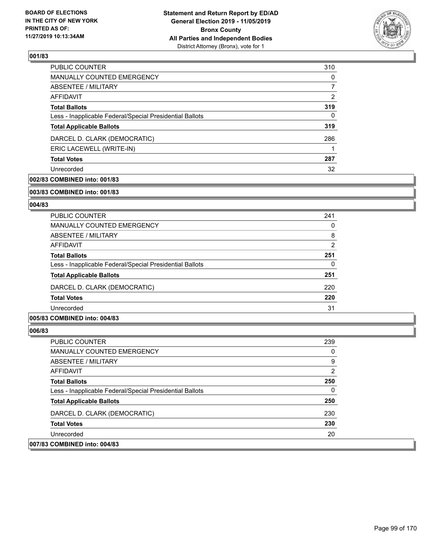

| PUBLIC COUNTER                                           | 310 |
|----------------------------------------------------------|-----|
| <b>MANUALLY COUNTED EMERGENCY</b>                        | 0   |
| ABSENTEE / MILITARY                                      |     |
| AFFIDAVIT                                                | 2   |
| <b>Total Ballots</b>                                     | 319 |
| Less - Inapplicable Federal/Special Presidential Ballots | 0   |
| <b>Total Applicable Ballots</b>                          | 319 |
| DARCEL D. CLARK (DEMOCRATIC)                             | 286 |
| ERIC LACEWELL (WRITE-IN)                                 |     |
| <b>Total Votes</b>                                       | 287 |
| Unrecorded                                               | 32  |

## **002/83 COMBINED into: 001/83**

#### **003/83 COMBINED into: 001/83**

## **004/83**

| <b>PUBLIC COUNTER</b>                                    | 241           |
|----------------------------------------------------------|---------------|
| <b>MANUALLY COUNTED EMERGENCY</b>                        | 0             |
| ABSENTEE / MILITARY                                      | 8             |
| AFFIDAVIT                                                | $\mathcal{P}$ |
| <b>Total Ballots</b>                                     | 251           |
| Less - Inapplicable Federal/Special Presidential Ballots | $\Omega$      |
| <b>Total Applicable Ballots</b>                          | 251           |
| DARCEL D. CLARK (DEMOCRATIC)                             | 220           |
| <b>Total Votes</b>                                       | 220           |
| Unrecorded                                               | 31            |

## **005/83 COMBINED into: 004/83**

| <b>PUBLIC COUNTER</b>                                    | 239            |
|----------------------------------------------------------|----------------|
| <b>MANUALLY COUNTED EMERGENCY</b>                        | 0              |
| ABSENTEE / MILITARY                                      | 9              |
| AFFIDAVIT                                                | $\overline{2}$ |
| <b>Total Ballots</b>                                     | 250            |
| Less - Inapplicable Federal/Special Presidential Ballots | $\mathbf{0}$   |
| <b>Total Applicable Ballots</b>                          | 250            |
| DARCEL D. CLARK (DEMOCRATIC)                             | 230            |
| <b>Total Votes</b>                                       | 230            |
| Unrecorded                                               | 20             |
| 007/83 COMBINED into: 004/83                             |                |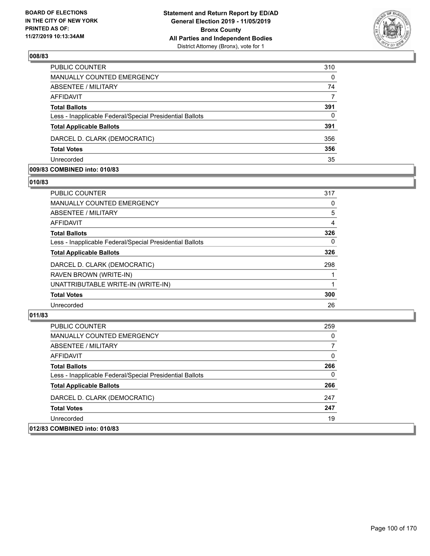

| PUBLIC COUNTER                                           | 310      |
|----------------------------------------------------------|----------|
| MANUALLY COUNTED EMERGENCY                               | $\Omega$ |
| ABSENTEE / MILITARY                                      | 74       |
| AFFIDAVIT                                                | 7        |
| <b>Total Ballots</b>                                     | 391      |
| Less - Inapplicable Federal/Special Presidential Ballots | $\Omega$ |
| <b>Total Applicable Ballots</b>                          | 391      |
| DARCEL D. CLARK (DEMOCRATIC)                             | 356      |
| <b>Total Votes</b>                                       | 356      |
| Unrecorded                                               | 35       |

#### **009/83 COMBINED into: 010/83**

## **010/83**

| <b>PUBLIC COUNTER</b>                                    | 317 |
|----------------------------------------------------------|-----|
| MANUALLY COUNTED EMERGENCY                               | 0   |
| <b>ABSENTEE / MILITARY</b>                               | 5   |
| AFFIDAVIT                                                | 4   |
| <b>Total Ballots</b>                                     | 326 |
| Less - Inapplicable Federal/Special Presidential Ballots | 0   |
| <b>Total Applicable Ballots</b>                          | 326 |
| DARCEL D. CLARK (DEMOCRATIC)                             | 298 |
| RAVEN BROWN (WRITE-IN)                                   |     |
| UNATTRIBUTABLE WRITE-IN (WRITE-IN)                       |     |
| <b>Total Votes</b>                                       | 300 |
| Unrecorded                                               | 26  |
|                                                          |     |

| PUBLIC COUNTER                                           | 259      |
|----------------------------------------------------------|----------|
| MANUALLY COUNTED EMERGENCY                               | 0        |
| ABSENTEE / MILITARY                                      | 7        |
| AFFIDAVIT                                                | $\Omega$ |
| <b>Total Ballots</b>                                     | 266      |
| Less - Inapplicable Federal/Special Presidential Ballots | $\Omega$ |
| <b>Total Applicable Ballots</b>                          | 266      |
| DARCEL D. CLARK (DEMOCRATIC)                             | 247      |
| <b>Total Votes</b>                                       | 247      |
| Unrecorded                                               | 19       |
| 012/83 COMBINED into: 010/83                             |          |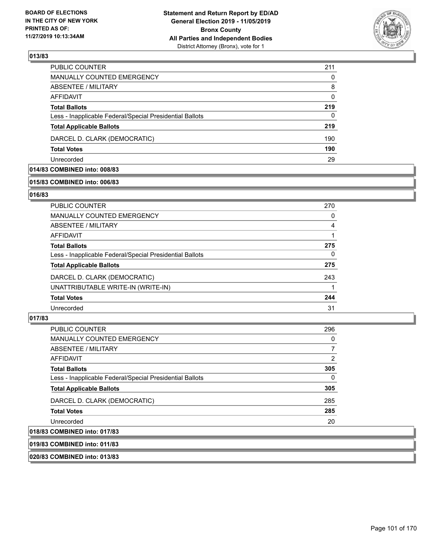

| 211      |
|----------|
| 0        |
| 8        |
| $\Omega$ |
| 219      |
| 0        |
| 219      |
| 190      |
| 190      |
| 29       |
|          |

## **014/83 COMBINED into: 008/83**

## **015/83 COMBINED into: 006/83**

#### **016/83**

| 270 |
|-----|
| 0   |
| 4   |
|     |
| 275 |
| 0   |
| 275 |
| 243 |
|     |
| 244 |
| 31  |
|     |

## **017/83**

| <b>PUBLIC COUNTER</b>                                    | 296          |
|----------------------------------------------------------|--------------|
| <b>MANUALLY COUNTED EMERGENCY</b>                        | 0            |
| ABSENTEE / MILITARY                                      |              |
| AFFIDAVIT                                                | 2            |
| <b>Total Ballots</b>                                     | 305          |
| Less - Inapplicable Federal/Special Presidential Ballots | $\mathbf{0}$ |
| <b>Total Applicable Ballots</b>                          | 305          |
| DARCEL D. CLARK (DEMOCRATIC)                             | 285          |
| <b>Total Votes</b>                                       | 285          |
| Unrecorded                                               | 20           |
| 018/83 COMBINED into: 017/83                             |              |

**019/83 COMBINED into: 011/83**

**020/83 COMBINED into: 013/83**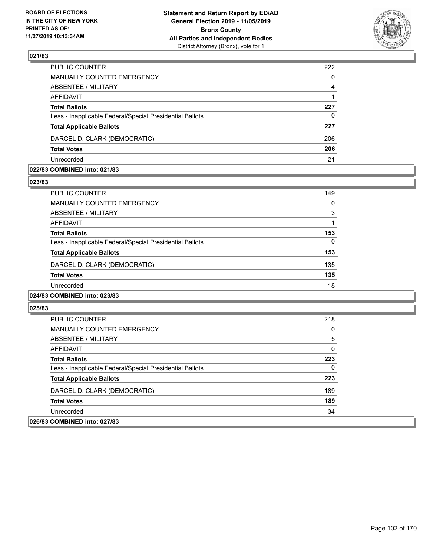

| PUBLIC COUNTER                                           | 222      |
|----------------------------------------------------------|----------|
| MANUALLY COUNTED EMERGENCY                               | $\Omega$ |
| ABSENTEE / MILITARY                                      | 4        |
| AFFIDAVIT                                                |          |
| <b>Total Ballots</b>                                     | 227      |
| Less - Inapplicable Federal/Special Presidential Ballots | $\Omega$ |
| <b>Total Applicable Ballots</b>                          | 227      |
| DARCEL D. CLARK (DEMOCRATIC)                             | 206      |
| <b>Total Votes</b>                                       | 206      |
| Unrecorded                                               | 21       |

#### **022/83 COMBINED into: 021/83**

#### **023/83**

| <b>PUBLIC COUNTER</b>                                    | 149 |
|----------------------------------------------------------|-----|
| <b>MANUALLY COUNTED EMERGENCY</b>                        | 0   |
| ABSENTEE / MILITARY                                      | 3   |
| AFFIDAVIT                                                | 1   |
| <b>Total Ballots</b>                                     | 153 |
| Less - Inapplicable Federal/Special Presidential Ballots | 0   |
| <b>Total Applicable Ballots</b>                          | 153 |
| DARCEL D. CLARK (DEMOCRATIC)                             | 135 |
| <b>Total Votes</b>                                       | 135 |
| Unrecorded                                               | 18  |
| 024/83 COMBINED into: 023/83                             |     |

| PUBLIC COUNTER                                           | 218 |
|----------------------------------------------------------|-----|
| <b>MANUALLY COUNTED EMERGENCY</b>                        | 0   |
| ABSENTEE / MILITARY                                      | 5   |
| AFFIDAVIT                                                | 0   |
| <b>Total Ballots</b>                                     | 223 |
| Less - Inapplicable Federal/Special Presidential Ballots | 0   |
| <b>Total Applicable Ballots</b>                          | 223 |
| DARCEL D. CLARK (DEMOCRATIC)                             | 189 |
| <b>Total Votes</b>                                       | 189 |
| Unrecorded                                               | 34  |
| 026/83 COMBINED into: 027/83                             |     |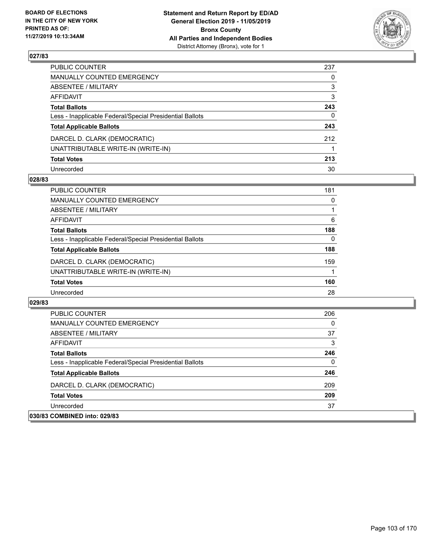

| PUBLIC COUNTER                                           | 237 |
|----------------------------------------------------------|-----|
| MANUALLY COUNTED EMERGENCY                               | 0   |
| ABSENTEE / MILITARY                                      | 3   |
| AFFIDAVIT                                                | 3   |
| <b>Total Ballots</b>                                     | 243 |
| Less - Inapplicable Federal/Special Presidential Ballots | 0   |
| <b>Total Applicable Ballots</b>                          | 243 |
| DARCEL D. CLARK (DEMOCRATIC)                             | 212 |
| UNATTRIBUTABLE WRITE-IN (WRITE-IN)                       |     |
| <b>Total Votes</b>                                       | 213 |
| Unrecorded                                               | 30  |

#### **028/83**

| <b>PUBLIC COUNTER</b>                                    | 181      |
|----------------------------------------------------------|----------|
| MANUALLY COUNTED EMERGENCY                               | $\Omega$ |
| ABSENTEE / MILITARY                                      |          |
| AFFIDAVIT                                                | 6        |
| <b>Total Ballots</b>                                     | 188      |
| Less - Inapplicable Federal/Special Presidential Ballots | 0        |
| <b>Total Applicable Ballots</b>                          | 188      |
| DARCEL D. CLARK (DEMOCRATIC)                             | 159      |
| UNATTRIBUTABLE WRITE-IN (WRITE-IN)                       |          |
| <b>Total Votes</b>                                       | 160      |
| Unrecorded                                               | 28       |

| <b>PUBLIC COUNTER</b>                                    | 206 |
|----------------------------------------------------------|-----|
| MANUALLY COUNTED EMERGENCY                               | 0   |
| ABSENTEE / MILITARY                                      | 37  |
| AFFIDAVIT                                                | 3   |
| <b>Total Ballots</b>                                     | 246 |
| Less - Inapplicable Federal/Special Presidential Ballots | 0   |
| <b>Total Applicable Ballots</b>                          | 246 |
| DARCEL D. CLARK (DEMOCRATIC)                             | 209 |
| <b>Total Votes</b>                                       | 209 |
| Unrecorded                                               | 37  |
| 030/83 COMBINED into: 029/83                             |     |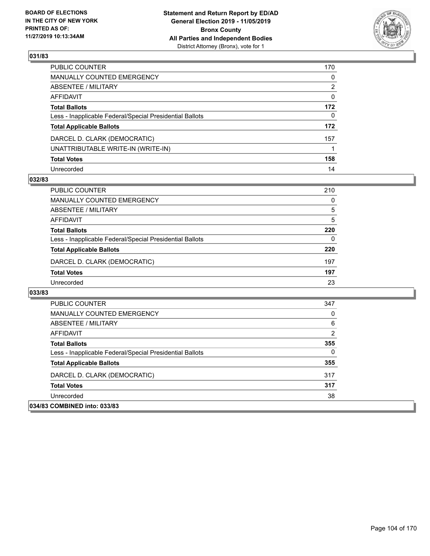

| PUBLIC COUNTER                                           | 170 |
|----------------------------------------------------------|-----|
| MANUALLY COUNTED EMERGENCY                               | 0   |
| ABSENTEE / MILITARY                                      | 2   |
| AFFIDAVIT                                                | 0   |
| Total Ballots                                            | 172 |
| Less - Inapplicable Federal/Special Presidential Ballots | 0   |
| <b>Total Applicable Ballots</b>                          | 172 |
| DARCEL D. CLARK (DEMOCRATIC)                             | 157 |
| UNATTRIBUTABLE WRITE-IN (WRITE-IN)                       |     |
| <b>Total Votes</b>                                       | 158 |
| Unrecorded                                               | 14  |

## **032/83**

| <b>PUBLIC COUNTER</b>                                    | 210      |
|----------------------------------------------------------|----------|
| MANUALLY COUNTED EMERGENCY                               | 0        |
| ABSENTEE / MILITARY                                      | 5        |
| AFFIDAVIT                                                | 5        |
| <b>Total Ballots</b>                                     | 220      |
| Less - Inapplicable Federal/Special Presidential Ballots | $\Omega$ |
| <b>Total Applicable Ballots</b>                          | 220      |
| DARCEL D. CLARK (DEMOCRATIC)                             | 197      |
| <b>Total Votes</b>                                       | 197      |
| Unrecorded                                               | 23       |

| <b>PUBLIC COUNTER</b>                                    | 347 |
|----------------------------------------------------------|-----|
| MANUALLY COUNTED EMERGENCY                               | 0   |
| ABSENTEE / MILITARY                                      | 6   |
| AFFIDAVIT                                                | 2   |
| <b>Total Ballots</b>                                     | 355 |
| Less - Inapplicable Federal/Special Presidential Ballots | 0   |
| <b>Total Applicable Ballots</b>                          | 355 |
| DARCEL D. CLARK (DEMOCRATIC)                             | 317 |
| <b>Total Votes</b>                                       | 317 |
| Unrecorded                                               | 38  |
| 034/83 COMBINED into: 033/83                             |     |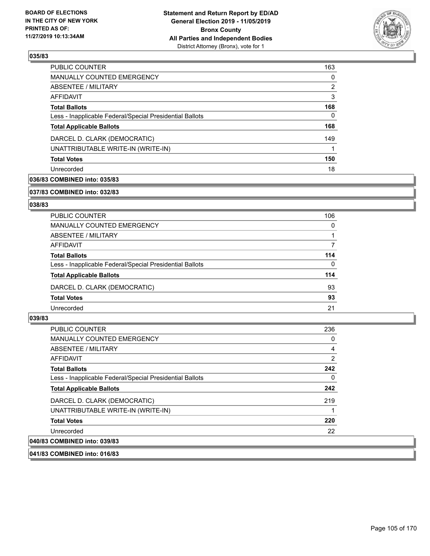

| <b>PUBLIC COUNTER</b>                                    | 163 |
|----------------------------------------------------------|-----|
| <b>MANUALLY COUNTED EMERGENCY</b>                        | 0   |
| ABSENTEE / MILITARY                                      | 2   |
| <b>AFFIDAVIT</b>                                         | 3   |
| <b>Total Ballots</b>                                     | 168 |
| Less - Inapplicable Federal/Special Presidential Ballots | 0   |
| <b>Total Applicable Ballots</b>                          | 168 |
| DARCEL D. CLARK (DEMOCRATIC)                             | 149 |
| UNATTRIBUTABLE WRITE-IN (WRITE-IN)                       |     |
| <b>Total Votes</b>                                       | 150 |
| Unrecorded                                               | 18  |

## **036/83 COMBINED into: 035/83**

#### **037/83 COMBINED into: 032/83**

## **038/83**

| PUBLIC COUNTER                                           | 106      |
|----------------------------------------------------------|----------|
| MANUALLY COUNTED EMERGENCY                               | $\Omega$ |
| ABSENTEE / MILITARY                                      |          |
| AFFIDAVIT                                                |          |
| <b>Total Ballots</b>                                     | 114      |
| Less - Inapplicable Federal/Special Presidential Ballots | 0        |
| <b>Total Applicable Ballots</b>                          | 114      |
| DARCEL D. CLARK (DEMOCRATIC)                             | 93       |
| <b>Total Votes</b>                                       | 93       |
| Unrecorded                                               | 21       |

## **039/83**

| PUBLIC COUNTER                                           | 236 |
|----------------------------------------------------------|-----|
| <b>MANUALLY COUNTED EMERGENCY</b>                        | 0   |
| ABSENTEE / MILITARY                                      | 4   |
| AFFIDAVIT                                                | 2   |
| <b>Total Ballots</b>                                     | 242 |
| Less - Inapplicable Federal/Special Presidential Ballots | 0   |
| <b>Total Applicable Ballots</b>                          | 242 |
| DARCEL D. CLARK (DEMOCRATIC)                             | 219 |
| UNATTRIBUTABLE WRITE-IN (WRITE-IN)                       |     |
| <b>Total Votes</b>                                       | 220 |
| Unrecorded                                               | 22  |
| 040/83 COMBINED into: 039/83                             |     |

## **041/83 COMBINED into: 016/83**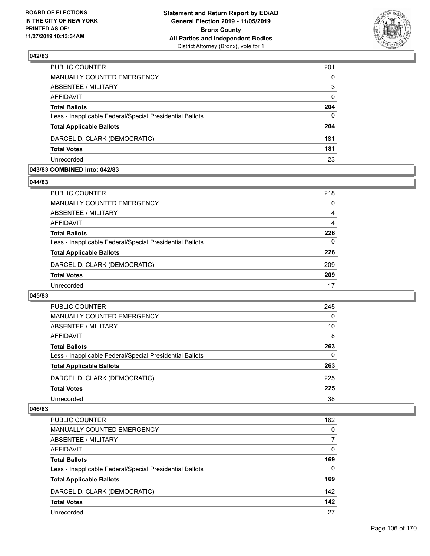

| PUBLIC COUNTER                                           | 201          |
|----------------------------------------------------------|--------------|
| <b>MANUALLY COUNTED EMERGENCY</b>                        | $\Omega$     |
| <b>ABSENTEE / MILITARY</b>                               | 3            |
| <b>AFFIDAVIT</b>                                         | $\Omega$     |
| <b>Total Ballots</b>                                     | 204          |
| Less - Inapplicable Federal/Special Presidential Ballots | $\mathbf{0}$ |
| <b>Total Applicable Ballots</b>                          | 204          |
| DARCEL D. CLARK (DEMOCRATIC)                             | 181          |
| <b>Total Votes</b>                                       | 181          |
| Unrecorded                                               | 23           |
|                                                          |              |

#### **043/83 COMBINED into: 042/83**

#### **044/83**

| PUBLIC COUNTER                                           | 218 |
|----------------------------------------------------------|-----|
| <b>MANUALLY COUNTED EMERGENCY</b>                        | 0   |
| ABSENTEE / MILITARY                                      | 4   |
| AFFIDAVIT                                                | 4   |
| <b>Total Ballots</b>                                     | 226 |
| Less - Inapplicable Federal/Special Presidential Ballots | 0   |
| <b>Total Applicable Ballots</b>                          | 226 |
| DARCEL D. CLARK (DEMOCRATIC)                             | 209 |
| <b>Total Votes</b>                                       | 209 |
| Unrecorded                                               | 17  |

### **045/83**

| PUBLIC COUNTER                                           | 245      |
|----------------------------------------------------------|----------|
| <b>MANUALLY COUNTED EMERGENCY</b>                        | $\Omega$ |
| ABSENTEE / MILITARY                                      | 10       |
| AFFIDAVIT                                                | 8        |
| <b>Total Ballots</b>                                     | 263      |
| Less - Inapplicable Federal/Special Presidential Ballots | 0        |
| <b>Total Applicable Ballots</b>                          | 263      |
| DARCEL D. CLARK (DEMOCRATIC)                             | 225      |
| <b>Total Votes</b>                                       | 225      |
| Unrecorded                                               | 38       |

| <b>PUBLIC COUNTER</b>                                    | 162      |
|----------------------------------------------------------|----------|
| <b>MANUALLY COUNTED EMERGENCY</b>                        | $\Omega$ |
| ABSENTEE / MILITARY                                      |          |
| AFFIDAVIT                                                | $\Omega$ |
| <b>Total Ballots</b>                                     | 169      |
| Less - Inapplicable Federal/Special Presidential Ballots | $\Omega$ |
| <b>Total Applicable Ballots</b>                          | 169      |
| DARCEL D. CLARK (DEMOCRATIC)                             | 142      |
| <b>Total Votes</b>                                       | 142      |
| Unrecorded                                               | 27       |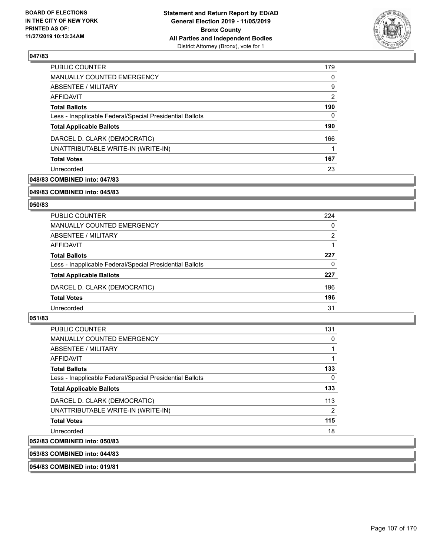

| <b>PUBLIC COUNTER</b>                                    | 179 |
|----------------------------------------------------------|-----|
| MANUALLY COUNTED EMERGENCY                               | 0   |
| ABSENTEE / MILITARY                                      | 9   |
| AFFIDAVIT                                                | 2   |
| <b>Total Ballots</b>                                     | 190 |
| Less - Inapplicable Federal/Special Presidential Ballots | 0   |
| <b>Total Applicable Ballots</b>                          | 190 |
| DARCEL D. CLARK (DEMOCRATIC)                             | 166 |
| UNATTRIBUTABLE WRITE-IN (WRITE-IN)                       |     |
| <b>Total Votes</b>                                       | 167 |
| Unrecorded                                               | 23  |

## **048/83 COMBINED into: 047/83**

#### **049/83 COMBINED into: 045/83**

## **050/83**

| PUBLIC COUNTER                                           | 224 |
|----------------------------------------------------------|-----|
| MANUALLY COUNTED EMERGENCY                               | 0   |
| ABSENTEE / MILITARY                                      | 2   |
| AFFIDAVIT                                                |     |
| <b>Total Ballots</b>                                     | 227 |
| Less - Inapplicable Federal/Special Presidential Ballots | 0   |
| <b>Total Applicable Ballots</b>                          | 227 |
| DARCEL D. CLARK (DEMOCRATIC)                             | 196 |
| <b>Total Votes</b>                                       | 196 |
| Unrecorded                                               | 31  |

## **051/83**

| <b>PUBLIC COUNTER</b>                                    | 131 |
|----------------------------------------------------------|-----|
| <b>MANUALLY COUNTED EMERGENCY</b>                        | 0   |
| ABSENTEE / MILITARY                                      |     |
| AFFIDAVIT                                                |     |
| <b>Total Ballots</b>                                     | 133 |
| Less - Inapplicable Federal/Special Presidential Ballots | 0   |
| <b>Total Applicable Ballots</b>                          | 133 |
| DARCEL D. CLARK (DEMOCRATIC)                             | 113 |
| UNATTRIBUTABLE WRITE-IN (WRITE-IN)                       | 2   |
| <b>Total Votes</b>                                       | 115 |
| Unrecorded                                               | 18  |
| 052/83 COMBINED into: 050/83                             |     |

## **053/83 COMBINED into: 044/83**

#### **054/83 COMBINED into: 019/81**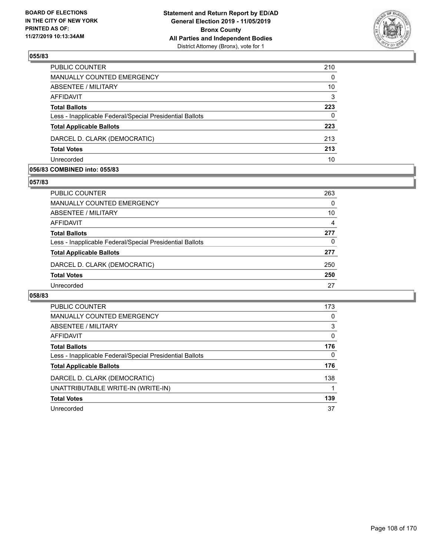

| PUBLIC COUNTER                                           | 210      |
|----------------------------------------------------------|----------|
| MANUALLY COUNTED EMERGENCY                               | $\Omega$ |
| ABSENTEE / MILITARY                                      | 10       |
| <b>AFFIDAVIT</b>                                         | 3        |
| <b>Total Ballots</b>                                     | 223      |
| Less - Inapplicable Federal/Special Presidential Ballots | $\Omega$ |
| <b>Total Applicable Ballots</b>                          | 223      |
| DARCEL D. CLARK (DEMOCRATIC)                             | 213      |
| <b>Total Votes</b>                                       | 213      |
| Unrecorded                                               | 10       |

#### **056/83 COMBINED into: 055/83**

## **057/83**

| PUBLIC COUNTER                                           | 263 |
|----------------------------------------------------------|-----|
| <b>MANUALLY COUNTED EMERGENCY</b>                        | 0   |
| ABSENTEE / MILITARY                                      | 10  |
| AFFIDAVIT                                                | 4   |
| <b>Total Ballots</b>                                     | 277 |
| Less - Inapplicable Federal/Special Presidential Ballots | 0   |
| <b>Total Applicable Ballots</b>                          | 277 |
| DARCEL D. CLARK (DEMOCRATIC)                             | 250 |
| <b>Total Votes</b>                                       | 250 |
| Unrecorded                                               | 27  |
|                                                          |     |

| <b>PUBLIC COUNTER</b>                                    | 173      |
|----------------------------------------------------------|----------|
| <b>MANUALLY COUNTED EMERGENCY</b>                        | $\Omega$ |
| ABSENTEE / MILITARY                                      | 3        |
| <b>AFFIDAVIT</b>                                         | 0        |
| <b>Total Ballots</b>                                     | 176      |
| Less - Inapplicable Federal/Special Presidential Ballots | 0        |
| <b>Total Applicable Ballots</b>                          | 176      |
| DARCEL D. CLARK (DEMOCRATIC)                             | 138      |
| UNATTRIBUTABLE WRITE-IN (WRITE-IN)                       |          |
| <b>Total Votes</b>                                       | 139      |
| Unrecorded                                               | 37       |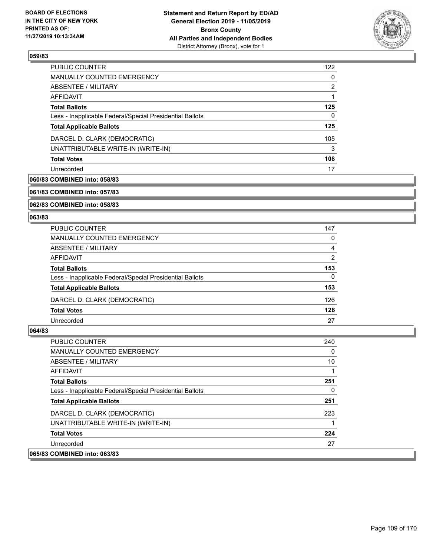

| PUBLIC COUNTER                                           | 122 |
|----------------------------------------------------------|-----|
| <b>MANUALLY COUNTED EMERGENCY</b>                        | 0   |
| ABSENTEE / MILITARY                                      | 2   |
| AFFIDAVIT                                                |     |
| <b>Total Ballots</b>                                     | 125 |
| Less - Inapplicable Federal/Special Presidential Ballots | 0   |
| <b>Total Applicable Ballots</b>                          | 125 |
| DARCEL D. CLARK (DEMOCRATIC)                             | 105 |
| UNATTRIBUTABLE WRITE-IN (WRITE-IN)                       | 3   |
| <b>Total Votes</b>                                       | 108 |
| Unrecorded                                               | 17  |

### **060/83 COMBINED into: 058/83**

**061/83 COMBINED into: 057/83**

**062/83 COMBINED into: 058/83**

### **063/83**

| <b>PUBLIC COUNTER</b>                                    | 147      |
|----------------------------------------------------------|----------|
| <b>MANUALLY COUNTED EMERGENCY</b>                        | $\Omega$ |
| ABSENTEE / MILITARY                                      | 4        |
| AFFIDAVIT                                                | 2        |
| <b>Total Ballots</b>                                     | 153      |
| Less - Inapplicable Federal/Special Presidential Ballots | $\Omega$ |
| <b>Total Applicable Ballots</b>                          | 153      |
| DARCEL D. CLARK (DEMOCRATIC)                             | 126      |
| <b>Total Votes</b>                                       | 126      |
| Unrecorded                                               | 27       |

| PUBLIC COUNTER                                           | 240          |
|----------------------------------------------------------|--------------|
| MANUALLY COUNTED EMERGENCY                               | 0            |
| ABSENTEE / MILITARY                                      | 10           |
| AFFIDAVIT                                                |              |
| <b>Total Ballots</b>                                     | 251          |
| Less - Inapplicable Federal/Special Presidential Ballots | $\mathbf{0}$ |
| <b>Total Applicable Ballots</b>                          | 251          |
| DARCEL D. CLARK (DEMOCRATIC)                             | 223          |
| UNATTRIBUTABLE WRITE-IN (WRITE-IN)                       |              |
| <b>Total Votes</b>                                       | 224          |
| Unrecorded                                               | 27           |
| 065/83 COMBINED into: 063/83                             |              |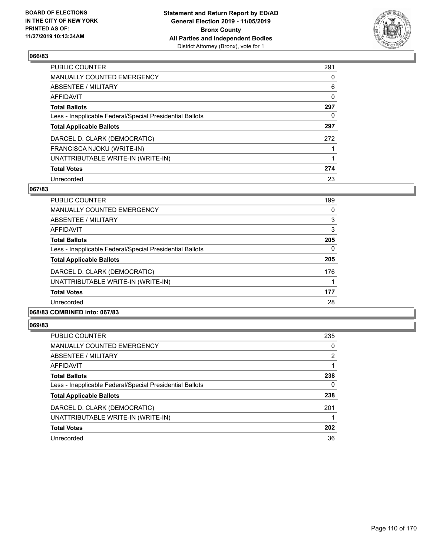

| PUBLIC COUNTER                                           | 291 |
|----------------------------------------------------------|-----|
| <b>MANUALLY COUNTED EMERGENCY</b>                        | 0   |
| <b>ABSENTEE / MILITARY</b>                               | 6   |
| <b>AFFIDAVIT</b>                                         | 0   |
| <b>Total Ballots</b>                                     | 297 |
| Less - Inapplicable Federal/Special Presidential Ballots | 0   |
| <b>Total Applicable Ballots</b>                          | 297 |
| DARCEL D. CLARK (DEMOCRATIC)                             | 272 |
| FRANCISCA NJOKU (WRITE-IN)                               |     |
| UNATTRIBUTABLE WRITE-IN (WRITE-IN)                       |     |
| <b>Total Votes</b>                                       | 274 |
| Unrecorded                                               | 23  |

### **067/83**

| PUBLIC COUNTER                                           | 199      |
|----------------------------------------------------------|----------|
| <b>MANUALLY COUNTED EMERGENCY</b>                        | 0        |
| ABSENTEE / MILITARY                                      | 3        |
| <b>AFFIDAVIT</b>                                         | 3        |
| <b>Total Ballots</b>                                     | 205      |
| Less - Inapplicable Federal/Special Presidential Ballots | $\Omega$ |
| <b>Total Applicable Ballots</b>                          | 205      |
| DARCEL D. CLARK (DEMOCRATIC)                             | 176      |
| UNATTRIBUTABLE WRITE-IN (WRITE-IN)                       |          |
| <b>Total Votes</b>                                       | 177      |
| Unrecorded                                               | 28       |
|                                                          |          |

### **068/83 COMBINED into: 067/83**

| PUBLIC COUNTER                                           | 235 |
|----------------------------------------------------------|-----|
| <b>MANUALLY COUNTED EMERGENCY</b>                        | 0   |
| ABSENTEE / MILITARY                                      | 2   |
| AFFIDAVIT                                                |     |
| <b>Total Ballots</b>                                     | 238 |
| Less - Inapplicable Federal/Special Presidential Ballots | 0   |
| <b>Total Applicable Ballots</b>                          | 238 |
| DARCEL D. CLARK (DEMOCRATIC)                             | 201 |
| UNATTRIBUTABLE WRITE-IN (WRITE-IN)                       |     |
| <b>Total Votes</b>                                       | 202 |
| Unrecorded                                               | 36  |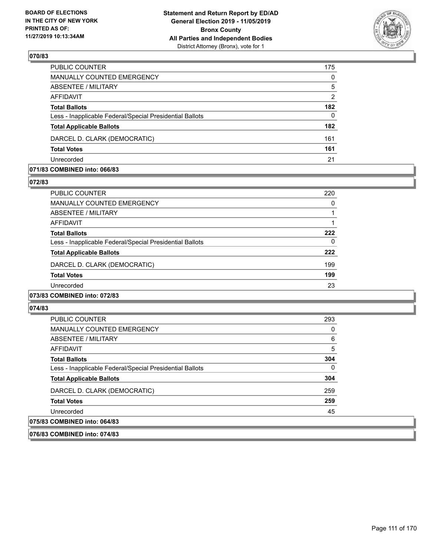

| PUBLIC COUNTER                                           | 175            |
|----------------------------------------------------------|----------------|
| MANUALLY COUNTED EMERGENCY                               | $\Omega$       |
| <b>ABSENTEE / MILITARY</b>                               | 5              |
| <b>AFFIDAVIT</b>                                         | $\overline{2}$ |
| <b>Total Ballots</b>                                     | 182            |
| Less - Inapplicable Federal/Special Presidential Ballots | $\Omega$       |
| <b>Total Applicable Ballots</b>                          | 182            |
| DARCEL D. CLARK (DEMOCRATIC)                             | 161            |
| <b>Total Votes</b>                                       | 161            |
| Unrecorded                                               | 21             |

### **071/83 COMBINED into: 066/83**

#### **072/83**

| PUBLIC COUNTER                                           | 220 |
|----------------------------------------------------------|-----|
| <b>MANUALLY COUNTED EMERGENCY</b>                        | 0   |
| ABSENTEE / MILITARY                                      |     |
| AFFIDAVIT                                                |     |
| <b>Total Ballots</b>                                     | 222 |
| Less - Inapplicable Federal/Special Presidential Ballots | 0   |
| <b>Total Applicable Ballots</b>                          | 222 |
| DARCEL D. CLARK (DEMOCRATIC)                             | 199 |
| <b>Total Votes</b>                                       | 199 |
| Unrecorded                                               | 23  |
| 073/83 COMBINED into: 072/83                             |     |

# **074/83**

| PUBLIC COUNTER                                           | 293          |
|----------------------------------------------------------|--------------|
| <b>MANUALLY COUNTED EMERGENCY</b>                        | $\mathbf{0}$ |
| ABSENTEE / MILITARY                                      | 6            |
| AFFIDAVIT                                                | 5            |
| <b>Total Ballots</b>                                     | 304          |
| Less - Inapplicable Federal/Special Presidential Ballots | $\mathbf{0}$ |
| <b>Total Applicable Ballots</b>                          | 304          |
| DARCEL D. CLARK (DEMOCRATIC)                             | 259          |
| <b>Total Votes</b>                                       | 259          |
| Unrecorded                                               | 45           |
| 075/83 COMBINED into: 064/83                             |              |

#### **076/83 COMBINED into: 074/83**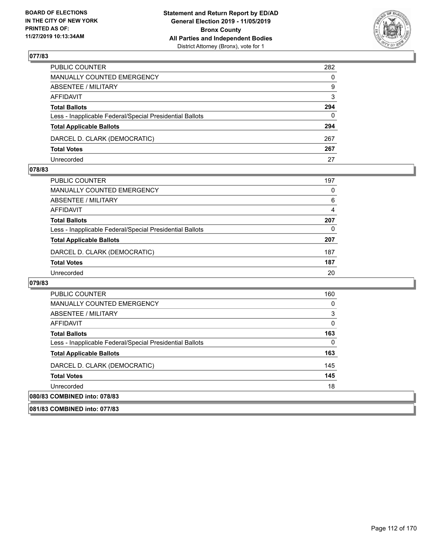

| PUBLIC COUNTER                                           | 282          |
|----------------------------------------------------------|--------------|
| MANUALLY COUNTED EMERGENCY                               | $\mathbf{0}$ |
| ABSENTEE / MILITARY                                      | 9            |
| AFFIDAVIT                                                | 3            |
| <b>Total Ballots</b>                                     | 294          |
| Less - Inapplicable Federal/Special Presidential Ballots | 0            |
| <b>Total Applicable Ballots</b>                          | 294          |
| DARCEL D. CLARK (DEMOCRATIC)                             | 267          |
| <b>Total Votes</b>                                       | 267          |
| Unrecorded                                               | 27           |

### **078/83**

| PUBLIC COUNTER                                           | 197 |
|----------------------------------------------------------|-----|
| <b>MANUALLY COUNTED EMERGENCY</b>                        | 0   |
| <b>ABSENTEE / MILITARY</b>                               | 6   |
| AFFIDAVIT                                                | 4   |
| <b>Total Ballots</b>                                     | 207 |
| Less - Inapplicable Federal/Special Presidential Ballots | 0   |
| <b>Total Applicable Ballots</b>                          | 207 |
| DARCEL D. CLARK (DEMOCRATIC)                             | 187 |
| <b>Total Votes</b>                                       | 187 |
| Unrecorded                                               | 20  |

| <b>PUBLIC COUNTER</b>                                    | 160 |
|----------------------------------------------------------|-----|
| <b>MANUALLY COUNTED EMERGENCY</b>                        | 0   |
| ABSENTEE / MILITARY                                      | 3   |
| AFFIDAVIT                                                | 0   |
| <b>Total Ballots</b>                                     | 163 |
| Less - Inapplicable Federal/Special Presidential Ballots | 0   |
| <b>Total Applicable Ballots</b>                          | 163 |
| DARCEL D. CLARK (DEMOCRATIC)                             | 145 |
| <b>Total Votes</b>                                       | 145 |
| Unrecorded                                               | 18  |
| 080/83 COMBINED into: 078/83                             |     |
| 081/83 COMBINED into: 077/83                             |     |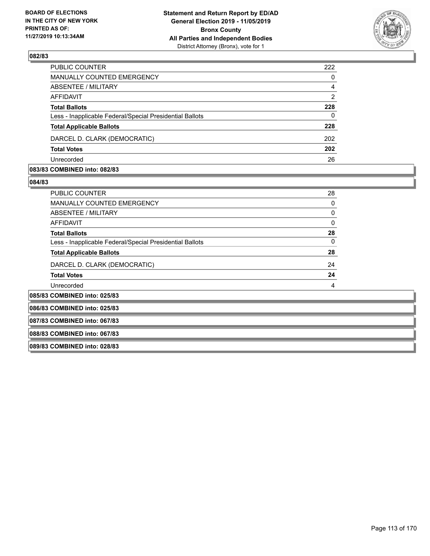

| 222            |
|----------------|
| $\Omega$       |
| 4              |
| $\overline{2}$ |
| 228            |
| $\Omega$       |
| 228            |
| 202            |
| 202            |
| 26             |
|                |

### **083/83 COMBINED into: 082/83**

| <b>PUBLIC COUNTER</b>                                    | 28 |
|----------------------------------------------------------|----|
| <b>MANUALLY COUNTED EMERGENCY</b>                        | 0  |
| ABSENTEE / MILITARY                                      | 0  |
| <b>AFFIDAVIT</b>                                         | 0  |
| <b>Total Ballots</b>                                     | 28 |
| Less - Inapplicable Federal/Special Presidential Ballots | 0  |
| <b>Total Applicable Ballots</b>                          | 28 |
| DARCEL D. CLARK (DEMOCRATIC)                             | 24 |
| <b>Total Votes</b>                                       | 24 |
| Unrecorded                                               | 4  |
| 085/83 COMBINED into: 025/83                             |    |
| 086/83 COMBINED into: 025/83                             |    |
| 087/83 COMBINED into: 067/83                             |    |
| 088/83 COMBINED into: 067/83                             |    |
| 089/83 COMBINED into: 028/83                             |    |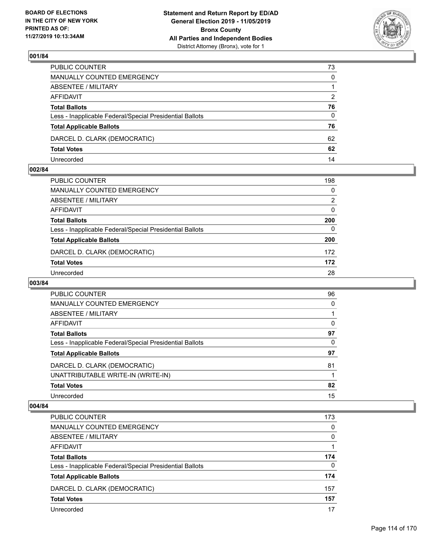

| PUBLIC COUNTER                                           | 73            |
|----------------------------------------------------------|---------------|
| MANUALLY COUNTED EMERGENCY                               | $\mathbf{0}$  |
| ABSENTEE / MILITARY                                      |               |
| AFFIDAVIT                                                | $\mathcal{P}$ |
| <b>Total Ballots</b>                                     | 76            |
| Less - Inapplicable Federal/Special Presidential Ballots | $\mathbf{0}$  |
| <b>Total Applicable Ballots</b>                          | 76            |
| DARCEL D. CLARK (DEMOCRATIC)                             | 62            |
| <b>Total Votes</b>                                       | 62            |
| Unrecorded                                               | 14            |

### **002/84**

| PUBLIC COUNTER                                           | 198      |
|----------------------------------------------------------|----------|
| MANUALLY COUNTED EMERGENCY                               | 0        |
| <b>ABSENTEE / MILITARY</b>                               | 2        |
| AFFIDAVIT                                                | $\Omega$ |
| <b>Total Ballots</b>                                     | 200      |
| Less - Inapplicable Federal/Special Presidential Ballots | 0        |
| <b>Total Applicable Ballots</b>                          | 200      |
| DARCEL D. CLARK (DEMOCRATIC)                             | 172      |
| <b>Total Votes</b>                                       | 172      |
| Unrecorded                                               | 28       |
|                                                          |          |

### **003/84**

| <b>PUBLIC COUNTER</b>                                    | 96 |
|----------------------------------------------------------|----|
| <b>MANUALLY COUNTED EMERGENCY</b>                        | 0  |
| ABSENTEE / MILITARY                                      |    |
| <b>AFFIDAVIT</b>                                         | 0  |
| <b>Total Ballots</b>                                     | 97 |
| Less - Inapplicable Federal/Special Presidential Ballots | 0  |
| <b>Total Applicable Ballots</b>                          | 97 |
| DARCEL D. CLARK (DEMOCRATIC)                             | 81 |
| UNATTRIBUTABLE WRITE-IN (WRITE-IN)                       |    |
| <b>Total Votes</b>                                       | 82 |
| Unrecorded                                               | 15 |

| PUBLIC COUNTER                                           | 173      |
|----------------------------------------------------------|----------|
| <b>MANUALLY COUNTED EMERGENCY</b>                        | $\Omega$ |
| ABSENTEE / MILITARY                                      | $\Omega$ |
| AFFIDAVIT                                                |          |
| <b>Total Ballots</b>                                     | 174      |
| Less - Inapplicable Federal/Special Presidential Ballots | $\Omega$ |
| <b>Total Applicable Ballots</b>                          | 174      |
| DARCEL D. CLARK (DEMOCRATIC)                             | 157      |
| <b>Total Votes</b>                                       | 157      |
| Unrecorded                                               | 17       |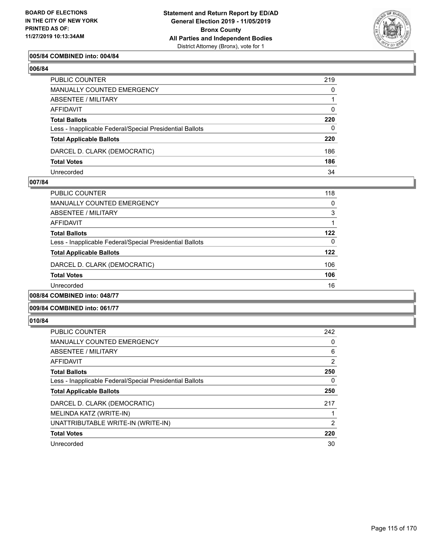

### **005/84 COMBINED into: 004/84**

### **006/84**

| PUBLIC COUNTER                                           | 219          |
|----------------------------------------------------------|--------------|
| MANUALLY COUNTED EMERGENCY                               | $\Omega$     |
| ABSENTEE / MILITARY                                      |              |
| AFFIDAVIT                                                | $\mathbf{0}$ |
| <b>Total Ballots</b>                                     | 220          |
| Less - Inapplicable Federal/Special Presidential Ballots | $\Omega$     |
| <b>Total Applicable Ballots</b>                          | 220          |
| DARCEL D. CLARK (DEMOCRATIC)                             | 186          |
| <b>Total Votes</b>                                       | 186          |
| Unrecorded                                               | 34           |

### **007/84**

| <b>PUBLIC COUNTER</b>                                    | 118      |
|----------------------------------------------------------|----------|
| MANUALLY COUNTED EMERGENCY                               | $\Omega$ |
| ABSENTEE / MILITARY                                      | 3        |
| AFFIDAVIT                                                |          |
| <b>Total Ballots</b>                                     | 122      |
| Less - Inapplicable Federal/Special Presidential Ballots | $\Omega$ |
| <b>Total Applicable Ballots</b>                          | 122      |
| DARCEL D. CLARK (DEMOCRATIC)                             | 106      |
| <b>Total Votes</b>                                       | 106      |
| Unrecorded                                               | 16       |
| 008/84 COMBINED into: 048/77                             |          |

### **009/84 COMBINED into: 061/77**

| PUBLIC COUNTER                                           | 242            |
|----------------------------------------------------------|----------------|
| <b>MANUALLY COUNTED EMERGENCY</b>                        | 0              |
| ABSENTEE / MILITARY                                      | 6              |
| <b>AFFIDAVIT</b>                                         | $\overline{2}$ |
| <b>Total Ballots</b>                                     | 250            |
| Less - Inapplicable Federal/Special Presidential Ballots | 0              |
| <b>Total Applicable Ballots</b>                          | 250            |
| DARCEL D. CLARK (DEMOCRATIC)                             | 217            |
| MELINDA KATZ (WRITE-IN)                                  |                |
| UNATTRIBUTABLE WRITE-IN (WRITE-IN)                       | 2              |
| <b>Total Votes</b>                                       | 220            |
| Unrecorded                                               | 30             |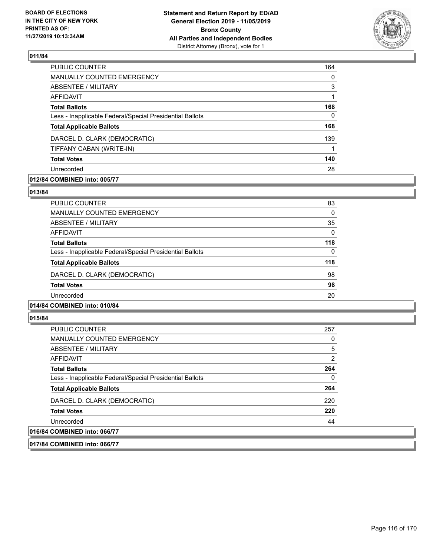

| 164 |
|-----|
| 0   |
| 3   |
| 1   |
| 168 |
| 0   |
| 168 |
| 139 |
|     |
| 140 |
| 28  |
|     |

### **012/84 COMBINED into: 005/77**

### **013/84**

| PUBLIC COUNTER                                           | 83       |
|----------------------------------------------------------|----------|
| <b>MANUALLY COUNTED EMERGENCY</b>                        | 0        |
| ABSENTEE / MILITARY                                      | 35       |
| AFFIDAVIT                                                | $\Omega$ |
| <b>Total Ballots</b>                                     | 118      |
| Less - Inapplicable Federal/Special Presidential Ballots | $\Omega$ |
| <b>Total Applicable Ballots</b>                          | 118      |
| DARCEL D. CLARK (DEMOCRATIC)                             | 98       |
| <b>Total Votes</b>                                       | 98       |
| Unrecorded                                               | 20       |
|                                                          |          |

### **014/84 COMBINED into: 010/84**

### **015/84**

| <b>PUBLIC COUNTER</b>                                    | 257 |
|----------------------------------------------------------|-----|
| MANUALLY COUNTED EMERGENCY                               | 0   |
| ABSENTEE / MILITARY                                      | 5   |
| AFFIDAVIT                                                | 2   |
| <b>Total Ballots</b>                                     | 264 |
| Less - Inapplicable Federal/Special Presidential Ballots | 0   |
| <b>Total Applicable Ballots</b>                          | 264 |
| DARCEL D. CLARK (DEMOCRATIC)                             | 220 |
| <b>Total Votes</b>                                       | 220 |
| Unrecorded                                               | 44  |
| 016/84 COMBINED into: 066/77                             |     |

**017/84 COMBINED into: 066/77**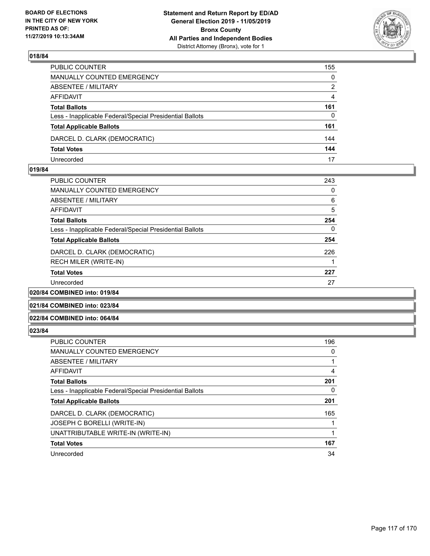

| PUBLIC COUNTER                                           | 155          |
|----------------------------------------------------------|--------------|
| MANUALLY COUNTED EMERGENCY                               | $\mathbf{0}$ |
| ABSENTEE / MILITARY                                      | 2            |
| AFFIDAVIT                                                | 4            |
| <b>Total Ballots</b>                                     | 161          |
| Less - Inapplicable Federal/Special Presidential Ballots | $\mathbf{0}$ |
| <b>Total Applicable Ballots</b>                          | 161          |
| DARCEL D. CLARK (DEMOCRATIC)                             | 144          |
| <b>Total Votes</b>                                       | 144          |
| Unrecorded                                               | 17           |

### **019/84**

| <b>PUBLIC COUNTER</b>                                    | 243          |
|----------------------------------------------------------|--------------|
| <b>MANUALLY COUNTED EMERGENCY</b>                        | 0            |
| ABSENTEE / MILITARY                                      | 6            |
| AFFIDAVIT                                                | 5            |
| <b>Total Ballots</b>                                     | 254          |
| Less - Inapplicable Federal/Special Presidential Ballots | $\mathbf{0}$ |
| <b>Total Applicable Ballots</b>                          | 254          |
| DARCEL D. CLARK (DEMOCRATIC)                             | 226          |
| RECH MILER (WRITE-IN)                                    |              |
| <b>Total Votes</b>                                       | 227          |
| Unrecorded                                               | 27           |
| 020/84 COMBINED into: 019/84                             |              |

# **021/84 COMBINED into: 023/84**

# **022/84 COMBINED into: 064/84**

| <b>PUBLIC COUNTER</b>                                    | 196 |
|----------------------------------------------------------|-----|
| <b>MANUALLY COUNTED EMERGENCY</b>                        | 0   |
| ABSENTEE / MILITARY                                      |     |
| <b>AFFIDAVIT</b>                                         | 4   |
| <b>Total Ballots</b>                                     | 201 |
| Less - Inapplicable Federal/Special Presidential Ballots | 0   |
| <b>Total Applicable Ballots</b>                          | 201 |
| DARCEL D. CLARK (DEMOCRATIC)                             | 165 |
| JOSEPH C BORELLI (WRITE-IN)                              |     |
| UNATTRIBUTABLE WRITE-IN (WRITE-IN)                       |     |
| <b>Total Votes</b>                                       | 167 |
| Unrecorded                                               | 34  |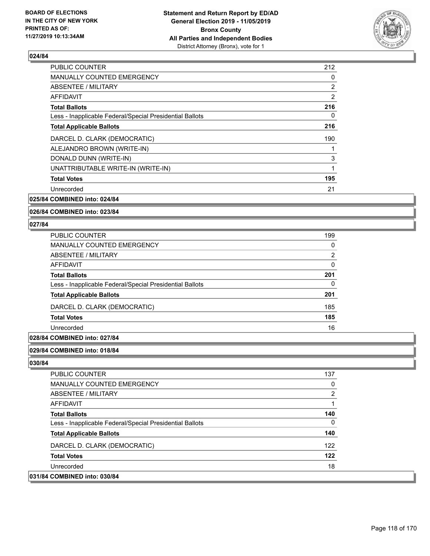

| PUBLIC COUNTER                                           | 212 |
|----------------------------------------------------------|-----|
| <b>MANUALLY COUNTED EMERGENCY</b>                        | 0   |
| ABSENTEE / MILITARY                                      | 2   |
| AFFIDAVIT                                                | 2   |
| <b>Total Ballots</b>                                     | 216 |
| Less - Inapplicable Federal/Special Presidential Ballots | 0   |
| <b>Total Applicable Ballots</b>                          | 216 |
| DARCEL D. CLARK (DEMOCRATIC)                             | 190 |
| ALEJANDRO BROWN (WRITE-IN)                               |     |
| DONALD DUNN (WRITE-IN)                                   | 3   |
| UNATTRIBUTABLE WRITE-IN (WRITE-IN)                       | 1   |
| <b>Total Votes</b>                                       | 195 |
| Unrecorded                                               | 21  |
|                                                          |     |

**025/84 COMBINED into: 024/84**

### **026/84 COMBINED into: 023/84**

#### **027/84**

| PUBLIC COUNTER                                           | 199 |
|----------------------------------------------------------|-----|
| MANUALLY COUNTED EMERGENCY                               | 0   |
| <b>ABSENTEE / MILITARY</b>                               | 2   |
| AFFIDAVIT                                                | 0   |
| <b>Total Ballots</b>                                     | 201 |
| Less - Inapplicable Federal/Special Presidential Ballots | 0   |
| <b>Total Applicable Ballots</b>                          | 201 |
| DARCEL D. CLARK (DEMOCRATIC)                             | 185 |
| <b>Total Votes</b>                                       | 185 |
| Unrecorded                                               | 16  |

### **028/84 COMBINED into: 027/84**

#### **029/84 COMBINED into: 018/84**

| PUBLIC COUNTER                                           | 137 |
|----------------------------------------------------------|-----|
| MANUALLY COUNTED EMERGENCY                               | 0   |
| ABSENTEE / MILITARY                                      | 2   |
| AFFIDAVIT                                                |     |
| <b>Total Ballots</b>                                     | 140 |
| Less - Inapplicable Federal/Special Presidential Ballots | 0   |
| <b>Total Applicable Ballots</b>                          | 140 |
| DARCEL D. CLARK (DEMOCRATIC)                             | 122 |
| <b>Total Votes</b>                                       | 122 |
| Unrecorded                                               | 18  |
| 031/84 COMBINED into: 030/84                             |     |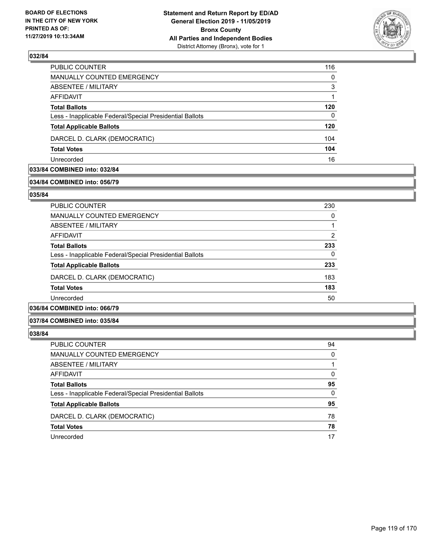

| <b>PUBLIC COUNTER</b>                                    | 116      |
|----------------------------------------------------------|----------|
| MANUALLY COUNTED EMERGENCY                               | $\Omega$ |
| ABSENTEE / MILITARY                                      | 3        |
| AFFIDAVIT                                                |          |
| <b>Total Ballots</b>                                     | 120      |
| Less - Inapplicable Federal/Special Presidential Ballots | 0        |
| <b>Total Applicable Ballots</b>                          | 120      |
| DARCEL D. CLARK (DEMOCRATIC)                             | 104      |
| <b>Total Votes</b>                                       | 104      |
| Unrecorded                                               | 16       |

## **033/84 COMBINED into: 032/84**

#### **034/84 COMBINED into: 056/79**

### **035/84**

| PUBLIC COUNTER                                           | 230           |
|----------------------------------------------------------|---------------|
| <b>MANUALLY COUNTED EMERGENCY</b>                        | 0             |
| ABSENTEE / MILITARY                                      | 1             |
| AFFIDAVIT                                                | $\mathcal{P}$ |
| <b>Total Ballots</b>                                     | 233           |
| Less - Inapplicable Federal/Special Presidential Ballots | 0             |
| <b>Total Applicable Ballots</b>                          | 233           |
| DARCEL D. CLARK (DEMOCRATIC)                             | 183           |
| <b>Total Votes</b>                                       | 183           |
| Unrecorded                                               | 50            |

### **036/84 COMBINED into: 066/79**

### **037/84 COMBINED into: 035/84**

| PUBLIC COUNTER                                           | 94 |
|----------------------------------------------------------|----|
| MANUALLY COUNTED EMERGENCY                               | 0  |
| ABSENTEE / MILITARY                                      |    |
| AFFIDAVIT                                                | 0  |
| <b>Total Ballots</b>                                     | 95 |
| Less - Inapplicable Federal/Special Presidential Ballots | 0  |
| <b>Total Applicable Ballots</b>                          | 95 |
| DARCEL D. CLARK (DEMOCRATIC)                             | 78 |
| <b>Total Votes</b>                                       | 78 |
| Unrecorded                                               | 17 |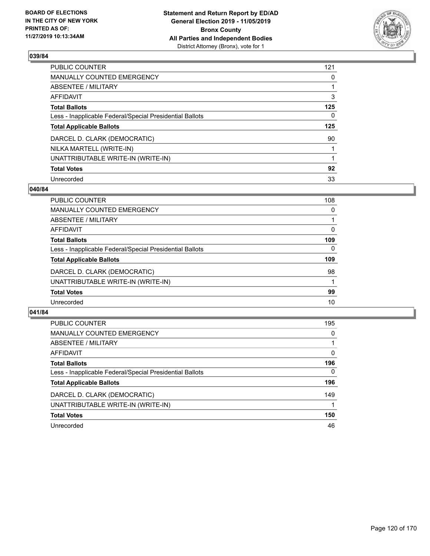

| PUBLIC COUNTER                                           | 121      |
|----------------------------------------------------------|----------|
| <b>MANUALLY COUNTED EMERGENCY</b>                        | 0        |
| ABSENTEE / MILITARY                                      |          |
| <b>AFFIDAVIT</b>                                         | 3        |
| <b>Total Ballots</b>                                     | 125      |
| Less - Inapplicable Federal/Special Presidential Ballots | $\Omega$ |
| <b>Total Applicable Ballots</b>                          | 125      |
| DARCEL D. CLARK (DEMOCRATIC)                             | 90       |
| NILKA MARTELL (WRITE-IN)                                 |          |
| UNATTRIBUTABLE WRITE-IN (WRITE-IN)                       | 1        |
| <b>Total Votes</b>                                       | 92       |
| Unrecorded                                               | 33       |

### **040/84**

| <b>PUBLIC COUNTER</b>                                    | 108      |
|----------------------------------------------------------|----------|
| <b>MANUALLY COUNTED EMERGENCY</b>                        | 0        |
| ABSENTEE / MILITARY                                      |          |
| <b>AFFIDAVIT</b>                                         | $\Omega$ |
| <b>Total Ballots</b>                                     | 109      |
| Less - Inapplicable Federal/Special Presidential Ballots | $\Omega$ |
| <b>Total Applicable Ballots</b>                          | 109      |
| DARCEL D. CLARK (DEMOCRATIC)                             | 98       |
| UNATTRIBUTABLE WRITE-IN (WRITE-IN)                       |          |
| <b>Total Votes</b>                                       | 99       |
| Unrecorded                                               | 10       |

| <b>PUBLIC COUNTER</b>                                    | 195      |
|----------------------------------------------------------|----------|
| <b>MANUALLY COUNTED EMERGENCY</b>                        | $\Omega$ |
| ABSENTEE / MILITARY                                      |          |
| AFFIDAVIT                                                | 0        |
| <b>Total Ballots</b>                                     | 196      |
| Less - Inapplicable Federal/Special Presidential Ballots | $\Omega$ |
| <b>Total Applicable Ballots</b>                          | 196      |
| DARCEL D. CLARK (DEMOCRATIC)                             | 149      |
| UNATTRIBUTABLE WRITE-IN (WRITE-IN)                       |          |
| <b>Total Votes</b>                                       | 150      |
| Unrecorded                                               | 46       |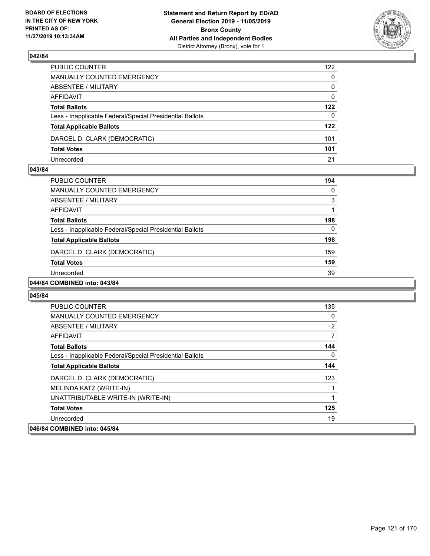

| PUBLIC COUNTER                                           | 122          |
|----------------------------------------------------------|--------------|
| MANUALLY COUNTED EMERGENCY                               | $\mathbf{0}$ |
| ABSENTEE / MILITARY                                      | $\Omega$     |
| AFFIDAVIT                                                | $\mathbf{0}$ |
| <b>Total Ballots</b>                                     | 122          |
| Less - Inapplicable Federal/Special Presidential Ballots | $\mathbf{0}$ |
| <b>Total Applicable Ballots</b>                          | 122          |
| DARCEL D. CLARK (DEMOCRATIC)                             | 101          |
| <b>Total Votes</b>                                       | 101          |
| Unrecorded                                               | 21           |

### **043/84**

| <b>PUBLIC COUNTER</b>                                    | 194 |
|----------------------------------------------------------|-----|
| <b>MANUALLY COUNTED EMERGENCY</b>                        | 0   |
| ABSENTEE / MILITARY                                      | 3   |
| AFFIDAVIT                                                |     |
| <b>Total Ballots</b>                                     | 198 |
| Less - Inapplicable Federal/Special Presidential Ballots | 0   |
| <b>Total Applicable Ballots</b>                          | 198 |
| DARCEL D. CLARK (DEMOCRATIC)                             | 159 |
| <b>Total Votes</b>                                       | 159 |
| Unrecorded                                               | 39  |
|                                                          |     |

### **044/84 COMBINED into: 043/84**

| <b>PUBLIC COUNTER</b>                                    | 135            |
|----------------------------------------------------------|----------------|
| <b>MANUALLY COUNTED EMERGENCY</b>                        | 0              |
| ABSENTEE / MILITARY                                      | $\overline{2}$ |
| AFFIDAVIT                                                | $\overline{7}$ |
| <b>Total Ballots</b>                                     | 144            |
| Less - Inapplicable Federal/Special Presidential Ballots | $\Omega$       |
| <b>Total Applicable Ballots</b>                          | 144            |
| DARCEL D. CLARK (DEMOCRATIC)                             | 123            |
| MELINDA KATZ (WRITE-IN)                                  |                |
| UNATTRIBUTABLE WRITE-IN (WRITE-IN)                       |                |
| <b>Total Votes</b>                                       | 125            |
| Unrecorded                                               | 19             |
| 046/84 COMBINED into: 045/84                             |                |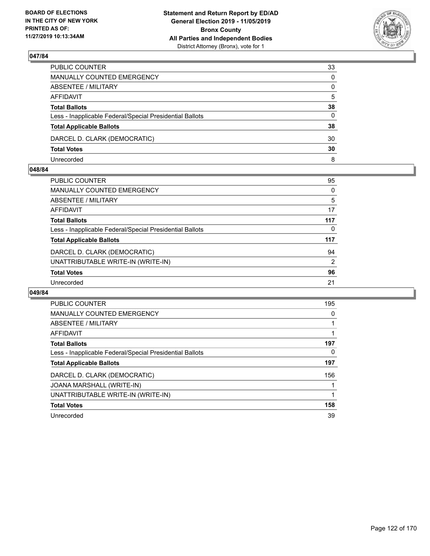

| PUBLIC COUNTER                                           | 33           |
|----------------------------------------------------------|--------------|
| MANUALLY COUNTED EMERGENCY                               | $\mathbf{0}$ |
| ABSENTEE / MILITARY                                      | $\mathbf{0}$ |
| AFFIDAVIT                                                | 5            |
| <b>Total Ballots</b>                                     | 38           |
| Less - Inapplicable Federal/Special Presidential Ballots | 0            |
| <b>Total Applicable Ballots</b>                          | 38           |
| DARCEL D. CLARK (DEMOCRATIC)                             | 30           |
| <b>Total Votes</b>                                       | 30           |
| Unrecorded                                               | 8            |

### **048/84**

| PUBLIC COUNTER                                           | 95       |
|----------------------------------------------------------|----------|
| <b>MANUALLY COUNTED EMERGENCY</b>                        | 0        |
| <b>ABSENTEE / MILITARY</b>                               | 5        |
| <b>AFFIDAVIT</b>                                         | 17       |
| <b>Total Ballots</b>                                     | 117      |
| Less - Inapplicable Federal/Special Presidential Ballots | $\Omega$ |
| <b>Total Applicable Ballots</b>                          | 117      |
| DARCEL D. CLARK (DEMOCRATIC)                             | 94       |
| UNATTRIBUTABLE WRITE-IN (WRITE-IN)                       | 2        |
| <b>Total Votes</b>                                       | 96       |
| Unrecorded                                               | 21       |
|                                                          |          |

| <b>PUBLIC COUNTER</b>                                    | 195 |
|----------------------------------------------------------|-----|
| <b>MANUALLY COUNTED EMERGENCY</b>                        | 0   |
| ABSENTEE / MILITARY                                      |     |
| AFFIDAVIT                                                |     |
| <b>Total Ballots</b>                                     | 197 |
| Less - Inapplicable Federal/Special Presidential Ballots | 0   |
| <b>Total Applicable Ballots</b>                          | 197 |
| DARCEL D. CLARK (DEMOCRATIC)                             | 156 |
| <b>JOANA MARSHALL (WRITE-IN)</b>                         |     |
| UNATTRIBUTABLE WRITE-IN (WRITE-IN)                       |     |
| <b>Total Votes</b>                                       | 158 |
| Unrecorded                                               | 39  |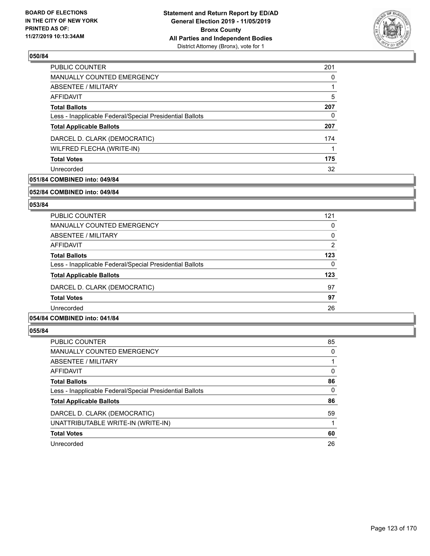

| <b>PUBLIC COUNTER</b>                                    | 201 |
|----------------------------------------------------------|-----|
| MANUALLY COUNTED EMERGENCY                               | 0   |
| <b>ABSENTEE / MILITARY</b>                               |     |
| AFFIDAVIT                                                | 5   |
| <b>Total Ballots</b>                                     | 207 |
| Less - Inapplicable Federal/Special Presidential Ballots | 0   |
| <b>Total Applicable Ballots</b>                          | 207 |
| DARCEL D. CLARK (DEMOCRATIC)                             | 174 |
| WILFRED FLECHA (WRITE-IN)                                |     |
| <b>Total Votes</b>                                       | 175 |
| Unrecorded                                               | 32  |

### **051/84 COMBINED into: 049/84**

#### **052/84 COMBINED into: 049/84**

### **053/84**

| <b>PUBLIC COUNTER</b>                                    | 121      |
|----------------------------------------------------------|----------|
| <b>MANUALLY COUNTED EMERGENCY</b>                        | 0        |
| ABSENTEE / MILITARY                                      | $\Omega$ |
| AFFIDAVIT                                                | 2        |
| <b>Total Ballots</b>                                     | 123      |
| Less - Inapplicable Federal/Special Presidential Ballots | $\Omega$ |
| <b>Total Applicable Ballots</b>                          | 123      |
| DARCEL D. CLARK (DEMOCRATIC)                             | 97       |
| <b>Total Votes</b>                                       | 97       |
| Unrecorded                                               | 26       |
|                                                          |          |

### **054/84 COMBINED into: 041/84**

| <b>PUBLIC COUNTER</b>                                    | 85       |
|----------------------------------------------------------|----------|
| <b>MANUALLY COUNTED EMERGENCY</b>                        | $\Omega$ |
| ABSENTEE / MILITARY                                      |          |
| AFFIDAVIT                                                | $\Omega$ |
| <b>Total Ballots</b>                                     | 86       |
| Less - Inapplicable Federal/Special Presidential Ballots | $\Omega$ |
| <b>Total Applicable Ballots</b>                          | 86       |
| DARCEL D. CLARK (DEMOCRATIC)                             | 59       |
| UNATTRIBUTABLE WRITE-IN (WRITE-IN)                       |          |
| <b>Total Votes</b>                                       | 60       |
| Unrecorded                                               | 26       |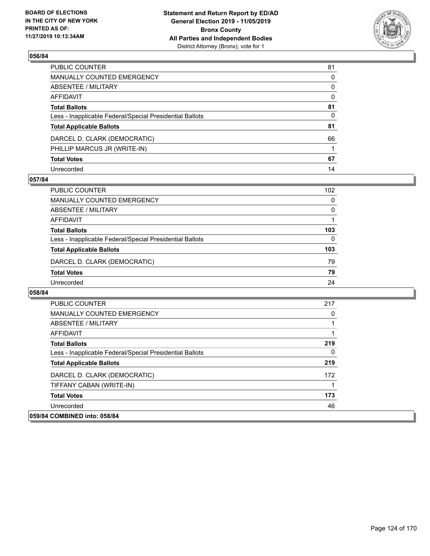

| PUBLIC COUNTER                                           | 81           |
|----------------------------------------------------------|--------------|
| MANUALLY COUNTED EMERGENCY                               | $\mathbf{0}$ |
| ABSENTEE / MILITARY                                      | 0            |
| AFFIDAVIT                                                | $\mathbf{0}$ |
| Total Ballots                                            | 81           |
| Less - Inapplicable Federal/Special Presidential Ballots | $\mathbf{0}$ |
| <b>Total Applicable Ballots</b>                          | 81           |
| DARCEL D. CLARK (DEMOCRATIC)                             | 66           |
| PHILLIP MARCUS JR (WRITE-IN)                             |              |
| <b>Total Votes</b>                                       | 67           |
| Unrecorded                                               | 14           |

### **057/84**

| PUBLIC COUNTER                                           | 102      |
|----------------------------------------------------------|----------|
| MANUALLY COUNTED EMERGENCY                               | 0        |
| ABSENTEE / MILITARY                                      | 0        |
| AFFIDAVIT                                                |          |
| <b>Total Ballots</b>                                     | 103      |
| Less - Inapplicable Federal/Special Presidential Ballots | $\Omega$ |
| <b>Total Applicable Ballots</b>                          | 103      |
| DARCEL D. CLARK (DEMOCRATIC)                             | 79       |
| <b>Total Votes</b>                                       | 79       |
| Unrecorded                                               | 24       |

| <b>PUBLIC COUNTER</b>                                    | 217 |
|----------------------------------------------------------|-----|
| <b>MANUALLY COUNTED EMERGENCY</b>                        | 0   |
| ABSENTEE / MILITARY                                      |     |
| AFFIDAVIT                                                |     |
| <b>Total Ballots</b>                                     | 219 |
| Less - Inapplicable Federal/Special Presidential Ballots | 0   |
| <b>Total Applicable Ballots</b>                          | 219 |
| DARCEL D. CLARK (DEMOCRATIC)                             | 172 |
| TIFFANY CABAN (WRITE-IN)                                 |     |
| <b>Total Votes</b>                                       | 173 |
| Unrecorded                                               | 46  |
| 059/84 COMBINED into: 058/84                             |     |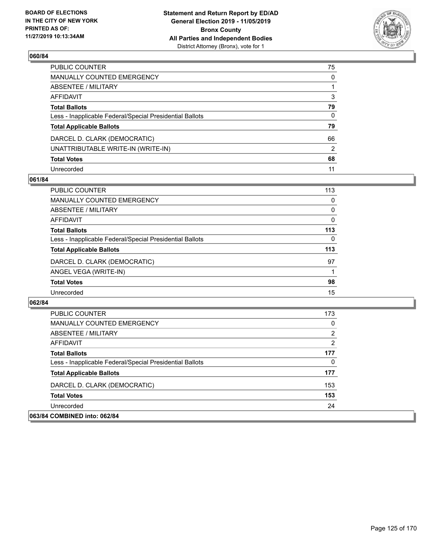

| PUBLIC COUNTER                                           | 75            |
|----------------------------------------------------------|---------------|
| MANUALLY COUNTED EMERGENCY                               | 0             |
| ABSENTEE / MILITARY                                      |               |
| AFFIDAVIT                                                | 3             |
| <b>Total Ballots</b>                                     | 79            |
| Less - Inapplicable Federal/Special Presidential Ballots | 0             |
| <b>Total Applicable Ballots</b>                          | 79            |
| DARCEL D. CLARK (DEMOCRATIC)                             | 66            |
| UNATTRIBUTABLE WRITE-IN (WRITE-IN)                       | $\mathcal{P}$ |
| <b>Total Votes</b>                                       | 68            |
| Unrecorded                                               | 11            |

### **061/84**

| PUBLIC COUNTER                                           | 113      |
|----------------------------------------------------------|----------|
| <b>MANUALLY COUNTED EMERGENCY</b>                        | $\Omega$ |
| ABSENTEE / MILITARY                                      | 0        |
| AFFIDAVIT                                                | 0        |
| <b>Total Ballots</b>                                     | 113      |
| Less - Inapplicable Federal/Special Presidential Ballots | 0        |
| <b>Total Applicable Ballots</b>                          | 113      |
| DARCEL D. CLARK (DEMOCRATIC)                             | 97       |
| ANGEL VEGA (WRITE-IN)                                    |          |
| <b>Total Votes</b>                                       | 98       |
| Unrecorded                                               | 15       |

| <b>PUBLIC COUNTER</b>                                    | 173 |
|----------------------------------------------------------|-----|
| <b>MANUALLY COUNTED EMERGENCY</b>                        | 0   |
| ABSENTEE / MILITARY                                      | 2   |
| AFFIDAVIT                                                | 2   |
| <b>Total Ballots</b>                                     | 177 |
| Less - Inapplicable Federal/Special Presidential Ballots | 0   |
| <b>Total Applicable Ballots</b>                          | 177 |
| DARCEL D. CLARK (DEMOCRATIC)                             | 153 |
| <b>Total Votes</b>                                       | 153 |
| Unrecorded                                               | 24  |
| 063/84 COMBINED into: 062/84                             |     |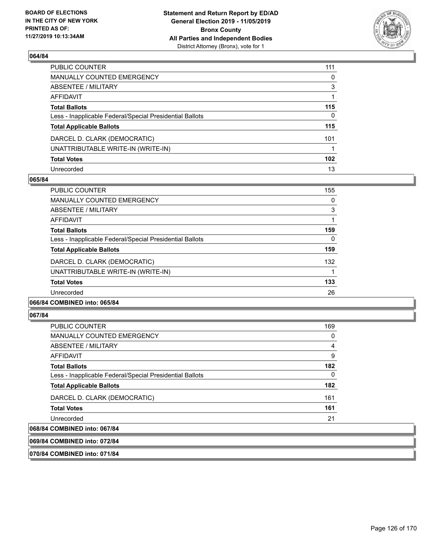

| PUBLIC COUNTER                                           | 111              |
|----------------------------------------------------------|------------------|
| MANUALLY COUNTED EMERGENCY                               | 0                |
| ABSENTEE / MILITARY                                      | 3                |
| AFFIDAVIT                                                |                  |
| <b>Total Ballots</b>                                     | 115              |
| Less - Inapplicable Federal/Special Presidential Ballots | 0                |
| <b>Total Applicable Ballots</b>                          | 115              |
| DARCEL D. CLARK (DEMOCRATIC)                             | 101              |
| UNATTRIBUTABLE WRITE-IN (WRITE-IN)                       |                  |
| <b>Total Votes</b>                                       | 102 <sub>2</sub> |
| Unrecorded                                               | 13               |

### **065/84**

| <b>PUBLIC COUNTER</b>                                    | 155 |
|----------------------------------------------------------|-----|
| <b>MANUALLY COUNTED EMERGENCY</b>                        | 0   |
| ABSENTEE / MILITARY                                      | 3   |
| AFFIDAVIT                                                |     |
| <b>Total Ballots</b>                                     | 159 |
| Less - Inapplicable Federal/Special Presidential Ballots | 0   |
| <b>Total Applicable Ballots</b>                          | 159 |
| DARCEL D. CLARK (DEMOCRATIC)                             | 132 |
| UNATTRIBUTABLE WRITE-IN (WRITE-IN)                       |     |
| <b>Total Votes</b>                                       | 133 |
| Unrecorded                                               | 26  |
|                                                          |     |

### **066/84 COMBINED into: 065/84**

#### **067/84**

| <b>PUBLIC COUNTER</b>                                    | 169      |
|----------------------------------------------------------|----------|
| <b>MANUALLY COUNTED EMERGENCY</b>                        | $\Omega$ |
| ABSENTEE / MILITARY                                      | 4        |
| AFFIDAVIT                                                | 9        |
| <b>Total Ballots</b>                                     | 182      |
| Less - Inapplicable Federal/Special Presidential Ballots | $\Omega$ |
| <b>Total Applicable Ballots</b>                          | 182      |
| DARCEL D. CLARK (DEMOCRATIC)                             | 161      |
| <b>Total Votes</b>                                       | 161      |
| Unrecorded                                               | 21       |
| 068/84 COMBINED into: 067/84                             |          |

**069/84 COMBINED into: 072/84**

**070/84 COMBINED into: 071/84**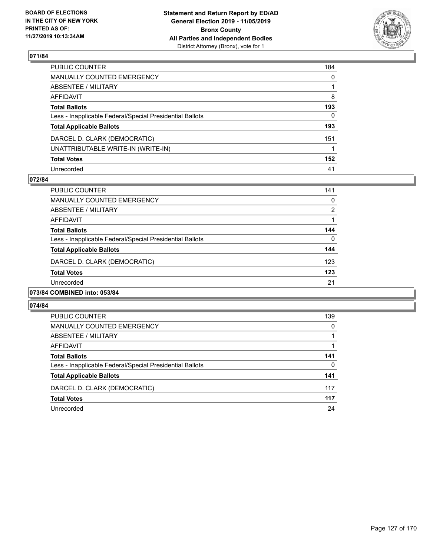

| PUBLIC COUNTER                                           | 184          |
|----------------------------------------------------------|--------------|
| MANUALLY COUNTED EMERGENCY                               | $\mathbf{0}$ |
| ABSENTEE / MILITARY                                      |              |
| AFFIDAVIT                                                | 8            |
| <b>Total Ballots</b>                                     | 193          |
| Less - Inapplicable Federal/Special Presidential Ballots | 0            |
| <b>Total Applicable Ballots</b>                          | 193          |
| DARCEL D. CLARK (DEMOCRATIC)                             | 151          |
| UNATTRIBUTABLE WRITE-IN (WRITE-IN)                       |              |
| <b>Total Votes</b>                                       | 152          |
| Unrecorded                                               | 41           |

### **072/84**

| PUBLIC COUNTER                                           | 141          |
|----------------------------------------------------------|--------------|
| <b>MANUALLY COUNTED EMERGENCY</b>                        | $\Omega$     |
| ABSENTEE / MILITARY                                      | 2            |
| AFFIDAVIT                                                |              |
| <b>Total Ballots</b>                                     | 144          |
| Less - Inapplicable Federal/Special Presidential Ballots | $\mathbf{0}$ |
| <b>Total Applicable Ballots</b>                          | 144          |
| DARCEL D. CLARK (DEMOCRATIC)                             | 123          |
| <b>Total Votes</b>                                       | 123          |
| Unrecorded                                               | 21           |
| 073/84 COMBINED into: 053/84                             |              |

| PUBLIC COUNTER                                           | 139 |
|----------------------------------------------------------|-----|
| <b>MANUALLY COUNTED EMERGENCY</b>                        | 0   |
| ABSENTEE / MILITARY                                      |     |
| AFFIDAVIT                                                |     |
| <b>Total Ballots</b>                                     | 141 |
| Less - Inapplicable Federal/Special Presidential Ballots | 0   |
| <b>Total Applicable Ballots</b>                          | 141 |
| DARCEL D. CLARK (DEMOCRATIC)                             | 117 |
| <b>Total Votes</b>                                       | 117 |
| Unrecorded                                               | 24  |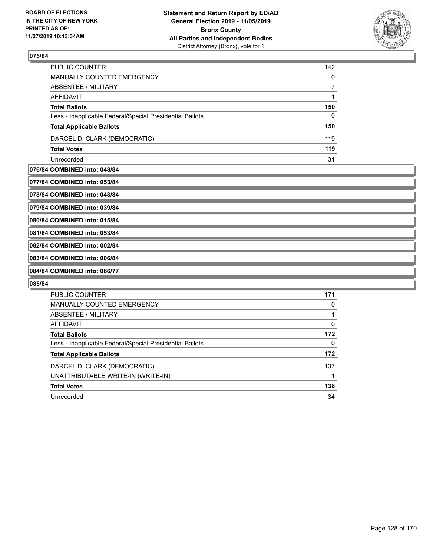

| PUBLIC COUNTER                                           | 142 |
|----------------------------------------------------------|-----|
| MANUALLY COUNTED EMERGENCY                               | 0   |
| ABSENTEE / MILITARY                                      |     |
| AFFIDAVIT                                                |     |
| <b>Total Ballots</b>                                     | 150 |
| Less - Inapplicable Federal/Special Presidential Ballots | 0   |
| <b>Total Applicable Ballots</b>                          | 150 |
| DARCEL D. CLARK (DEMOCRATIC)                             | 119 |
| <b>Total Votes</b>                                       | 119 |
| Unrecorded                                               | 31  |

### **076/84 COMBINED into: 048/84**

**077/84 COMBINED into: 053/84**

**078/84 COMBINED into: 048/84**

**079/84 COMBINED into: 039/84**

**080/84 COMBINED into: 015/84**

**081/84 COMBINED into: 053/84**

**082/84 COMBINED into: 002/84**

## **083/84 COMBINED into: 006/84**

**084/84 COMBINED into: 066/77**

| <b>PUBLIC COUNTER</b>                                    | 171 |
|----------------------------------------------------------|-----|
| <b>MANUALLY COUNTED EMERGENCY</b>                        | 0   |
| ABSENTEE / MILITARY                                      |     |
| <b>AFFIDAVIT</b>                                         | 0   |
| <b>Total Ballots</b>                                     | 172 |
| Less - Inapplicable Federal/Special Presidential Ballots | 0   |
| <b>Total Applicable Ballots</b>                          | 172 |
| DARCEL D. CLARK (DEMOCRATIC)                             | 137 |
| UNATTRIBUTABLE WRITE-IN (WRITE-IN)                       |     |
| <b>Total Votes</b>                                       | 138 |
| Unrecorded                                               | 34  |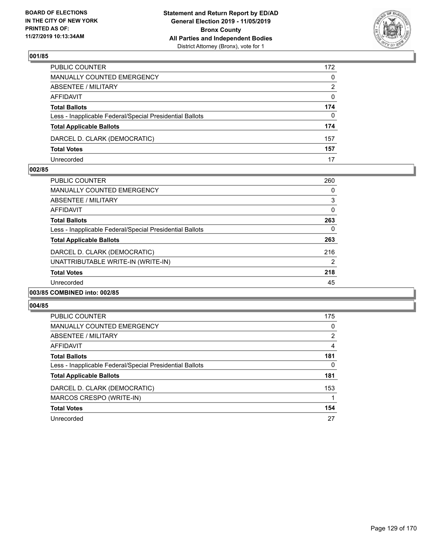

| PUBLIC COUNTER                                           | 172 |
|----------------------------------------------------------|-----|
| MANUALLY COUNTED EMERGENCY                               | 0   |
| ABSENTEE / MILITARY                                      | 2   |
| AFFIDAVIT                                                | 0   |
| <b>Total Ballots</b>                                     | 174 |
| Less - Inapplicable Federal/Special Presidential Ballots | 0   |
| <b>Total Applicable Ballots</b>                          | 174 |
| DARCEL D. CLARK (DEMOCRATIC)                             | 157 |
| <b>Total Votes</b>                                       | 157 |
| Unrecorded                                               | 17  |

### **002/85**

| PUBLIC COUNTER                                           | 260      |
|----------------------------------------------------------|----------|
| <b>MANUALLY COUNTED EMERGENCY</b>                        | 0        |
| ABSENTEE / MILITARY                                      | 3        |
| AFFIDAVIT                                                | $\Omega$ |
| <b>Total Ballots</b>                                     | 263      |
| Less - Inapplicable Federal/Special Presidential Ballots | $\Omega$ |
| <b>Total Applicable Ballots</b>                          | 263      |
| DARCEL D. CLARK (DEMOCRATIC)                             | 216      |
| UNATTRIBUTABLE WRITE-IN (WRITE-IN)                       | 2        |
| <b>Total Votes</b>                                       | 218      |
| Unrecorded                                               | 45       |
| 003/85 COMBINED into: 002/85                             |          |

| PUBLIC COUNTER                                           | 175            |
|----------------------------------------------------------|----------------|
| <b>MANUALLY COUNTED EMERGENCY</b>                        | $\Omega$       |
| ABSENTEE / MILITARY                                      | $\overline{2}$ |
| AFFIDAVIT                                                | 4              |
| <b>Total Ballots</b>                                     | 181            |
| Less - Inapplicable Federal/Special Presidential Ballots | 0              |
| <b>Total Applicable Ballots</b>                          | 181            |
| DARCEL D. CLARK (DEMOCRATIC)                             | 153            |
| MARCOS CRESPO (WRITE-IN)                                 |                |
| <b>Total Votes</b>                                       | 154            |
| Unrecorded                                               | 27             |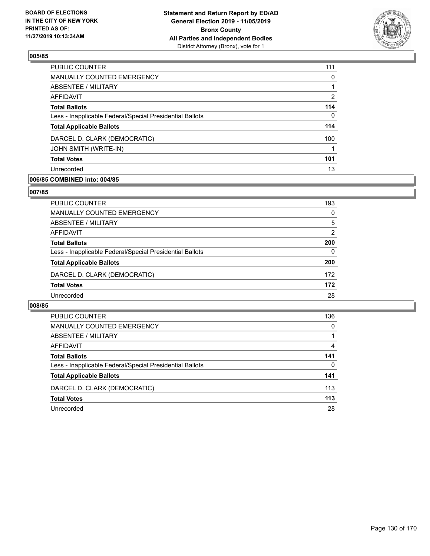

| PUBLIC COUNTER                                           | 111 |
|----------------------------------------------------------|-----|
| MANUALLY COUNTED EMERGENCY                               | 0   |
| ABSENTEE / MILITARY                                      |     |
| AFFIDAVIT                                                | 2   |
| <b>Total Ballots</b>                                     | 114 |
| Less - Inapplicable Federal/Special Presidential Ballots | 0   |
| <b>Total Applicable Ballots</b>                          | 114 |
| DARCEL D. CLARK (DEMOCRATIC)                             | 100 |
| <b>JOHN SMITH (WRITE-IN)</b>                             |     |
| <b>Total Votes</b>                                       | 101 |
| Unrecorded                                               | 13  |

### **006/85 COMBINED into: 004/85**

### **007/85**

| PUBLIC COUNTER                                           | 193      |
|----------------------------------------------------------|----------|
| <b>MANUALLY COUNTED EMERGENCY</b>                        | $\Omega$ |
| <b>ABSENTEE / MILITARY</b>                               | 5        |
| <b>AFFIDAVIT</b>                                         | 2        |
| <b>Total Ballots</b>                                     | 200      |
| Less - Inapplicable Federal/Special Presidential Ballots | $\Omega$ |
| <b>Total Applicable Ballots</b>                          | 200      |
| DARCEL D. CLARK (DEMOCRATIC)                             | 172      |
| <b>Total Votes</b>                                       | 172      |
| Unrecorded                                               | 28       |
|                                                          |          |

| PUBLIC COUNTER                                           | 136      |
|----------------------------------------------------------|----------|
| MANUALLY COUNTED EMERGENCY                               | $\Omega$ |
| ABSENTEE / MILITARY                                      |          |
| AFFIDAVIT                                                | 4        |
| <b>Total Ballots</b>                                     | 141      |
| Less - Inapplicable Federal/Special Presidential Ballots | 0        |
| <b>Total Applicable Ballots</b>                          | 141      |
| DARCEL D. CLARK (DEMOCRATIC)                             | 113      |
| <b>Total Votes</b>                                       | 113      |
| Unrecorded                                               | 28       |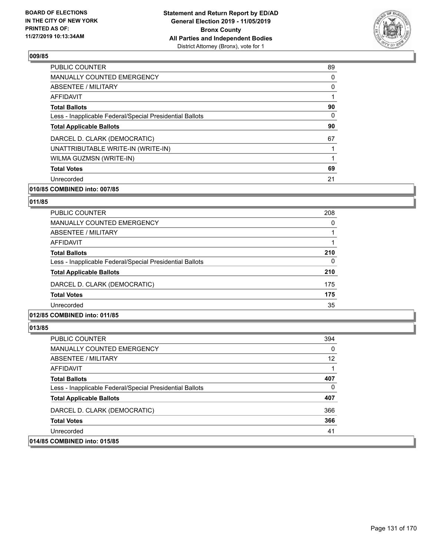

| <b>PUBLIC COUNTER</b>                                    | 89       |
|----------------------------------------------------------|----------|
| <b>MANUALLY COUNTED EMERGENCY</b>                        | 0        |
| ABSENTEE / MILITARY                                      | 0        |
| <b>AFFIDAVIT</b>                                         | 1        |
| <b>Total Ballots</b>                                     | 90       |
| Less - Inapplicable Federal/Special Presidential Ballots | $\Omega$ |
| <b>Total Applicable Ballots</b>                          | 90       |
| DARCEL D. CLARK (DEMOCRATIC)                             | 67       |
| UNATTRIBUTABLE WRITE-IN (WRITE-IN)                       | 1        |
| WILMA GUZMSN (WRITE-IN)                                  | 1        |
| <b>Total Votes</b>                                       | 69       |
| Unrecorded                                               | 21       |

### **010/85 COMBINED into: 007/85**

### **011/85**

| 208      |
|----------|
| 0        |
|          |
|          |
| 210      |
| $\Omega$ |
| 210      |
| 175      |
| 175      |
| 35       |
|          |

### **012/85 COMBINED into: 011/85**

| <b>PUBLIC COUNTER</b>                                    | 394 |
|----------------------------------------------------------|-----|
| MANUALLY COUNTED EMERGENCY                               | 0   |
| ABSENTEE / MILITARY                                      | 12  |
| AFFIDAVIT                                                |     |
| <b>Total Ballots</b>                                     | 407 |
| Less - Inapplicable Federal/Special Presidential Ballots | 0   |
| <b>Total Applicable Ballots</b>                          | 407 |
| DARCEL D. CLARK (DEMOCRATIC)                             | 366 |
| <b>Total Votes</b>                                       | 366 |
| Unrecorded                                               | 41  |
| 014/85 COMBINED into: 015/85                             |     |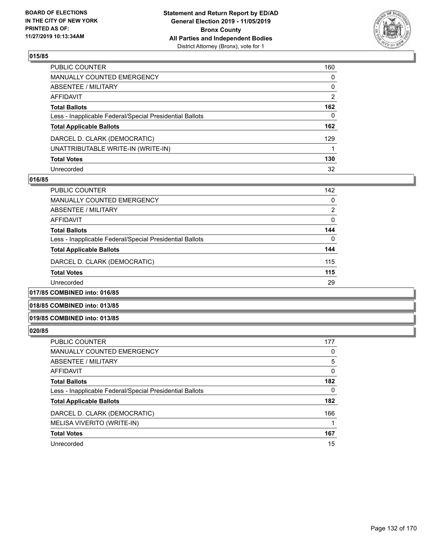

| PUBLIC COUNTER                                           | 160            |
|----------------------------------------------------------|----------------|
| MANUALLY COUNTED EMERGENCY                               | 0              |
| ABSENTEE / MILITARY                                      | 0              |
| AFFIDAVIT                                                | $\overline{2}$ |
| Total Ballots                                            | 162            |
| Less - Inapplicable Federal/Special Presidential Ballots | 0              |
| <b>Total Applicable Ballots</b>                          | 162            |
| DARCEL D. CLARK (DEMOCRATIC)                             | 129            |
| UNATTRIBUTABLE WRITE-IN (WRITE-IN)                       |                |
| <b>Total Votes</b>                                       | 130            |
| Unrecorded                                               | 32             |

### **016/85**

| <b>PUBLIC COUNTER</b>                                    | 142      |
|----------------------------------------------------------|----------|
| <b>MANUALLY COUNTED EMERGENCY</b>                        | $\Omega$ |
| ABSENTEE / MILITARY                                      | 2        |
| AFFIDAVIT                                                | $\Omega$ |
| <b>Total Ballots</b>                                     | 144      |
| Less - Inapplicable Federal/Special Presidential Ballots | $\Omega$ |
| <b>Total Applicable Ballots</b>                          | 144      |
| DARCEL D. CLARK (DEMOCRATIC)                             | 115      |
| <b>Total Votes</b>                                       | 115      |
| Unrecorded                                               | 29       |
|                                                          |          |

### **017/85 COMBINED into: 016/85**

#### **018/85 COMBINED into: 013/85**

### **019/85 COMBINED into: 013/85**

| <b>PUBLIC COUNTER</b>                                    | 177 |
|----------------------------------------------------------|-----|
| MANUALLY COUNTED EMERGENCY                               | 0   |
| ABSENTEE / MILITARY                                      | 5   |
| AFFIDAVIT                                                | 0   |
| <b>Total Ballots</b>                                     | 182 |
| Less - Inapplicable Federal/Special Presidential Ballots | 0   |
| <b>Total Applicable Ballots</b>                          | 182 |
| DARCEL D. CLARK (DEMOCRATIC)                             | 166 |
| MELISA VIVERITO (WRITE-IN)                               |     |
| <b>Total Votes</b>                                       | 167 |
| Unrecorded                                               | 15  |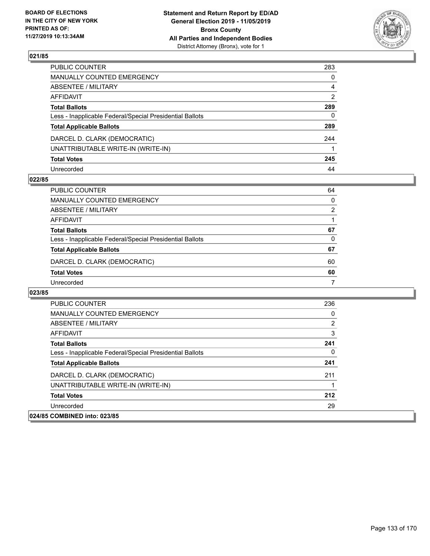

| PUBLIC COUNTER                                           | 283            |
|----------------------------------------------------------|----------------|
| MANUALLY COUNTED EMERGENCY                               | 0              |
| ABSENTEE / MILITARY                                      | 4              |
| AFFIDAVIT                                                | $\mathfrak{p}$ |
| Total Ballots                                            | 289            |
| Less - Inapplicable Federal/Special Presidential Ballots | 0              |
| <b>Total Applicable Ballots</b>                          | 289            |
| DARCEL D. CLARK (DEMOCRATIC)                             | 244            |
| UNATTRIBUTABLE WRITE-IN (WRITE-IN)                       |                |
| <b>Total Votes</b>                                       | 245            |
| Unrecorded                                               | 44             |

### **022/85**

| PUBLIC COUNTER                                           | 64 |
|----------------------------------------------------------|----|
| MANUALLY COUNTED EMERGENCY                               | 0  |
| ABSENTEE / MILITARY                                      | 2  |
| AFFIDAVIT                                                |    |
| <b>Total Ballots</b>                                     | 67 |
| Less - Inapplicable Federal/Special Presidential Ballots | 0  |
| <b>Total Applicable Ballots</b>                          | 67 |
| DARCEL D. CLARK (DEMOCRATIC)                             | 60 |
| <b>Total Votes</b>                                       | 60 |
| Unrecorded                                               |    |

| <b>PUBLIC COUNTER</b>                                    | 236 |
|----------------------------------------------------------|-----|
| <b>MANUALLY COUNTED EMERGENCY</b>                        | 0   |
| ABSENTEE / MILITARY                                      | 2   |
| AFFIDAVIT                                                | 3   |
| <b>Total Ballots</b>                                     | 241 |
| Less - Inapplicable Federal/Special Presidential Ballots | 0   |
| <b>Total Applicable Ballots</b>                          | 241 |
| DARCEL D. CLARK (DEMOCRATIC)                             | 211 |
| UNATTRIBUTABLE WRITE-IN (WRITE-IN)                       |     |
| <b>Total Votes</b>                                       | 212 |
| Unrecorded                                               | 29  |
| 024/85 COMBINED into: 023/85                             |     |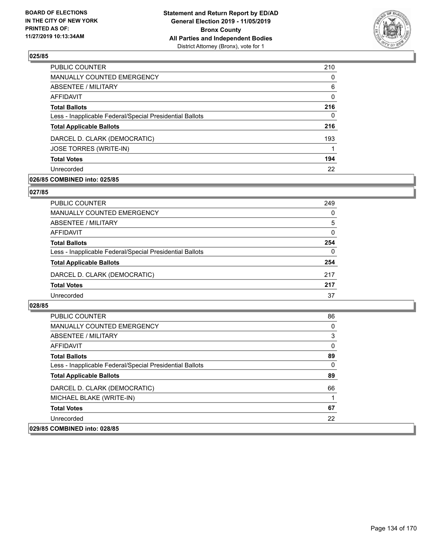

| PUBLIC COUNTER                                           | 210      |
|----------------------------------------------------------|----------|
| MANUALLY COUNTED EMERGENCY                               | $\Omega$ |
| <b>ABSENTEE / MILITARY</b>                               | 6        |
| AFFIDAVIT                                                | 0        |
| <b>Total Ballots</b>                                     | 216      |
| Less - Inapplicable Federal/Special Presidential Ballots | 0        |
| <b>Total Applicable Ballots</b>                          | 216      |
| DARCEL D. CLARK (DEMOCRATIC)                             | 193      |
| JOSE TORRES (WRITE-IN)                                   |          |
| <b>Total Votes</b>                                       | 194      |
| Unrecorded                                               | 22       |

### **026/85 COMBINED into: 025/85**

### **027/85**

| PUBLIC COUNTER                                           | 249      |
|----------------------------------------------------------|----------|
| <b>MANUALLY COUNTED EMERGENCY</b>                        | $\Omega$ |
| ABSENTEE / MILITARY                                      | 5        |
| AFFIDAVIT                                                | $\Omega$ |
| <b>Total Ballots</b>                                     | 254      |
| Less - Inapplicable Federal/Special Presidential Ballots | $\Omega$ |
| <b>Total Applicable Ballots</b>                          | 254      |
| DARCEL D. CLARK (DEMOCRATIC)                             | 217      |
| <b>Total Votes</b>                                       | 217      |
| Unrecorded                                               | 37       |

| <b>PUBLIC COUNTER</b>                                    | 86       |
|----------------------------------------------------------|----------|
| <b>MANUALLY COUNTED EMERGENCY</b>                        | 0        |
| ABSENTEE / MILITARY                                      | 3        |
| AFFIDAVIT                                                | 0        |
| <b>Total Ballots</b>                                     | 89       |
| Less - Inapplicable Federal/Special Presidential Ballots | $\Omega$ |
| <b>Total Applicable Ballots</b>                          | 89       |
| DARCEL D. CLARK (DEMOCRATIC)                             | 66       |
| MICHAEL BLAKE (WRITE-IN)                                 |          |
| <b>Total Votes</b>                                       | 67       |
| Unrecorded                                               | 22       |
| 029/85 COMBINED into: 028/85                             |          |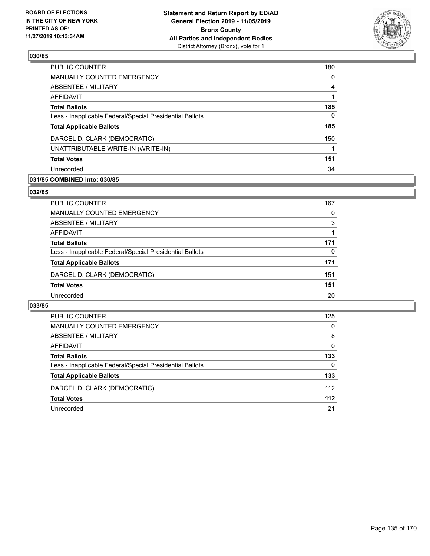

| PUBLIC COUNTER                                           | 180 |
|----------------------------------------------------------|-----|
| MANUALLY COUNTED EMERGENCY                               | 0   |
| <b>ABSENTEE / MILITARY</b>                               | 4   |
| AFFIDAVIT                                                |     |
| <b>Total Ballots</b>                                     | 185 |
| Less - Inapplicable Federal/Special Presidential Ballots | 0   |
| <b>Total Applicable Ballots</b>                          | 185 |
| DARCEL D. CLARK (DEMOCRATIC)                             | 150 |
| UNATTRIBUTABLE WRITE-IN (WRITE-IN)                       |     |
| <b>Total Votes</b>                                       | 151 |
| Unrecorded                                               | 34  |

### **031/85 COMBINED into: 030/85**

### **032/85**

| PUBLIC COUNTER                                           | 167      |
|----------------------------------------------------------|----------|
| <b>MANUALLY COUNTED EMERGENCY</b>                        | 0        |
| ABSENTEE / MILITARY                                      | 3        |
| AFFIDAVIT                                                |          |
| <b>Total Ballots</b>                                     | 171      |
| Less - Inapplicable Federal/Special Presidential Ballots | $\Omega$ |
| <b>Total Applicable Ballots</b>                          | 171      |
| DARCEL D. CLARK (DEMOCRATIC)                             | 151      |
| <b>Total Votes</b>                                       | 151      |
| Unrecorded                                               | 20       |
|                                                          |          |

| PUBLIC COUNTER                                           | 125      |
|----------------------------------------------------------|----------|
| MANUALLY COUNTED EMERGENCY                               | $\Omega$ |
| ABSENTEE / MILITARY                                      | 8        |
| AFFIDAVIT                                                | $\Omega$ |
| <b>Total Ballots</b>                                     | 133      |
| Less - Inapplicable Federal/Special Presidential Ballots | 0        |
| <b>Total Applicable Ballots</b>                          | 133      |
| DARCEL D. CLARK (DEMOCRATIC)                             | 112      |
| <b>Total Votes</b>                                       | $112$    |
| Unrecorded                                               | 21       |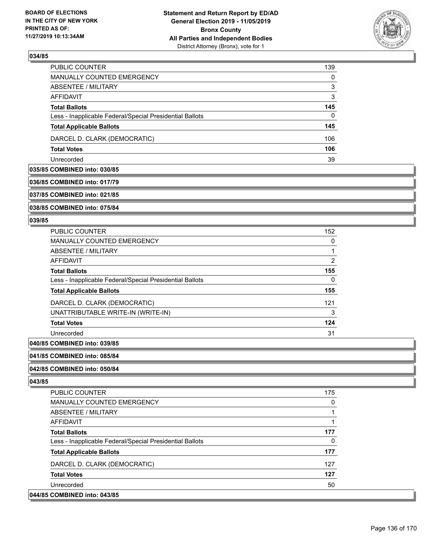

| PUBLIC COUNTER                                           | 139      |
|----------------------------------------------------------|----------|
| <b>MANUALLY COUNTED EMERGENCY</b>                        | $\Omega$ |
| ABSENTEE / MILITARY                                      | 3        |
| AFFIDAVIT                                                | 3        |
| <b>Total Ballots</b>                                     | 145      |
| Less - Inapplicable Federal/Special Presidential Ballots | 0        |
| <b>Total Applicable Ballots</b>                          | 145      |
| DARCEL D. CLARK (DEMOCRATIC)                             | 106      |
| <b>Total Votes</b>                                       | 106      |
| Unrecorded                                               | 39       |

### **035/85 COMBINED into: 030/85**

### **036/85 COMBINED into: 017/79**

**037/85 COMBINED into: 021/85**

**038/85 COMBINED into: 075/84**

#### **039/85**

| PUBLIC COUNTER                                           | 152 |
|----------------------------------------------------------|-----|
| <b>MANUALLY COUNTED EMERGENCY</b>                        | 0   |
| ABSENTEE / MILITARY                                      |     |
| <b>AFFIDAVIT</b>                                         | 2   |
| <b>Total Ballots</b>                                     | 155 |
| Less - Inapplicable Federal/Special Presidential Ballots | 0   |
| <b>Total Applicable Ballots</b>                          | 155 |
| DARCEL D. CLARK (DEMOCRATIC)                             | 121 |
| UNATTRIBUTABLE WRITE-IN (WRITE-IN)                       | 3   |
| <b>Total Votes</b>                                       | 124 |
| Unrecorded                                               | 31  |

### **040/85 COMBINED into: 039/85**

#### **041/85 COMBINED into: 085/84**

#### **042/85 COMBINED into: 050/84**

| <b>PUBLIC COUNTER</b>                                    | 175      |
|----------------------------------------------------------|----------|
| <b>MANUALLY COUNTED EMERGENCY</b>                        | 0        |
| ABSENTEE / MILITARY                                      |          |
| AFFIDAVIT                                                |          |
| <b>Total Ballots</b>                                     | 177      |
| Less - Inapplicable Federal/Special Presidential Ballots | $\Omega$ |
| <b>Total Applicable Ballots</b>                          | 177      |
| DARCEL D. CLARK (DEMOCRATIC)                             | 127      |
| <b>Total Votes</b>                                       | 127      |
| Unrecorded                                               | 50       |
| 044/85 COMBINED into: 043/85                             |          |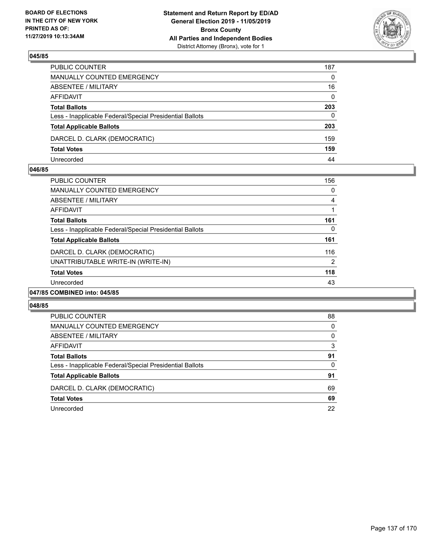

| PUBLIC COUNTER                                           | 187          |
|----------------------------------------------------------|--------------|
| MANUALLY COUNTED EMERGENCY                               | $\mathbf{0}$ |
| ABSENTEE / MILITARY                                      | 16           |
| AFFIDAVIT                                                | $\mathbf{0}$ |
| <b>Total Ballots</b>                                     | 203          |
| Less - Inapplicable Federal/Special Presidential Ballots | $\Omega$     |
| <b>Total Applicable Ballots</b>                          | 203          |
| DARCEL D. CLARK (DEMOCRATIC)                             | 159          |
| <b>Total Votes</b>                                       | 159          |
| Unrecorded                                               | 44           |

### **046/85**

| <b>PUBLIC COUNTER</b>                                    | 156            |
|----------------------------------------------------------|----------------|
| <b>MANUALLY COUNTED EMERGENCY</b>                        | 0              |
| ABSENTEE / MILITARY                                      | 4              |
| AFFIDAVIT                                                |                |
| <b>Total Ballots</b>                                     | 161            |
| Less - Inapplicable Federal/Special Presidential Ballots | 0              |
| <b>Total Applicable Ballots</b>                          | 161            |
| DARCEL D. CLARK (DEMOCRATIC)                             | 116            |
| UNATTRIBUTABLE WRITE-IN (WRITE-IN)                       | $\overline{2}$ |
| <b>Total Votes</b>                                       | 118            |
| Unrecorded                                               | 43             |
| 047/85 COMBINED into: 045/85                             |                |

| PUBLIC COUNTER                                           | 88       |
|----------------------------------------------------------|----------|
| MANUALLY COUNTED EMERGENCY                               | 0        |
| ABSENTEE / MILITARY                                      | $\Omega$ |
| AFFIDAVIT                                                | 3        |
| <b>Total Ballots</b>                                     | 91       |
| Less - Inapplicable Federal/Special Presidential Ballots | 0        |
| <b>Total Applicable Ballots</b>                          | 91       |
| DARCEL D. CLARK (DEMOCRATIC)                             | 69       |
| <b>Total Votes</b>                                       | 69       |
| Unrecorded                                               | 22       |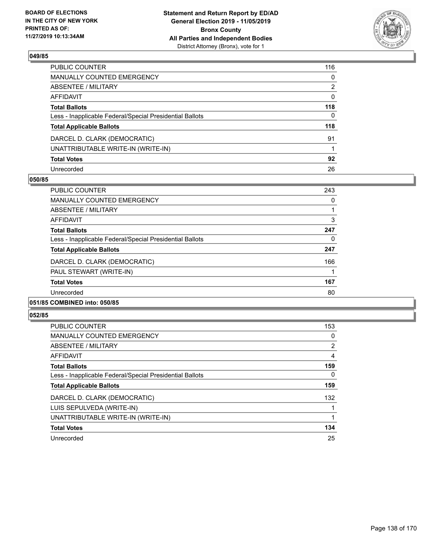

| PUBLIC COUNTER                                           | 116 |
|----------------------------------------------------------|-----|
| MANUALLY COUNTED EMERGENCY                               | 0   |
| ABSENTEE / MILITARY                                      | 2   |
| AFFIDAVIT                                                | 0   |
| Total Ballots                                            | 118 |
| Less - Inapplicable Federal/Special Presidential Ballots | 0   |
| <b>Total Applicable Ballots</b>                          | 118 |
| DARCEL D. CLARK (DEMOCRATIC)                             | 91  |
| UNATTRIBUTABLE WRITE-IN (WRITE-IN)                       |     |
| <b>Total Votes</b>                                       | 92  |
| Unrecorded                                               | 26  |

### **050/85**

| PUBLIC COUNTER                                           | 243 |
|----------------------------------------------------------|-----|
| <b>MANUALLY COUNTED EMERGENCY</b>                        | 0   |
| ABSENTEE / MILITARY                                      |     |
| AFFIDAVIT                                                | 3   |
| <b>Total Ballots</b>                                     | 247 |
| Less - Inapplicable Federal/Special Presidential Ballots | 0   |
| <b>Total Applicable Ballots</b>                          | 247 |
| DARCEL D. CLARK (DEMOCRATIC)                             | 166 |
| PAUL STEWART (WRITE-IN)                                  |     |
| <b>Total Votes</b>                                       | 167 |
| Unrecorded                                               | 80  |
| <del>.</del>                                             |     |

### **051/85 COMBINED into: 050/85**

| <b>PUBLIC COUNTER</b>                                    | 153 |
|----------------------------------------------------------|-----|
| <b>MANUALLY COUNTED EMERGENCY</b>                        | 0   |
| ABSENTEE / MILITARY                                      | 2   |
| <b>AFFIDAVIT</b>                                         | 4   |
| <b>Total Ballots</b>                                     | 159 |
| Less - Inapplicable Federal/Special Presidential Ballots | 0   |
| <b>Total Applicable Ballots</b>                          | 159 |
| DARCEL D. CLARK (DEMOCRATIC)                             | 132 |
| LUIS SEPULVEDA (WRITE-IN)                                |     |
| UNATTRIBUTABLE WRITE-IN (WRITE-IN)                       |     |
| <b>Total Votes</b>                                       | 134 |
| Unrecorded                                               | 25  |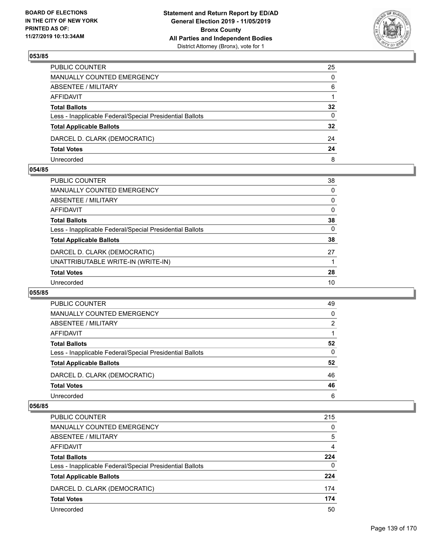

| PUBLIC COUNTER                                           | 25           |
|----------------------------------------------------------|--------------|
| MANUALLY COUNTED EMERGENCY                               | $\mathbf{0}$ |
| ABSENTEE / MILITARY                                      | 6            |
| AFFIDAVIT                                                |              |
| <b>Total Ballots</b>                                     | 32           |
| Less - Inapplicable Federal/Special Presidential Ballots | 0            |
| <b>Total Applicable Ballots</b>                          | 32           |
| DARCEL D. CLARK (DEMOCRATIC)                             | 24           |
| <b>Total Votes</b>                                       | 24           |
| Unrecorded                                               | 8            |

### **054/85**

| PUBLIC COUNTER                                           | 38       |
|----------------------------------------------------------|----------|
| <b>MANUALLY COUNTED EMERGENCY</b>                        | $\Omega$ |
| <b>ABSENTEE / MILITARY</b>                               | $\Omega$ |
| <b>AFFIDAVIT</b>                                         | 0        |
| <b>Total Ballots</b>                                     | 38       |
| Less - Inapplicable Federal/Special Presidential Ballots | $\Omega$ |
| <b>Total Applicable Ballots</b>                          | 38       |
| DARCEL D. CLARK (DEMOCRATIC)                             | 27       |
| UNATTRIBUTABLE WRITE-IN (WRITE-IN)                       |          |
| <b>Total Votes</b>                                       | 28       |
| Unrecorded                                               | 10       |
|                                                          |          |

### **055/85**

| <b>PUBLIC COUNTER</b>                                    | 49       |
|----------------------------------------------------------|----------|
| <b>MANUALLY COUNTED EMERGENCY</b>                        | $\Omega$ |
| ABSENTEE / MILITARY                                      | 2        |
| AFFIDAVIT                                                |          |
| <b>Total Ballots</b>                                     | 52       |
| Less - Inapplicable Federal/Special Presidential Ballots | 0        |
| <b>Total Applicable Ballots</b>                          | 52       |
| DARCEL D. CLARK (DEMOCRATIC)                             | 46       |
| <b>Total Votes</b>                                       | 46       |
| Unrecorded                                               | 6        |

| PUBLIC COUNTER                                           | 215      |
|----------------------------------------------------------|----------|
| <b>MANUALLY COUNTED EMERGENCY</b>                        | 0        |
| ABSENTEE / MILITARY                                      | 5        |
| AFFIDAVIT                                                | 4        |
| <b>Total Ballots</b>                                     | 224      |
| Less - Inapplicable Federal/Special Presidential Ballots | $\Omega$ |
| <b>Total Applicable Ballots</b>                          | 224      |
| DARCEL D. CLARK (DEMOCRATIC)                             | 174      |
| <b>Total Votes</b>                                       | 174      |
| Unrecorded                                               | 50       |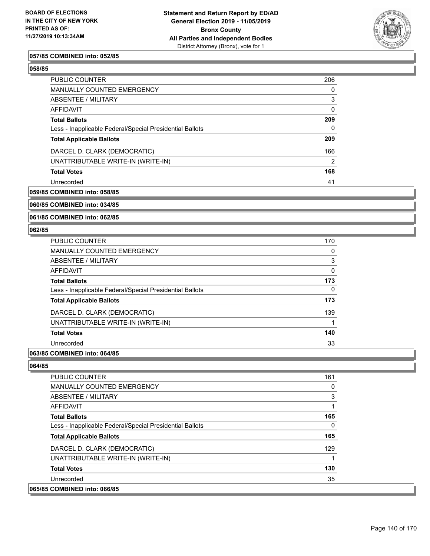

### **057/85 COMBINED into: 052/85**

### **058/85**

| <b>PUBLIC COUNTER</b>                                    | 206      |
|----------------------------------------------------------|----------|
| <b>MANUALLY COUNTED EMERGENCY</b>                        | $\Omega$ |
| <b>ABSENTEE / MILITARY</b>                               | 3        |
| AFFIDAVIT                                                | $\Omega$ |
| <b>Total Ballots</b>                                     | 209      |
| Less - Inapplicable Federal/Special Presidential Ballots | $\Omega$ |
| <b>Total Applicable Ballots</b>                          | 209      |
| DARCEL D. CLARK (DEMOCRATIC)                             | 166      |
| UNATTRIBUTABLE WRITE-IN (WRITE-IN)                       | 2        |
| <b>Total Votes</b>                                       | 168      |
| Unrecorded                                               | 41       |
|                                                          |          |

### **059/85 COMBINED into: 058/85**

### **060/85 COMBINED into: 034/85**

#### **061/85 COMBINED into: 062/85**

#### **062/85**

| PUBLIC COUNTER                                           | 170 |
|----------------------------------------------------------|-----|
| <b>MANUALLY COUNTED EMERGENCY</b>                        | 0   |
| ABSENTEE / MILITARY                                      | 3   |
| AFFIDAVIT                                                | 0   |
| <b>Total Ballots</b>                                     | 173 |
| Less - Inapplicable Federal/Special Presidential Ballots | 0   |
| <b>Total Applicable Ballots</b>                          | 173 |
| DARCEL D. CLARK (DEMOCRATIC)                             | 139 |
| UNATTRIBUTABLE WRITE-IN (WRITE-IN)                       |     |
| <b>Total Votes</b>                                       | 140 |
| Unrecorded                                               | 33  |

### **063/85 COMBINED into: 064/85**

| <b>PUBLIC COUNTER</b>                                    | 161 |
|----------------------------------------------------------|-----|
| MANUALLY COUNTED EMERGENCY                               | 0   |
| ABSENTEE / MILITARY                                      | 3   |
| AFFIDAVIT                                                |     |
| <b>Total Ballots</b>                                     | 165 |
| Less - Inapplicable Federal/Special Presidential Ballots | 0   |
| <b>Total Applicable Ballots</b>                          | 165 |
| DARCEL D. CLARK (DEMOCRATIC)                             | 129 |
| UNATTRIBUTABLE WRITE-IN (WRITE-IN)                       |     |
| <b>Total Votes</b>                                       | 130 |
| Unrecorded                                               | 35  |
| 065/85 COMBINED into: 066/85                             |     |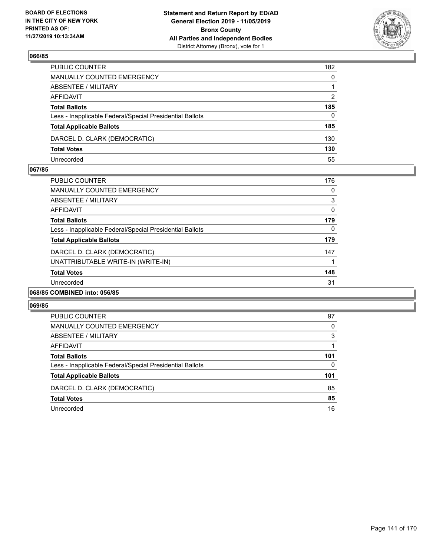

| PUBLIC COUNTER                                           | 182          |
|----------------------------------------------------------|--------------|
| MANUALLY COUNTED EMERGENCY                               | $\mathbf{0}$ |
| ABSENTEE / MILITARY                                      |              |
| AFFIDAVIT                                                | 2            |
| <b>Total Ballots</b>                                     | 185          |
| Less - Inapplicable Federal/Special Presidential Ballots | 0            |
| <b>Total Applicable Ballots</b>                          | 185          |
| DARCEL D. CLARK (DEMOCRATIC)                             | 130          |
| <b>Total Votes</b>                                       | 130          |
| Unrecorded                                               | 55           |

### **067/85**

| <b>PUBLIC COUNTER</b>                                    | 176 |
|----------------------------------------------------------|-----|
| MANUALLY COUNTED EMERGENCY                               | 0   |
| ABSENTEE / MILITARY                                      | 3   |
| AFFIDAVIT                                                | 0   |
| <b>Total Ballots</b>                                     | 179 |
| Less - Inapplicable Federal/Special Presidential Ballots | 0   |
| <b>Total Applicable Ballots</b>                          | 179 |
| DARCEL D. CLARK (DEMOCRATIC)                             | 147 |
| UNATTRIBUTABLE WRITE-IN (WRITE-IN)                       |     |
| <b>Total Votes</b>                                       | 148 |
| Unrecorded                                               | 31  |
| 068/85 COMBINED into: 056/85                             |     |

| <b>PUBLIC COUNTER</b>                                    | 97  |
|----------------------------------------------------------|-----|
| <b>MANUALLY COUNTED EMERGENCY</b>                        | 0   |
| ABSENTEE / MILITARY                                      | 3   |
| AFFIDAVIT                                                |     |
| <b>Total Ballots</b>                                     | 101 |
| Less - Inapplicable Federal/Special Presidential Ballots | 0   |
| <b>Total Applicable Ballots</b>                          | 101 |
| DARCEL D. CLARK (DEMOCRATIC)                             | 85  |
| <b>Total Votes</b>                                       | 85  |
| Unrecorded                                               | 16  |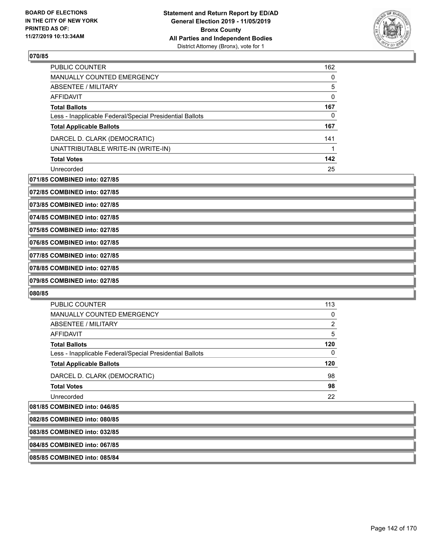

| <b>PUBLIC COUNTER</b>                                    | 162 |
|----------------------------------------------------------|-----|
| <b>MANUALLY COUNTED EMERGENCY</b>                        | 0   |
| ABSENTEE / MILITARY                                      | 5   |
| AFFIDAVIT                                                | 0   |
| <b>Total Ballots</b>                                     | 167 |
| Less - Inapplicable Federal/Special Presidential Ballots | 0   |
| <b>Total Applicable Ballots</b>                          | 167 |
| DARCEL D. CLARK (DEMOCRATIC)                             | 141 |
| UNATTRIBUTABLE WRITE-IN (WRITE-IN)                       |     |
| <b>Total Votes</b>                                       | 142 |
| Unrecorded                                               | 25  |

**071/85 COMBINED into: 027/85**

**072/85 COMBINED into: 027/85**

**073/85 COMBINED into: 027/85**

**074/85 COMBINED into: 027/85**

**075/85 COMBINED into: 027/85**

**076/85 COMBINED into: 027/85**

**077/85 COMBINED into: 027/85**

**078/85 COMBINED into: 027/85**

**079/85 COMBINED into: 027/85**

**080/85** 

| <b>PUBLIC COUNTER</b>                                    | 113 |
|----------------------------------------------------------|-----|
| <b>MANUALLY COUNTED EMERGENCY</b>                        | 0   |
| <b>ABSENTEE / MILITARY</b>                               | 2   |
| AFFIDAVIT                                                | 5   |
| <b>Total Ballots</b>                                     | 120 |
| Less - Inapplicable Federal/Special Presidential Ballots | 0   |
| <b>Total Applicable Ballots</b>                          | 120 |
| DARCEL D. CLARK (DEMOCRATIC)                             | 98  |
| <b>Total Votes</b>                                       | 98  |
| Unrecorded                                               | 22  |
|                                                          |     |

**081/85 COMBINED into: 046/85**

| 082/85 COMBINED into: 080/85 |  |
|------------------------------|--|
| 083/85 COMBINED into: 032/85 |  |
| 084/85 COMBINED into: 067/85 |  |
| 085/85 COMBINED into: 085/84 |  |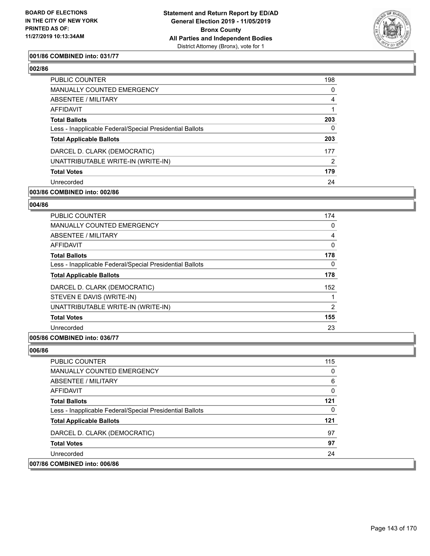

### **001/86 COMBINED into: 031/77**

### **002/86**

| <b>PUBLIC COUNTER</b>                                    | 198      |
|----------------------------------------------------------|----------|
| <b>MANUALLY COUNTED EMERGENCY</b>                        | $\Omega$ |
| ABSENTEE / MILITARY                                      | 4        |
| AFFIDAVIT                                                |          |
| <b>Total Ballots</b>                                     | 203      |
| Less - Inapplicable Federal/Special Presidential Ballots | 0        |
| <b>Total Applicable Ballots</b>                          | 203      |
| DARCEL D. CLARK (DEMOCRATIC)                             | 177      |
| UNATTRIBUTABLE WRITE-IN (WRITE-IN)                       | 2        |
| <b>Total Votes</b>                                       | 179      |
| Unrecorded                                               | 24       |
|                                                          |          |

### **003/86 COMBINED into: 002/86**

### **004/86**

| <b>PUBLIC COUNTER</b>                                    | 174          |
|----------------------------------------------------------|--------------|
| <b>MANUALLY COUNTED EMERGENCY</b>                        | 0            |
| ABSENTEE / MILITARY                                      | 4            |
| AFFIDAVIT                                                | $\mathbf{0}$ |
| <b>Total Ballots</b>                                     | 178          |
| Less - Inapplicable Federal/Special Presidential Ballots | 0            |
| <b>Total Applicable Ballots</b>                          | 178          |
| DARCEL D. CLARK (DEMOCRATIC)                             | 152          |
| STEVEN E DAVIS (WRITE-IN)                                |              |
| UNATTRIBUTABLE WRITE-IN (WRITE-IN)                       | 2            |
| <b>Total Votes</b>                                       | 155          |
| Unrecorded                                               | 23           |
|                                                          |              |

### **005/86 COMBINED into: 036/77**

| 007/86 COMBINED into: 006/86                             |     |
|----------------------------------------------------------|-----|
| Unrecorded                                               | 24  |
| <b>Total Votes</b>                                       | 97  |
| DARCEL D. CLARK (DEMOCRATIC)                             | 97  |
| <b>Total Applicable Ballots</b>                          | 121 |
| Less - Inapplicable Federal/Special Presidential Ballots | 0   |
| <b>Total Ballots</b>                                     | 121 |
| AFFIDAVIT                                                | 0   |
| ABSENTEE / MILITARY                                      | 6   |
| <b>MANUALLY COUNTED EMERGENCY</b>                        | 0   |
| PUBLIC COUNTER                                           | 115 |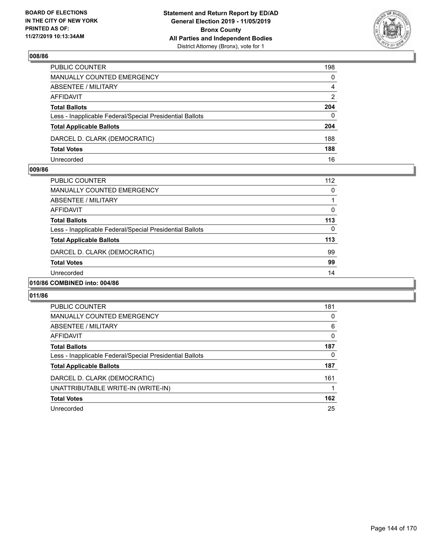

| PUBLIC COUNTER                                           | 198            |
|----------------------------------------------------------|----------------|
| MANUALLY COUNTED EMERGENCY                               | $\mathbf{0}$   |
| ABSENTEE / MILITARY                                      | $\overline{4}$ |
| AFFIDAVIT                                                | 2              |
| <b>Total Ballots</b>                                     | 204            |
| Less - Inapplicable Federal/Special Presidential Ballots | $\mathbf{0}$   |
| <b>Total Applicable Ballots</b>                          | 204            |
| DARCEL D. CLARK (DEMOCRATIC)                             | 188            |
| <b>Total Votes</b>                                       | 188            |
| Unrecorded                                               | 16             |

### **009/86**

| PUBLIC COUNTER                                           | 112 |
|----------------------------------------------------------|-----|
| <b>MANUALLY COUNTED EMERGENCY</b>                        | 0   |
| ABSENTEE / MILITARY                                      |     |
| AFFIDAVIT                                                | 0   |
| <b>Total Ballots</b>                                     | 113 |
| Less - Inapplicable Federal/Special Presidential Ballots | 0   |
| <b>Total Applicable Ballots</b>                          | 113 |
| DARCEL D. CLARK (DEMOCRATIC)                             | 99  |
| <b>Total Votes</b>                                       | 99  |
| Unrecorded                                               | 14  |
|                                                          |     |

### **010/86 COMBINED into: 004/86**

| <b>PUBLIC COUNTER</b>                                    | 181 |
|----------------------------------------------------------|-----|
| <b>MANUALLY COUNTED EMERGENCY</b>                        | 0   |
| ABSENTEE / MILITARY                                      | 6   |
| <b>AFFIDAVIT</b>                                         | 0   |
| <b>Total Ballots</b>                                     | 187 |
| Less - Inapplicable Federal/Special Presidential Ballots | 0   |
| <b>Total Applicable Ballots</b>                          | 187 |
| DARCEL D. CLARK (DEMOCRATIC)                             | 161 |
| UNATTRIBUTABLE WRITE-IN (WRITE-IN)                       |     |
| <b>Total Votes</b>                                       | 162 |
| Unrecorded                                               | 25  |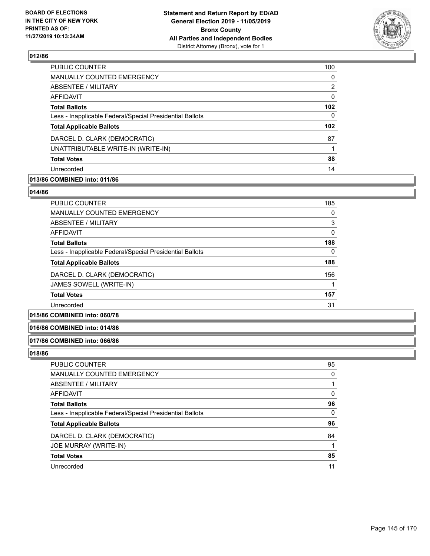

| PUBLIC COUNTER                                           | 100              |
|----------------------------------------------------------|------------------|
| <b>MANUALLY COUNTED EMERGENCY</b>                        | 0                |
| ABSENTEE / MILITARY                                      | 2                |
| AFFIDAVIT                                                | 0                |
| <b>Total Ballots</b>                                     | 102              |
| Less - Inapplicable Federal/Special Presidential Ballots | 0                |
| <b>Total Applicable Ballots</b>                          | 102 <sub>2</sub> |
| DARCEL D. CLARK (DEMOCRATIC)                             | 87               |
| UNATTRIBUTABLE WRITE-IN (WRITE-IN)                       |                  |
| <b>Total Votes</b>                                       | 88               |
| Unrecorded                                               | 14               |

# **013/86 COMBINED into: 011/86**

#### **014/86**

| <b>PUBLIC COUNTER</b>                                    | 185 |
|----------------------------------------------------------|-----|
| MANUALLY COUNTED EMERGENCY                               | 0   |
| ABSENTEE / MILITARY                                      | 3   |
| AFFIDAVIT                                                | 0   |
| <b>Total Ballots</b>                                     | 188 |
| Less - Inapplicable Federal/Special Presidential Ballots | 0   |
| <b>Total Applicable Ballots</b>                          | 188 |
| DARCEL D. CLARK (DEMOCRATIC)                             | 156 |
| JAMES SOWELL (WRITE-IN)                                  |     |
| <b>Total Votes</b>                                       | 157 |
| Unrecorded                                               | 31  |

# **015/86 COMBINED into: 060/78**

## **016/86 COMBINED into: 014/86**

#### **017/86 COMBINED into: 066/86**

| PUBLIC COUNTER                                           | 95       |
|----------------------------------------------------------|----------|
| MANUALLY COUNTED EMERGENCY                               | 0        |
| ABSENTEE / MILITARY                                      |          |
| AFFIDAVIT                                                | 0        |
| <b>Total Ballots</b>                                     | 96       |
| Less - Inapplicable Federal/Special Presidential Ballots | $\Omega$ |
| <b>Total Applicable Ballots</b>                          | 96       |
| DARCEL D. CLARK (DEMOCRATIC)                             | 84       |
| JOE MURRAY (WRITE-IN)                                    |          |
| <b>Total Votes</b>                                       | 85       |
| Unrecorded                                               | 11       |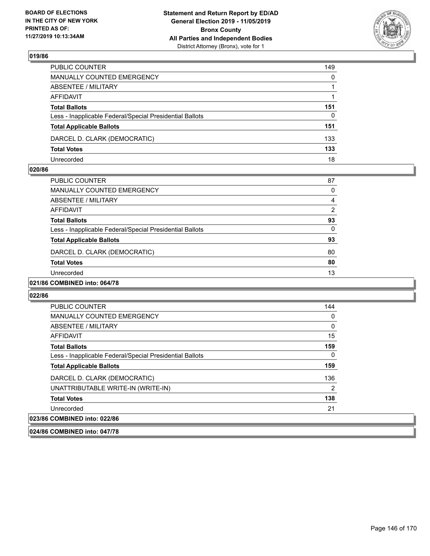

| PUBLIC COUNTER                                           | 149          |
|----------------------------------------------------------|--------------|
| MANUALLY COUNTED EMERGENCY                               | $\mathbf{0}$ |
| ABSENTEE / MILITARY                                      |              |
| AFFIDAVIT                                                |              |
| <b>Total Ballots</b>                                     | 151          |
| Less - Inapplicable Federal/Special Presidential Ballots | $\mathbf{0}$ |
| <b>Total Applicable Ballots</b>                          | 151          |
| DARCEL D. CLARK (DEMOCRATIC)                             | 133          |
| <b>Total Votes</b>                                       | 133          |
| Unrecorded                                               | 18           |

#### **020/86**

| PUBLIC COUNTER                                           | 87             |
|----------------------------------------------------------|----------------|
| <b>MANUALLY COUNTED EMERGENCY</b>                        | 0              |
| ABSENTEE / MILITARY                                      | 4              |
| AFFIDAVIT                                                | $\overline{2}$ |
| <b>Total Ballots</b>                                     | 93             |
| Less - Inapplicable Federal/Special Presidential Ballots | 0              |
| <b>Total Applicable Ballots</b>                          | 93             |
| DARCEL D. CLARK (DEMOCRATIC)                             | 80             |
| <b>Total Votes</b>                                       | 80             |
| Unrecorded                                               | 13             |
|                                                          |                |

## **021/86 COMBINED into: 064/78**

#### **022/86**

| <b>PUBLIC COUNTER</b>                                    | 144 |
|----------------------------------------------------------|-----|
| <b>MANUALLY COUNTED EMERGENCY</b>                        | 0   |
| ABSENTEE / MILITARY                                      | 0   |
| AFFIDAVIT                                                | 15  |
| <b>Total Ballots</b>                                     | 159 |
| Less - Inapplicable Federal/Special Presidential Ballots | 0   |
| <b>Total Applicable Ballots</b>                          | 159 |
| DARCEL D. CLARK (DEMOCRATIC)                             | 136 |
| UNATTRIBUTABLE WRITE-IN (WRITE-IN)                       | 2   |
| <b>Total Votes</b>                                       | 138 |
| Unrecorded                                               | 21  |
| 023/86 COMBINED into: 022/86                             |     |

#### **024/86 COMBINED into: 047/78**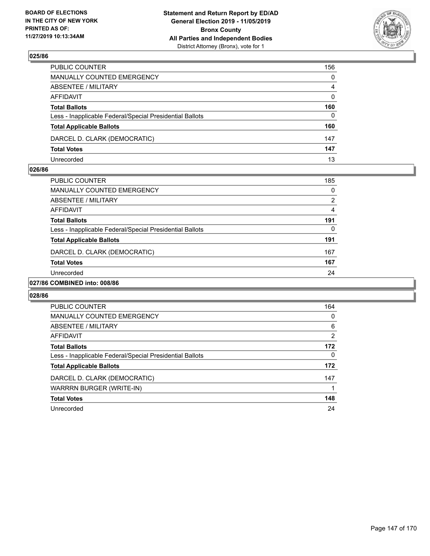

| PUBLIC COUNTER                                           | 156            |
|----------------------------------------------------------|----------------|
| MANUALLY COUNTED EMERGENCY                               | $\mathbf{0}$   |
| ABSENTEE / MILITARY                                      | $\overline{4}$ |
| AFFIDAVIT                                                | $\mathbf{0}$   |
| <b>Total Ballots</b>                                     | 160            |
| Less - Inapplicable Federal/Special Presidential Ballots | $\Omega$       |
| <b>Total Applicable Ballots</b>                          | 160            |
| DARCEL D. CLARK (DEMOCRATIC)                             | 147            |
| <b>Total Votes</b>                                       | 147            |
| Unrecorded                                               | 13             |

#### **026/86**

| PUBLIC COUNTER                                           | 185 |
|----------------------------------------------------------|-----|
| MANUALLY COUNTED EMERGENCY                               | 0   |
| ABSENTEE / MILITARY                                      | 2   |
| AFFIDAVIT                                                | 4   |
| <b>Total Ballots</b>                                     | 191 |
| Less - Inapplicable Federal/Special Presidential Ballots | 0   |
| <b>Total Applicable Ballots</b>                          | 191 |
| DARCEL D. CLARK (DEMOCRATIC)                             | 167 |
| <b>Total Votes</b>                                       | 167 |
| Unrecorded                                               | 24  |
| <br>$- - - - -$                                          |     |

## **027/86 COMBINED into: 008/86**

| <b>PUBLIC COUNTER</b>                                    | 164      |
|----------------------------------------------------------|----------|
| <b>MANUALLY COUNTED EMERGENCY</b>                        | 0        |
| ABSENTEE / MILITARY                                      | 6        |
| <b>AFFIDAVIT</b>                                         | 2        |
| <b>Total Ballots</b>                                     | 172      |
| Less - Inapplicable Federal/Special Presidential Ballots | $\Omega$ |
| <b>Total Applicable Ballots</b>                          | 172      |
| DARCEL D. CLARK (DEMOCRATIC)                             | 147      |
| WARRRN BURGER (WRITE-IN)                                 |          |
| <b>Total Votes</b>                                       | 148      |
| Unrecorded                                               | 24       |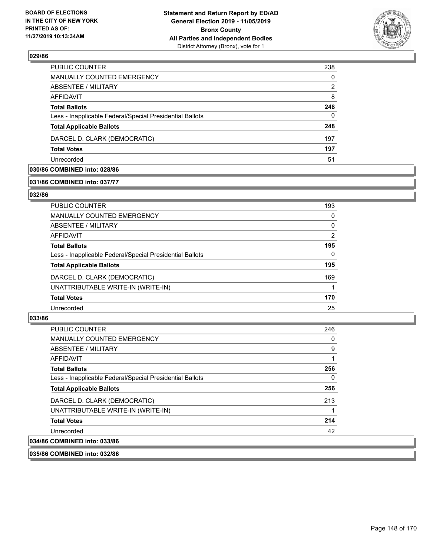

| <b>PUBLIC COUNTER</b>                                    | 238 |
|----------------------------------------------------------|-----|
| <b>MANUALLY COUNTED EMERGENCY</b>                        | 0   |
| ABSENTEE / MILITARY                                      | 2   |
| AFFIDAVIT                                                | 8   |
| <b>Total Ballots</b>                                     | 248 |
| Less - Inapplicable Federal/Special Presidential Ballots | 0   |
| <b>Total Applicable Ballots</b>                          | 248 |
| DARCEL D. CLARK (DEMOCRATIC)                             | 197 |
| <b>Total Votes</b>                                       | 197 |
| Unrecorded                                               | 51  |

# **030/86 COMBINED into: 028/86**

#### **031/86 COMBINED into: 037/77**

#### **032/86**

| PUBLIC COUNTER                                           | 193      |
|----------------------------------------------------------|----------|
| MANUALLY COUNTED EMERGENCY                               | $\Omega$ |
| ABSENTEE / MILITARY                                      | 0        |
| AFFIDAVIT                                                | 2        |
| <b>Total Ballots</b>                                     | 195      |
| Less - Inapplicable Federal/Special Presidential Ballots | 0        |
| <b>Total Applicable Ballots</b>                          | 195      |
| DARCEL D. CLARK (DEMOCRATIC)                             | 169      |
| UNATTRIBUTABLE WRITE-IN (WRITE-IN)                       |          |
| <b>Total Votes</b>                                       | 170      |
| Unrecorded                                               | 25       |
|                                                          |          |

## **033/86**

| <b>PUBLIC COUNTER</b>                                    | 246 |
|----------------------------------------------------------|-----|
| <b>MANUALLY COUNTED EMERGENCY</b>                        | 0   |
| ABSENTEE / MILITARY                                      | 9   |
| AFFIDAVIT                                                |     |
| <b>Total Ballots</b>                                     | 256 |
| Less - Inapplicable Federal/Special Presidential Ballots | 0   |
| <b>Total Applicable Ballots</b>                          | 256 |
| DARCEL D. CLARK (DEMOCRATIC)                             | 213 |
| UNATTRIBUTABLE WRITE-IN (WRITE-IN)                       |     |
| <b>Total Votes</b>                                       | 214 |
| Unrecorded                                               | 42  |
| 034/86 COMBINED into: 033/86                             |     |

# **035/86 COMBINED into: 032/86**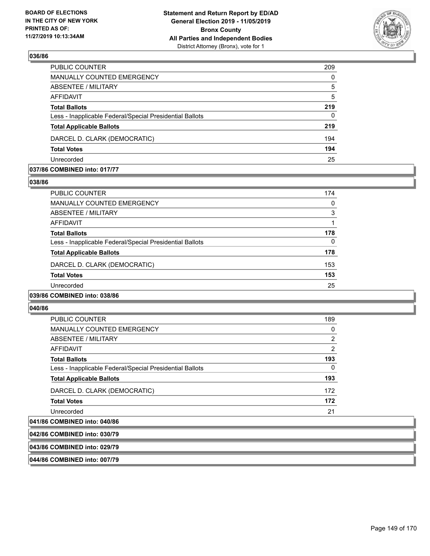

| PUBLIC COUNTER                                           | 209      |
|----------------------------------------------------------|----------|
| MANUALLY COUNTED EMERGENCY                               | $\Omega$ |
| <b>ABSENTEE / MILITARY</b>                               | 5        |
| AFFIDAVIT                                                | 5        |
| <b>Total Ballots</b>                                     | 219      |
| Less - Inapplicable Federal/Special Presidential Ballots | $\Omega$ |
| <b>Total Applicable Ballots</b>                          | 219      |
| DARCEL D. CLARK (DEMOCRATIC)                             | 194      |
| <b>Total Votes</b>                                       | 194      |
| Unrecorded                                               | 25       |

#### **037/86 COMBINED into: 017/77**

#### **038/86**

| <b>PUBLIC COUNTER</b>                                    | 174 |
|----------------------------------------------------------|-----|
| <b>MANUALLY COUNTED EMERGENCY</b>                        | 0   |
| ABSENTEE / MILITARY                                      | 3   |
| AFFIDAVIT                                                |     |
| <b>Total Ballots</b>                                     | 178 |
| Less - Inapplicable Federal/Special Presidential Ballots | 0   |
| <b>Total Applicable Ballots</b>                          | 178 |
| DARCEL D. CLARK (DEMOCRATIC)                             | 153 |
| <b>Total Votes</b>                                       | 153 |
| Unrecorded                                               | 25  |
| 039/86 COMBINED into: 038/86                             |     |

#### **040/86**

| <b>PUBLIC COUNTER</b>                                    | 189            |
|----------------------------------------------------------|----------------|
| <b>MANUALLY COUNTED EMERGENCY</b>                        | 0              |
| ABSENTEE / MILITARY                                      | 2              |
| AFFIDAVIT                                                | $\overline{2}$ |
| <b>Total Ballots</b>                                     | 193            |
| Less - Inapplicable Federal/Special Presidential Ballots | 0              |
| <b>Total Applicable Ballots</b>                          | 193            |
| DARCEL D. CLARK (DEMOCRATIC)                             | 172            |
| <b>Total Votes</b>                                       | 172            |
| Unrecorded                                               | 21             |
| COMPINIED into 040/00                                    |                |

# **041/86 COMBINED into: 040/86**

| 042/86 COMBINED into: 030/79 |  |
|------------------------------|--|
|                              |  |
|                              |  |

# **043/86 COMBINED into: 029/79**

**044/86 COMBINED into: 007/79**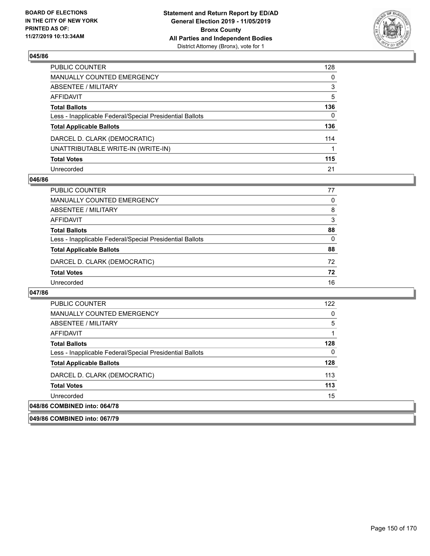

| PUBLIC COUNTER                                           | 128 |
|----------------------------------------------------------|-----|
| MANUALLY COUNTED EMERGENCY                               | 0   |
| ABSENTEE / MILITARY                                      | 3   |
| AFFIDAVIT                                                | 5   |
| <b>Total Ballots</b>                                     | 136 |
| Less - Inapplicable Federal/Special Presidential Ballots | 0   |
| <b>Total Applicable Ballots</b>                          | 136 |
| DARCEL D. CLARK (DEMOCRATIC)                             | 114 |
| UNATTRIBUTABLE WRITE-IN (WRITE-IN)                       |     |
| <b>Total Votes</b>                                       | 115 |
| Unrecorded                                               | 21  |

#### **046/86**

| PUBLIC COUNTER                                           | 77 |
|----------------------------------------------------------|----|
| <b>MANUALLY COUNTED EMERGENCY</b>                        | 0  |
| ABSENTEE / MILITARY                                      | 8  |
| AFFIDAVIT                                                | 3  |
| <b>Total Ballots</b>                                     | 88 |
| Less - Inapplicable Federal/Special Presidential Ballots | 0  |
| <b>Total Applicable Ballots</b>                          | 88 |
| DARCEL D. CLARK (DEMOCRATIC)                             | 72 |
| <b>Total Votes</b>                                       | 72 |
| Unrecorded                                               | 16 |

#### **047/86**

| <b>PUBLIC COUNTER</b>                                    | 122 |
|----------------------------------------------------------|-----|
| <b>MANUALLY COUNTED EMERGENCY</b>                        | 0   |
| ABSENTEE / MILITARY                                      | 5   |
| AFFIDAVIT                                                |     |
| <b>Total Ballots</b>                                     | 128 |
| Less - Inapplicable Federal/Special Presidential Ballots | 0   |
| <b>Total Applicable Ballots</b>                          | 128 |
| DARCEL D. CLARK (DEMOCRATIC)                             | 113 |
| <b>Total Votes</b>                                       | 113 |
| Unrecorded                                               | 15  |
| 048/86 COMBINED into: 064/78                             |     |
|                                                          |     |

**049/86 COMBINED into: 067/79**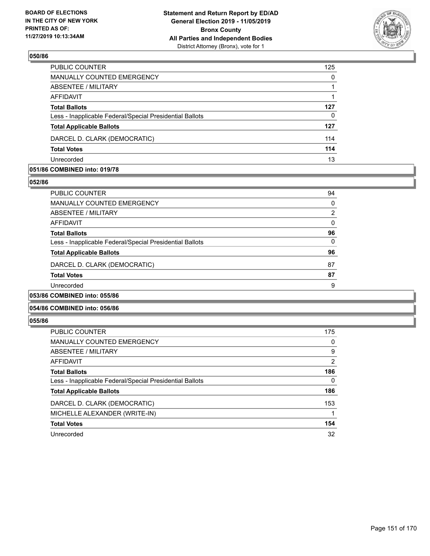

| PUBLIC COUNTER                                           | 125      |
|----------------------------------------------------------|----------|
| MANUALLY COUNTED EMERGENCY                               | $\Omega$ |
| ABSENTEE / MILITARY                                      |          |
| AFFIDAVIT                                                |          |
| <b>Total Ballots</b>                                     | 127      |
| Less - Inapplicable Federal/Special Presidential Ballots | 0        |
| <b>Total Applicable Ballots</b>                          | 127      |
| DARCEL D. CLARK (DEMOCRATIC)                             | 114      |
| <b>Total Votes</b>                                       | 114      |
| Unrecorded                                               | 13       |

## **051/86 COMBINED into: 019/78**

#### **052/86**

| <b>PUBLIC COUNTER</b>                                    | 94 |
|----------------------------------------------------------|----|
| <b>MANUALLY COUNTED EMERGENCY</b>                        | 0  |
| ABSENTEE / MILITARY                                      | 2  |
| AFFIDAVIT                                                | 0  |
| <b>Total Ballots</b>                                     | 96 |
| Less - Inapplicable Federal/Special Presidential Ballots | 0  |
| <b>Total Applicable Ballots</b>                          | 96 |
| DARCEL D. CLARK (DEMOCRATIC)                             | 87 |
| <b>Total Votes</b>                                       | 87 |
| Unrecorded                                               | 9  |
| <b>COMBINED into: 055/86</b>                             |    |

## **054/86 COMBINED into: 056/86**

## **055/86**

| <b>PUBLIC COUNTER</b>                                    | 175           |
|----------------------------------------------------------|---------------|
| <b>MANUALLY COUNTED EMERGENCY</b>                        | 0             |
| ABSENTEE / MILITARY                                      | 9             |
| AFFIDAVIT                                                | $\mathcal{P}$ |
| <b>Total Ballots</b>                                     | 186           |
| Less - Inapplicable Federal/Special Presidential Ballots | 0             |
| <b>Total Applicable Ballots</b>                          | 186           |
| DARCEL D. CLARK (DEMOCRATIC)                             | 153           |
| MICHELLE ALEXANDER (WRITE-IN)                            |               |
| <b>Total Votes</b>                                       | 154           |
| Unrecorded                                               | 32            |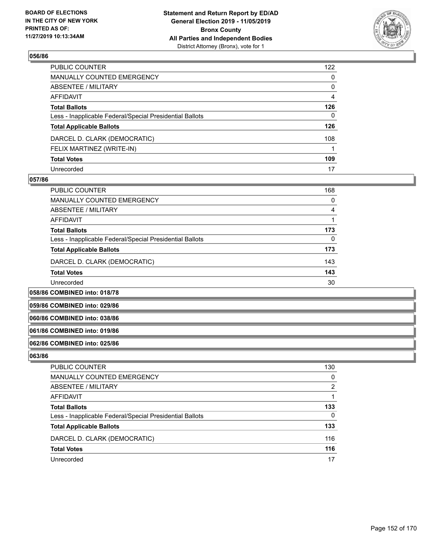

| PUBLIC COUNTER                                           | 122 |
|----------------------------------------------------------|-----|
| MANUALLY COUNTED EMERGENCY                               | 0   |
| ABSENTEE / MILITARY                                      | 0   |
| AFFIDAVIT                                                | 4   |
| Total Ballots                                            | 126 |
| Less - Inapplicable Federal/Special Presidential Ballots | 0   |
| <b>Total Applicable Ballots</b>                          | 126 |
| DARCEL D. CLARK (DEMOCRATIC)                             | 108 |
| FELIX MARTINEZ (WRITE-IN)                                |     |
| <b>Total Votes</b>                                       | 109 |
| Unrecorded                                               | 17  |

#### **057/86**

| PUBLIC COUNTER                                           | 168 |
|----------------------------------------------------------|-----|
| MANUALLY COUNTED EMERGENCY                               | 0   |
| ABSENTEE / MILITARY                                      | 4   |
| AFFIDAVIT                                                |     |
| <b>Total Ballots</b>                                     | 173 |
| Less - Inapplicable Federal/Special Presidential Ballots | 0   |
| <b>Total Applicable Ballots</b>                          | 173 |
| DARCEL D. CLARK (DEMOCRATIC)                             | 143 |
| <b>Total Votes</b>                                       | 143 |
| Unrecorded                                               | 30  |

**058/86 COMBINED into: 018/78**

**059/86 COMBINED into: 029/86**

**060/86 COMBINED into: 038/86**

## **061/86 COMBINED into: 019/86**

## **062/86 COMBINED into: 025/86**

| PUBLIC COUNTER                                           | 130           |
|----------------------------------------------------------|---------------|
| <b>MANUALLY COUNTED EMERGENCY</b>                        | 0             |
| ABSENTEE / MILITARY                                      | $\mathcal{P}$ |
| AFFIDAVIT                                                |               |
| <b>Total Ballots</b>                                     | 133           |
| Less - Inapplicable Federal/Special Presidential Ballots | 0             |
| <b>Total Applicable Ballots</b>                          | 133           |
| DARCEL D. CLARK (DEMOCRATIC)                             | 116           |
| <b>Total Votes</b>                                       | 116           |
| Unrecorded                                               | 17            |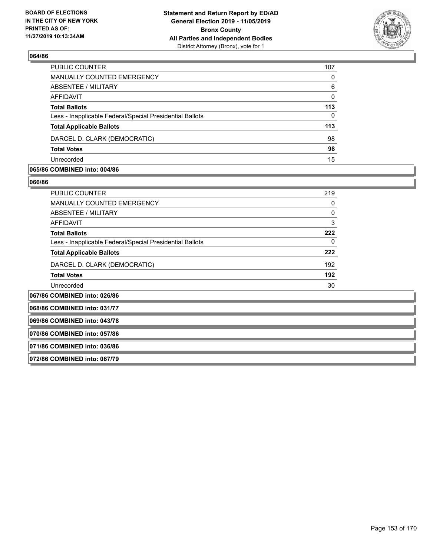

| PUBLIC COUNTER                                           | 107      |
|----------------------------------------------------------|----------|
| MANUALLY COUNTED EMERGENCY                               | 0        |
| ABSENTEE / MILITARY                                      | 6        |
| AFFIDAVIT                                                | $\Omega$ |
| <b>Total Ballots</b>                                     | 113      |
| Less - Inapplicable Federal/Special Presidential Ballots | 0        |
| <b>Total Applicable Ballots</b>                          | 113      |
| DARCEL D. CLARK (DEMOCRATIC)                             | 98       |
| <b>Total Votes</b>                                       | 98       |
| Unrecorded                                               | 15       |

#### **065/86 COMBINED into: 004/86**

| PUBLIC COUNTER                                           | 219 |
|----------------------------------------------------------|-----|
| <b>MANUALLY COUNTED EMERGENCY</b>                        | 0   |
| ABSENTEE / MILITARY                                      | 0   |
| <b>AFFIDAVIT</b>                                         | 3   |
| <b>Total Ballots</b>                                     | 222 |
| Less - Inapplicable Federal/Special Presidential Ballots | 0   |
| <b>Total Applicable Ballots</b>                          | 222 |
| DARCEL D. CLARK (DEMOCRATIC)                             | 192 |
| <b>Total Votes</b>                                       | 192 |
| Unrecorded                                               | 30  |
| 067/86 COMBINED into: 026/86                             |     |
| 068/86 COMBINED into: 031/77                             |     |
| 069/86 COMBINED into: 043/78                             |     |
| 070/86 COMBINED into: 057/86                             |     |
| 071/86 COMBINED into: 036/86                             |     |
| 072/86 COMBINED into: 067/79                             |     |
|                                                          |     |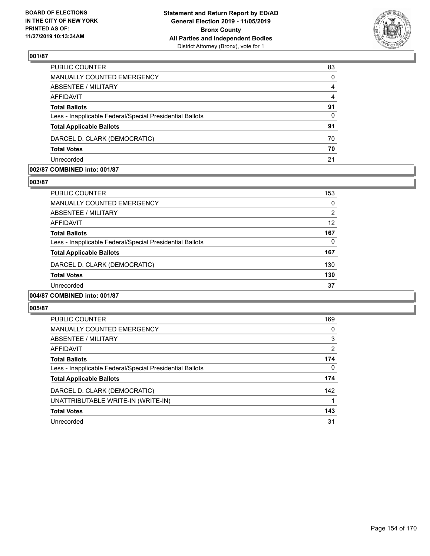

| PUBLIC COUNTER                                           | 83       |
|----------------------------------------------------------|----------|
| MANUALLY COUNTED EMERGENCY                               | $\Omega$ |
| ABSENTEE / MILITARY                                      | 4        |
| <b>AFFIDAVIT</b>                                         | 4        |
| <b>Total Ballots</b>                                     | 91       |
| Less - Inapplicable Federal/Special Presidential Ballots | $\Omega$ |
| <b>Total Applicable Ballots</b>                          | 91       |
| DARCEL D. CLARK (DEMOCRATIC)                             | 70       |
| <b>Total Votes</b>                                       | 70       |
| Unrecorded                                               | 21       |

#### **002/87 COMBINED into: 001/87**

#### **003/87**

| PUBLIC COUNTER                                           | 153      |
|----------------------------------------------------------|----------|
| <b>MANUALLY COUNTED EMERGENCY</b>                        | $\Omega$ |
| ABSENTEE / MILITARY                                      | 2        |
| AFFIDAVIT                                                | 12       |
| <b>Total Ballots</b>                                     | 167      |
| Less - Inapplicable Federal/Special Presidential Ballots | 0        |
| <b>Total Applicable Ballots</b>                          | 167      |
| DARCEL D. CLARK (DEMOCRATIC)                             | 130      |
| <b>Total Votes</b>                                       | 130      |
| Unrecorded                                               | 37       |
| 004/87 COMBINED into: 001/87                             |          |

| <b>PUBLIC COUNTER</b>                                    | 169      |
|----------------------------------------------------------|----------|
| <b>MANUALLY COUNTED EMERGENCY</b>                        | 0        |
| ABSENTEE / MILITARY                                      | 3        |
| AFFIDAVIT                                                | 2        |
| <b>Total Ballots</b>                                     | 174      |
| Less - Inapplicable Federal/Special Presidential Ballots | $\Omega$ |
| <b>Total Applicable Ballots</b>                          | 174      |
| DARCEL D. CLARK (DEMOCRATIC)                             | 142      |
| UNATTRIBUTABLE WRITE-IN (WRITE-IN)                       |          |
| <b>Total Votes</b>                                       | 143      |
| Unrecorded                                               | 31       |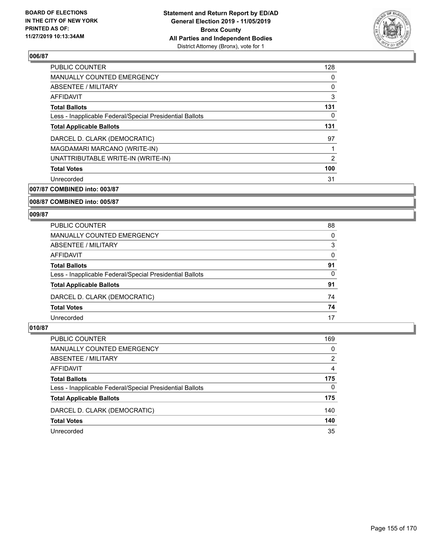

| 128 |
|-----|
| 0   |
| 0   |
| 3   |
| 131 |
| 0   |
| 131 |
| 97  |
| 1   |
| 2   |
| 100 |
| 31  |
|     |

**007/87 COMBINED into: 003/87**

**008/87 COMBINED into: 005/87**

#### **009/87**

| PUBLIC COUNTER                                           | 88       |
|----------------------------------------------------------|----------|
| <b>MANUALLY COUNTED EMERGENCY</b>                        | 0        |
| ABSENTEE / MILITARY                                      | 3        |
| AFFIDAVIT                                                | 0        |
| <b>Total Ballots</b>                                     | 91       |
| Less - Inapplicable Federal/Special Presidential Ballots | $\Omega$ |
| <b>Total Applicable Ballots</b>                          | 91       |
| DARCEL D. CLARK (DEMOCRATIC)                             | 74       |
| <b>Total Votes</b>                                       | 74       |
| Unrecorded                                               | 17       |

| PUBLIC COUNTER                                           | 169           |
|----------------------------------------------------------|---------------|
| <b>MANUALLY COUNTED EMERGENCY</b>                        | 0             |
| <b>ABSENTEE / MILITARY</b>                               | $\mathcal{P}$ |
| AFFIDAVIT                                                | 4             |
| <b>Total Ballots</b>                                     | 175           |
| Less - Inapplicable Federal/Special Presidential Ballots | $\Omega$      |
| <b>Total Applicable Ballots</b>                          | 175           |
| DARCEL D. CLARK (DEMOCRATIC)                             | 140           |
| <b>Total Votes</b>                                       | 140           |
| Unrecorded                                               | 35            |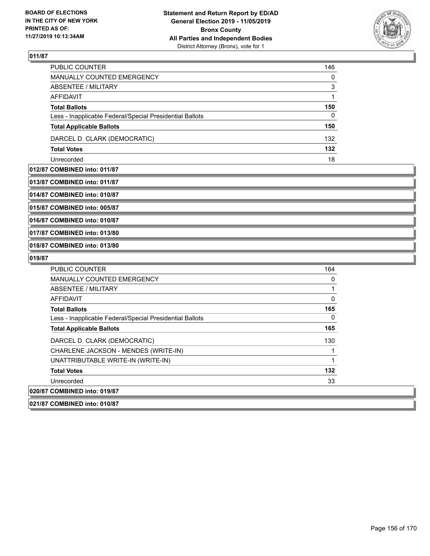

| PUBLIC COUNTER                                           | 146 |
|----------------------------------------------------------|-----|
| <b>MANUALLY COUNTED EMERGENCY</b>                        | 0   |
| ABSENTEE / MILITARY                                      | 3   |
| AFFIDAVIT                                                |     |
| <b>Total Ballots</b>                                     | 150 |
| Less - Inapplicable Federal/Special Presidential Ballots | 0   |
| <b>Total Applicable Ballots</b>                          | 150 |
| DARCEL D. CLARK (DEMOCRATIC)                             | 132 |
| <b>Total Votes</b>                                       | 132 |
| Unrecorded                                               | 18  |

**012/87 COMBINED into: 011/87**

**013/87 COMBINED into: 011/87**

**014/87 COMBINED into: 010/87**

**015/87 COMBINED into: 005/87**

**016/87 COMBINED into: 010/87**

**017/87 COMBINED into: 013/80**

**018/87 COMBINED into: 013/80**

#### **019/87**

| <b>PUBLIC COUNTER</b>                                    | 164 |
|----------------------------------------------------------|-----|
| <b>MANUALLY COUNTED EMERGENCY</b>                        | 0   |
| ABSENTEE / MILITARY                                      |     |
| AFFIDAVIT                                                | 0   |
| <b>Total Ballots</b>                                     | 165 |
| Less - Inapplicable Federal/Special Presidential Ballots | 0   |
| <b>Total Applicable Ballots</b>                          | 165 |
| DARCEL D. CLARK (DEMOCRATIC)                             | 130 |
| CHARLENE JACKSON - MENDES (WRITE-IN)                     |     |
| UNATTRIBUTABLE WRITE-IN (WRITE-IN)                       |     |
| <b>Total Votes</b>                                       | 132 |
| Unrecorded                                               | 33  |
| 020/87 COMBINED into: 019/87                             |     |

**021/87 COMBINED into: 010/87**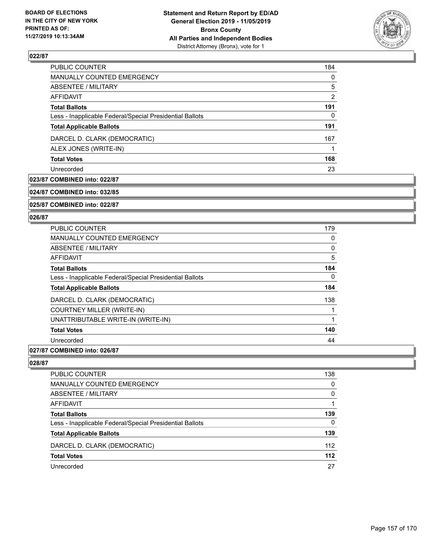

| PUBLIC COUNTER                                           | 184      |
|----------------------------------------------------------|----------|
| MANUALLY COUNTED EMERGENCY                               | $\Omega$ |
| ABSENTEE / MILITARY                                      | 5        |
| AFFIDAVIT                                                | 2        |
| <b>Total Ballots</b>                                     | 191      |
| Less - Inapplicable Federal/Special Presidential Ballots | 0        |
| <b>Total Applicable Ballots</b>                          | 191      |
| DARCEL D. CLARK (DEMOCRATIC)                             | 167      |
| ALEX JONES (WRITE-IN)                                    |          |
| <b>Total Votes</b>                                       | 168      |
| Unrecorded                                               | 23       |

# **023/87 COMBINED into: 022/87**

**024/87 COMBINED into: 032/85**

**025/87 COMBINED into: 022/87**

#### **026/87**

| <b>PUBLIC COUNTER</b>                                    | 179 |
|----------------------------------------------------------|-----|
| <b>MANUALLY COUNTED EMERGENCY</b>                        | 0   |
| ABSENTEE / MILITARY                                      | 0   |
| <b>AFFIDAVIT</b>                                         | 5   |
| <b>Total Ballots</b>                                     | 184 |
| Less - Inapplicable Federal/Special Presidential Ballots | 0   |
| <b>Total Applicable Ballots</b>                          | 184 |
| DARCEL D. CLARK (DEMOCRATIC)                             | 138 |
| <b>COURTNEY MILLER (WRITE-IN)</b>                        |     |
| UNATTRIBUTABLE WRITE-IN (WRITE-IN)                       |     |
| <b>Total Votes</b>                                       | 140 |
| Unrecorded                                               | 44  |

## **027/87 COMBINED into: 026/87**

| <b>PUBLIC COUNTER</b>                                    | 138 |
|----------------------------------------------------------|-----|
| <b>MANUALLY COUNTED EMERGENCY</b>                        | 0   |
| <b>ABSENTEE / MILITARY</b>                               | 0   |
| AFFIDAVIT                                                |     |
| <b>Total Ballots</b>                                     | 139 |
| Less - Inapplicable Federal/Special Presidential Ballots | 0   |
| <b>Total Applicable Ballots</b>                          | 139 |
| DARCEL D. CLARK (DEMOCRATIC)                             | 112 |
| <b>Total Votes</b>                                       | 112 |
| Unrecorded                                               | 27  |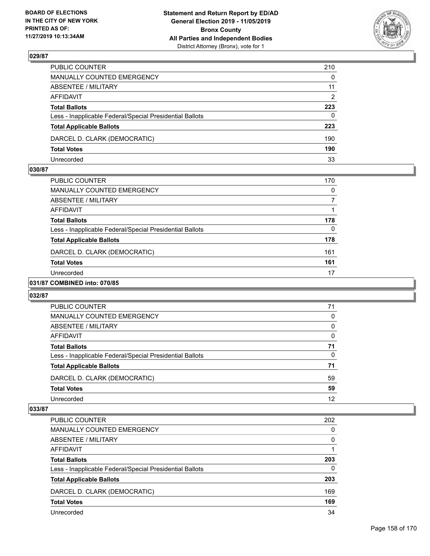

| PUBLIC COUNTER                                                                              | 210          |
|---------------------------------------------------------------------------------------------|--------------|
| MANUALLY COUNTED EMERGENCY                                                                  | $\mathbf{0}$ |
| ABSENTEE / MILITARY                                                                         | 11           |
| AFFIDAVIT                                                                                   | 2            |
| <b>Total Ballots</b>                                                                        | 223          |
|                                                                                             | $\Omega$     |
| Less - Inapplicable Federal/Special Presidential Ballots<br><b>Total Applicable Ballots</b> | 223          |
| DARCEL D. CLARK (DEMOCRATIC)                                                                | 190          |
| <b>Total Votes</b>                                                                          | 190          |
| Unrecorded                                                                                  | 33           |

## **030/87**

| <b>PUBLIC COUNTER</b>                                    | 170      |
|----------------------------------------------------------|----------|
| <b>MANUALLY COUNTED EMERGENCY</b>                        | 0        |
| ABSENTEE / MILITARY                                      |          |
| AFFIDAVIT                                                |          |
| <b>Total Ballots</b>                                     | 178      |
| Less - Inapplicable Federal/Special Presidential Ballots | $\Omega$ |
| <b>Total Applicable Ballots</b>                          | 178      |
| DARCEL D. CLARK (DEMOCRATIC)                             | 161      |
| <b>Total Votes</b>                                       | 161      |
| Unrecorded                                               | 17       |
|                                                          |          |

## **031/87 COMBINED into: 070/85**

#### **032/87**

| <b>PUBLIC COUNTER</b>                                    | 71       |
|----------------------------------------------------------|----------|
| MANUALLY COUNTED EMERGENCY                               | $\Omega$ |
| ABSENTEE / MILITARY                                      | $\Omega$ |
| AFFIDAVIT                                                | $\Omega$ |
| <b>Total Ballots</b>                                     | 71       |
| Less - Inapplicable Federal/Special Presidential Ballots | $\Omega$ |
| <b>Total Applicable Ballots</b>                          | 71       |
| DARCEL D. CLARK (DEMOCRATIC)                             | 59       |
| <b>Total Votes</b>                                       | 59       |
| Unrecorded                                               | 12       |

| <b>PUBLIC COUNTER</b>                                    | 202      |
|----------------------------------------------------------|----------|
| <b>MANUALLY COUNTED EMERGENCY</b>                        | $\Omega$ |
| ABSENTEE / MILITARY                                      | $\Omega$ |
| AFFIDAVIT                                                |          |
| <b>Total Ballots</b>                                     | 203      |
| Less - Inapplicable Federal/Special Presidential Ballots | $\Omega$ |
| <b>Total Applicable Ballots</b>                          | 203      |
| DARCEL D. CLARK (DEMOCRATIC)                             | 169      |
| <b>Total Votes</b>                                       | 169      |
| Unrecorded                                               | 34       |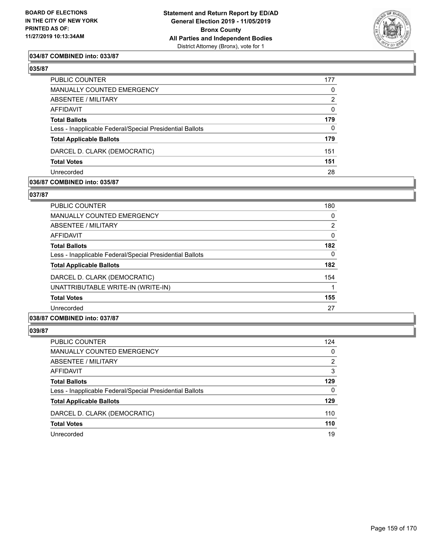

## **034/87 COMBINED into: 033/87**

#### **035/87**

| PUBLIC COUNTER                                           | 177          |
|----------------------------------------------------------|--------------|
| <b>MANUALLY COUNTED EMERGENCY</b>                        | 0            |
| ABSENTEE / MILITARY                                      | 2            |
| AFFIDAVIT                                                | $\mathbf{0}$ |
| <b>Total Ballots</b>                                     | 179          |
| Less - Inapplicable Federal/Special Presidential Ballots | $\mathbf{0}$ |
| <b>Total Applicable Ballots</b>                          | 179          |
| DARCEL D. CLARK (DEMOCRATIC)                             | 151          |
| <b>Total Votes</b>                                       | 151          |
| Unrecorded                                               | 28           |

#### **036/87 COMBINED into: 035/87**

#### **037/87**

| <b>PUBLIC COUNTER</b>                                    | 180 |
|----------------------------------------------------------|-----|
| <b>MANUALLY COUNTED EMERGENCY</b>                        | 0   |
| ABSENTEE / MILITARY                                      | 2   |
| AFFIDAVIT                                                | 0   |
| <b>Total Ballots</b>                                     | 182 |
| Less - Inapplicable Federal/Special Presidential Ballots | 0   |
| <b>Total Applicable Ballots</b>                          | 182 |
| DARCEL D. CLARK (DEMOCRATIC)                             | 154 |
| UNATTRIBUTABLE WRITE-IN (WRITE-IN)                       |     |
| <b>Total Votes</b>                                       | 155 |
| Unrecorded                                               | 27  |
| 038/87 COMBINED into: 037/87                             |     |

| <b>PUBLIC COUNTER</b>                                    | 124 |
|----------------------------------------------------------|-----|
| MANUALLY COUNTED EMERGENCY                               | 0   |
| <b>ABSENTEE / MILITARY</b>                               | 2   |
| AFFIDAVIT                                                | 3   |
| <b>Total Ballots</b>                                     | 129 |
| Less - Inapplicable Federal/Special Presidential Ballots | 0   |
| <b>Total Applicable Ballots</b>                          | 129 |
| DARCEL D. CLARK (DEMOCRATIC)                             | 110 |
| <b>Total Votes</b>                                       | 110 |
| Unrecorded                                               | 19  |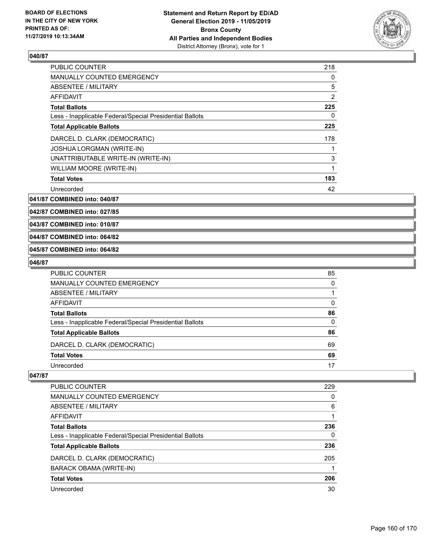

| <b>PUBLIC COUNTER</b>                                    | 218            |
|----------------------------------------------------------|----------------|
| <b>MANUALLY COUNTED EMERGENCY</b>                        | 0              |
| ABSENTEE / MILITARY                                      | 5              |
| AFFIDAVIT                                                | $\overline{2}$ |
| <b>Total Ballots</b>                                     | 225            |
| Less - Inapplicable Federal/Special Presidential Ballots | 0              |
| <b>Total Applicable Ballots</b>                          | 225            |
| DARCEL D. CLARK (DEMOCRATIC)                             | 178            |
| <b>JOSHUA LORGMAN (WRITE-IN)</b>                         |                |
| UNATTRIBUTABLE WRITE-IN (WRITE-IN)                       | 3              |
| WILLIAM MOORE (WRITE-IN)                                 | 1              |
| <b>Total Votes</b>                                       | 183            |
| Unrecorded                                               | 42             |

**041/87 COMBINED into: 040/87**

**042/87 COMBINED into: 027/85**

**043/87 COMBINED into: 010/87**

#### **044/87 COMBINED into: 064/82**

**045/87 COMBINED into: 064/82**

#### **046/87**

| PUBLIC COUNTER                                           | 85       |
|----------------------------------------------------------|----------|
| MANUALLY COUNTED EMERGENCY                               | $\Omega$ |
| ABSENTEE / MILITARY                                      |          |
| AFFIDAVIT                                                | 0        |
| <b>Total Ballots</b>                                     | 86       |
| Less - Inapplicable Federal/Special Presidential Ballots | $\Omega$ |
| <b>Total Applicable Ballots</b>                          | 86       |
| DARCEL D. CLARK (DEMOCRATIC)                             | 69       |
| <b>Total Votes</b>                                       | 69       |
| Unrecorded                                               | 17       |

| <b>PUBLIC COUNTER</b>                                    | 229 |
|----------------------------------------------------------|-----|
| MANUALLY COUNTED EMERGENCY                               | 0   |
| ABSENTEE / MILITARY                                      | 6   |
| AFFIDAVIT                                                |     |
| <b>Total Ballots</b>                                     | 236 |
| Less - Inapplicable Federal/Special Presidential Ballots | 0   |
| <b>Total Applicable Ballots</b>                          | 236 |
| DARCEL D. CLARK (DEMOCRATIC)                             | 205 |
| BARACK OBAMA (WRITE-IN)                                  |     |
| <b>Total Votes</b>                                       | 206 |
| Unrecorded                                               | 30  |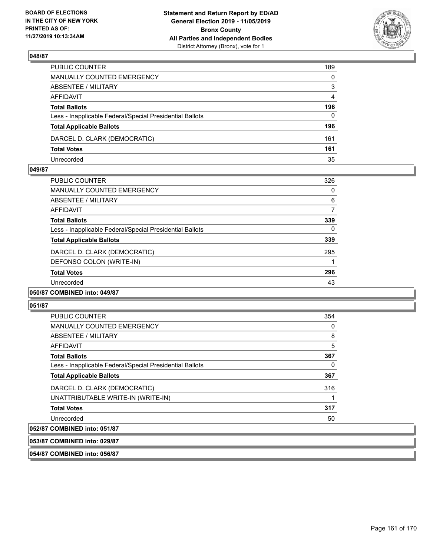

| PUBLIC COUNTER                                           | 189          |
|----------------------------------------------------------|--------------|
| MANUALLY COUNTED EMERGENCY                               | $\mathbf{0}$ |
| ABSENTEE / MILITARY                                      | 3            |
| AFFIDAVIT                                                | 4            |
| <b>Total Ballots</b>                                     | 196          |
| Less - Inapplicable Federal/Special Presidential Ballots | $\Omega$     |
| <b>Total Applicable Ballots</b>                          | 196          |
| DARCEL D. CLARK (DEMOCRATIC)                             | 161          |
| <b>Total Votes</b>                                       | 161          |
| Unrecorded                                               | 35           |

#### **049/87**

| PUBLIC COUNTER                                           | 326 |
|----------------------------------------------------------|-----|
| <b>MANUALLY COUNTED EMERGENCY</b>                        | 0   |
| ABSENTEE / MILITARY                                      | 6   |
| AFFIDAVIT                                                | 7   |
| <b>Total Ballots</b>                                     | 339 |
| Less - Inapplicable Federal/Special Presidential Ballots | 0   |
| <b>Total Applicable Ballots</b>                          | 339 |
| DARCEL D. CLARK (DEMOCRATIC)                             | 295 |
| DEFONSO COLON (WRITE-IN)                                 | 1   |
| <b>Total Votes</b>                                       | 296 |
| Unrecorded                                               | 43  |
| 050/87 COMBINED into: 049/87                             |     |

#### **051/87**

| <b>PUBLIC COUNTER</b>                                    | 354 |
|----------------------------------------------------------|-----|
| <b>MANUALLY COUNTED EMERGENCY</b>                        | 0   |
| ABSENTEE / MILITARY                                      | 8   |
| <b>AFFIDAVIT</b>                                         | 5   |
| <b>Total Ballots</b>                                     | 367 |
| Less - Inapplicable Federal/Special Presidential Ballots | 0   |
| <b>Total Applicable Ballots</b>                          | 367 |
| DARCEL D. CLARK (DEMOCRATIC)                             | 316 |
| UNATTRIBUTABLE WRITE-IN (WRITE-IN)                       |     |
| <b>Total Votes</b>                                       | 317 |
| Unrecorded                                               | 50  |
| A                                                        |     |

# **052/87 COMBINED into: 051/87**

**053/87 COMBINED into: 029/87**

**054/87 COMBINED into: 056/87**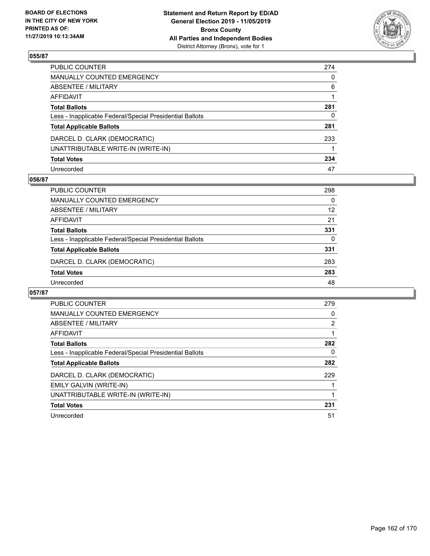

| PUBLIC COUNTER                                           | 274      |
|----------------------------------------------------------|----------|
| MANUALLY COUNTED EMERGENCY                               | $\Omega$ |
| ABSENTEE / MILITARY                                      | 6        |
| AFFIDAVIT                                                |          |
| Total Ballots                                            | 281      |
| Less - Inapplicable Federal/Special Presidential Ballots | 0        |
| <b>Total Applicable Ballots</b>                          | 281      |
| DARCEL D. CLARK (DEMOCRATIC)                             | 233      |
| UNATTRIBUTABLE WRITE-IN (WRITE-IN)                       |          |
| <b>Total Votes</b>                                       | 234      |
| Unrecorded                                               | 47       |

## **056/87**

| <b>PUBLIC COUNTER</b>                                    | 298      |
|----------------------------------------------------------|----------|
| MANUALLY COUNTED EMERGENCY                               | $\Omega$ |
| ABSENTEE / MILITARY                                      | 12       |
| AFFIDAVIT                                                | 21       |
| <b>Total Ballots</b>                                     | 331      |
| Less - Inapplicable Federal/Special Presidential Ballots | $\Omega$ |
| <b>Total Applicable Ballots</b>                          | 331      |
| DARCEL D. CLARK (DEMOCRATIC)                             | 283      |
| <b>Total Votes</b>                                       | 283      |
| Unrecorded                                               | 48       |

| <b>PUBLIC COUNTER</b>                                    | 279 |
|----------------------------------------------------------|-----|
| <b>MANUALLY COUNTED EMERGENCY</b>                        | 0   |
| ABSENTEE / MILITARY                                      | 2   |
| <b>AFFIDAVIT</b>                                         |     |
| <b>Total Ballots</b>                                     | 282 |
| Less - Inapplicable Federal/Special Presidential Ballots | 0   |
| <b>Total Applicable Ballots</b>                          | 282 |
| DARCEL D. CLARK (DEMOCRATIC)                             | 229 |
| <b>EMILY GALVIN (WRITE-IN)</b>                           |     |
| UNATTRIBUTABLE WRITE-IN (WRITE-IN)                       |     |
| <b>Total Votes</b>                                       | 231 |
| Unrecorded                                               | 51  |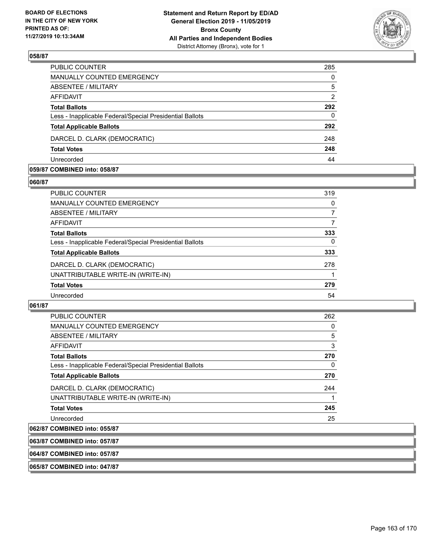

| PUBLIC COUNTER                                           | 285            |
|----------------------------------------------------------|----------------|
| MANUALLY COUNTED EMERGENCY                               | $\Omega$       |
| <b>ABSENTEE / MILITARY</b>                               | 5              |
| AFFIDAVIT                                                | $\overline{2}$ |
| <b>Total Ballots</b>                                     | 292            |
| Less - Inapplicable Federal/Special Presidential Ballots | 0              |
| <b>Total Applicable Ballots</b>                          | 292            |
| DARCEL D. CLARK (DEMOCRATIC)                             | 248            |
| <b>Total Votes</b>                                       | 248            |
| Unrecorded                                               | 44             |

#### **059/87 COMBINED into: 058/87**

#### **060/87**

| PUBLIC COUNTER                                           | 319      |
|----------------------------------------------------------|----------|
| MANUALLY COUNTED EMERGENCY                               | $\Omega$ |
| ABSENTEE / MILITARY                                      | 7        |
| AFFIDAVIT                                                |          |
| <b>Total Ballots</b>                                     | 333      |
| Less - Inapplicable Federal/Special Presidential Ballots | 0        |
| <b>Total Applicable Ballots</b>                          | 333      |
| DARCEL D. CLARK (DEMOCRATIC)                             | 278      |
| UNATTRIBUTABLE WRITE-IN (WRITE-IN)                       |          |
| <b>Total Votes</b>                                       | 279      |
| Unrecorded                                               | 54       |
|                                                          |          |

## **061/87**

| PUBLIC COUNTER                                           | 262 |
|----------------------------------------------------------|-----|
| <b>MANUALLY COUNTED EMERGENCY</b>                        | 0   |
| ABSENTEE / MILITARY                                      | 5   |
| <b>AFFIDAVIT</b>                                         | 3   |
| <b>Total Ballots</b>                                     | 270 |
| Less - Inapplicable Federal/Special Presidential Ballots | 0   |
| <b>Total Applicable Ballots</b>                          | 270 |
| DARCEL D. CLARK (DEMOCRATIC)                             | 244 |
| UNATTRIBUTABLE WRITE-IN (WRITE-IN)                       |     |
| <b>Total Votes</b>                                       | 245 |
| Unrecorded                                               | 25  |

# **062/87 COMBINED into: 055/87**

# **063/87 COMBINED into: 057/87**

**064/87 COMBINED into: 057/87**

## **065/87 COMBINED into: 047/87**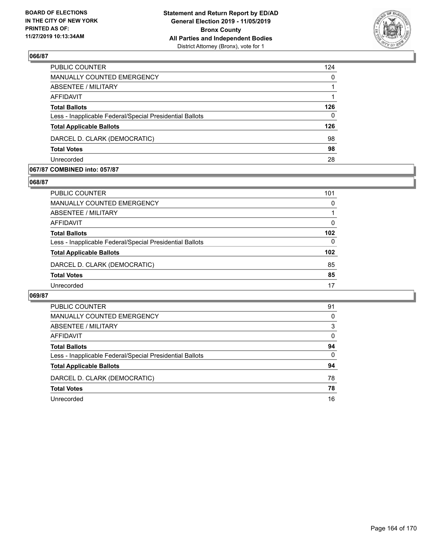

| PUBLIC COUNTER                                           | 124      |
|----------------------------------------------------------|----------|
| MANUALLY COUNTED EMERGENCY                               | $\Omega$ |
| ABSENTEE / MILITARY                                      |          |
| AFFIDAVIT                                                |          |
| <b>Total Ballots</b>                                     | 126      |
| Less - Inapplicable Federal/Special Presidential Ballots | $\Omega$ |
| <b>Total Applicable Ballots</b>                          | 126      |
| DARCEL D. CLARK (DEMOCRATIC)                             | 98       |
| <b>Total Votes</b>                                       | 98       |
| Unrecorded                                               | 28       |

#### **067/87 COMBINED into: 057/87**

#### **068/87**

| PUBLIC COUNTER                                           | 101 |
|----------------------------------------------------------|-----|
| MANUALLY COUNTED EMERGENCY                               | 0   |
| ABSENTEE / MILITARY                                      |     |
| AFFIDAVIT                                                | 0   |
| <b>Total Ballots</b>                                     | 102 |
| Less - Inapplicable Federal/Special Presidential Ballots | 0   |
| <b>Total Applicable Ballots</b>                          | 102 |
| DARCEL D. CLARK (DEMOCRATIC)                             | 85  |
| <b>Total Votes</b>                                       | 85  |
| Unrecorded                                               | 17  |
|                                                          |     |

| <b>PUBLIC COUNTER</b>                                    | 91       |
|----------------------------------------------------------|----------|
| <b>MANUALLY COUNTED EMERGENCY</b>                        | 0        |
| ABSENTEE / MILITARY                                      | 3        |
| AFFIDAVIT                                                | $\Omega$ |
| <b>Total Ballots</b>                                     | 94       |
| Less - Inapplicable Federal/Special Presidential Ballots | 0        |
| <b>Total Applicable Ballots</b>                          | 94       |
| DARCEL D. CLARK (DEMOCRATIC)                             | 78       |
| <b>Total Votes</b>                                       | 78       |
| Unrecorded                                               | 16       |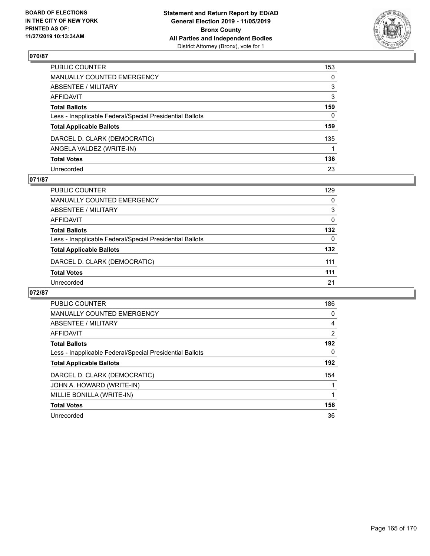

| PUBLIC COUNTER                                           | 153      |
|----------------------------------------------------------|----------|
| MANUALLY COUNTED EMERGENCY                               | $\Omega$ |
| ABSENTEE / MILITARY                                      | 3        |
| AFFIDAVIT                                                | 3        |
| <b>Total Ballots</b>                                     | 159      |
| Less - Inapplicable Federal/Special Presidential Ballots | 0        |
| <b>Total Applicable Ballots</b>                          | 159      |
| DARCEL D. CLARK (DEMOCRATIC)                             | 135      |
| ANGELA VALDEZ (WRITE-IN)                                 |          |
| <b>Total Votes</b>                                       | 136      |
| Unrecorded                                               | 23       |

## **071/87**

| <b>PUBLIC COUNTER</b>                                    | 129      |
|----------------------------------------------------------|----------|
| MANUALLY COUNTED EMERGENCY                               | 0        |
| ABSENTEE / MILITARY                                      | 3        |
| AFFIDAVIT                                                | $\Omega$ |
| <b>Total Ballots</b>                                     | 132      |
| Less - Inapplicable Federal/Special Presidential Ballots | $\Omega$ |
| <b>Total Applicable Ballots</b>                          | 132      |
| DARCEL D. CLARK (DEMOCRATIC)                             | 111      |
| <b>Total Votes</b>                                       | 111      |
| Unrecorded                                               | 21       |

| <b>PUBLIC COUNTER</b>                                    | 186 |
|----------------------------------------------------------|-----|
| <b>MANUALLY COUNTED EMERGENCY</b>                        | 0   |
| ABSENTEE / MILITARY                                      | 4   |
| AFFIDAVIT                                                | 2   |
| <b>Total Ballots</b>                                     | 192 |
| Less - Inapplicable Federal/Special Presidential Ballots | 0   |
| <b>Total Applicable Ballots</b>                          | 192 |
| DARCEL D. CLARK (DEMOCRATIC)                             | 154 |
| JOHN A. HOWARD (WRITE-IN)                                |     |
| MILLIE BONILLA (WRITE-IN)                                |     |
| <b>Total Votes</b>                                       | 156 |
| Unrecorded                                               | 36  |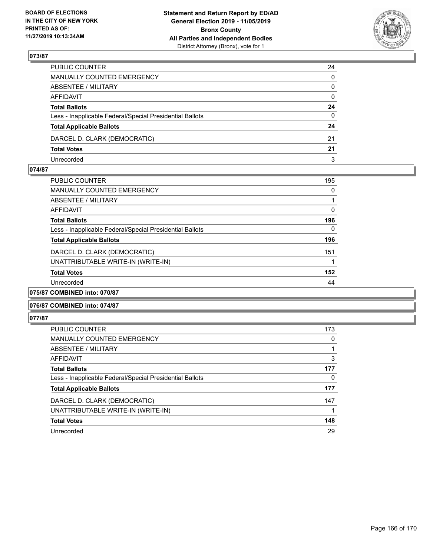

| PUBLIC COUNTER                                           | 24           |
|----------------------------------------------------------|--------------|
| MANUALLY COUNTED EMERGENCY                               | $\mathbf{0}$ |
| ABSENTEE / MILITARY                                      | $\Omega$     |
| AFFIDAVIT                                                | $\mathbf{0}$ |
| <b>Total Ballots</b>                                     | 24           |
| Less - Inapplicable Federal/Special Presidential Ballots | 0            |
| <b>Total Applicable Ballots</b>                          | 24           |
| DARCEL D. CLARK (DEMOCRATIC)                             | 21           |
| <b>Total Votes</b>                                       | 21           |
| Unrecorded                                               | 3            |

#### **074/87**

| <b>PUBLIC COUNTER</b>                                    | 195 |
|----------------------------------------------------------|-----|
| <b>MANUALLY COUNTED EMERGENCY</b>                        | 0   |
| ABSENTEE / MILITARY                                      |     |
| AFFIDAVIT                                                | 0   |
| <b>Total Ballots</b>                                     | 196 |
| Less - Inapplicable Federal/Special Presidential Ballots | 0   |
| <b>Total Applicable Ballots</b>                          | 196 |
| DARCEL D. CLARK (DEMOCRATIC)                             | 151 |
| UNATTRIBUTABLE WRITE-IN (WRITE-IN)                       |     |
| <b>Total Votes</b>                                       | 152 |
| Unrecorded                                               | 44  |
| 075/87 COMBINED into: 070/87                             |     |

# **076/87 COMBINED into: 074/87**

| <b>PUBLIC COUNTER</b>                                    | 173 |
|----------------------------------------------------------|-----|
| <b>MANUALLY COUNTED EMERGENCY</b>                        | 0   |
| <b>ABSENTEE / MILITARY</b>                               |     |
| AFFIDAVIT                                                | 3   |
| <b>Total Ballots</b>                                     | 177 |
| Less - Inapplicable Federal/Special Presidential Ballots | 0   |
| <b>Total Applicable Ballots</b>                          | 177 |
| DARCEL D. CLARK (DEMOCRATIC)                             | 147 |
| UNATTRIBUTABLE WRITE-IN (WRITE-IN)                       |     |
| <b>Total Votes</b>                                       | 148 |
| Unrecorded                                               | 29  |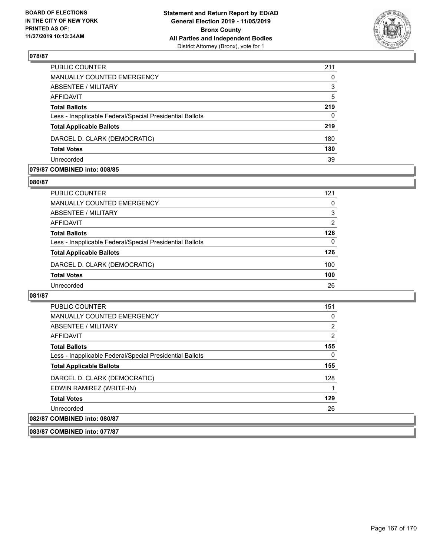

| PUBLIC COUNTER                                           | 211      |
|----------------------------------------------------------|----------|
| MANUALLY COUNTED EMERGENCY                               | $\Omega$ |
| ABSENTEE / MILITARY                                      | 3        |
| AFFIDAVIT                                                | 5        |
| <b>Total Ballots</b>                                     | 219      |
| Less - Inapplicable Federal/Special Presidential Ballots | $\Omega$ |
| <b>Total Applicable Ballots</b>                          | 219      |
| DARCEL D. CLARK (DEMOCRATIC)                             | 180      |
| <b>Total Votes</b>                                       | 180      |
| Unrecorded                                               | 39       |

#### **079/87 COMBINED into: 008/85**

#### **080/87**

| PUBLIC COUNTER                                           | 121            |
|----------------------------------------------------------|----------------|
| <b>MANUALLY COUNTED EMERGENCY</b>                        | 0              |
| ABSENTEE / MILITARY                                      | 3              |
| AFFIDAVIT                                                | $\overline{2}$ |
| <b>Total Ballots</b>                                     | 126            |
| Less - Inapplicable Federal/Special Presidential Ballots | 0              |
| <b>Total Applicable Ballots</b>                          | 126            |
| DARCEL D. CLARK (DEMOCRATIC)                             | 100            |
| <b>Total Votes</b>                                       | 100            |
| Unrecorded                                               | 26             |
|                                                          |                |

## **081/87**

| <b>PUBLIC COUNTER</b>                                    | 151            |
|----------------------------------------------------------|----------------|
| <b>MANUALLY COUNTED EMERGENCY</b>                        | 0              |
| ABSENTEE / MILITARY                                      | $\overline{2}$ |
| AFFIDAVIT                                                | 2              |
| <b>Total Ballots</b>                                     | 155            |
| Less - Inapplicable Federal/Special Presidential Ballots | 0              |
| <b>Total Applicable Ballots</b>                          | 155            |
| DARCEL D. CLARK (DEMOCRATIC)                             | 128            |
| EDWIN RAMIREZ (WRITE-IN)                                 |                |
| <b>Total Votes</b>                                       | 129            |
| Unrecorded                                               | 26             |
| 082/87 COMBINED into: 080/87                             |                |

#### **083/87 COMBINED into: 077/87**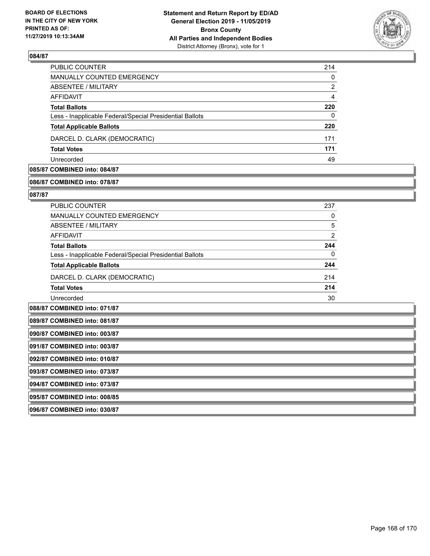

| <b>PUBLIC COUNTER</b>                                    | 214            |
|----------------------------------------------------------|----------------|
| MANUALLY COUNTED EMERGENCY                               | 0              |
| ABSENTEE / MILITARY                                      | $\overline{2}$ |
| AFFIDAVIT                                                | 4              |
| <b>Total Ballots</b>                                     | 220            |
| Less - Inapplicable Federal/Special Presidential Ballots | 0              |
| <b>Total Applicable Ballots</b>                          | 220            |
| DARCEL D. CLARK (DEMOCRATIC)                             | 171            |
| <b>Total Votes</b>                                       | 171            |
| Unrecorded                                               | 49             |

# **085/87 COMBINED into: 084/87**

#### **086/87 COMBINED into: 078/87**

#### **087/87**

| PUBLIC COUNTER                                           | 237 |
|----------------------------------------------------------|-----|
| MANUALLY COUNTED EMERGENCY                               | 0   |
| ABSENTEE / MILITARY                                      | 5   |
| AFFIDAVIT                                                | 2   |
| <b>Total Ballots</b>                                     | 244 |
| Less - Inapplicable Federal/Special Presidential Ballots | 0   |
| <b>Total Applicable Ballots</b>                          | 244 |
| DARCEL D. CLARK (DEMOCRATIC)                             | 214 |
| <b>Total Votes</b>                                       | 214 |
| Unrecorded                                               | 30  |

**088/87 COMBINED into: 071/87**

**089/87 COMBINED into: 081/87**

**090/87 COMBINED into: 003/87**

**091/87 COMBINED into: 003/87**

**092/87 COMBINED into: 010/87**

**093/87 COMBINED into: 073/87**

**094/87 COMBINED into: 073/87**

**095/87 COMBINED into: 008/85**

**096/87 COMBINED into: 030/87**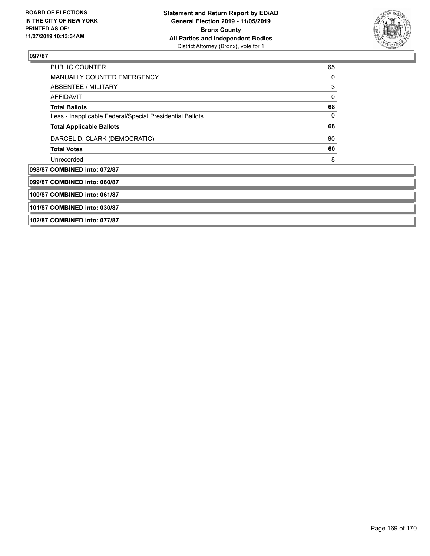

| PUBLIC COUNTER                                           | 65 |  |
|----------------------------------------------------------|----|--|
| <b>MANUALLY COUNTED EMERGENCY</b>                        | 0  |  |
| ABSENTEE / MILITARY                                      | 3  |  |
| <b>AFFIDAVIT</b>                                         | 0  |  |
| <b>Total Ballots</b>                                     | 68 |  |
| Less - Inapplicable Federal/Special Presidential Ballots | 0  |  |
| <b>Total Applicable Ballots</b>                          | 68 |  |
| DARCEL D. CLARK (DEMOCRATIC)                             | 60 |  |
| <b>Total Votes</b>                                       | 60 |  |
| Unrecorded                                               | 8  |  |
| 098/87 COMBINED into: 072/87                             |    |  |
| 099/87 COMBINED into: 060/87                             |    |  |
| 100/87 COMBINED into: 061/87                             |    |  |
| 101/87 COMBINED into: 030/87                             |    |  |
| 102/87 COMBINED into: 077/87                             |    |  |